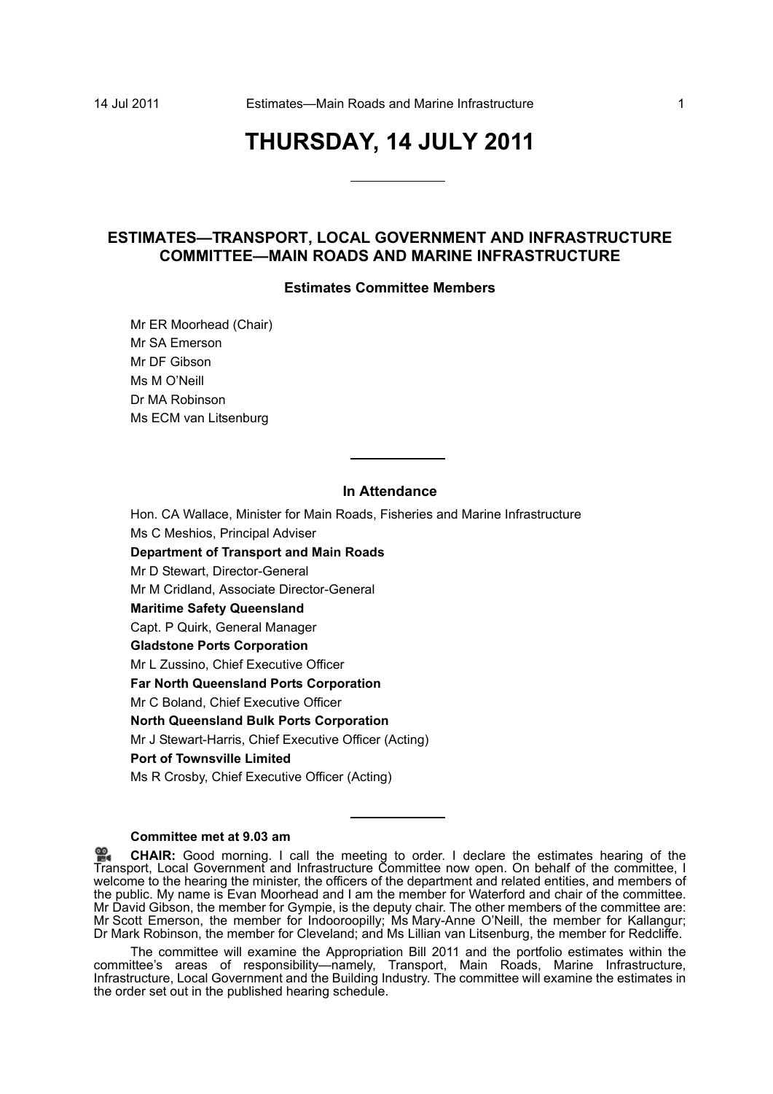# **THURSDAY, 14 JULY 2011**

# **ESTIMATES—TRANSPORT, LOCAL GOVERNMENT AND INFRASTRUCTURE COMMITTEE—MAIN ROADS AND MARINE INFRASTRUCTURE**

## **Estimates Committee Members**

Mr ER Moorhead (Chair) Mr SA Emerson Mr DF Gibson Ms M O'Neill Dr MA Robinson Ms ECM van Litsenburg

# **In Attendance**

Hon. CA Wallace, Minister for Main Roads, Fisheries and Marine Infrastructure Ms C Meshios, Principal Adviser **Department of Transport and Main Roads** Mr D Stewart, Director-General Mr M Cridland, Associate Director-General **Maritime Safety Queensland** Capt. P Quirk, General Manager **Gladstone Ports Corporation** Mr L Zussino, Chief Executive Officer **Far North Queensland Ports Corporation** Mr C Boland, Chief Executive Officer **North Queensland Bulk Ports Corporation** Mr J Stewart-Harris, Chief Executive Officer (Acting)

# **Port of Townsville Limited**

Ms R Crosby, Chief Executive Officer (Acting)

## **Committee met at 9.03 am**

**CHAIR:** [Good morning. I call the meeting to order. I declare the estimates hearing of the](http://www.parliament.qld.gov.au/docs/find.aspx?id=0Mba20110714_090416) [Tra](http://www.parliament.qld.gov.au/docs/find.aspx?id=0Mba20110714_090416)nsport, Local Government and Infrastructure Committee now open. On behalf of the committee, I welcome to the hearing the minister, the officers of the department and related entities, and members of [the public. My name is Evan Moorhead and I am the member for Waterford and chair of the committee.](http://www.parliament.qld.gov.au/docs/find.aspx?id=0Mba20110714_090416) Mr David Gibson, the member for Gympie, is the deputy chair. The other members of the committee are: Mr Scott Emerson, the member for Indooroopilly; Ms Mary-Anne O'Neill, the member for Kallangur; Dr Mark Robinson, the member for Cleveland; and Ms Lillian van Litsenburg, the member for Redcliffe.

The committee will examine the Appropriation Bill 2011 and the portfolio estimates within the committee's areas of responsibility—namely, Transport, Main Roads, Marine Infrastructure, Infrastructure, Local Government and the Building Industry. The committee will examine the estimates in the order set out in the published hearing schedule.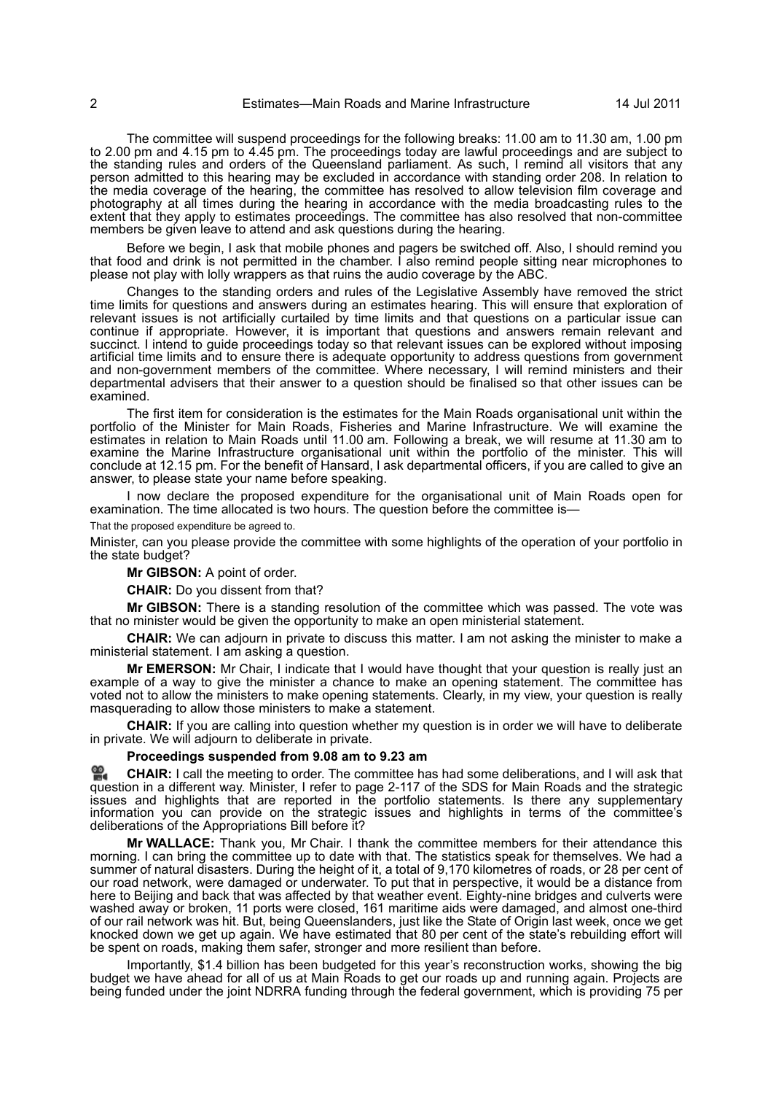The committee will suspend proceedings for the following breaks: 11.00 am to 11.30 am, 1.00 pm to 2.00 pm and 4.15 pm to 4.45 pm. The proceedings today are lawful proceedings and are subject to the standing rules and orders of the Queensland parliament. As such, I remind all visitors that any person admitted to this hearing may be excluded in accordance with standing order 208. In relation to the media coverage of the hearing, the committee has resolved to allow television film coverage and photography at all times during the hearing in accordance with the media broadcasting rules to the extent that they apply to estimates proceedings. The committee has also resolved that non-committee members be given leave to attend and ask questions during the hearing.

Before we begin, I ask that mobile phones and pagers be switched off. Also, I should remind you that food and drink is not permitted in the chamber. I also remind people sitting near microphones to please not play with lolly wrappers as that ruins the audio coverage by the ABC.

Changes to the standing orders and rules of the Legislative Assembly have removed the strict time limits for questions and answers during an estimates hearing. This will ensure that exploration of relevant issues is not artificially curtailed by time limits and that questions on a particular issue can continue if appropriate. However, it is important that questions and answers remain relevant and succinct. I intend to guide proceedings today so that relevant issues can be explored without imposing artificial time limits and to ensure there is adequate opportunity to address questions from government and non-government members of the committee. Where necessary, I will remind ministers and their departmental advisers that their answer to a question should be finalised so that other issues can be examined.

The first item for consideration is the estimates for the Main Roads organisational unit within the portfolio of the Minister for Main Roads, Fisheries and Marine Infrastructure. We will examine the estimates in relation to Main Roads until 11.00 am. Following a break, we will resume at 11.30 am to examine the Marine Infrastructure organisational unit within the portfolio of the minister. This will conclude at 12.15 pm. For the benefit of Hansard, I ask departmental officers, if you are called to give an answer, to please state your name before speaking.

I now declare the proposed expenditure for the organisational unit of Main Roads open for examination. The time allocated is two hours. The question before the committee is—

That the proposed expenditure be agreed to.

Minister, can you please provide the committee with some highlights of the operation of your portfolio in the state budget?

**Mr GIBSON:** A point of order.

**CHAIR:** Do you dissent from that?

**Mr GIBSON:** There is a standing resolution of the committee which was passed. The vote was that no minister would be given the opportunity to make an open ministerial statement.

**CHAIR:** We can adjourn in private to discuss this matter. I am not asking the minister to make a ministerial statement. I am asking a question.

**Mr EMERSON:** Mr Chair, I indicate that I would have thought that your question is really just an example of a way to give the minister a chance to make an opening statement. The committee has voted not to allow the ministers to make opening statements. Clearly, in my view, your question is really masquerading to allow those ministers to make a statement.

**CHAIR:** If you are calling into question whether my question is in order we will have to deliberate in private. We will adjourn to deliberate in private.

## **Proceedings suspended from 9.08 am to 9.23 am**

**[CHAIR:](http://www.parliament.qld.gov.au/docs/find.aspx?id=0Mba20110714_092402)** I call the meeting to order. The committee has had some deliberations, and I will ask that [que](http://www.parliament.qld.gov.au/docs/find.aspx?id=0Mba20110714_092402)stion in a different way. Minister, I refer to page 2-117 of the SDS for Main Roads and the strategic issues and highlights that are reported in the portfolio statements. Is there any supplementary information you can provide on the strategic issues and highlights in terms of the committee's deliberations of the Appropriations Bill before it?

**Mr WALLACE:** Thank you, Mr Chair. I thank the committee members for their attendance this morning. I can bring the committee up to date with that. The statistics speak for themselves. We had a summer of natural disasters. During the height of it, a total of 9,170 kilometres of roads, or 28 per cent of our road network, were damaged or underwater. To put that in perspective, it would be a distance from here to Beijing and back that was affected by that weather event. Eighty-nine bridges and culverts were washed away or broken, 11 ports were closed, 161 maritime aids were damaged, and almost one-third of our rail network was hit. But, being Queenslanders, just like the State of Origin last week, once we get knocked down we get up again. We have estimated that 80 per cent of the state's rebuilding effort will be spent on roads, making them safer, stronger and more resilient than before.

Importantly, \$1.4 billion has been budgeted for this year's reconstruction works, showing the big budget we have ahead for all of us at Main Roads to get our roads up and running again. Projects are being funded under the joint NDRRA funding through the federal government, which is providing 75 per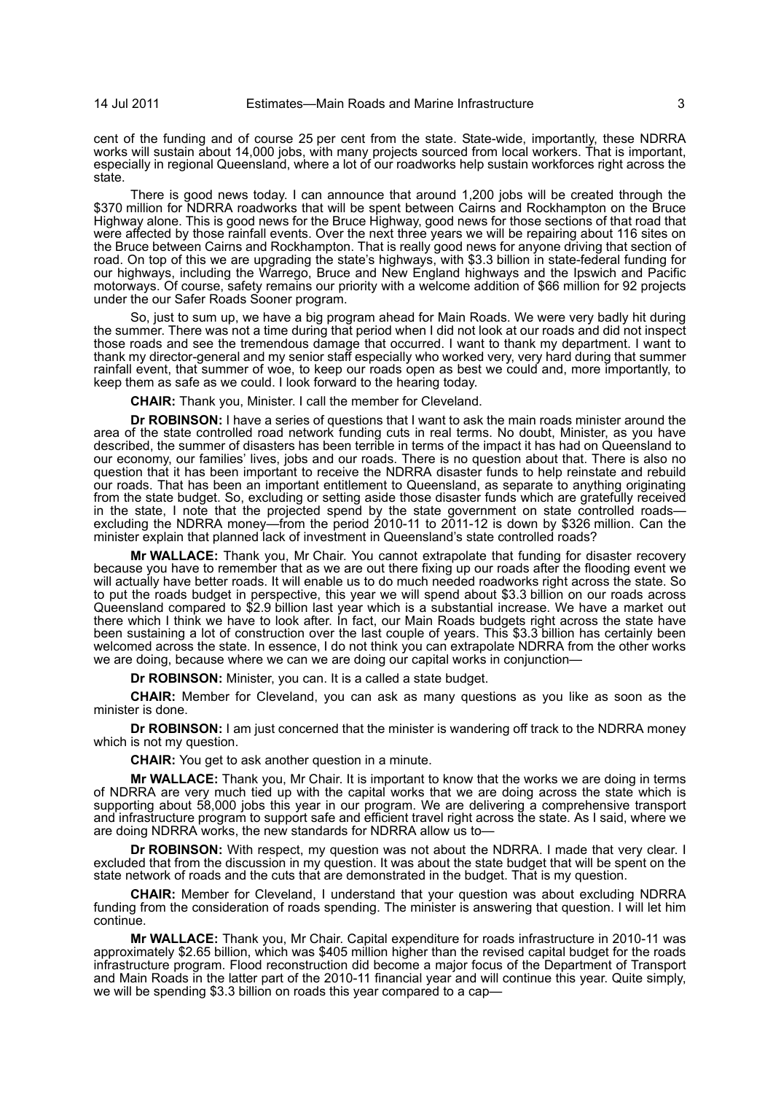cent of the funding and of course 25 per cent from the state. State-wide, importantly, these NDRRA works will sustain about 14,000 jobs, with many projects sourced from local workers. That is important, especially in regional Queensland, where a lot of our roadworks help sustain workforces right across the state.

There is good news today. I can announce that around 1,200 jobs will be created through the \$370 million for NDRRA roadworks that will be spent between Cairns and Rockhampton on the Bruce Highway alone. This is good news for the Bruce Highway, good news for those sections of that road that were affected by those rainfall events. Over the next three years we will be repairing about 116 sites on the Bruce between Cairns and Rockhampton. That is really good news for anyone driving that section of road. On top of this we are upgrading the state's highways, with \$3.3 billion in state-federal funding for our highways, including the Warrego, Bruce and New England highways and the Ipswich and Pacific motorways. Of course, safety remains our priority with a welcome addition of \$66 million for 92 projects under the our Safer Roads Sooner program.

So, just to sum up, we have a big program ahead for Main Roads. We were very badly hit during the summer. There was not a time during that period when I did not look at our roads and did not inspect those roads and see the tremendous damage that occurred. I want to thank my department. I want to thank my director-general and my senior staff especially who worked very, very hard during that summer rainfall event, that summer of woe, to keep our roads open as best we could and, more importantly, to keep them as safe as we could. I look forward to the hearing today.

**CHAIR:** Thank you, Minister. I call the member for Cleveland.

**Dr ROBINSON:** I have a series of questions that I want to ask the main roads minister around the area of the state controlled road network funding cuts in real terms. No doubt, Minister, as you have described, the summer of disasters has been terrible in terms of the impact it has had on Queensland to our economy, our families' lives, jobs and our roads. There is no question about that. There is also no question that it has been important to receive the NDRRA disaster funds to help reinstate and rebuild our roads. That has been an important entitlement to Queensland, as separate to anything originating from the state budget. So, excluding or setting aside those disaster funds which are gratefully received in the state, I note that the projected spend by the state government on state controlled roads excluding the NDRRA money—from the period 2010-11 to 2011-12 is down by \$326 million. Can the minister explain that planned lack of investment in Queensland's state controlled roads?

**Mr WALLACE:** Thank you, Mr Chair. You cannot extrapolate that funding for disaster recovery because you have to remember that as we are out there fixing up our roads after the flooding event we will actually have better roads. It will enable us to do much needed roadworks right across the state. So to put the roads budget in perspective, this year we will spend about \$3.3 billion on our roads across Queensland compared to \$2.9 billion last year which is a substantial increase. We have a market out there which I think we have to look after. In fact, our Main Roads budgets right across the state have been sustaining a lot of construction over the last couple of years. This \$3.3 billion has certainly been welcomed across the state. In essence, I do not think you can extrapolate NDRRA from the other works we are doing, because where we can we are doing our capital works in conjunction—

**Dr ROBINSON:** Minister, you can. It is a called a state budget.

**CHAIR:** Member for Cleveland, you can ask as many questions as you like as soon as the minister is done.

**Dr ROBINSON:** I am just concerned that the minister is wandering off track to the NDRRA money which is not my question.

**CHAIR:** You get to ask another question in a minute.

**Mr WALLACE:** Thank you, Mr Chair. It is important to know that the works we are doing in terms of NDRRA are very much tied up with the capital works that we are doing across the state which is supporting about 58,000 jobs this year in our program. We are delivering a comprehensive transport and infrastructure program to support safe and efficient travel right across the state. As I said, where we are doing NDRRA works, the new standards for NDRRA allow us to—

**Dr ROBINSON:** With respect, my question was not about the NDRRA. I made that very clear. I excluded that from the discussion in my question. It was about the state budget that will be spent on the state network of roads and the cuts that are demonstrated in the budget. That is my question.

**CHAIR:** Member for Cleveland, I understand that your question was about excluding NDRRA funding from the consideration of roads spending. The minister is answering that question. I will let him continue.

**Mr WALLACE:** Thank you, Mr Chair. Capital expenditure for roads infrastructure in 2010-11 was approximately \$2.65 billion, which was \$405 million higher than the revised capital budget for the roads infrastructure program. Flood reconstruction did become a major focus of the Department of Transport and Main Roads in the latter part of the 2010-11 financial year and will continue this year. Quite simply, we will be spending \$3.3 billion on roads this year compared to a cap—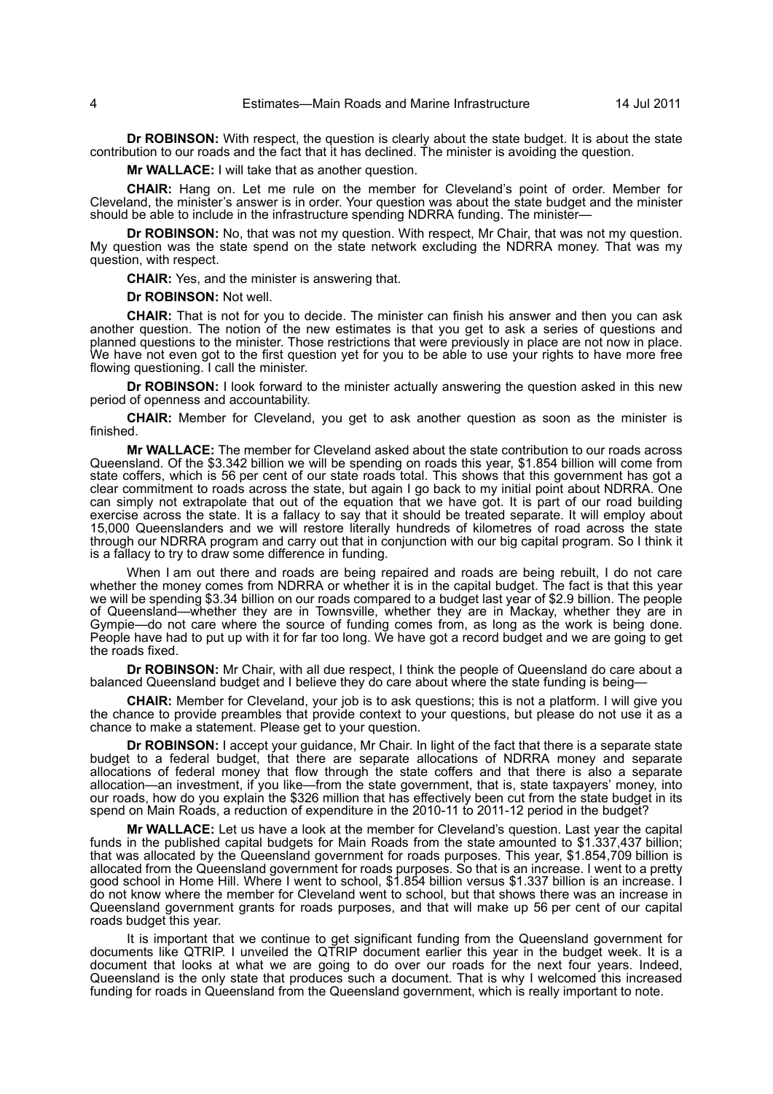**Dr ROBINSON:** With respect, the question is clearly about the state budget. It is about the state contribution to our roads and the fact that it has declined. The minister is avoiding the question.

**Mr WALLACE:** I will take that as another question.

**CHAIR:** Hang on. Let me rule on the member for Cleveland's point of order. Member for Cleveland, the minister's answer is in order. Your question was about the state budget and the minister should be able to include in the infrastructure spending NDRRA funding. The minister—

**Dr ROBINSON:** No, that was not my question. With respect, Mr Chair, that was not my question. My question was the state spend on the state network excluding the NDRRA money. That was my question, with respect.

**CHAIR:** Yes, and the minister is answering that.

**Dr ROBINSON:** Not well.

**CHAIR:** That is not for you to decide. The minister can finish his answer and then you can ask another question. The notion of the new estimates is that you get to ask a series of questions and planned questions to the minister. Those restrictions that were previously in place are not now in place. We have not even got to the first question yet for you to be able to use your rights to have more free flowing questioning. I call the minister.

**Dr ROBINSON:** I look forward to the minister actually answering the question asked in this new period of openness and accountability.

**CHAIR:** Member for Cleveland, you get to ask another question as soon as the minister is finished.

**Mr WALLACE:** The member for Cleveland asked about the state contribution to our roads across Queensland. Of the \$3.342 billion we will be spending on roads this year, \$1.854 billion will come from state coffers, which is 56 per cent of our state roads total. This shows that this government has got a clear commitment to roads across the state, but again I go back to my initial point about NDRRA. One can simply not extrapolate that out of the equation that we have got. It is part of our road building exercise across the state. It is a fallacy to say that it should be treated separate. It will employ about 15,000 Queenslanders and we will restore literally hundreds of kilometres of road across the state through our NDRRA program and carry out that in conjunction with our big capital program. So I think it is a fallacy to try to draw some difference in funding.

When I am out there and roads are being repaired and roads are being rebuilt, I do not care whether the money comes from NDRRA or whether it is in the capital budget. The fact is that this year we will be spending \$3.34 billion on our roads compared to a budget last year of \$2.9 billion. The people of Queensland—whether they are in Townsville, whether they are in Mackay, whether they are in Gympie—do not care where the source of funding comes from, as long as the work is being done. People have had to put up with it for far too long. We have got a record budget and we are going to get the roads fixed.

**Dr ROBINSON:** Mr Chair, with all due respect, I think the people of Queensland do care about a balanced Queensland budget and I believe they do care about where the state funding is being—

**CHAIR:** Member for Cleveland, your job is to ask questions; this is not a platform. I will give you the chance to provide preambles that provide context to your questions, but please do not use it as a chance to make a statement. Please get to your question.

**Dr ROBINSON:** I accept your guidance, Mr Chair. In light of the fact that there is a separate state budget to a federal budget, that there are separate allocations of NDRRA money and separate allocations of federal money that flow through the state coffers and that there is also a separate allocation—an investment, if you like—from the state government, that is, state taxpayers' money, into our roads, how do you explain the \$326 million that has effectively been cut from the state budget in its spend on Main Roads, a reduction of expenditure in the 2010-11 to 2011-12 period in the budget?

**Mr WALLACE:** Let us have a look at the member for Cleveland's question. Last year the capital funds in the published capital budgets for Main Roads from the state amounted to \$1.337,437 billion; that was allocated by the Queensland government for roads purposes. This year, \$1.854,709 billion is allocated from the Queensland government for roads purposes. So that is an increase. I went to a pretty good school in Home Hill. Where I went to school, \$1.854 billion versus \$1.337 billion is an increase. I do not know where the member for Cleveland went to school, but that shows there was an increase in Queensland government grants for roads purposes, and that will make up 56 per cent of our capital roads budget this year.

It is important that we continue to get significant funding from the Queensland government for documents like QTRIP. I unveiled the QTRIP document earlier this year in the budget week. It is a document that looks at what we are going to do over our roads for the next four years. Indeed, Queensland is the only state that produces such a document. That is why I welcomed this increased funding for roads in Queensland from the Queensland government, which is really important to note.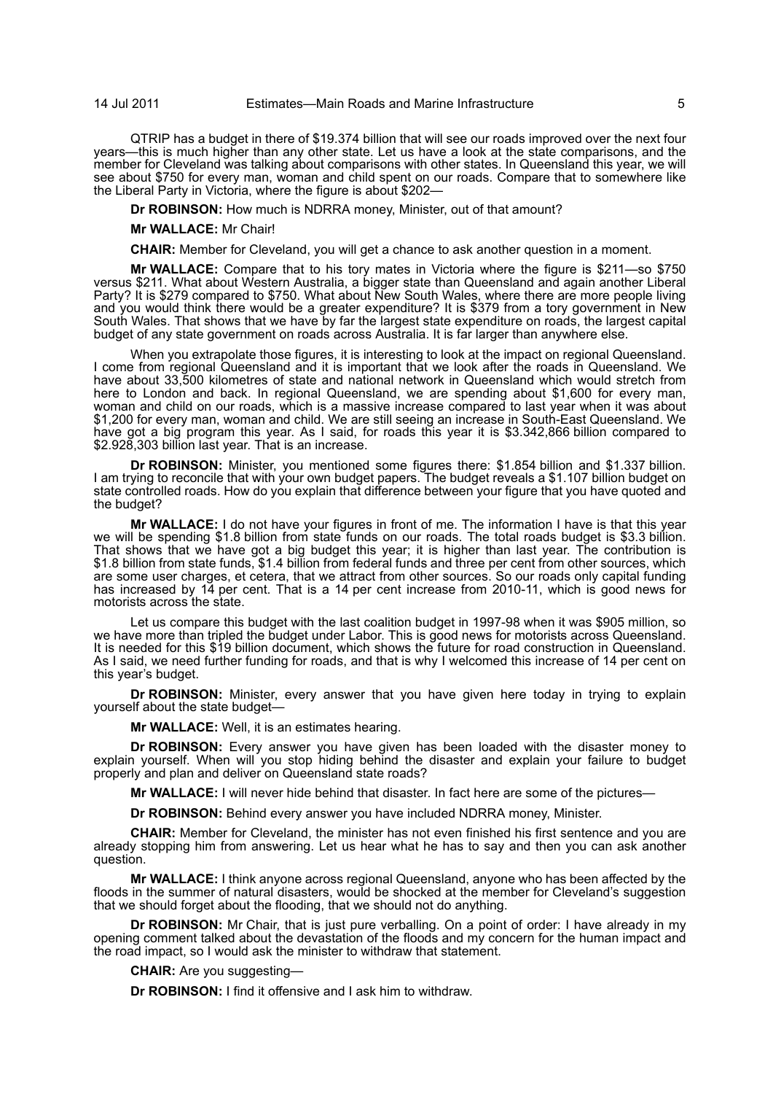QTRIP has a budget in there of \$19.374 billion that will see our roads improved over the next four years—this is much higher than any other state. Let us have a look at the state comparisons, and the member for Cleveland was talking about comparisons with other states. In Queensland this year, we will see about \$750 for every man, woman and child spent on our roads. Compare that to somewhere like the Liberal Party in Victoria, where the figure is about \$202—

**Dr ROBINSON:** How much is NDRRA money, Minister, out of that amount?

**Mr WALLACE:** Mr Chair!

**CHAIR:** Member for Cleveland, you will get a chance to ask another question in a moment.

**Mr WALLACE:** Compare that to his tory mates in Victoria where the figure is \$211—so \$750 versus \$211. What about Western Australia, a bigger state than Queensland and again another Liberal Party? It is \$279 compared to \$750. What about New South Wales, where there are more people living and you would think there would be a greater expenditure? It is \$379 from a tory government in New South Wales. That shows that we have by far the largest state expenditure on roads, the largest capital budget of any state government on roads across Australia. It is far larger than anywhere else.

When you extrapolate those figures, it is interesting to look at the impact on regional Queensland. I come from regional Queensland and it is important that we look after the roads in Queensland. We have about 33,500 kilometres of state and national network in Queensland which would stretch from here to London and back. In regional Queensland, we are spending about \$1,600 for every man, woman and child on our roads, which is a massive increase compared to last year when it was about \$1,200 for every man, woman and child. We are still seeing an increase in South-East Queensland. We have got a big program this year. As I said, for roads this year it is \$3.342,866 billion compared to \$2.928,303 billion last year. That is an increase.

**Dr ROBINSON:** Minister, you mentioned some figures there: \$1.854 billion and \$1.337 billion. I am trying to reconcile that with your own budget papers. The budget reveals a \$1.107 billion budget on state controlled roads. How do you explain that difference between your figure that you have quoted and the budget?

**Mr WALLACE:** I do not have your figures in front of me. The information I have is that this year we will be spending \$1.8 billion from state funds on our roads. The total roads budget is \$3.3 billion. That shows that we have got a big budget this year; it is higher than last year. The contribution is \$1.8 billion from state funds, \$1.4 billion from federal funds and three per cent from other sources, which are some user charges, et cetera, that we attract from other sources. So our roads only capital funding has increased by 14 per cent. That is a 14 per cent increase from 2010-11, which is good news for motorists across the state.

Let us compare this budget with the last coalition budget in 1997-98 when it was \$905 million, so we have more than tripled the budget under Labor. This is good news for motorists across Queensland. It is needed for this \$19 billion document, which shows the future for road construction in Queensland. As I said, we need further funding for roads, and that is why I welcomed this increase of 14 per cent on this year's budget.

**Dr ROBINSON:** Minister, every answer that you have given here today in trying to explain yourself about the state budget—

**Mr WALLACE:** Well, it is an estimates hearing.

**Dr ROBINSON:** Every answer you have given has been loaded with the disaster money to explain yourself. When will you stop hiding behind the disaster and explain your failure to budget properly and plan and deliver on Queensland state roads?

**Mr WALLACE:** I will never hide behind that disaster. In fact here are some of the pictures—

**Dr ROBINSON:** Behind every answer you have included NDRRA money, Minister.

**CHAIR:** Member for Cleveland, the minister has not even finished his first sentence and you are already stopping him from answering. Let us hear what he has to say and then you can ask another question.

**Mr WALLACE:** I think anyone across regional Queensland, anyone who has been affected by the floods in the summer of natural disasters, would be shocked at the member for Cleveland's suggestion that we should forget about the flooding, that we should not do anything.

**Dr ROBINSON:** Mr Chair, that is just pure verballing. On a point of order: I have already in my opening comment talked about the devastation of the floods and my concern for the human impact and the road impact, so I would ask the minister to withdraw that statement.

**CHAIR:** Are you suggesting—

**Dr ROBINSON:** I find it offensive and I ask him to withdraw.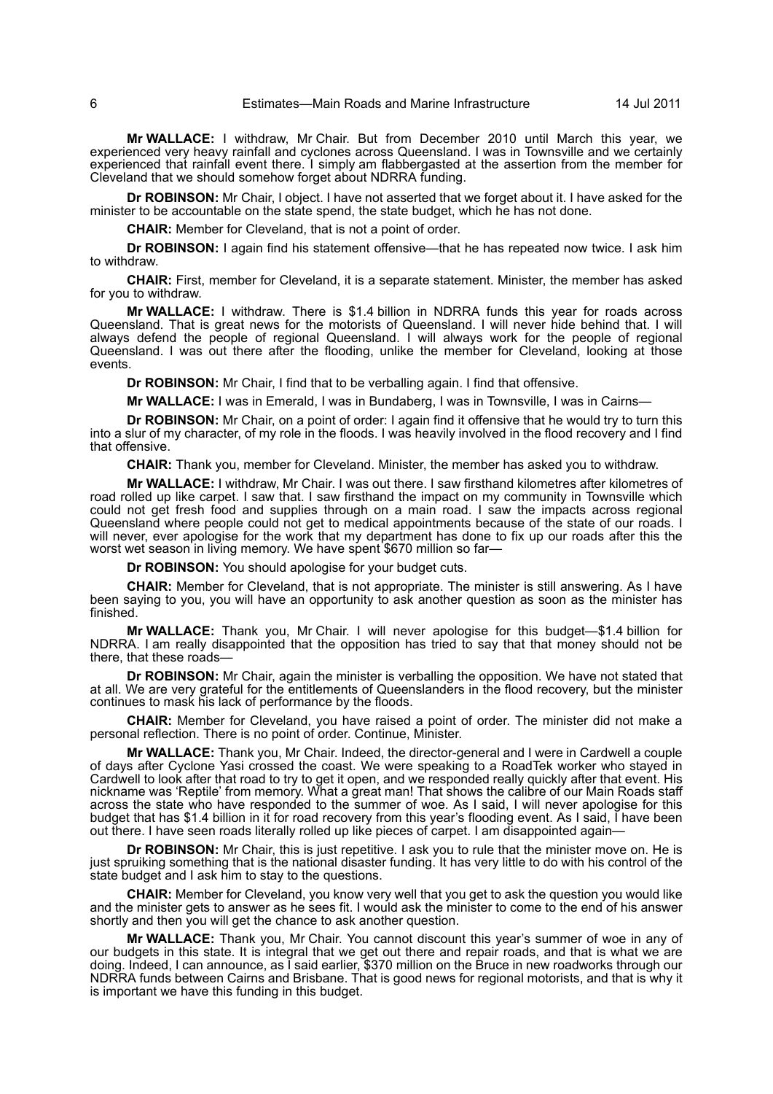**Mr WALLACE:** I withdraw, Mr Chair. But from December 2010 until March this year, we experienced very heavy rainfall and cyclones across Queensland. I was in Townsville and we certainly experienced that rainfall event there. I simply am flabbergasted at the assertion from the member for Cleveland that we should somehow forget about NDRRA funding.

**Dr ROBINSON:** Mr Chair, I object. I have not asserted that we forget about it. I have asked for the minister to be accountable on the state spend, the state budget, which he has not done.

**CHAIR:** Member for Cleveland, that is not a point of order.

**Dr ROBINSON:** I again find his statement offensive—that he has repeated now twice. I ask him to withdraw.

**CHAIR:** First, member for Cleveland, it is a separate statement. Minister, the member has asked for you to withdraw.

**Mr WALLACE:** I withdraw. There is \$1.4 billion in NDRRA funds this year for roads across Queensland. That is great news for the motorists of Queensland. I will never hide behind that. I will always defend the people of regional Queensland. I will always work for the people of regional Queensland. I was out there after the flooding, unlike the member for Cleveland, looking at those events.

**Dr ROBINSON:** Mr Chair, I find that to be verballing again. I find that offensive.

**Mr WALLACE:** I was in Emerald, I was in Bundaberg, I was in Townsville, I was in Cairns—

**Dr ROBINSON:** Mr Chair, on a point of order: I again find it offensive that he would try to turn this into a slur of my character, of my role in the floods. I was heavily involved in the flood recovery and I find that offensive.

**CHAIR:** Thank you, member for Cleveland. Minister, the member has asked you to withdraw.

**Mr WALLACE:** I withdraw, Mr Chair. I was out there. I saw firsthand kilometres after kilometres of road rolled up like carpet. I saw that. I saw firsthand the impact on my community in Townsville which could not get fresh food and supplies through on a main road. I saw the impacts across regional Queensland where people could not get to medical appointments because of the state of our roads. I will never, ever apologise for the work that my department has done to fix up our roads after this the was never, over approgress for the more have the worst wet season in living memory. We have spent \$670 million so far—

**Dr ROBINSON:** You should apologise for your budget cuts.

**CHAIR:** Member for Cleveland, that is not appropriate. The minister is still answering. As I have been saying to you, you will have an opportunity to ask another question as soon as the minister has finished.

**Mr WALLACE:** Thank you, Mr Chair. I will never apologise for this budget—\$1.4 billion for NDRRA. I am really disappointed that the opposition has tried to say that that money should not be there, that these roads-

**Dr ROBINSON:** Mr Chair, again the minister is verballing the opposition. We have not stated that at all. We are very grateful for the entitlements of Queenslanders in the flood recovery, but the minister continues to mask his lack of performance by the floods.

**CHAIR:** Member for Cleveland, you have raised a point of order. The minister did not make a personal reflection. There is no point of order. Continue, Minister.

**Mr WALLACE:** Thank you, Mr Chair. Indeed, the director-general and I were in Cardwell a couple of days after Cyclone Yasi crossed the coast. We were speaking to a RoadTek worker who stayed in Cardwell to look after that road to try to get it open, and we responded really quickly after that event. His nickname was 'Reptile' from memory. What a great man! That shows the calibre of our Main Roads staff across the state who have responded to the summer of woe. As I said, I will never apologise for this budget that has \$1.4 billion in it for road recovery from this year's flooding event. As I said, I have been out there. I have seen roads literally rolled up like pieces of carpet. I am disappointed again—

**Dr ROBINSON:** Mr Chair, this is just repetitive. I ask you to rule that the minister move on. He is just spruiking something that is the national disaster funding. It has very little to do with his control of the state budget and I ask him to stay to the questions.

**CHAIR:** Member for Cleveland, you know very well that you get to ask the question you would like and the minister gets to answer as he sees fit. I would ask the minister to come to the end of his answer shortly and then you will get the chance to ask another question.

**Mr WALLACE:** Thank you, Mr Chair. You cannot discount this year's summer of woe in any of our budgets in this state. It is integral that we get out there and repair roads, and that is what we are doing. Indeed, I can announce, as I said earlier, \$370 million on the Bruce in new roadworks through our NDRRA funds between Cairns and Brisbane. That is good news for regional motorists, and that is why it is important we have this funding in this budget.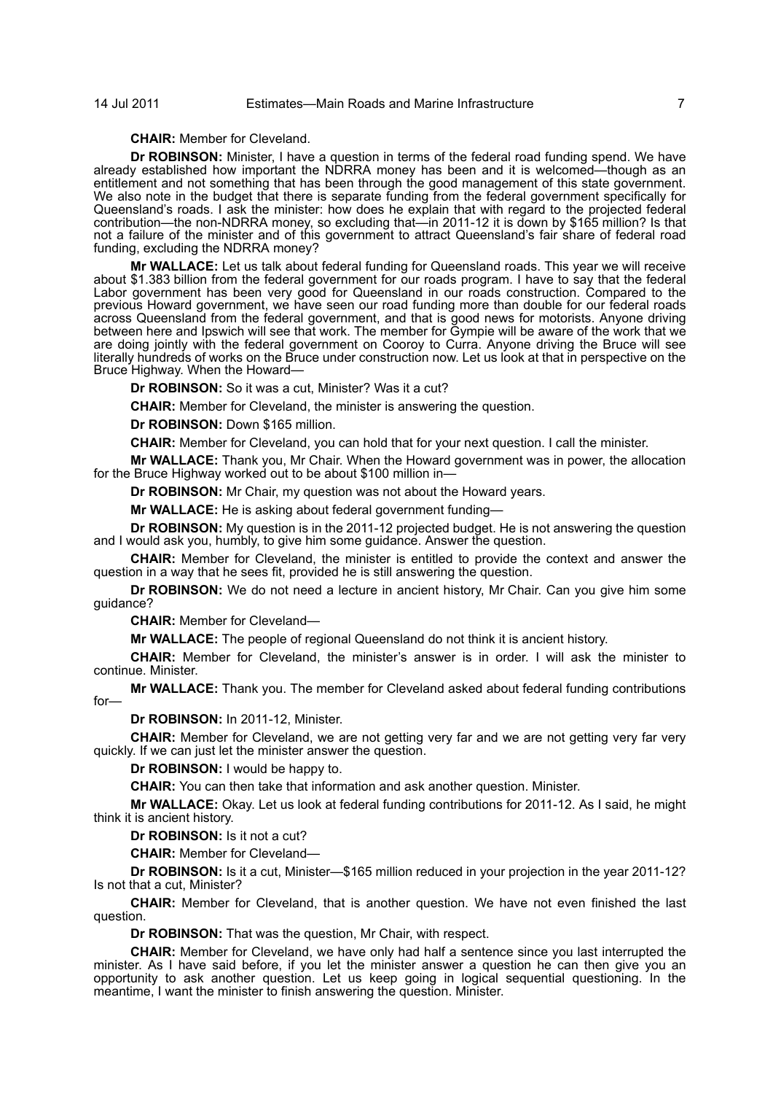## **CHAIR:** Member for Cleveland.

**Dr ROBINSON:** Minister, I have a question in terms of the federal road funding spend. We have already established how important the NDRRA money has been and it is welcomed—though as an entitlement and not something that has been through the good management of this state government. We also note in the budget that there is separate funding from the federal government specifically for Queensland's roads. I ask the minister: how does he explain that with regard to the projected federal contribution—the non-NDRRA money, so excluding that—in 2011-12 it is down by \$165 million? Is that not a failure of the minister and of this government to attract Queensland's fair share of federal road funding, excluding the NDRRA money?

**Mr WALLACE:** Let us talk about federal funding for Queensland roads. This year we will receive about \$1.383 billion from the federal government for our roads program. I have to say that the federal Labor government has been very good for Queensland in our roads construction. Compared to the previous Howard government, we have seen our road funding more than double for our federal roads across Queensland from the federal government, and that is good news for motorists. Anyone driving between here and Ipswich will see that work. The member for Gympie will be aware of the work that we are doing jointly with the federal government on Cooroy to Curra. Anyone driving the Bruce will see literally hundreds of works on the Bruce under construction now. Let us look at that in perspective on the Bruce Highway. When the Howard—

**Dr ROBINSON:** So it was a cut, Minister? Was it a cut?

**CHAIR:** Member for Cleveland, the minister is answering the question.

**Dr ROBINSON:** Down \$165 million.

**CHAIR:** Member for Cleveland, you can hold that for your next question. I call the minister.

**Mr WALLACE:** Thank you, Mr Chair. When the Howard government was in power, the allocation for the Bruce Highway worked out to be about \$100 million in—

**Dr ROBINSON:** Mr Chair, my question was not about the Howard years.

**Mr WALLACE:** He is asking about federal government funding—

**Dr ROBINSON:** My question is in the 2011-12 projected budget. He is not answering the question and I would ask you, humbly, to give him some guidance. Answer the question.

**CHAIR:** Member for Cleveland, the minister is entitled to provide the context and answer the question in a way that he sees fit, provided he is still answering the question.

**Dr ROBINSON:** We do not need a lecture in ancient history, Mr Chair. Can you give him some guidance?

**CHAIR:** Member for Cleveland—

**Mr WALLACE:** The people of regional Queensland do not think it is ancient history.

**CHAIR:** Member for Cleveland, the minister's answer is in order. I will ask the minister to continue. Minister.

**Mr WALLACE:** Thank you. The member for Cleveland asked about federal funding contributions for—

**Dr ROBINSON:** In 2011-12, Minister.

**CHAIR:** Member for Cleveland, we are not getting very far and we are not getting very far very quickly. If we can just let the minister answer the question.

**Dr ROBINSON:** I would be happy to.

**CHAIR:** You can then take that information and ask another question. Minister.

**Mr WALLACE:** Okay. Let us look at federal funding contributions for 2011-12. As I said, he might think it is ancient history.

**Dr ROBINSON:** Is it not a cut?

**CHAIR:** Member for Cleveland—

**Dr ROBINSON:** Is it a cut, Minister—\$165 million reduced in your projection in the year 2011-12? Is not that a cut, Minister?

**CHAIR:** Member for Cleveland, that is another question. We have not even finished the last question.

**Dr ROBINSON:** That was the question, Mr Chair, with respect.

**CHAIR:** Member for Cleveland, we have only had half a sentence since you last interrupted the minister. As I have said before, if you let the minister answer a question he can then give you an opportunity to ask another question. Let us keep going in logical sequential questioning. In the meantime, I want the minister to finish answering the question. Minister.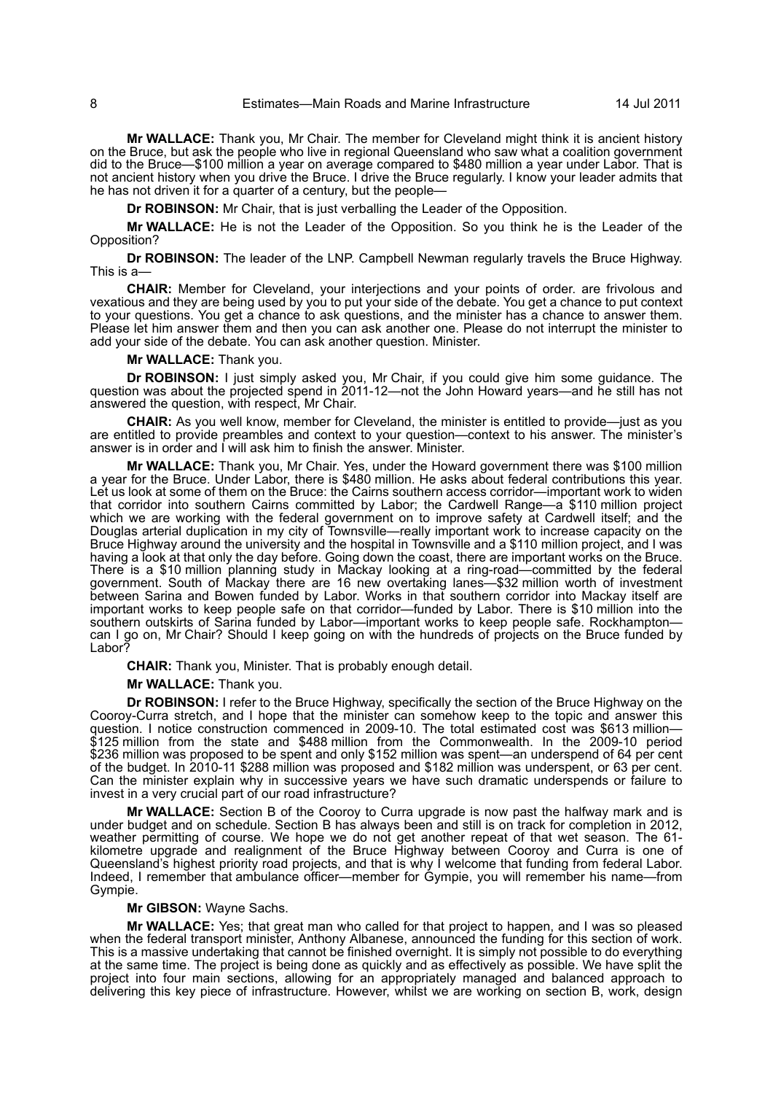**Mr WALLACE:** Thank you, Mr Chair. The member for Cleveland might think it is ancient history on the Bruce, but ask the people who live in regional Queensland who saw what a coalition government did to the Bruce—\$100 million a year on average compared to \$480 million a year under Labor. That is not ancient history when you drive the Bruce. I drive the Bruce regularly. I know your leader admits that he has not driven it for a quarter of a century, but the people—

**Dr ROBINSON:** Mr Chair, that is just verballing the Leader of the Opposition.

**Mr WALLACE:** He is not the Leader of the Opposition. So you think he is the Leader of the Opposition?

**Dr ROBINSON:** The leader of the LNP. Campbell Newman regularly travels the Bruce Highway. This is a—

**CHAIR:** Member for Cleveland, your interjections and your points of order. are frivolous and vexatious and they are being used by you to put your side of the debate. You get a chance to put context to your questions. You get a chance to ask questions, and the minister has a chance to answer them. Please let him answer them and then you can ask another one. Please do not interrupt the minister to add your side of the debate. You can ask another question. Minister.

## **Mr WALLACE:** Thank you.

**Dr ROBINSON:** I just simply asked you, Mr Chair, if you could give him some guidance. The question was about the projected spend in 2011-12—not the John Howard years—and he still has not answered the question, with respect, Mr Chair.

**CHAIR:** As you well know, member for Cleveland, the minister is entitled to provide—just as you are entitled to provide preambles and context to your question—context to his answer. The minister's answer is in order and I will ask him to finish the answer. Minister.

**Mr WALLACE:** Thank you, Mr Chair. Yes, under the Howard government there was \$100 million a year for the Bruce. Under Labor, there is \$480 million. He asks about federal contributions this year. Let us look at some of them on the Bruce: the Cairns southern access corridor—important work to widen that corridor into southern Cairns committed by Labor; the Cardwell Range—a \$110 million project which we are working with the federal government on to improve safety at Cardwell itself; and the Douglas arterial duplication in my city of Townsville—really important work to increase capacity on the Bruce Highway around the university and the hospital in Townsville and a \$110 million project, and I was having a look at that only the day before. Going down the coast, there are important works on the Bruce. There is a \$10 million planning study in Mackay looking at a ring-road—committed by the federal government. South of Mackay there are 16 new overtaking lanes—\$32 million worth of investment between Sarina and Bowen funded by Labor. Works in that southern corridor into Mackay itself are important works to keep people safe on that corridor—funded by Labor. There is \$10 million into the southern outskirts of Sarina funded by Labor—important works to keep people safe. Rockhampton can I go on, Mr Chair? Should I keep going on with the hundreds of projects on the Bruce funded by Labor?

**CHAIR:** Thank you, Minister. That is probably enough detail.

**Mr WALLACE:** Thank you.

**Dr ROBINSON:** I refer to the Bruce Highway, specifically the section of the Bruce Highway on the Cooroy-Curra stretch, and I hope that the minister can somehow keep to the topic and answer this question. I notice construction commenced in 2009-10. The total estimated cost was \$613 million— \$125 million from the state and \$488 million from the Commonwealth. In the 2009-10 period \$236 million was proposed to be spent and only \$152 million was spent—an underspend of 64 per cent of the budget. In 2010-11 \$288 million was proposed and \$182 million was underspent, or 63 per cent. Can the minister explain why in successive years we have such dramatic underspends or failure to invest in a very crucial part of our road infrastructure?

**Mr WALLACE:** Section B of the Cooroy to Curra upgrade is now past the halfway mark and is under budget and on schedule. Section B has always been and still is on track for completion in 2012, weather permitting of course. We hope we do not get another repeat of that wet season. The 61 kilometre upgrade and realignment of the Bruce Highway between Cooroy and Curra is one of Queensland's highest priority road projects, and that is why I welcome that funding from federal Labor. Indeed, I remember that ambulance officer—member for Gympie, you will remember his name—from Gympie.

## **Mr GIBSON:** Wayne Sachs.

**Mr WALLACE:** Yes; that great man who called for that project to happen, and I was so pleased when the federal transport minister, Anthony Albanese, announced the funding for this section of work. This is a massive undertaking that cannot be finished overnight. It is simply not possible to do everything at the same time. The project is being done as quickly and as effectively as possible. We have split the project into four main sections, allowing for an appropriately managed and balanced approach to delivering this key piece of infrastructure. However, whilst we are working on section B, work, design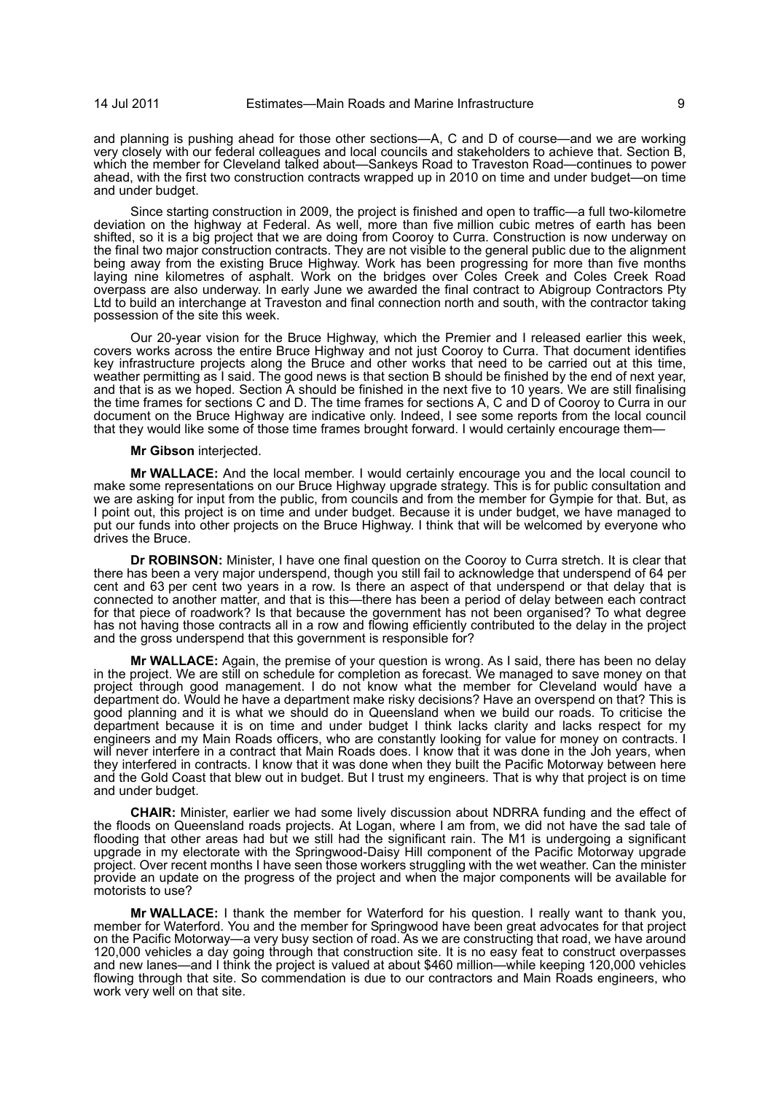and planning is pushing ahead for those other sections—A, C and D of course—and we are working very closely with our federal colleagues and local councils and stakeholders to achieve that. Section B, which the member for Cleveland talked about—Sankeys Road to Traveston Road—continues to power ahead, with the first two construction contracts wrapped up in 2010 on time and under budget—on time and under budget.

Since starting construction in 2009, the project is finished and open to traffic—a full two-kilometre deviation on the highway at Federal. As well, more than five million cubic metres of earth has been shifted, so it is a big project that we are doing from Cooroy to Curra. Construction is now underway on the final two major construction contracts. They are not visible to the general public due to the alignment being away from the existing Bruce Highway. Work has been progressing for more than five months laying nine kilometres of asphalt. Work on the bridges over Coles Creek and Coles Creek Road overpass are also underway. In early June we awarded the final contract to Abigroup Contractors Pty Ltd to build an interchange at Traveston and final connection north and south, with the contractor taking possession of the site this week.

Our 20-year vision for the Bruce Highway, which the Premier and I released earlier this week, covers works across the entire Bruce Highway and not just Cooroy to Curra. That document identifies key infrastructure projects along the Bruce and other works that need to be carried out at this time, weather permitting as I said. The good news is that section B should be finished by the end of next year, and that is as we hoped. Section A should be finished in the next five to 10 years. We are still finalising the time frames for sections C and D. The time frames for sections A, C and D of Cooroy to Curra in our document on the Bruce Highway are indicative only. Indeed, I see some reports from the local council that they would like some of those time frames brought forward. I would certainly encourage them—

#### **Mr Gibson** interjected.

**Mr WALLACE:** And the local member. I would certainly encourage you and the local council to make some representations on our Bruce Highway upgrade strategy. This is for public consultation and we are asking for input from the public, from councils and from the member for Gympie for that. But, as I point out, this project is on time and under budget. Because it is under budget, we have managed to put our funds into other projects on the Bruce Highway. I think that will be welcomed by everyone who drives the Bruce.

**Dr ROBINSON:** Minister, I have one final question on the Cooroy to Curra stretch. It is clear that there has been a very major underspend, though you still fail to acknowledge that underspend of 64 per cent and 63 per cent two years in a row. Is there an aspect of that underspend or that delay that is connected to another matter, and that is this—there has been a period of delay between each contract for that piece of roadwork? Is that because the government has not been organised? To what degree has not having those contracts all in a row and flowing efficiently contributed to the delay in the project and the gross underspend that this government is responsible for?

**Mr WALLACE:** Again, the premise of your question is wrong. As I said, there has been no delay in the project. We are still on schedule for completion as forecast. We managed to save money on that project through good management. I do not know what the member for Cleveland would have a department do. Would he have a department make risky decisions? Have an overspend on that? This is good planning and it is what we should do in Queensland when we build our roads. To criticise the department because it is on time and under budget I think lacks clarity and lacks respect for my engineers and my Main Roads officers, who are constantly looking for value for money on contracts. I will never interfere in a contract that Main Roads does. I know that it was done in the Joh years, when they interfered in contracts. I know that it was done when they built the Pacific Motorway between here and the Gold Coast that blew out in budget. But I trust my engineers. That is why that project is on time and under budget.

**CHAIR:** Minister, earlier we had some lively discussion about NDRRA funding and the effect of the floods on Queensland roads projects. At Logan, where I am from, we did not have the sad tale of flooding that other areas had but we still had the significant rain. The M1 is undergoing a significant upgrade in my electorate with the Springwood-Daisy Hill component of the Pacific Motorway upgrade project. Over recent months I have seen those workers struggling with the wet weather. Can the minister provide an update on the progress of the project and when the major components will be available for motorists to use?

**Mr WALLACE:** I thank the member for Waterford for his question. I really want to thank you, member for Waterford. You and the member for Springwood have been great advocates for that project on the Pacific Motorway—a very busy section of road. As we are constructing that road, we have around 120,000 vehicles a day going through that construction site. It is no easy feat to construct overpasses and new lanes—and I think the project is valued at about \$460 million—while keeping 120,000 vehicles flowing through that site. So commendation is due to our contractors and Main Roads engineers, who work very well on that site.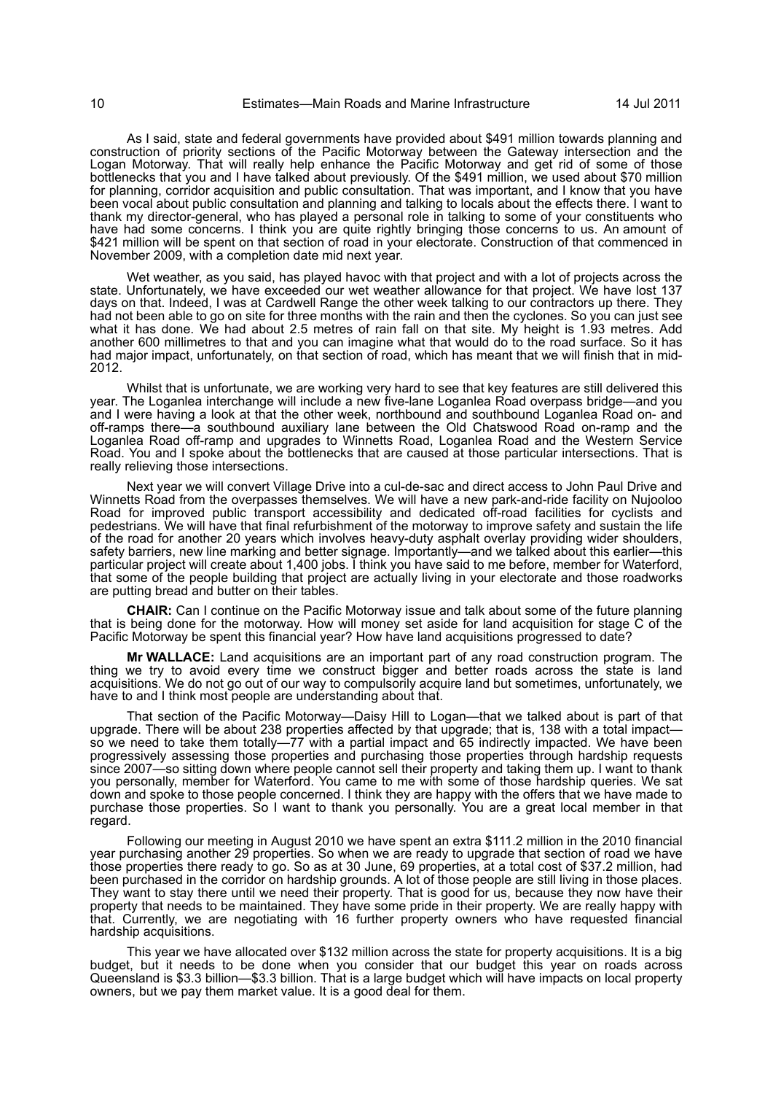As I said, state and federal governments have provided about \$491 million towards planning and construction of priority sections of the Pacific Motorway between the Gateway intersection and the Logan Motorway. That will really help enhance the Pacific Motorway and get rid of some of those bottlenecks that you and I have talked about previously. Of the \$491 million, we used about \$70 million for planning, corridor acquisition and public consultation. That was important, and I know that you have been vocal about public consultation and planning and talking to locals about the effects there. I want to thank my director-general, who has played a personal role in talking to some of your constituents who have had some concerns. I think you are quite rightly bringing those concerns to us. An amount of \$421 million will be spent on that section of road in your electorate. Construction of that commenced in November 2009, with a completion date mid next year.

Wet weather, as you said, has played havoc with that project and with a lot of projects across the state. Unfortunately, we have exceeded our wet weather allowance for that project. We have lost 137 days on that. Indeed, I was at Cardwell Range the other week talking to our contractors up there. They had not been able to go on site for three months with the rain and then the cyclones. So you can just see what it has done. We had about 2.5 metres of rain fall on that site. My height is 1.93 metres. Add another 600 millimetres to that and you can imagine what that would do to the road surface. So it has had major impact, unfortunately, on that section of road, which has meant that we will finish that in mid-2012.

Whilst that is unfortunate, we are working very hard to see that key features are still delivered this year. The Loganlea interchange will include a new five-lane Loganlea Road overpass bridge—and you and I were having a look at that the other week, northbound and southbound Loganlea Road on- and off-ramps there—a southbound auxiliary lane between the Old Chatswood Road on-ramp and the Loganlea Road off-ramp and upgrades to Winnetts Road, Loganlea Road and the Western Service Road. You and I spoke about the bottlenecks that are caused at those particular intersections. That is really relieving those intersections.

Next year we will convert Village Drive into a cul-de-sac and direct access to John Paul Drive and Winnetts Road from the overpasses themselves. We will have a new park-and-ride facility on Nujooloo Road for improved public transport accessibility and dedicated off-road facilities for cyclists and pedestrians. We will have that final refurbishment of the motorway to improve safety and sustain the life of the road for another 20 years which involves heavy-duty asphalt overlay providing wider shoulders, safety barriers, new line marking and better signage. Importantly—and we talked about this earlier—this particular project will create about 1,400 jobs. I think you have said to me before, member for Waterford, that some of the people building that project are actually living in your electorate and those roadworks are putting bread and butter on their tables.

**CHAIR:** Can I continue on the Pacific Motorway issue and talk about some of the future planning that is being done for the motorway. How will money set aside for land acquisition for stage C of the Pacific Motorway be spent this financial year? How have land acquisitions progressed to date?

**Mr WALLACE:** Land acquisitions are an important part of any road construction program. The thing we try to avoid every time we construct bigger and better roads across the state is land acquisitions. We do not go out of our way to compulsorily acquire land but sometimes, unfortunately, we have to and I think most people are understanding about that.

That section of the Pacific Motorway—Daisy Hill to Logan—that we talked about is part of that upgrade. There will be about 238 properties affected by that upgrade; that is, 138 with a total impact so we need to take them totally—77 with a partial impact and 65 indirectly impacted. We have been progressively assessing those properties and purchasing those properties through hardship requests since 2007—so sitting down where people cannot sell their property and taking them up. I want to thank you personally, member for Waterford. You came to me with some of those hardship queries. We sat down and spoke to those people concerned. I think they are happy with the offers that we have made to purchase those properties. So I want to thank you personally. You are a great local member in that regard.

Following our meeting in August 2010 we have spent an extra \$111.2 million in the 2010 financial year purchasing another 29 properties. So when we are ready to upgrade that section of road we have those properties there ready to go. So as at 30 June, 69 properties, at a total cost of \$37.2 million, had been purchased in the corridor on hardship grounds. A lot of those people are still living in those places. They want to stay there until we need their property. That is good for us, because they now have their property that needs to be maintained. They have some pride in their property. We are really happy with that. Currently, we are negotiating with 16 further property owners who have requested financial hardship acquisitions.

This year we have allocated over \$132 million across the state for property acquisitions. It is a big budget, but it needs to be done when you consider that our budget this year on roads across Queensland is \$3.3 billion—\$3.3 billion. That is a large budget which will have impacts on local property owners, but we pay them market value. It is a good deal for them.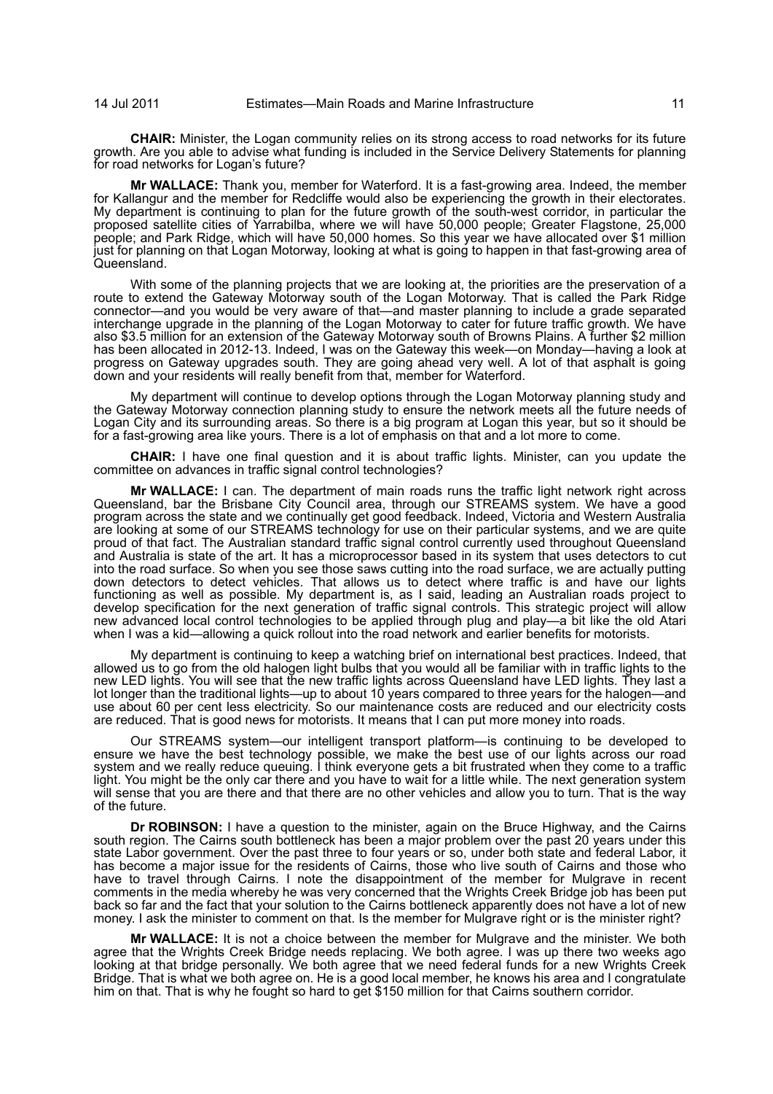**CHAIR:** Minister, the Logan community relies on its strong access to road networks for its future growth. Are you able to advise what funding is included in the Service Delivery Statements for planning for road networks for Logan's future?

**Mr WALLACE:** Thank you, member for Waterford. It is a fast-growing area. Indeed, the member for Kallangur and the member for Redcliffe would also be experiencing the growth in their electorates. My department is continuing to plan for the future growth of the south-west corridor, in particular the proposed satellite cities of Yarrabilba, where we will have 50,000 people; Greater Flagstone, 25,000 people; and Park Ridge, which will have 50,000 homes. So this year we have allocated over \$1 million just for planning on that Logan Motorway, looking at what is going to happen in that fast-growing area of Queensland.

With some of the planning projects that we are looking at, the priorities are the preservation of a route to extend the Gateway Motorway south of the Logan Motorway. That is called the Park Ridge connector—and you would be very aware of that—and master planning to include a grade separated interchange upgrade in the planning of the Logan Motorway to cater for future traffic growth. We have also \$3.5 million for an extension of the Gateway Motorway south of Browns Plains. A further \$2 million has been allocated in 2012-13. Indeed, I was on the Gateway this week—on Monday—having a look at progress on Gateway upgrades south. They are going ahead very well. A lot of that asphalt is going down and your residents will really benefit from that, member for Waterford.

My department will continue to develop options through the Logan Motorway planning study and the Gateway Motorway connection planning study to ensure the network meets all the future needs of Logan City and its surrounding areas. So there is a big program at Logan this year, but so it should be for a fast-growing area like yours. There is a lot of emphasis on that and a lot more to come.

**CHAIR:** I have one final question and it is about traffic lights. Minister, can you update the committee on advances in traffic signal control technologies?

**Mr WALLACE:** I can. The department of main roads runs the traffic light network right across Queensland, bar the Brisbane City Council area, through our STREAMS system. We have a good program across the state and we continually get good feedback. Indeed, Victoria and Western Australia are looking at some of our STREAMS technology for use on their particular systems, and we are quite proud of that fact. The Australian standard traffic signal control currently used throughout Queensland and Australia is state of the art. It has a microprocessor based in its system that uses detectors to cut into the road surface. So when you see those saws cutting into the road surface, we are actually putting down detectors to detect vehicles. That allows us to detect where traffic is and have our lights functioning as well as possible. My department is, as I said, leading an Australian roads project to develop specification for the next generation of traffic signal controls. This strategic project will allow new advanced local control technologies to be applied through plug and play—a bit like the old Atari when I was a kid—allowing a quick rollout into the road network and earlier benefits for motorists.

My department is continuing to keep a watching brief on international best practices. Indeed, that allowed us to go from the old halogen light bulbs that you would all be familiar with in traffic lights to the new LED lights. You will see that the new traffic lights across Queensland have LED lights. They last a lot longer than the traditional lights—up to about 10 years compared to three years for the halogen—and use about 60 per cent less electricity. So our maintenance costs are reduced and our electricity costs are reduced. That is good news for motorists. It means that I can put more money into roads.

Our STREAMS system—our intelligent transport platform—is continuing to be developed to ensure we have the best technology possible, we make the best use of our lights across our road system and we really reduce queuing. I think everyone gets a bit frustrated when they come to a traffic light. You might be the only car there and you have to wait for a little while. The next generation system will sense that you are there and that there are no other vehicles and allow you to turn. That is the way of the future.

**Dr ROBINSON:** I have a question to the minister, again on the Bruce Highway, and the Cairns south region. The Cairns south bottleneck has been a major problem over the past 20 years under this state Labor government. Over the past three to four years or so, under both state and federal Labor, it has become a major issue for the residents of Cairns, those who live south of Cairns and those who have to travel through Cairns. I note the disappointment of the member for Mulgrave in recent comments in the media whereby he was very concerned that the Wrights Creek Bridge job has been put back so far and the fact that your solution to the Cairns bottleneck apparently does not have a lot of new money. I ask the minister to comment on that. Is the member for Mulgrave right or is the minister right?

**Mr WALLACE:** It is not a choice between the member for Mulgrave and the minister. We both agree that the Wrights Creek Bridge needs replacing. We both agree. I was up there two weeks ago looking at that bridge personally. We both agree that we need federal funds for a new Wrights Creek Bridge. That is what we both agree on. He is a good local member, he knows his area and I congratulate him on that. That is why he fought so hard to get \$150 million for that Cairns southern corridor.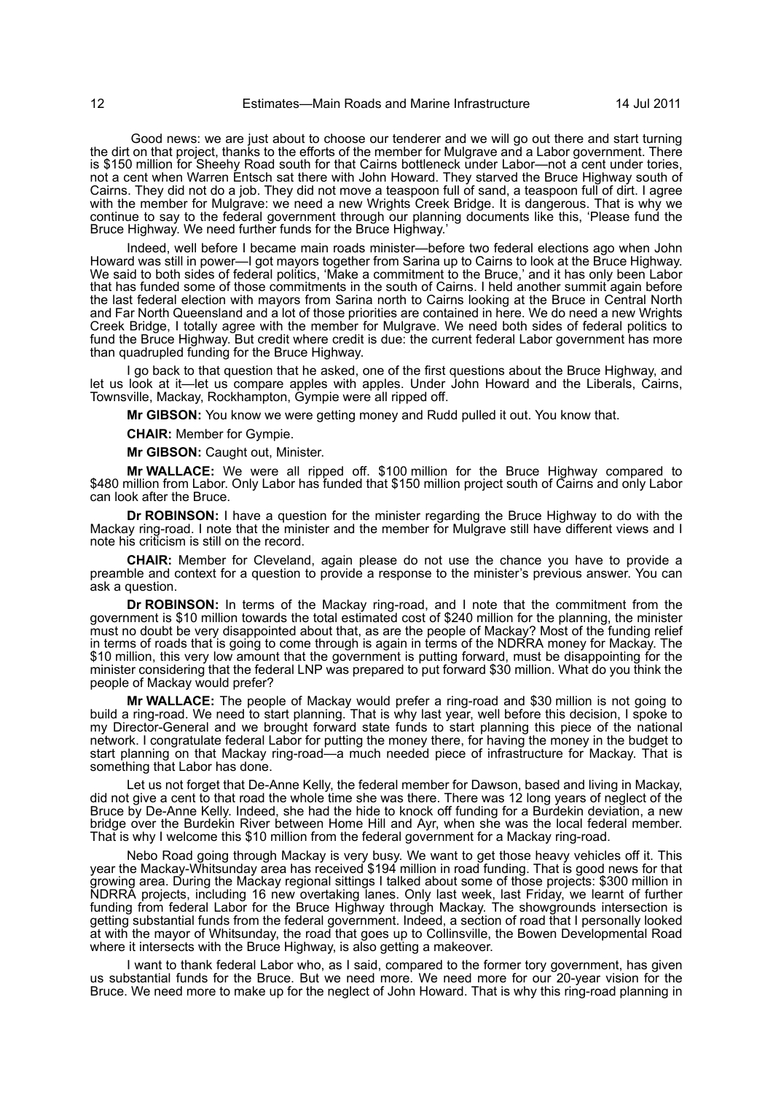Good news: we are just about to choose our tenderer and we will go out there and start turning the dirt on that project, thanks to the efforts of the member for Mulgrave and a Labor government. There is \$150 million for Sheehy Road south for that Cairns bottleneck under Labor—not a cent under tories, not a cent when Warren Entsch sat there with John Howard. They starved the Bruce Highway south of Cairns. They did not do a job. They did not move a teaspoon full of sand, a teaspoon full of dirt. I agree with the member for Mulgrave: we need a new Wrights Creek Bridge. It is dangerous. That is why we continue to say to the federal government through our planning documents like this, 'Please fund the Bruce Highway. We need further funds for the Bruce Highway.'

Indeed, well before I became main roads minister—before two federal elections ago when John Howard was still in power—I got mayors together from Sarina up to Cairns to look at the Bruce Highway. We said to both sides of federal politics, 'Make a commitment to the Bruce,' and it has only been Labor that has funded some of those commitments in the south of Cairns. I held another summit again before the last federal election with mayors from Sarina north to Cairns looking at the Bruce in Central North and Far North Queensland and a lot of those priorities are contained in here. We do need a new Wrights Creek Bridge, I totally agree with the member for Mulgrave. We need both sides of federal politics to fund the Bruce Highway. But credit where credit is due: the current federal Labor government has more than quadrupled funding for the Bruce Highway.

I go back to that question that he asked, one of the first questions about the Bruce Highway, and let us look at it—let us compare apples with apples. Under John Howard and the Liberals, Cairns, Townsville, Mackay, Rockhampton, Gympie were all ripped off.

**Mr GIBSON:** You know we were getting money and Rudd pulled it out. You know that.

**CHAIR:** Member for Gympie.

**Mr GIBSON:** Caught out, Minister.

**Mr WALLACE:** We were all ripped off. \$100 million for the Bruce Highway compared to \$480 million from Labor. Only Labor has funded that \$150 million project south of Cairns and only Labor can look after the Bruce.

**Dr ROBINSON:** I have a question for the minister regarding the Bruce Highway to do with the Mackay ring-road. I note that the minister and the member for Mulgrave still have different views and I note his criticism is still on the record.

**CHAIR:** Member for Cleveland, again please do not use the chance you have to provide a preamble and context for a question to provide a response to the minister's previous answer. You can ask a question.

**Dr ROBINSON:** In terms of the Mackay ring-road, and I note that the commitment from the government is \$10 million towards the total estimated cost of \$240 million for the planning, the minister must no doubt be very disappointed about that, as are the people of Mackay? Most of the funding relief in terms of roads that is going to come through is again in terms of the NDRRA money for Mackay. The \$10 million, this very low amount that the government is putting forward, must be disappointing for the minister considering that the federal LNP was prepared to put forward \$30 million. What do you think the people of Mackay would prefer?

**Mr WALLACE:** The people of Mackay would prefer a ring-road and \$30 million is not going to build a ring-road. We need to start planning. That is why last year, well before this decision, I spoke to my Director-General and we brought forward state funds to start planning this piece of the national network. I congratulate federal Labor for putting the money there, for having the money in the budget to start planning on that Mackay ring-road—a much needed piece of infrastructure for Mackay. That is something that Labor has done.

Let us not forget that De-Anne Kelly, the federal member for Dawson, based and living in Mackay, did not give a cent to that road the whole time she was there. There was 12 long years of neglect of the Bruce by De-Anne Kelly. Indeed, she had the hide to knock off funding for a Burdekin deviation, a new bridge over the Burdekin River between Home Hill and Ayr, when she was the local federal member. That is why I welcome this \$10 million from the federal government for a Mackay ring-road.

Nebo Road going through Mackay is very busy. We want to get those heavy vehicles off it. This year the Mackay-Whitsunday area has received \$194 million in road funding. That is good news for that growing area. During the Mackay regional sittings I talked about some of those projects: \$300 million in NDRRA projects, including 16 new overtaking lanes. Only last week, last Friday, we learnt of further funding from federal Labor for the Bruce Highway through Mackay. The showgrounds intersection is getting substantial funds from the federal government. Indeed, a section of road that I personally looked at with the mayor of Whitsunday, the road that goes up to Collinsville, the Bowen Developmental Road where it intersects with the Bruce Highway, is also getting a makeover.

I want to thank federal Labor who, as I said, compared to the former tory government, has given us substantial funds for the Bruce. But we need more. We need more for our 20-year vision for the Bruce. We need more to make up for the neglect of John Howard. That is why this ring-road planning in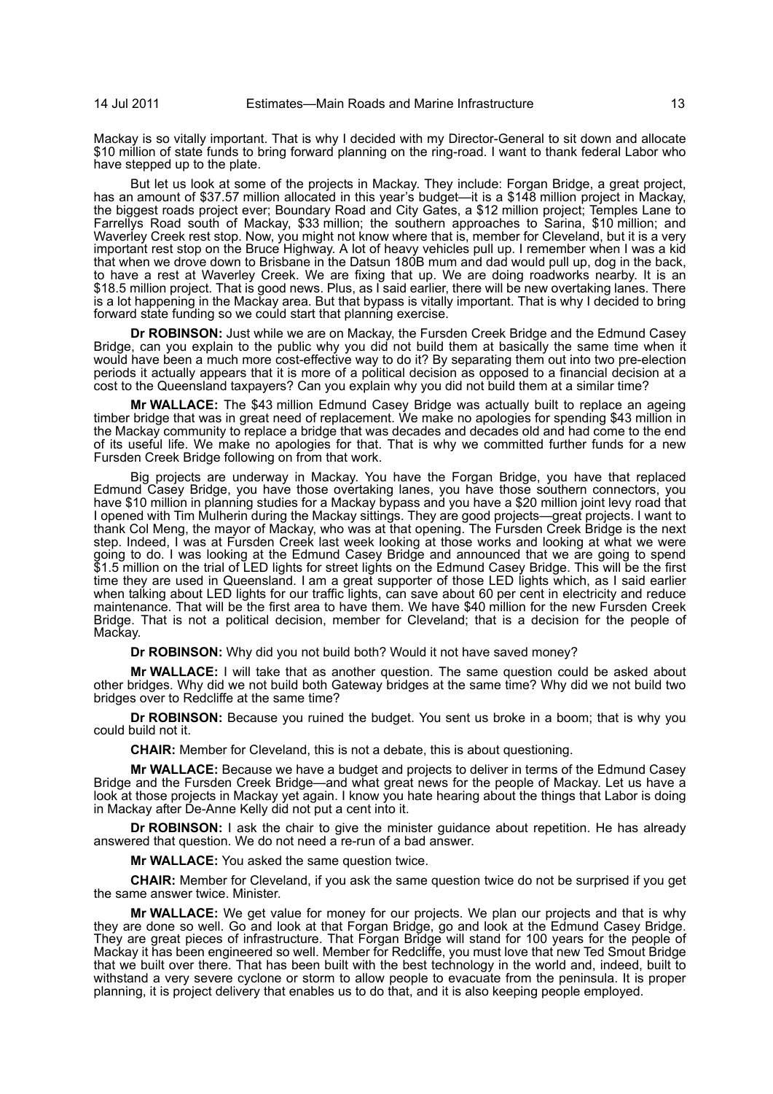Mackay is so vitally important. That is why I decided with my Director-General to sit down and allocate \$10 million of state funds to bring forward planning on the ring-road. I want to thank federal Labor who have stepped up to the plate.

But let us look at some of the projects in Mackay. They include: Forgan Bridge, a great project, has an amount of \$37.57 million allocated in this year's budget—it is a \$148 million project in Mackay, the biggest roads project ever; Boundary Road and City Gates, a \$12 million project; Temples Lane to Farrellys Road south of Mackay, \$33 million; the southern approaches to Sarina, \$10 million; and Waverley Creek rest stop. Now, you might not know where that is, member for Cleveland, but it is a very important rest stop on the Bruce Highway. A lot of heavy vehicles pull up. I remember when I was a kid that when we drove down to Brisbane in the Datsun 180B mum and dad would pull up, dog in the back, to have a rest at Waverley Creek. We are fixing that up. We are doing roadworks nearby. It is an \$18.5 million project. That is good news. Plus, as I said earlier, there will be new overtaking lanes. There is a lot happening in the Mackay area. But that bypass is vitally important. That is why I decided to bring forward state funding so we could start that planning exercise.

**Dr ROBINSON:** Just while we are on Mackay, the Fursden Creek Bridge and the Edmund Casey Bridge, can you explain to the public why you did not build them at basically the same time when it would have been a much more cost-effective way to do it? By separating them out into two pre-election periods it actually appears that it is more of a political decision as opposed to a financial decision at a cost to the Queensland taxpayers? Can you explain why you did not build them at a similar time?

**Mr WALLACE:** The \$43 million Edmund Casey Bridge was actually built to replace an ageing timber bridge that was in great need of replacement. We make no apologies for spending \$43 million in the Mackay community to replace a bridge that was decades and decades old and had come to the end of its useful life. We make no apologies for that. That is why we committed further funds for a new Fursden Creek Bridge following on from that work.

Big projects are underway in Mackay. You have the Forgan Bridge, you have that replaced Edmund Casey Bridge, you have those overtaking lanes, you have those southern connectors, you have \$10 million in planning studies for a Mackay bypass and you have a \$20 million joint levy road that I opened with Tim Mulherin during the Mackay sittings. They are good projects—great projects. I want to thank Col Meng, the mayor of Mackay, who was at that opening. The Fursden Creek Bridge is the next step. Indeed, I was at Fursden Creek last week looking at those works and looking at what we were going to do. I was looking at the Edmund Casey Bridge and announced that we are going to spend \$1.5 million on the trial of LED lights for street lights on the Edmund Casey Bridge. This will be the first time they are used in Queensland. I am a great supporter of those LED lights which, as I said earlier when talking about LED lights for our traffic lights, can save about 60 per cent in electricity and reduce maintenance. That will be the first area to have them. We have \$40 million for the new Fursden Creek Bridge. That is not a political decision, member for Cleveland; that is a decision for the people of Mackay.

**Dr ROBINSON:** Why did you not build both? Would it not have saved money?

**Mr WALLACE:** I will take that as another question. The same question could be asked about other bridges. Why did we not build both Gateway bridges at the same time? Why did we not build two bridges over to Redcliffe at the same time?

**Dr ROBINSON:** Because you ruined the budget. You sent us broke in a boom; that is why you could build not it.

**CHAIR:** Member for Cleveland, this is not a debate, this is about questioning.

**Mr WALLACE:** Because we have a budget and projects to deliver in terms of the Edmund Casey Bridge and the Fursden Creek Bridge—and what great news for the people of Mackay. Let us have a look at those projects in Mackay yet again. I know you hate hearing about the things that Labor is doing in Mackay after De-Anne Kelly did not put a cent into it.

**Dr ROBINSON:** I ask the chair to give the minister guidance about repetition. He has already answered that question. We do not need a re-run of a bad answer.

**Mr WALLACE:** You asked the same question twice.

**CHAIR:** Member for Cleveland, if you ask the same question twice do not be surprised if you get the same answer twice. Minister.

**Mr WALLACE:** We get value for money for our projects. We plan our projects and that is why they are done so well. Go and look at that Forgan Bridge, go and look at the Edmund Casey Bridge. They are great pieces of infrastructure. That Forgan Bridge will stand for 100 years for the people of Mackay it has been engineered so well. Member for Redcliffe, you must love that new Ted Smout Bridge that we built over there. That has been built with the best technology in the world and, indeed, built to withstand a very severe cyclone or storm to allow people to evacuate from the peninsula. It is proper planning, it is project delivery that enables us to do that, and it is also keeping people employed.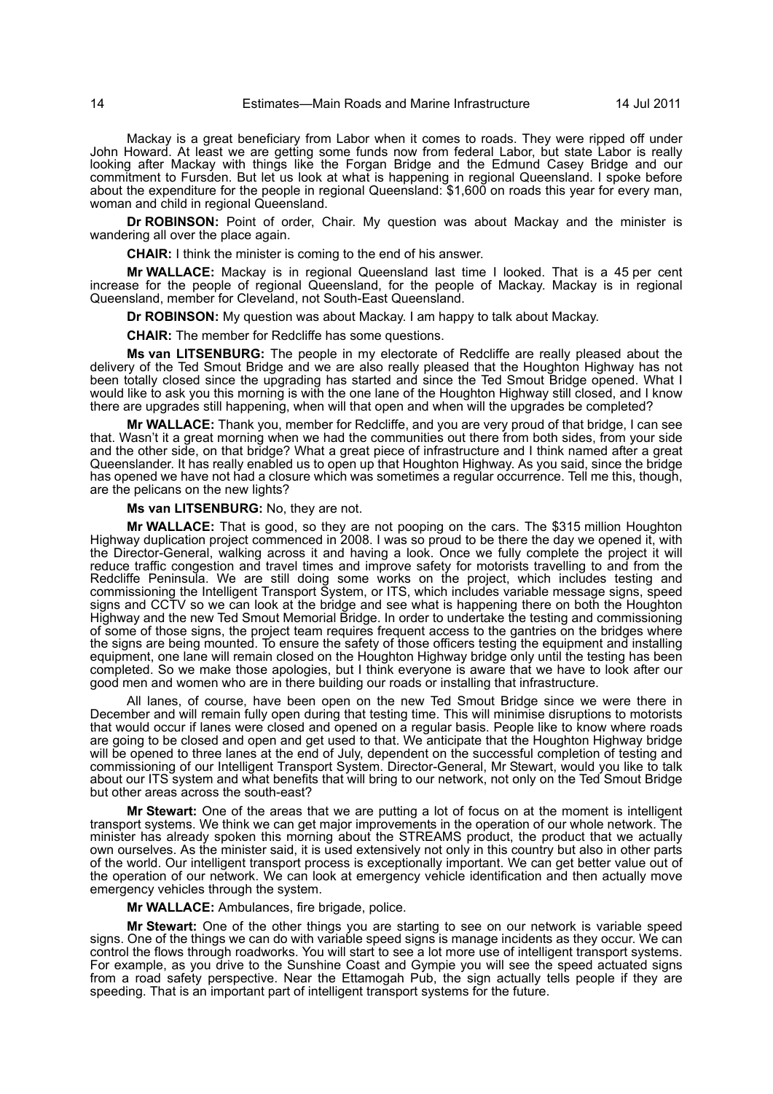Mackay is a great beneficiary from Labor when it comes to roads. They were ripped off under John Howard. At least we are getting some funds now from federal Labor, but state Labor is really looking after Mackay with things like the Forgan Bridge and the Edmund Casey Bridge and our commitment to Fursden. But let us look at what is happening in regional Queensland. I spoke before about the expenditure for the people in regional Queensland: \$1,600 on roads this year for every man, woman and child in regional Queensland.

**Dr ROBINSON:** Point of order, Chair. My question was about Mackay and the minister is wandering all over the place again.

**CHAIR:** I think the minister is coming to the end of his answer.

**Mr WALLACE:** Mackay is in regional Queensland last time I looked. That is a 45 per cent increase for the people of regional Queensland, for the people of Mackay. Mackay is in regional Queensland, member for Cleveland, not South-East Queensland.

**Dr ROBINSON:** My question was about Mackay. I am happy to talk about Mackay.

**CHAIR:** The member for Redcliffe has some questions.

**Ms van LITSENBURG:** The people in my electorate of Redcliffe are really pleased about the delivery of the Ted Smout Bridge and we are also really pleased that the Houghton Highway has not been totally closed since the upgrading has started and since the Ted Smout Bridge opened. What I would like to ask you this morning is with the one lane of the Houghton Highway still closed, and I know there are upgrades still happening, when will that open and when will the upgrades be completed?

**Mr WALLACE:** Thank you, member for Redcliffe, and you are very proud of that bridge, I can see that. Wasn't it a great morning when we had the communities out there from both sides, from your side and the other side, on that bridge? What a great piece of infrastructure and I think named after a great Queenslander. It has really enabled us to open up that Houghton Highway. As you said, since the bridge has opened we have not had a closure which was sometimes a regular occurrence. Tell me this, though, are the pelicans on the new lights?

**Ms van LITSENBURG:** No, they are not.

**Mr WALLACE:** That is good, so they are not pooping on the cars. The \$315 million Houghton Highway duplication project commenced in 2008. I was so proud to be there the day we opened it, with the Director-General, walking across it and having a look. Once we fully complete the project it will reduce traffic congestion and travel times and improve safety for motorists travelling to and from the Redcliffe Peninsula. We are still doing some works on the project, which includes testing and commissioning the Intelligent Transport System, or ITS, which includes variable message signs, speed signs and CCTV so we can look at the bridge and see what is happening there on both the Houghton Highway and the new Ted Smout Memorial Bridge. In order to undertake the testing and commissioning of some of those signs, the project team requires frequent access to the gantries on the bridges where the signs are being mounted. To ensure the safety of those officers testing the equipment and installing equipment, one lane will remain closed on the Houghton Highway bridge only until the testing has been completed. So we make those apologies, but I think everyone is aware that we have to look after our good men and women who are in there building our roads or installing that infrastructure.

All lanes, of course, have been open on the new Ted Smout Bridge since we were there in December and will remain fully open during that testing time. This will minimise disruptions to motorists that would occur if lanes were closed and opened on a regular basis. People like to know where roads are going to be closed and open and get used to that. We anticipate that the Houghton Highway bridge will be opened to three lanes at the end of July, dependent on the successful completion of testing and commissioning of our Intelligent Transport System. Director-General, Mr Stewart, would you like to talk about our ITS system and what benefits that will bring to our network, not only on the Ted Smout Bridge but other areas across the south-east?

**Mr Stewart:** One of the areas that we are putting a lot of focus on at the moment is intelligent transport systems. We think we can get major improvements in the operation of our whole network. The minister has already spoken this morning about the STREAMS product, the product that we actually own ourselves. As the minister said, it is used extensively not only in this country but also in other parts of the world. Our intelligent transport process is exceptionally important. We can get better value out of the operation of our network. We can look at emergency vehicle identification and then actually move emergency vehicles through the system.

**Mr WALLACE:** Ambulances, fire brigade, police.

**Mr Stewart:** One of the other things you are starting to see on our network is variable speed signs. One of the things we can do with variable speed signs is manage incidents as they occur. We can control the flows through roadworks. You will start to see a lot more use of intelligent transport systems. For example, as you drive to the Sunshine Coast and Gympie you will see the speed actuated signs from a road safety perspective. Near the Ettamogah Pub, the sign actually tells people if they are speeding. That is an important part of intelligent transport systems for the future.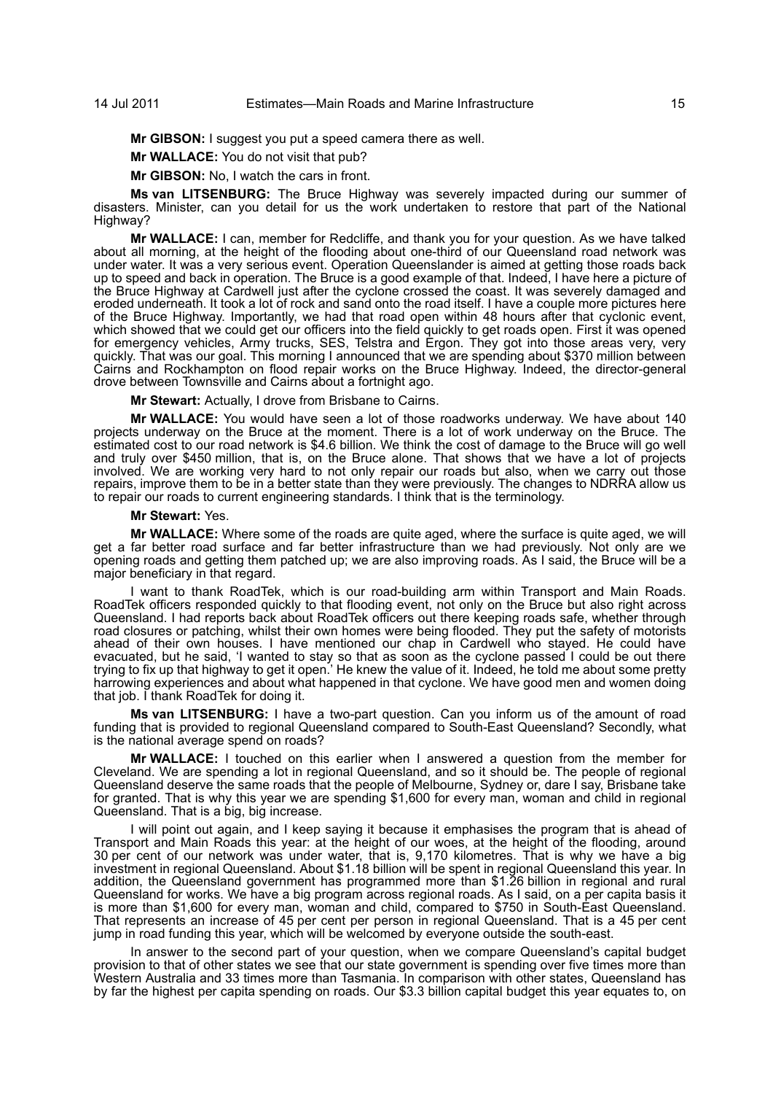**Mr GIBSON:** I suggest you put a speed camera there as well.

**Mr WALLACE:** You do not visit that pub?

**Mr GIBSON:** No, I watch the cars in front.

**Ms van LITSENBURG:** The Bruce Highway was severely impacted during our summer of disasters. Minister, can you detail for us the work undertaken to restore that part of the National Highway?

**Mr WALLACE:** I can, member for Redcliffe, and thank you for your question. As we have talked about all morning, at the height of the flooding about one-third of our Queensland road network was under water. It was a very serious event. Operation Queenslander is aimed at getting those roads back up to speed and back in operation. The Bruce is a good example of that. Indeed, I have here a picture of the Bruce Highway at Cardwell just after the cyclone crossed the coast. It was severely damaged and eroded underneath. It took a lot of rock and sand onto the road itself. I have a couple more pictures here of the Bruce Highway. Importantly, we had that road open within 48 hours after that cyclonic event, which showed that we could get our officers into the field quickly to get roads open. First it was opened for emergency vehicles, Army trucks, SES, Telstra and Ergon. They got into those areas very, very quickly. That was our goal. This morning I announced that we are spending about \$370 million between Cairns and Rockhampton on flood repair works on the Bruce Highway. Indeed, the director-general drove between Townsville and Cairns about a fortnight ago.

**Mr Stewart:** Actually, I drove from Brisbane to Cairns.

**Mr WALLACE:** You would have seen a lot of those roadworks underway. We have about 140 projects underway on the Bruce at the moment. There is a lot of work underway on the Bruce. The estimated cost to our road network is \$4.6 billion. We think the cost of damage to the Bruce will go well and truly over \$450 million, that is, on the Bruce alone. That shows that we have a lot of projects involved. We are working very hard to not only repair our roads but also, when we carry out those repairs, improve them to be in a better state than they were previously. The changes to NDRRA allow us to repair our roads to current engineering standards. I think that is the terminology.

#### **Mr Stewart:** Yes.

**Mr WALLACE:** Where some of the roads are quite aged, where the surface is quite aged, we will get a far better road surface and far better infrastructure than we had previously. Not only are we opening roads and getting them patched up; we are also improving roads. As I said, the Bruce will be a major beneficiary in that regard.

I want to thank RoadTek, which is our road-building arm within Transport and Main Roads. RoadTek officers responded quickly to that flooding event, not only on the Bruce but also right across Queensland. I had reports back about RoadTek officers out there keeping roads safe, whether through road closures or patching, whilst their own homes were being flooded. They put the safety of motorists ahead of their own houses. I have mentioned our chap in Cardwell who stayed. He could have evacuated, but he said, 'I wanted to stay so that as soon as the cyclone passed I could be out there trying to fix up that highway to get it open.' He knew the value of it. Indeed, he told me about some pretty harrowing experiences and about what happened in that cyclone. We have good men and women doing that job. I thank RoadTek for doing it.

**Ms van LITSENBURG:** I have a two-part question. Can you inform us of the amount of road funding that is provided to regional Queensland compared to South-East Queensland? Secondly, what is the national average spend on roads?

**Mr WALLACE:** I touched on this earlier when I answered a question from the member for Cleveland. We are spending a lot in regional Queensland, and so it should be. The people of regional Queensland deserve the same roads that the people of Melbourne, Sydney or, dare I say, Brisbane take for granted. That is why this year we are spending \$1,600 for every man, woman and child in regional Queensland. That is a big, big increase.

I will point out again, and I keep saying it because it emphasises the program that is ahead of Transport and Main Roads this year: at the height of our woes, at the height of the flooding, around 30 per cent of our network was under water, that is, 9,170 kilometres. That is why we have a big investment in regional Queensland. About \$1.18 billion will be spent in regional Queensland this year. In addition, the Queensland government has programmed more than \$1.26 billion in regional and rural Queensland for works. We have a big program across regional roads. As I said, on a per capita basis it is more than \$1,600 for every man, woman and child, compared to \$750 in South-East Queensland. That represents an increase of 45 per cent per person in regional Queensland. That is a 45 per cent jump in road funding this year, which will be welcomed by everyone outside the south-east.

In answer to the second part of your question, when we compare Queensland's capital budget provision to that of other states we see that our state government is spending over five times more than Western Australia and 33 times more than Tasmania. In comparison with other states, Queensland has by far the highest per capita spending on roads. Our \$3.3 billion capital budget this year equates to, on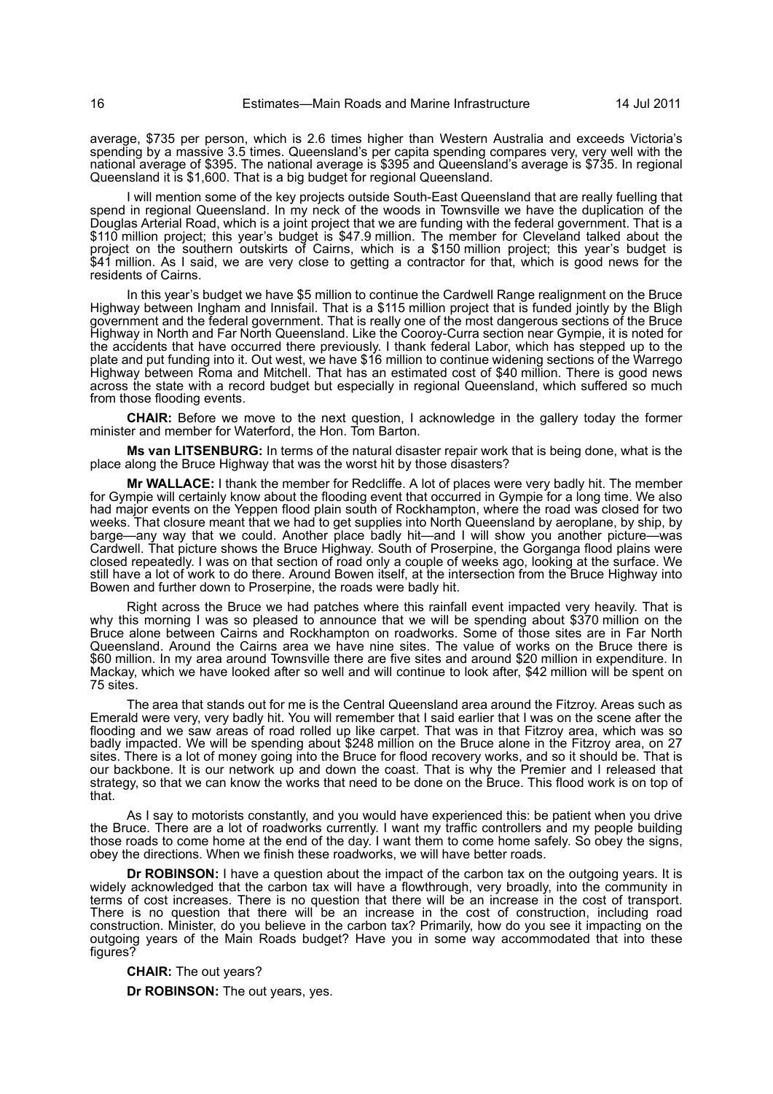average, \$735 per person, which is 2.6 times higher than Western Australia and exceeds Victoria's spending by a massive 3.5 times. Queensland's per capita spending compares very, very well with the national average of \$395. The national average is \$395 and Queensland's average is \$735. In regional Queensland it is \$1,600. That is a big budget for regional Queensland.

I will mention some of the key projects outside South-East Queensland that are really fuelling that spend in regional Queensland. In my neck of the woods in Townsville we have the duplication of the Douglas Arterial Road, which is a joint project that we are funding with the federal government. That is a \$110 million project; this year's budget is \$47.9 million. The member for Cleveland talked about the project on the southern outskirts of Cairns, which is a \$150 million project; this year's budget is \$41 million. As I said, we are very close to getting a contractor for that, which is good news for the residents of Cairns.

In this year's budget we have \$5 million to continue the Cardwell Range realignment on the Bruce Highway between Ingham and Innisfail. That is a \$115 million project that is funded jointly by the Bligh government and the federal government. That is really one of the most dangerous sections of the Bruce Highway in North and Far North Queensland. Like the Cooroy-Curra section near Gympie, it is noted for the accidents that have occurred there previously. I thank federal Labor, which has stepped up to the plate and put funding into it. Out west, we have \$16 million to continue widening sections of the Warrego Highway between Roma and Mitchell. That has an estimated cost of \$40 million. There is good news across the state with a record budget but especially in regional Queensland, which suffered so much from those flooding events.

**CHAIR:** Before we move to the next question, I acknowledge in the gallery today the former minister and member for Waterford, the Hon. Tom Barton.

**Ms van LITSENBURG:** In terms of the natural disaster repair work that is being done, what is the place along the Bruce Highway that was the worst hit by those disasters?

**Mr WALLACE:** I thank the member for Redcliffe. A lot of places were very badly hit. The member for Gympie will certainly know about the flooding event that occurred in Gympie for a long time. We also had major events on the Yeppen flood plain south of Rockhampton, where the road was closed for two weeks. That closure meant that we had to get supplies into North Queensland by aeroplane, by ship, by barge—any way that we could. Another place badly hit—and I will show you another picture—was Cardwell. That picture shows the Bruce Highway. South of Proserpine, the Gorganga flood plains were closed repeatedly. I was on that section of road only a couple of weeks ago, looking at the surface. We still have a lot of work to do there. Around Bowen itself, at the intersection from the Bruce Highway into Bowen and further down to Proserpine, the roads were badly hit.

Right across the Bruce we had patches where this rainfall event impacted very heavily. That is why this morning I was so pleased to announce that we will be spending about \$370 million on the Bruce alone between Cairns and Rockhampton on roadworks. Some of those sites are in Far North Queensland. Around the Cairns area we have nine sites. The value of works on the Bruce there is \$60 million. In my area around Townsville there are five sites and around \$20 million in expenditure. In Mackay, which we have looked after so well and will continue to look after, \$42 million will be spent on 75 sites.

The area that stands out for me is the Central Queensland area around the Fitzroy. Areas such as Emerald were very, very badly hit. You will remember that I said earlier that I was on the scene after the flooding and we saw areas of road rolled up like carpet. That was in that Fitzroy area, which was so badly impacted. We will be spending about \$248 million on the Bruce alone in the Fitzroy area, on 27 sites. There is a lot of money going into the Bruce for flood recovery works, and so it should be. That is our backbone. It is our network up and down the coast. That is why the Premier and I released that strategy, so that we can know the works that need to be done on the Bruce. This flood work is on top of that.

As I say to motorists constantly, and you would have experienced this: be patient when you drive the Bruce. There are a lot of roadworks currently. I want my traffic controllers and my people building those roads to come home at the end of the day. I want them to come home safely. So obey the signs, obey the directions. When we finish these roadworks, we will have better roads.

**Dr ROBINSON:** I have a question about the impact of the carbon tax on the outgoing years. It is widely acknowledged that the carbon tax will have a flowthrough, very broadly, into the community in terms of cost increases. There is no question that there will be an increase in the cost of transport. There is no question that there will be an increase in the cost of construction, including road construction. Minister, do you believe in the carbon tax? Primarily, how do you see it impacting on the outgoing years of the Main Roads budget? Have you in some way accommodated that into these figures?

**CHAIR:** The out years?

**Dr ROBINSON:** The out years, yes.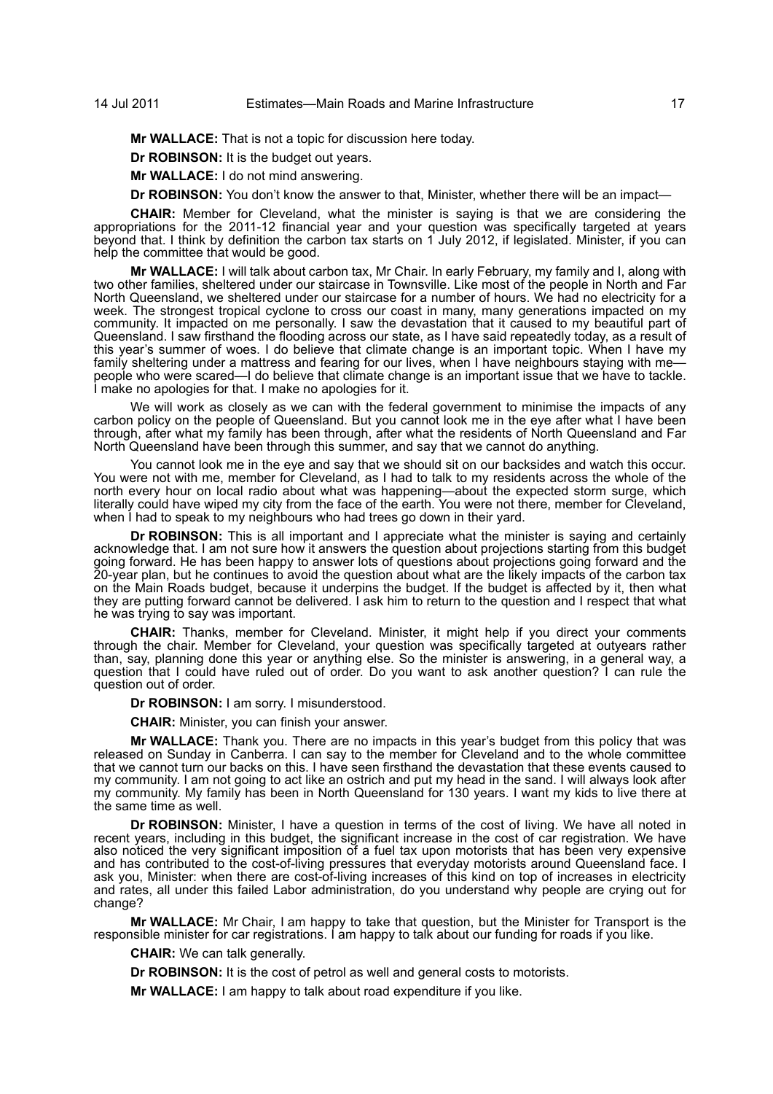## 14 Jul 2011 Estimates—Main Roads and Marine Infrastructure 17

**Mr WALLACE:** That is not a topic for discussion here today.

**Dr ROBINSON:** It is the budget out years.

**Mr WALLACE:** I do not mind answering.

**Dr ROBINSON:** You don't know the answer to that, Minister, whether there will be an impact—

**CHAIR:** Member for Cleveland, what the minister is saying is that we are considering the appropriations for the 2011-12 financial year and your question was specifically targeted at years beyond that. I think by definition the carbon tax starts on 1 July 2012, if legislated. Minister, if you can help the committee that would be good.

**Mr WALLACE:** I will talk about carbon tax, Mr Chair. In early February, my family and I, along with two other families, sheltered under our staircase in Townsville. Like most of the people in North and Far North Queensland, we sheltered under our staircase for a number of hours. We had no electricity for a week. The strongest tropical cyclone to cross our coast in many, many generations impacted on my community. It impacted on me personally. I saw the devastation that it caused to my beautiful part of Queensland. I saw firsthand the flooding across our state, as I have said repeatedly today, as a result of this year's summer of woes. I do believe that climate change is an important topic. When I have my family sheltering under a mattress and fearing for our lives, when I have neighbours staying with mepeople who were scared—I do believe that climate change is an important issue that we have to tackle. I make no apologies for that. I make no apologies for it.

We will work as closely as we can with the federal government to minimise the impacts of any carbon policy on the people of Queensland. But you cannot look me in the eye after what I have been through, after what my family has been through, after what the residents of North Queensland and Far North Queensland have been through this summer, and say that we cannot do anything.

You cannot look me in the eye and say that we should sit on our backsides and watch this occur. You were not with me, member for Cleveland, as I had to talk to my residents across the whole of the north every hour on local radio about what was happening—about the expected storm surge, which literally could have wiped my city from the face of the earth. You were not there, member for Cleveland, when I had to speak to my neighbours who had trees go down in their yard.

**Dr ROBINSON:** This is all important and I appreciate what the minister is saying and certainly acknowledge that. I am not sure how it answers the question about projections starting from this budget going forward. He has been happy to answer lots of questions about projections going forward and the 20-year plan, but he continues to avoid the question about what are the likely impacts of the carbon tax on the Main Roads budget, because it underpins the budget. If the budget is affected by it, then what they are putting forward cannot be delivered. I ask him to return to the question and I respect that what he was trying to say was important.

**CHAIR:** Thanks, member for Cleveland. Minister, it might help if you direct your comments through the chair. Member for Cleveland, your question was specifically targeted at outyears rather than, say, planning done this year or anything else. So the minister is answering, in a general way, a question that I could have ruled out of order. Do you want to ask another question? I can rule the question out of order.

**Dr ROBINSON:** I am sorry. I misunderstood.

**CHAIR:** Minister, you can finish your answer.

**Mr WALLACE:** Thank you. There are no impacts in this year's budget from this policy that was released on Sunday in Canberra. I can say to the member for Cleveland and to the whole committee that we cannot turn our backs on this. I have seen firsthand the devastation that these events caused to my community. I am not going to act like an ostrich and put my head in the sand. I will always look after my community. My family has been in North Queensland for 130 years. I want my kids to live there at the same time as well.

**Dr ROBINSON:** Minister, I have a question in terms of the cost of living. We have all noted in recent years, including in this budget, the significant increase in the cost of car registration. We have also noticed the very significant imposition of a fuel tax upon motorists that has been very expensive and has contributed to the cost-of-living pressures that everyday motorists around Queensland face. I ask you, Minister: when there are cost-of-living increases of this kind on top of increases in electricity and rates, all under this failed Labor administration, do you understand why people are crying out for change?

**Mr WALLACE:** Mr Chair, I am happy to take that question, but the Minister for Transport is the responsible minister for car registrations. I am happy to talk about our funding for roads if you like.

**CHAIR:** We can talk generally.

**Dr ROBINSON:** It is the cost of petrol as well and general costs to motorists.

**Mr WALLACE:** I am happy to talk about road expenditure if you like.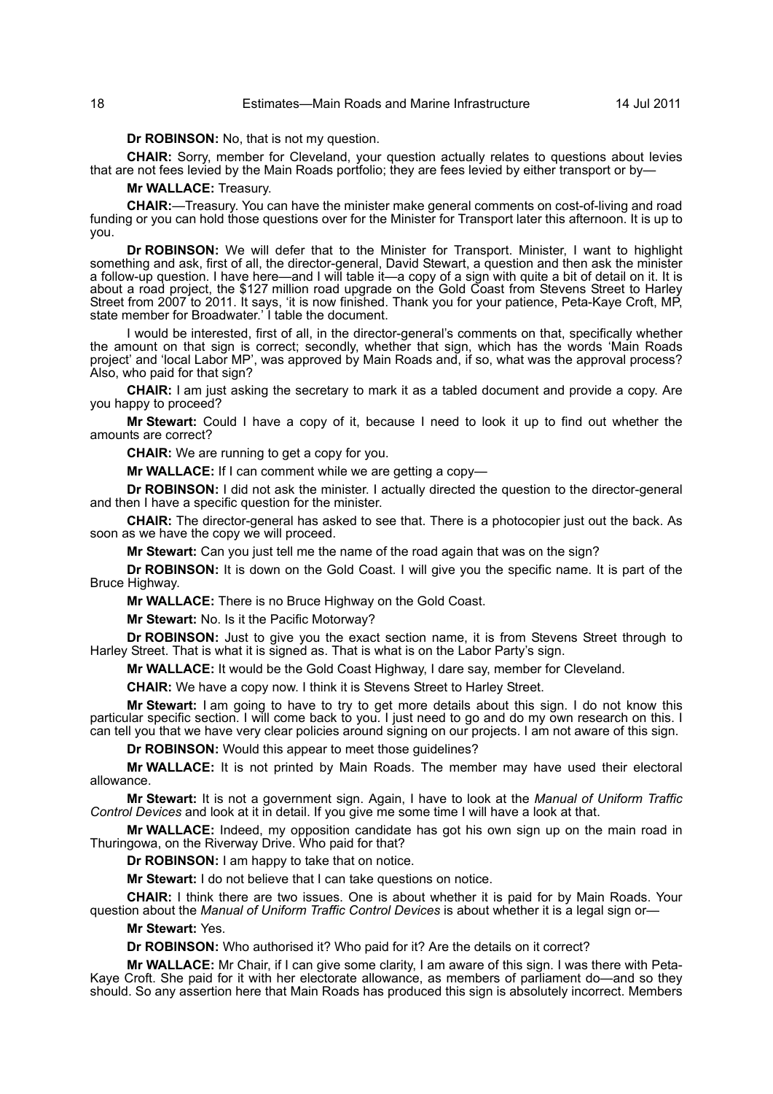## 18 Estimates—Main Roads and Marine Infrastructure 14 Jul 2011

**Dr ROBINSON:** No, that is not my question.

**CHAIR:** Sorry, member for Cleveland, your question actually relates to questions about levies that are not fees levied by the Main Roads portfolio; they are fees levied by either transport or by—

#### **Mr WALLACE:** Treasury.

**CHAIR:**—Treasury. You can have the minister make general comments on cost-of-living and road funding or you can hold those questions over for the Minister for Transport later this afternoon. It is up to you.

**Dr ROBINSON:** We will defer that to the Minister for Transport. Minister, I want to highlight something and ask, first of all, the director-general, David Stewart, a question and then ask the minister a follow-up question. I have here—and I will table it—a copy of a sign with quite a bit of detail on it. It is about a road project, the \$127 million road upgrade on the Gold Coast from Stevens Street to Harley Street from 2007 to 2011. It says, 'it is now finished. Thank you for your patience, Peta-Kaye Croft, MP, state member for Broadwater.' I table the document.

I would be interested, first of all, in the director-general's comments on that, specifically whether the amount on that sign is correct; secondly, whether that sign, which has the words 'Main Roads project' and 'local Labor MP', was approved by Main Roads and, if so, what was the approval process? Also, who paid for that sign?

**CHAIR:** I am just asking the secretary to mark it as a tabled document and provide a copy. Are you happy to proceed?

**Mr Stewart:** Could I have a copy of it, because I need to look it up to find out whether the amounts are correct?

**CHAIR:** We are running to get a copy for you.

**Mr WALLACE:** If I can comment while we are getting a copy-

**Dr ROBINSON:** I did not ask the minister. I actually directed the question to the director-general and then I have a specific question for the minister.

**CHAIR:** The director-general has asked to see that. There is a photocopier just out the back. As soon as we have the copy we will proceed.

**Mr Stewart:** Can you just tell me the name of the road again that was on the sign?

**Dr ROBINSON:** It is down on the Gold Coast. I will give you the specific name. It is part of the Bruce Highway.

**Mr WALLACE:** There is no Bruce Highway on the Gold Coast.

**Mr Stewart:** No. Is it the Pacific Motorway?

**Dr ROBINSON:** Just to give you the exact section name, it is from Stevens Street through to Harley Street. That is what it is signed as. That is what is on the Labor Party's sign.

**Mr WALLACE:** It would be the Gold Coast Highway, I dare say, member for Cleveland.

**CHAIR:** We have a copy now. I think it is Stevens Street to Harley Street.

**Mr Stewart:** I am going to have to try to get more details about this sign. I do not know this particular specific section. I will come back to you. I just need to go and do my own research on this. I can tell you that we have very clear policies around signing on our projects. I am not aware of this sign.

**Dr ROBINSON:** Would this appear to meet those guidelines?

**Mr WALLACE:** It is not printed by Main Roads. The member may have used their electoral allowance.

**Mr Stewart:** It is not a government sign. Again, I have to look at the *Manual of Uniform Traffic Control Devices* and look at it in detail. If you give me some time I will have a look at that.

**Mr WALLACE:** Indeed, my opposition candidate has got his own sign up on the main road in Thuringowa, on the Riverway Drive. Who paid for that?

**Dr ROBINSON:** I am happy to take that on notice.

**Mr Stewart:** I do not believe that I can take questions on notice.

**CHAIR:** I think there are two issues. One is about whether it is paid for by Main Roads. Your question about the *Manual of Uniform Traffic Control Devices* is about whether it is a legal sign or—

**Mr Stewart:** Yes.

**Dr ROBINSON:** Who authorised it? Who paid for it? Are the details on it correct?

**Mr WALLACE:** Mr Chair, if I can give some clarity, I am aware of this sign. I was there with Peta-Kaye Croft. She paid for it with her electorate allowance, as members of parliament do—and so they should. So any assertion here that Main Roads has produced this sign is absolutely incorrect. Members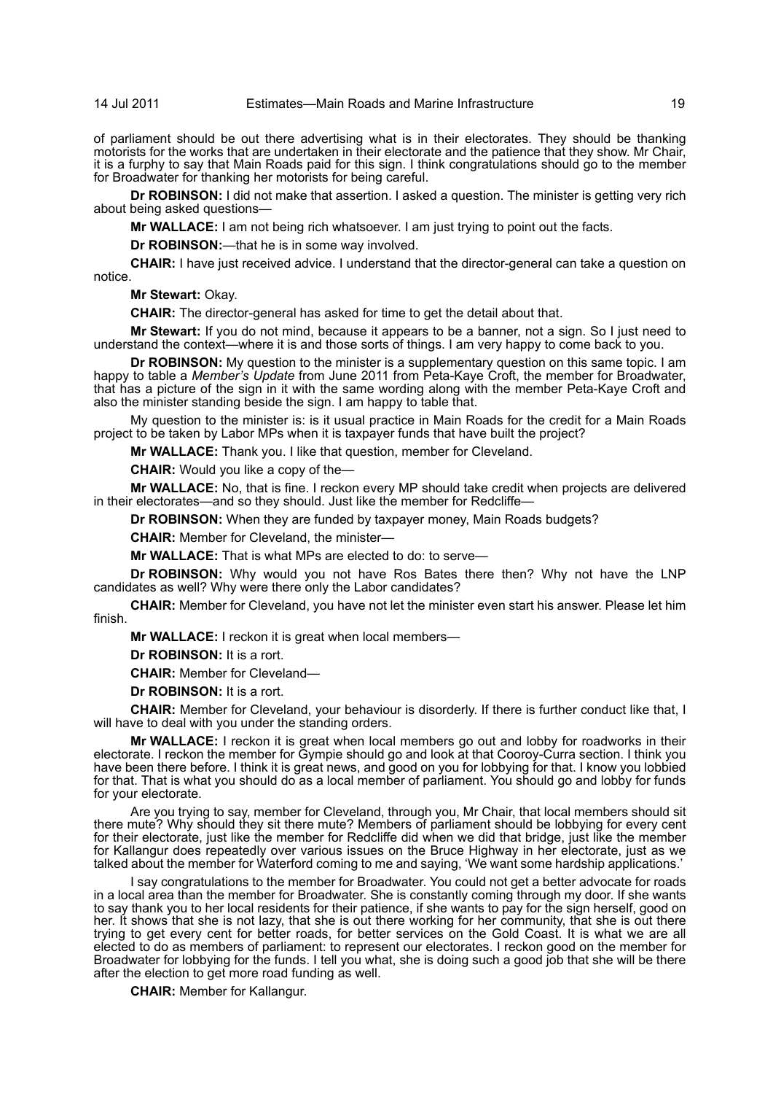of parliament should be out there advertising what is in their electorates. They should be thanking motorists for the works that are undertaken in their electorate and the patience that they show. Mr Chair, it is a furphy to say that Main Roads paid for this sign. I think congratulations should go to the member for Broadwater for thanking her motorists for being careful.

**Dr ROBINSON:** I did not make that assertion. I asked a question. The minister is getting very rich about being asked questions—

**Mr WALLACE:** I am not being rich whatsoever. I am just trying to point out the facts.

**Dr ROBINSON:**—that he is in some way involved.

**CHAIR:** I have just received advice. I understand that the director-general can take a question on notice.

**Mr Stewart:** Okay.

**CHAIR:** The director-general has asked for time to get the detail about that.

**Mr Stewart:** If you do not mind, because it appears to be a banner, not a sign. So I just need to understand the context—where it is and those sorts of things. I am very happy to come back to you.

**Dr ROBINSON:** My question to the minister is a supplementary question on this same topic. I am happy to table a *Member's Update* from June 2011 from Peta-Kaye Croft, the member for Broadwater, that has a picture of the sign in it with the same wording along with the member Peta-Kaye Croft and also the minister standing beside the sign. I am happy to table that.

My question to the minister is: is it usual practice in Main Roads for the credit for a Main Roads project to be taken by Labor MPs when it is taxpayer funds that have built the project?

**Mr WALLACE:** Thank you. I like that question, member for Cleveland.

**CHAIR:** Would you like a copy of the—

**Mr WALLACE:** No, that is fine. I reckon every MP should take credit when projects are delivered in their electorates—and so they should. Just like the member for Redcliffe—

**Dr ROBINSON:** When they are funded by taxpayer money, Main Roads budgets?

**CHAIR:** Member for Cleveland, the minister—

**Mr WALLACE:** That is what MPs are elected to do: to serve—

**Dr ROBINSON:** Why would you not have Ros Bates there then? Why not have the LNP candidates as well? Why were there only the Labor candidates?

**CHAIR:** Member for Cleveland, you have not let the minister even start his answer. Please let him finish.

**Mr WALLACE:** I reckon it is great when local members—

**Dr ROBINSON:** It is a rort.

**CHAIR:** Member for Cleveland—

**Dr ROBINSON:** It is a rort.

**CHAIR:** Member for Cleveland, your behaviour is disorderly. If there is further conduct like that, I will have to deal with you under the standing orders.

**Mr WALLACE:** I reckon it is great when local members go out and lobby for roadworks in their electorate. I reckon the member for Gympie should go and look at that Cooroy-Curra section. I think you have been there before. I think it is great news, and good on you for lobbying for that. I know you lobbied for that. That is what you should do as a local member of parliament. You should go and lobby for funds for your electorate.

Are you trying to say, member for Cleveland, through you, Mr Chair, that local members should sit there mute? Why should they sit there mute? Members of parliament should be lobbying for every cent for their electorate, just like the member for Redcliffe did when we did that bridge, just like the member for Kallangur does repeatedly over various issues on the Bruce Highway in her electorate, just as we talked about the member for Waterford coming to me and saying, 'We want some hardship applications.'

I say congratulations to the member for Broadwater. You could not get a better advocate for roads in a local area than the member for Broadwater. She is constantly coming through my door. If she wants to say thank you to her local residents for their patience, if she wants to pay for the sign herself, good on her. It shows that she is not lazy, that she is out there working for her community, that she is out there trying to get every cent for better roads, for better services on the Gold Coast. It is what we are all elected to do as members of parliament: to represent our electorates. I reckon good on the member for Broadwater for lobbying for the funds. I tell you what, she is doing such a good job that she will be there after the election to get more road funding as well.

**CHAIR:** Member for Kallangur.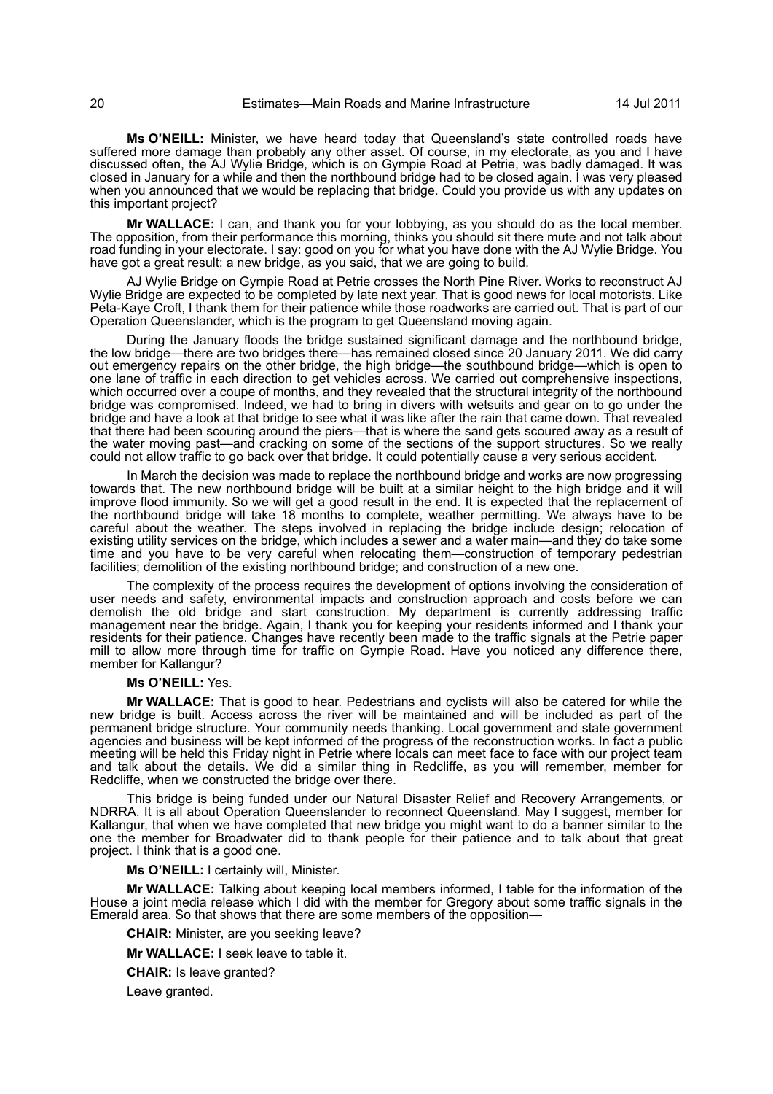**Ms O'NEILL:** Minister, we have heard today that Queensland's state controlled roads have suffered more damage than probably any other asset. Of course, in my electorate, as you and I have discussed often, the AJ Wylie Bridge, which is on Gympie Road at Petrie, was badly damaged. It was closed in January for a while and then the northbound bridge had to be closed again. I was very pleased when you announced that we would be replacing that bridge. Could you provide us with any updates on this important project?

**Mr WALLACE:** I can, and thank you for your lobbying, as you should do as the local member. The opposition, from their performance this morning, thinks you should sit there mute and not talk about road funding in your electorate. I say: good on you for what you have done with the AJ Wylie Bridge. You have got a great result: a new bridge, as you said, that we are going to build.

AJ Wylie Bridge on Gympie Road at Petrie crosses the North Pine River. Works to reconstruct AJ Wylie Bridge are expected to be completed by late next year. That is good news for local motorists. Like Peta-Kaye Croft, I thank them for their patience while those roadworks are carried out. That is part of our Operation Queenslander, which is the program to get Queensland moving again.

During the January floods the bridge sustained significant damage and the northbound bridge, the low bridge—there are two bridges there—has remained closed since 20 January 2011. We did carry out emergency repairs on the other bridge, the high bridge—the southbound bridge—which is open to one lane of traffic in each direction to get vehicles across. We carried out comprehensive inspections, which occurred over a coupe of months, and they revealed that the structural integrity of the northbound bridge was compromised. Indeed, we had to bring in divers with wetsuits and gear on to go under the bridge and have a look at that bridge to see what it was like after the rain that came down. That revealed that there had been scouring around the piers—that is where the sand gets scoured away as a result of the water moving past—and cracking on some of the sections of the support structures. So we really could not allow traffic to go back over that bridge. It could potentially cause a very serious accident.

In March the decision was made to replace the northbound bridge and works are now progressing towards that. The new northbound bridge will be built at a similar height to the high bridge and it will improve flood immunity. So we will get a good result in the end. It is expected that the replacement of the northbound bridge will take 18 months to complete, weather permitting. We always have to be careful about the weather. The steps involved in replacing the bridge include design; relocation of existing utility services on the bridge, which includes a sewer and a water main—and they do take some time and you have to be very careful when relocating them-construction of temporary pedestrian facilities; demolition of the existing northbound bridge; and construction of a new one.

The complexity of the process requires the development of options involving the consideration of user needs and safety, environmental impacts and construction approach and costs before we can demolish the old bridge and start construction. My department is currently addressing traffic management near the bridge. Again, I thank you for keeping your residents informed and I thank your residents for their patience. Changes have recently been made to the traffic signals at the Petrie paper mill to allow more through time for traffic on Gympie Road. Have you noticed any difference there, member for Kallangur?

#### **Ms O'NEILL:** Yes.

**Mr WALLACE:** That is good to hear. Pedestrians and cyclists will also be catered for while the new bridge is built. Access across the river will be maintained and will be included as part of the permanent bridge structure. Your community needs thanking. Local government and state government agencies and business will be kept informed of the progress of the reconstruction works. In fact a public meeting will be held this Friday night in Petrie where locals can meet face to face with our project team and talk about the details. We did a similar thing in Redcliffe, as you will remember, member for Redcliffe, when we constructed the bridge over there.

This bridge is being funded under our Natural Disaster Relief and Recovery Arrangements, or NDRRA. It is all about Operation Queenslander to reconnect Queensland. May I suggest, member for Kallangur, that when we have completed that new bridge you might want to do a banner similar to the one the member for Broadwater did to thank people for their patience and to talk about that great project. I think that is a good one.

**Ms O'NEILL:** I certainly will, Minister.

**Mr WALLACE:** Talking about keeping local members informed, I table for the information of the House a joint media release which I did with the member for Gregory about some traffic signals in the Emerald area. So that shows that there are some members of the opposition-

**CHAIR:** Minister, are you seeking leave?

**Mr WALLACE:** I seek leave to table it.

**CHAIR:** Is leave granted?

Leave granted.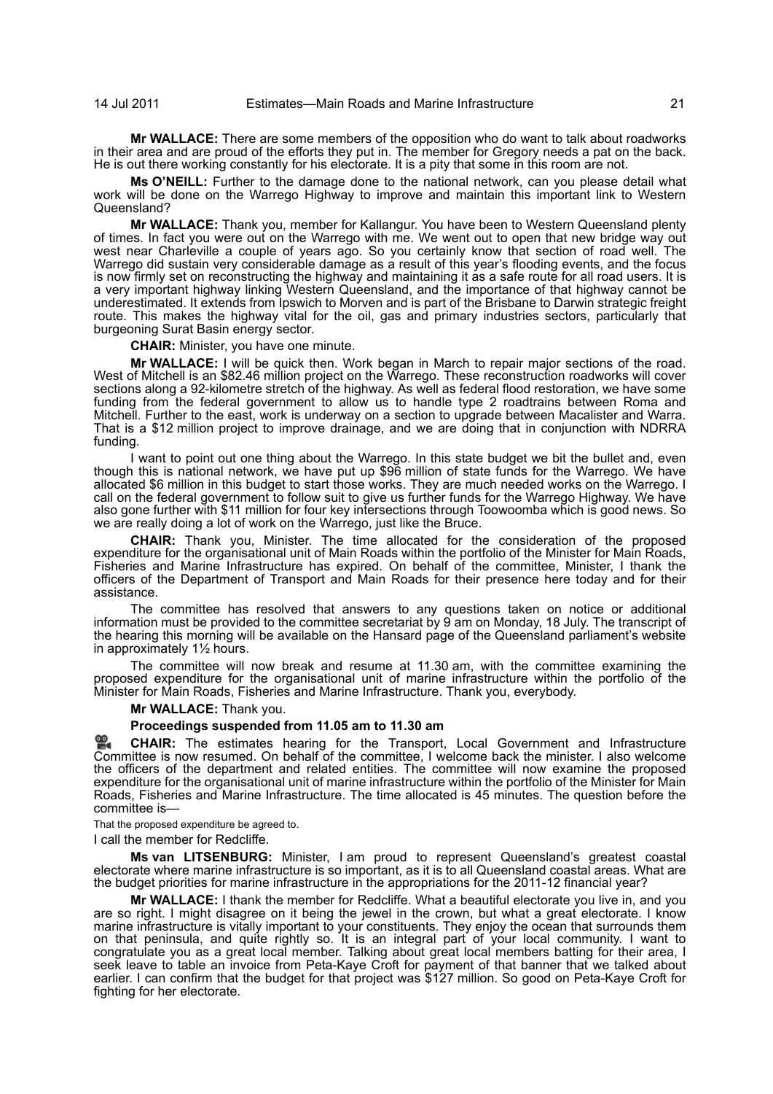**Mr WALLACE:** There are some members of the opposition who do want to talk about roadworks in their area and are proud of the efforts they put in. The member for Gregory needs a pat on the back. He is out there working constantly for his electorate. It is a pity that some in this room are not.

**Ms O'NEILL:** Further to the damage done to the national network, can you please detail what work will be done on the Warrego Highway to improve and maintain this important link to Western Queensland?

**Mr WALLACE:** Thank you, member for Kallangur. You have been to Western Queensland plenty of times. In fact you were out on the Warrego with me. We went out to open that new bridge way out west near Charleville a couple of years ago. So you certainly know that section of road well. The Warrego did sustain very considerable damage as a result of this year's flooding events, and the focus is now firmly set on reconstructing the highway and maintaining it as a safe route for all road users. It is a very important highway linking Western Queensland, and the importance of that highway cannot be underestimated. It extends from Ipswich to Morven and is part of the Brisbane to Darwin strategic freight route. This makes the highway vital for the oil, gas and primary industries sectors, particularly that burgeoning Surat Basin energy sector.

**CHAIR:** Minister, you have one minute.

**Mr WALLACE:** I will be quick then. Work began in March to repair major sections of the road. West of Mitchell is an \$82.46 million project on the Warrego. These reconstruction roadworks will cover sections along a 92-kilometre stretch of the highway. As well as federal flood restoration, we have some funding from the federal government to allow us to handle type 2 roadtrains between Roma and Mitchell. Further to the east, work is underway on a section to upgrade between Macalister and Warra. That is a \$12 million project to improve drainage, and we are doing that in conjunction with NDRRA funding.

I want to point out one thing about the Warrego. In this state budget we bit the bullet and, even though this is national network, we have put up \$96 million of state funds for the Warrego. We have allocated \$6 million in this budget to start those works. They are much needed works on the Warrego. I call on the federal government to follow suit to give us further funds for the Warrego Highway. We have also gone further with \$11 million for four key intersections through Toowoomba which is good news. So we are really doing a lot of work on the Warrego, just like the Bruce.

**CHAIR:** Thank you, Minister. The time allocated for the consideration of the proposed expenditure for the organisational unit of Main Roads within the portfolio of the Minister for Main Roads, Fisheries and Marine Infrastructure has expired. On behalf of the committee, Minister, I thank the officers of the Department of Transport and Main Roads for their presence here today and for their assistance.

The committee has resolved that answers to any questions taken on notice or additional information must be provided to the committee secretariat by 9 am on Monday, 18 July. The transcript of the hearing this morning will be available on the Hansard page of the Queensland parliament's website in approximately 1½ hours.

The committee will now break and resume at 11.30 am, with the committee examining the proposed expenditure for the organisational unit of marine infrastructure within the portfolio of the Minister for Main Roads, Fisheries and Marine Infrastructure. Thank you, everybody.

**Mr WALLACE:** Thank you.

## **Proceedings suspended from 11.05 am to 11.30 am**

**[CHAIR:](http://www.parliament.qld.gov.au/docs/find.aspx?id=0Mba20110714_113025)** The estimates hearing for the Transport, Local Government and Infrastructure [Com](http://www.parliament.qld.gov.au/docs/find.aspx?id=0Mba20110714_113025)mittee is now resumed. On behalf of the committee, I welcome back the minister. I also welcome the officers of the department and related entities. The committee will now examine the proposed expenditure for the organisational unit of marine infrastructure within the portfolio of the Minister for Main Roads, Fisheries and Marine Infrastructure. The time allocated is 45 minutes. The question before the committee is—

That the proposed expenditure be agreed to.

I call the member for Redcliffe.

**Ms van LITSENBURG:** Minister, I am proud to represent Queensland's greatest coastal electorate where marine infrastructure is so important, as it is to all Queensland coastal areas. What are the budget priorities for marine infrastructure in the appropriations for the 2011-12 financial year?

**Mr WALLACE:** I thank the member for Redcliffe. What a beautiful electorate you live in, and you are so right. I might disagree on it being the jewel in the crown, but what a great electorate. I know marine infrastructure is vitally important to your constituents. They enjoy the ocean that surrounds them on that peninsula, and quite rightly so. It is an integral part of your local community. I want to congratulate you as a great local member. Talking about great local members batting for their area, I seek leave to table an invoice from Peta-Kaye Croft for payment of that banner that we talked about earlier. I can confirm that the budget for that project was \$127 million. So good on Peta-Kaye Croft for fighting for her electorate.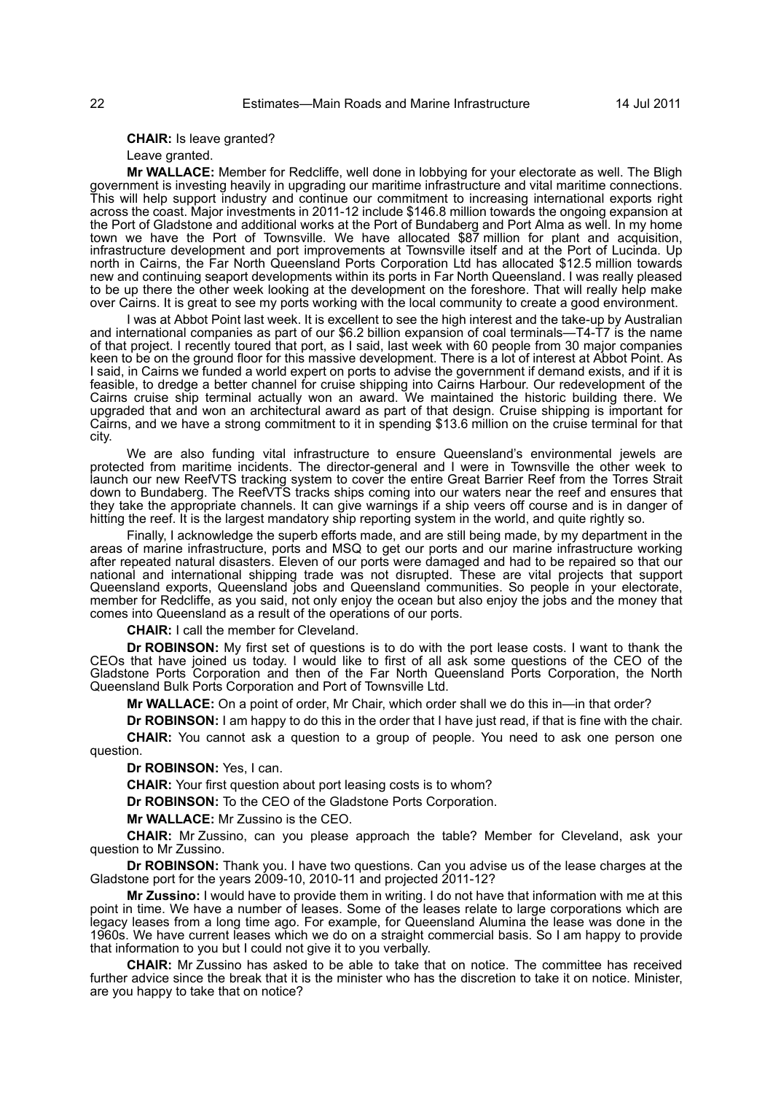**CHAIR:** Is leave granted?

Leave granted.

**Mr WALLACE:** Member for Redcliffe, well done in lobbying for your electorate as well. The Bligh government is investing heavily in upgrading our maritime infrastructure and vital maritime connections. This will help support industry and continue our commitment to increasing international exports right across the coast. Major investments in 2011-12 include \$146.8 million towards the ongoing expansion at the Port of Gladstone and additional works at the Port of Bundaberg and Port Alma as well. In my home town we have the Port of Townsville. We have allocated \$87 million for plant and acquisition, infrastructure development and port improvements at Townsville itself and at the Port of Lucinda. Up north in Cairns, the Far North Queensland Ports Corporation Ltd has allocated \$12.5 million towards new and continuing seaport developments within its ports in Far North Queensland. I was really pleased to be up there the other week looking at the development on the foreshore. That will really help make over Cairns. It is great to see my ports working with the local community to create a good environment.

I was at Abbot Point last week. It is excellent to see the high interest and the take-up by Australian and international companies as part of our \$6.2 billion expansion of coal terminals—T4-T7 is the name of that project. I recently toured that port, as I said, last week with 60 people from 30 major companies keen to be on the ground floor for this massive development. There is a lot of interest at Abbot Point. As I said, in Cairns we funded a world expert on ports to advise the government if demand exists, and if it is feasible, to dredge a better channel for cruise shipping into Cairns Harbour. Our redevelopment of the Cairns cruise ship terminal actually won an award. We maintained the historic building there. We upgraded that and won an architectural award as part of that design. Cruise shipping is important for Cairns, and we have a strong commitment to it in spending \$13.6 million on the cruise terminal for that city.

We are also funding vital infrastructure to ensure Queensland's environmental jewels are protected from maritime incidents. The director-general and I were in Townsville the other week to launch our new ReefVTS tracking system to cover the entire Great Barrier Reef from the Torres Strait down to Bundaberg. The ReefVTS tracks ships coming into our waters near the reef and ensures that they take the appropriate channels. It can give warnings if a ship veers off course and is in danger of hitting the reef. It is the largest mandatory ship reporting system in the world, and quite rightly so.

Finally, I acknowledge the superb efforts made, and are still being made, by my department in the areas of marine infrastructure, ports and MSQ to get our ports and our marine infrastructure working after repeated natural disasters. Eleven of our ports were damaged and had to be repaired so that our national and international shipping trade was not disrupted. These are vital projects that support Queensland exports, Queensland jobs and Queensland communities. So people in your electorate, member for Redcliffe, as you said, not only enjoy the ocean but also enjoy the jobs and the money that comes into Queensland as a result of the operations of our ports.

**CHAIR:** I call the member for Cleveland.

**Dr ROBINSON:** My first set of questions is to do with the port lease costs. I want to thank the CEOs that have joined us today. I would like to first of all ask some questions of the CEO of the Gladstone Ports Corporation and then of the Far North Queensland Ports Corporation, the North Queensland Bulk Ports Corporation and Port of Townsville Ltd.

**Mr WALLACE:** On a point of order, Mr Chair, which order shall we do this in—in that order?

**Dr ROBINSON:** I am happy to do this in the order that I have just read, if that is fine with the chair.

**CHAIR:** You cannot ask a question to a group of people. You need to ask one person one question.

**Dr ROBINSON:** Yes, I can.

**CHAIR:** Your first question about port leasing costs is to whom?

**Dr ROBINSON:** To the CEO of the Gladstone Ports Corporation.

**Mr WALLACE:** Mr Zussino is the CEO.

**CHAIR:** Mr Zussino, can you please approach the table? Member for Cleveland, ask your question to Mr Zussino.

**Dr ROBINSON:** Thank you. I have two questions. Can you advise us of the lease charges at the Gladstone port for the years 2009-10, 2010-11 and projected 2011-12?

**Mr Zussino:** I would have to provide them in writing. I do not have that information with me at this point in time. We have a number of leases. Some of the leases relate to large corporations which are legacy leases from a long time ago. For example, for Queensland Alumina the lease was done in the 1960s. We have current leases which we do on a straight commercial basis. So I am happy to provide that information to you but I could not give it to you verbally.

**CHAIR:** Mr Zussino has asked to be able to take that on notice. The committee has received further advice since the break that it is the minister who has the discretion to take it on notice. Minister, are you happy to take that on notice?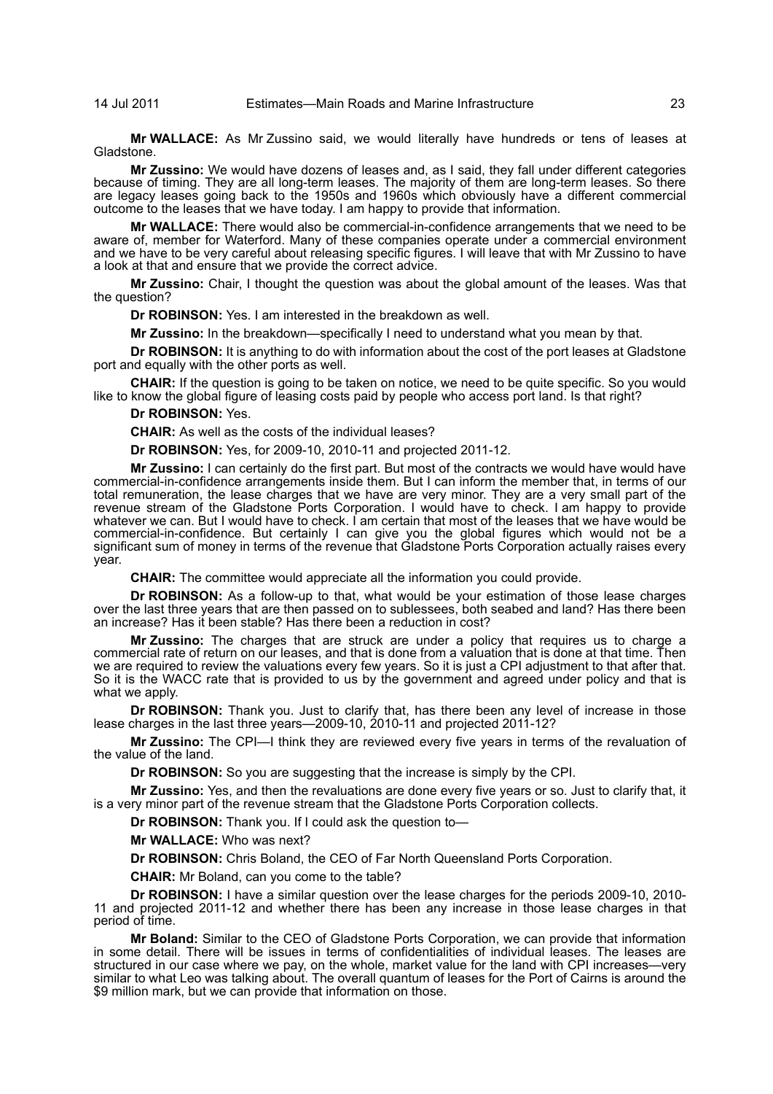**Mr WALLACE:** As Mr Zussino said, we would literally have hundreds or tens of leases at Gladstone.

**Mr Zussino:** We would have dozens of leases and, as I said, they fall under different categories because of timing. They are all long-term leases. The majority of them are long-term leases. So there are legacy leases going back to the 1950s and 1960s which obviously have a different commercial outcome to the leases that we have today. I am happy to provide that information.

**Mr WALLACE:** There would also be commercial-in-confidence arrangements that we need to be aware of, member for Waterford. Many of these companies operate under a commercial environment and we have to be very careful about releasing specific figures. I will leave that with Mr Zussino to have a look at that and ensure that we provide the correct advice.

**Mr Zussino:** Chair, I thought the question was about the global amount of the leases. Was that the question?

**Dr ROBINSON:** Yes. I am interested in the breakdown as well.

**Mr Zussino:** In the breakdown—specifically I need to understand what you mean by that.

**Dr ROBINSON:** It is anything to do with information about the cost of the port leases at Gladstone port and equally with the other ports as well.

**CHAIR:** If the question is going to be taken on notice, we need to be quite specific. So you would like to know the global figure of leasing costs paid by people who access port land. Is that right?

## **Dr ROBINSON:** Yes.

**CHAIR:** As well as the costs of the individual leases?

**Dr ROBINSON:** Yes, for 2009-10, 2010-11 and projected 2011-12.

**Mr Zussino:** I can certainly do the first part. But most of the contracts we would have would have commercial-in-confidence arrangements inside them. But I can inform the member that, in terms of our total remuneration, the lease charges that we have are very minor. They are a very small part of the revenue stream of the Gladstone Ports Corporation. I would have to check. I am happy to provide whatever we can. But I would have to check. I am certain that most of the leases that we have would be commercial-in-confidence. But certainly I can give you the global figures which would not be a significant sum of money in terms of the revenue that Gladstone Ports Corporation actually raises every year.

**CHAIR:** The committee would appreciate all the information you could provide.

**Dr ROBINSON:** As a follow-up to that, what would be your estimation of those lease charges over the last three years that are then passed on to sublessees, both seabed and land? Has there been an increase? Has it been stable? Has there been a reduction in cost?

**Mr Zussino:** The charges that are struck are under a policy that requires us to charge a commercial rate of return on our leases, and that is done from a valuation that is done at that time. Then we are required to review the valuations every few years. So it is just a CPI adjustment to that after that. So it is the WACC rate that is provided to us by the government and agreed under policy and that is what we apply.

**Dr ROBINSON:** Thank you. Just to clarify that, has there been any level of increase in those lease charges in the last three years—2009-10, 2010-11 and projected 2011-12?

**Mr Zussino:** The CPI—I think they are reviewed every five years in terms of the revaluation of the value of the land.

**Dr ROBINSON:** So you are suggesting that the increase is simply by the CPI.

**Mr Zussino:** Yes, and then the revaluations are done every five years or so. Just to clarify that, it is a very minor part of the revenue stream that the Gladstone Ports Corporation collects.

**Dr ROBINSON:** Thank you. If I could ask the question to—

**Mr WALLACE:** Who was next?

**Dr ROBINSON:** Chris Boland, the CEO of Far North Queensland Ports Corporation.

**CHAIR:** Mr Boland, can you come to the table?

**Dr ROBINSON:** I have a similar question over the lease charges for the periods 2009-10, 2010- 11 and projected 2011-12 and whether there has been any increase in those lease charges in that period of time.

**Mr Boland:** Similar to the CEO of Gladstone Ports Corporation, we can provide that information in some detail. There will be issues in terms of confidentialities of individual leases. The leases are structured in our case where we pay, on the whole, market value for the land with CPI increases—very similar to what Leo was talking about. The overall quantum of leases for the Port of Cairns is around the \$9 million mark, but we can provide that information on those.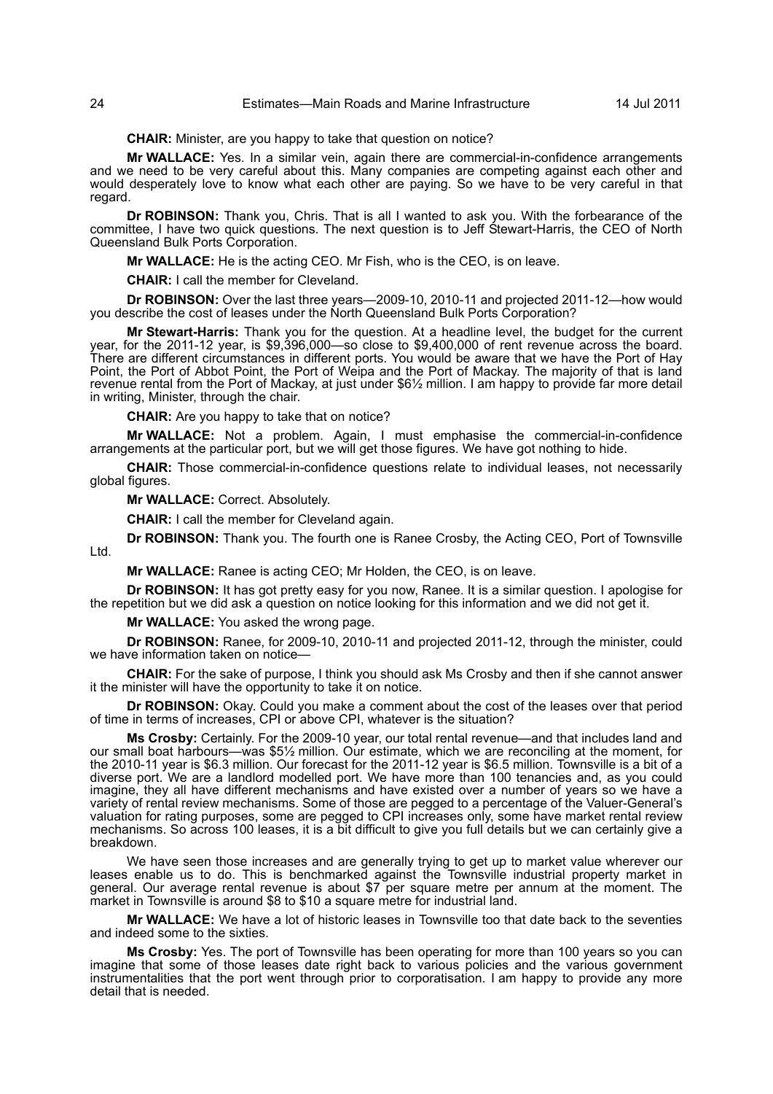## 24 Estimates—Main Roads and Marine Infrastructure 14 Jul 2011

**CHAIR:** Minister, are you happy to take that question on notice?

**Mr WALLACE:** Yes. In a similar vein, again there are commercial-in-confidence arrangements and we need to be very careful about this. Many companies are competing against each other and would desperately love to know what each other are paying. So we have to be very careful in that regard.

**Dr ROBINSON:** Thank you, Chris. That is all I wanted to ask you. With the forbearance of the committee, I have two quick questions. The next question is to Jeff Stewart-Harris, the CEO of North Queensland Bulk Ports Corporation.

**Mr WALLACE:** He is the acting CEO. Mr Fish, who is the CEO, is on leave.

**CHAIR:** I call the member for Cleveland.

**Dr ROBINSON:** Over the last three years—2009-10, 2010-11 and projected 2011-12—how would you describe the cost of leases under the North Queensland Bulk Ports Corporation?

**Mr Stewart-Harris:** Thank you for the question. At a headline level, the budget for the current year, for the 2011-12 year, is \$9,396,000—so close to \$9,400,000 of rent revenue across the board. There are different circumstances in different ports. You would be aware that we have the Port of Hay Point, the Port of Abbot Point, the Port of Weipa and the Port of Mackay. The majority of that is land revenue rental from the Port of Mackay, at just under \$6½ million. I am happy to provide far more detail in writing, Minister, through the chair.

**CHAIR:** Are you happy to take that on notice?

**Mr WALLACE:** Not a problem. Again, I must emphasise the commercial-in-confidence arrangements at the particular port, but we will get those figures. We have got nothing to hide.

**CHAIR:** Those commercial-in-confidence questions relate to individual leases, not necessarily global figures.

**Mr WALLACE:** Correct. Absolutely.

**CHAIR:** I call the member for Cleveland again.

**Dr ROBINSON:** Thank you. The fourth one is Ranee Crosby, the Acting CEO, Port of Townsville

**Mr WALLACE:** Ranee is acting CEO; Mr Holden, the CEO, is on leave.

**Dr ROBINSON:** It has got pretty easy for you now, Ranee. It is a similar question. I apologise for the repetition but we did ask a question on notice looking for this information and we did not get it.

**Mr WALLACE:** You asked the wrong page.

**Dr ROBINSON:** Ranee, for 2009-10, 2010-11 and projected 2011-12, through the minister, could we have information taken on notice—

**CHAIR:** For the sake of purpose, I think you should ask Ms Crosby and then if she cannot answer it the minister will have the opportunity to take it on notice.

**Dr ROBINSON:** Okay. Could you make a comment about the cost of the leases over that period of time in terms of increases, CPI or above CPI, whatever is the situation?

**Ms Crosby:** Certainly. For the 2009-10 year, our total rental revenue—and that includes land and our small boat harbours—was \$5½ million. Our estimate, which we are reconciling at the moment, for the 2010-11 year is \$6.3 million. Our forecast for the 2011-12 year is \$6.5 million. Townsville is a bit of a diverse port. We are a landlord modelled port. We have more than 100 tenancies and, as you could imagine, they all have different mechanisms and have existed over a number of years so we have a variety of rental review mechanisms. Some of those are pegged to a percentage of the Valuer-General's valuation for rating purposes, some are pegged to CPI increases only, some have market rental review mechanisms. So across 100 leases, it is a bit difficult to give you full details but we can certainly give a breakdown.

We have seen those increases and are generally trying to get up to market value wherever our leases enable us to do. This is benchmarked against the Townsville industrial property market in general. Our average rental revenue is about \$7 per square metre per annum at the moment. The market in Townsville is around \$8 to \$10 a square metre for industrial land.

**Mr WALLACE:** We have a lot of historic leases in Townsville too that date back to the seventies and indeed some to the sixties.

**Ms Crosby:** Yes. The port of Townsville has been operating for more than 100 years so you can imagine that some of those leases date right back to various policies and the various government instrumentalities that the port went through prior to corporatisation. I am happy to provide any more detail that is needed.

Ltd.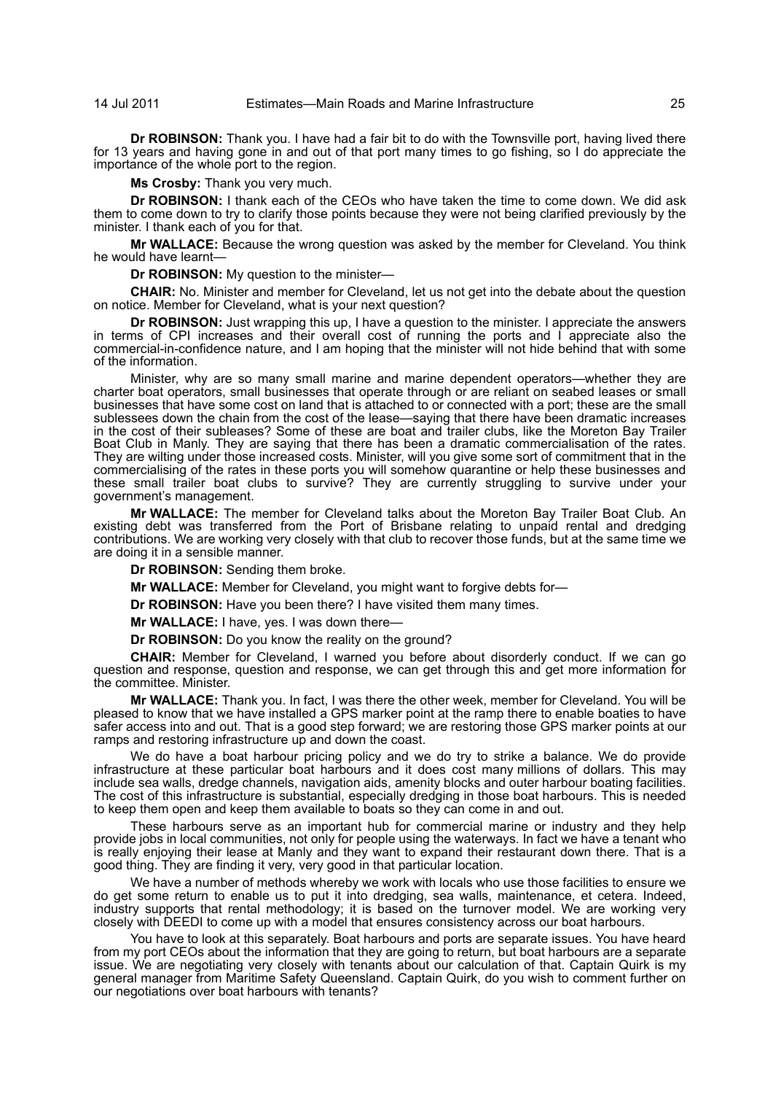**Dr ROBINSON:** Thank you. I have had a fair bit to do with the Townsville port, having lived there for 13 years and having gone in and out of that port many times to go fishing, so I do appreciate the importance of the whole port to the region.

**Ms Crosby:** Thank you very much.

**Dr ROBINSON:** I thank each of the CEOs who have taken the time to come down. We did ask them to come down to try to clarify those points because they were not being clarified previously by the minister. I thank each of you for that.

**Mr WALLACE:** Because the wrong question was asked by the member for Cleveland. You think he would have learnt—

**Dr ROBINSON:** My question to the minister—

**CHAIR:** No. Minister and member for Cleveland, let us not get into the debate about the question on notice. Member for Cleveland, what is your next question?

**Dr ROBINSON:** Just wrapping this up, I have a question to the minister. I appreciate the answers in terms of CPI increases and their overall cost of running the ports and I appreciate also the commercial-in-confidence nature, and I am hoping that the minister will not hide behind that with some of the information.

Minister, why are so many small marine and marine dependent operators—whether they are charter boat operators, small businesses that operate through or are reliant on seabed leases or small businesses that have some cost on land that is attached to or connected with a port; these are the small sublessees down the chain from the cost of the lease—saying that there have been dramatic increases in the cost of their subleases? Some of these are boat and trailer clubs, like the Moreton Bay Trailer Boat Club in Manly. They are saying that there has been a dramatic commercialisation of the rates. They are wilting under those increased costs. Minister, will you give some sort of commitment that in the commercialising of the rates in these ports you will somehow quarantine or help these businesses and these small trailer boat clubs to survive? They are currently struggling to survive under your government's management.

**Mr WALLACE:** The member for Cleveland talks about the Moreton Bay Trailer Boat Club. An existing debt was transferred from the Port of Brisbane relating to unpaid rental and dredging contributions. We are working very closely with that club to recover those funds, but at the same time we are doing it in a sensible manner.

**Dr ROBINSON:** Sending them broke.

**Mr WALLACE:** Member for Cleveland, you might want to forgive debts for—

**Dr ROBINSON:** Have you been there? I have visited them many times.

**Mr WALLACE:** I have, yes. I was down there—

**Dr ROBINSON:** Do you know the reality on the ground?

**CHAIR:** Member for Cleveland, I warned you before about disorderly conduct. If we can go question and response, question and response, we can get through this and get more information for the committee. Minister.

**Mr WALLACE:** Thank you. In fact, I was there the other week, member for Cleveland. You will be pleased to know that we have installed a GPS marker point at the ramp there to enable boaties to have safer access into and out. That is a good step forward; we are restoring those GPS marker points at our ramps and restoring infrastructure up and down the coast.

We do have a boat harbour pricing policy and we do try to strike a balance. We do provide infrastructure at these particular boat harbours and it does cost many millions of dollars. This may include sea walls, dredge channels, navigation aids, amenity blocks and outer harbour boating facilities. The cost of this infrastructure is substantial, especially dredging in those boat harbours. This is needed to keep them open and keep them available to boats so they can come in and out.

These harbours serve as an important hub for commercial marine or industry and they help provide jobs in local communities, not only for people using the waterways. In fact we have a tenant who is really enjoying their lease at Manly and they want to expand their restaurant down there. That is a good thing. They are finding it very, very good in that particular location.

We have a number of methods whereby we work with locals who use those facilities to ensure we do get some return to enable us to put it into dredging, sea walls, maintenance, et cetera. Indeed, industry supports that rental methodology; it is based on the turnover model. We are working very closely with DEEDI to come up with a model that ensures consistency across our boat harbours.

You have to look at this separately. Boat harbours and ports are separate issues. You have heard from my port CEOs about the information that they are going to return, but boat harbours are a separate issue. We are negotiating very closely with tenants about our calculation of that. Captain Quirk is my general manager from Maritime Safety Queensland. Captain Quirk, do you wish to comment further on our negotiations over boat harbours with tenants?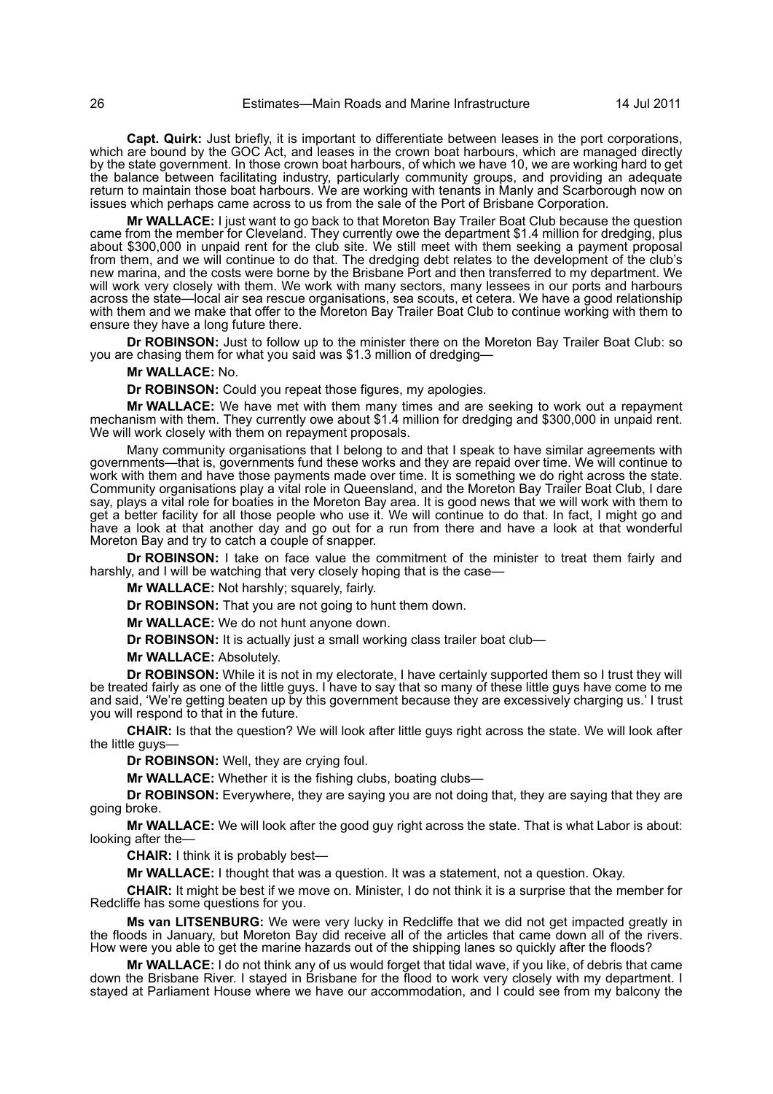**Capt. Quirk:** Just briefly, it is important to differentiate between leases in the port corporations, which are bound by the GOC Act, and leases in the crown boat harbours, which are managed directly by the state government. In those crown boat harbours, of which we have 10, we are working hard to get the balance between facilitating industry, particularly community groups, and providing an adequate return to maintain those boat harbours. We are working with tenants in Manly and Scarborough now on issues which perhaps came across to us from the sale of the Port of Brisbane Corporation.

**Mr WALLACE:** I just want to go back to that Moreton Bay Trailer Boat Club because the question came from the member for Cleveland. They currently owe the department \$1.4 million for dredging, plus about \$300,000 in unpaid rent for the club site. We still meet with them seeking a payment proposal from them, and we will continue to do that. The dredging debt relates to the development of the club's new marina, and the costs were borne by the Brisbane Port and then transferred to my department. We will work very closely with them. We work with many sectors, many lessees in our ports and harbours across the state—local air sea rescue organisations, sea scouts, et cetera. We have a good relationship with them and we make that offer to the Moreton Bay Trailer Boat Club to continue working with them to ensure they have a long future there.

**Dr ROBINSON:** Just to follow up to the minister there on the Moreton Bay Trailer Boat Club: so you are chasing them for what you said was \$1.3 million of dredging—

## **Mr WALLACE:** No.

**Dr ROBINSON:** Could you repeat those figures, my apologies.

**Mr WALLACE:** We have met with them many times and are seeking to work out a repayment mechanism with them. They currently owe about \$1.4 million for dredging and \$300,000 in unpaid rent. We will work closely with them on repayment proposals.

Many community organisations that I belong to and that I speak to have similar agreements with governments—that is, governments fund these works and they are repaid over time. We will continue to work with them and have those payments made over time. It is something we do right across the state. Community organisations play a vital role in Queensland, and the Moreton Bay Trailer Boat Club, I dare say, plays a vital role for boaties in the Moreton Bay area. It is good news that we will work with them to get a better facility for all those people who use it. We will continue to do that. In fact, I might go and have a look at that another day and go out for a run from there and have a look at that wonderful Moreton Bay and try to catch a couple of snapper.

**Dr ROBINSON:** I take on face value the commitment of the minister to treat them fairly and harshly, and I will be watching that very closely hoping that is the case—

**Mr WALLACE:** Not harshly; squarely, fairly.

**Dr ROBINSON:** That you are not going to hunt them down.

**Mr WALLACE:** We do not hunt anyone down.

**Dr ROBINSON:** It is actually just a small working class trailer boat club—

**Mr WALLACE:** Absolutely.

**Dr ROBINSON:** While it is not in my electorate, I have certainly supported them so I trust they will be treated fairly as one of the little guys. I have to say that so many of these little guys have come to me and said, 'We're getting beaten up by this government because they are excessively charging us.' I trust you will respond to that in the future.

**CHAIR:** Is that the question? We will look after little guys right across the state. We will look after the little guys—

**Dr ROBINSON:** Well, they are crying foul.

**Mr WALLACE:** Whether it is the fishing clubs, boating clubs—

**Dr ROBINSON:** Everywhere, they are saying you are not doing that, they are saying that they are going broke.

**Mr WALLACE:** We will look after the good guy right across the state. That is what Labor is about: looking after the—

**CHAIR:** I think it is probably best—

**Mr WALLACE:** I thought that was a question. It was a statement, not a question. Okay.

**CHAIR:** It might be best if we move on. Minister, I do not think it is a surprise that the member for Redcliffe has some questions for you.

**Ms van LITSENBURG:** We were very lucky in Redcliffe that we did not get impacted greatly in the floods in January, but Moreton Bay did receive all of the articles that came down all of the rivers. How were you able to get the marine hazards out of the shipping lanes so quickly after the floods?

**Mr WALLACE:** I do not think any of us would forget that tidal wave, if you like, of debris that came down the Brisbane River. I stayed in Brisbane for the flood to work very closely with my department. I stayed at Parliament House where we have our accommodation, and I could see from my balcony the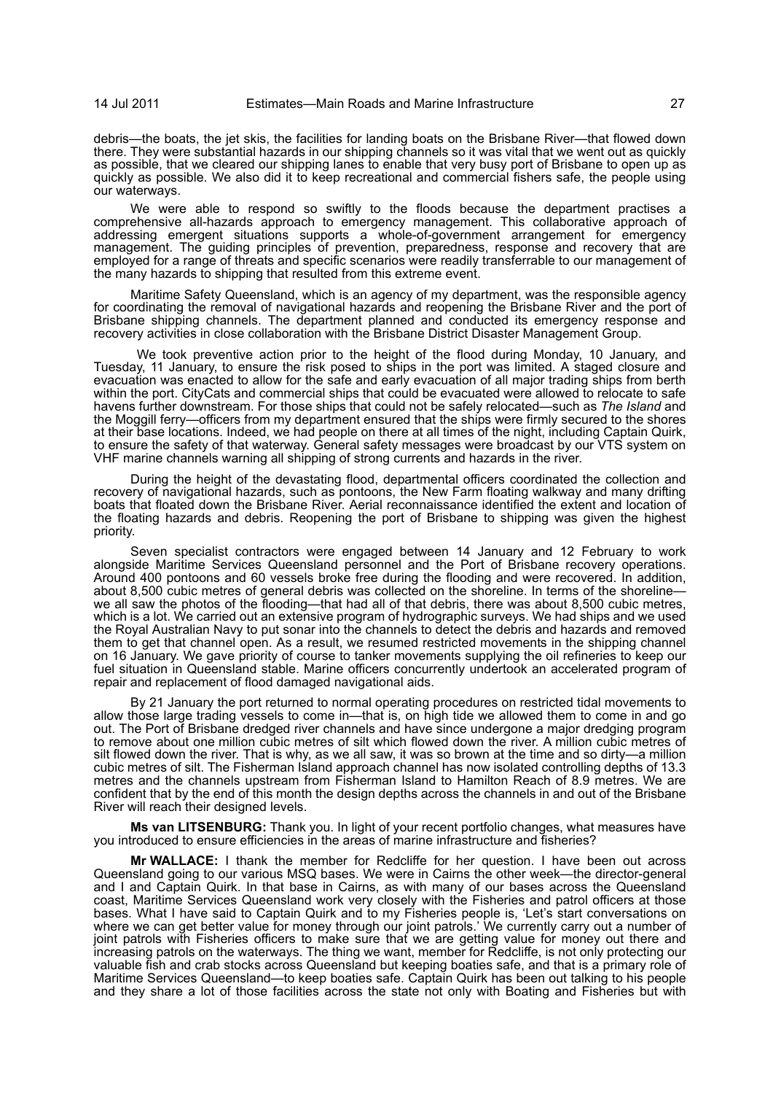debris—the boats, the jet skis, the facilities for landing boats on the Brisbane River—that flowed down there. They were substantial hazards in our shipping channels so it was vital that we went out as quickly as possible, that we cleared our shipping lanes to enable that very busy port of Brisbane to open up as quickly as possible. We also did it to keep recreational and commercial fishers safe, the people using our waterways.

We were able to respond so swiftly to the floods because the department practises a comprehensive all-hazards approach to emergency management. This collaborative approach of addressing emergent situations supports a whole-of-government arrangement for emergency management. The guiding principles of prevention, preparedness, response and recovery that are employed for a range of threats and specific scenarios were readily transferrable to our management of the many hazards to shipping that resulted from this extreme event.

Maritime Safety Queensland, which is an agency of my department, was the responsible agency for coordinating the removal of navigational hazards and reopening the Brisbane River and the port of Brisbane shipping channels. The department planned and conducted its emergency response and recovery activities in close collaboration with the Brisbane District Disaster Management Group.

 We took preventive action prior to the height of the flood during Monday, 10 January, and Tuesday, 11 January, to ensure the risk posed to ships in the port was limited. A staged closure and evacuation was enacted to allow for the safe and early evacuation of all major trading ships from berth within the port. CityCats and commercial ships that could be evacuated were allowed to relocate to safe havens further downstream. For those ships that could not be safely relocated—such as *The Island* and the Moggill ferry—officers from my department ensured that the ships were firmly secured to the shores at their base locations. Indeed, we had people on there at all times of the night, including Captain Quirk, to ensure the safety of that waterway. General safety messages were broadcast by our VTS system on VHF marine channels warning all shipping of strong currents and hazards in the river.

During the height of the devastating flood, departmental officers coordinated the collection and recovery of navigational hazards, such as pontoons, the New Farm floating walkway and many drifting boats that floated down the Brisbane River. Aerial reconnaissance identified the extent and location of the floating hazards and debris. Reopening the port of Brisbane to shipping was given the highest priority.

Seven specialist contractors were engaged between 14 January and 12 February to work alongside Maritime Services Queensland personnel and the Port of Brisbane recovery operations. Around 400 pontoons and 60 vessels broke free during the flooding and were recovered. In addition, about 8,500 cubic metres of general debris was collected on the shoreline. In terms of the shoreline we all saw the photos of the flooding—that had all of that debris, there was about 8,500 cubic metres, which is a lot. We carried out an extensive program of hydrographic surveys. We had ships and we used the Royal Australian Navy to put sonar into the channels to detect the debris and hazards and removed them to get that channel open. As a result, we resumed restricted movements in the shipping channel on 16 January. We gave priority of course to tanker movements supplying the oil refineries to keep our fuel situation in Queensland stable. Marine officers concurrently undertook an accelerated program of repair and replacement of flood damaged navigational aids.

By 21 January the port returned to normal operating procedures on restricted tidal movements to allow those large trading vessels to come in—that is, on high tide we allowed them to come in and go out. The Port of Brisbane dredged river channels and have since undergone a major dredging program to remove about one million cubic metres of silt which flowed down the river. A million cubic metres of silt flowed down the river. That is why, as we all saw, it was so brown at the time and so dirty—a million cubic metres of silt. The Fisherman Island approach channel has now isolated controlling depths of 13.3 metres and the channels upstream from Fisherman Island to Hamilton Reach of 8.9 metres. We are confident that by the end of this month the design depths across the channels in and out of the Brisbane River will reach their designed levels.

**Ms van LITSENBURG:** Thank you. In light of your recent portfolio changes, what measures have you introduced to ensure efficiencies in the areas of marine infrastructure and fisheries?

**Mr WALLACE:** I thank the member for Redcliffe for her question. I have been out across Queensland going to our various MSQ bases. We were in Cairns the other week—the director-general and I and Captain Quirk. In that base in Cairns, as with many of our bases across the Queensland coast, Maritime Services Queensland work very closely with the Fisheries and patrol officers at those bases. What I have said to Captain Quirk and to my Fisheries people is, 'Let's start conversations on where we can get better value for money through our joint patrols.' We currently carry out a number of joint patrols with Fisheries officers to make sure that we are getting value for money out there and increasing patrols on the waterways. The thing we want, member for Redcliffe, is not only protecting our valuable fish and crab stocks across Queensland but keeping boaties safe, and that is a primary role of Maritime Services Queensland—to keep boaties safe. Captain Quirk has been out talking to his people and they share a lot of those facilities across the state not only with Boating and Fisheries but with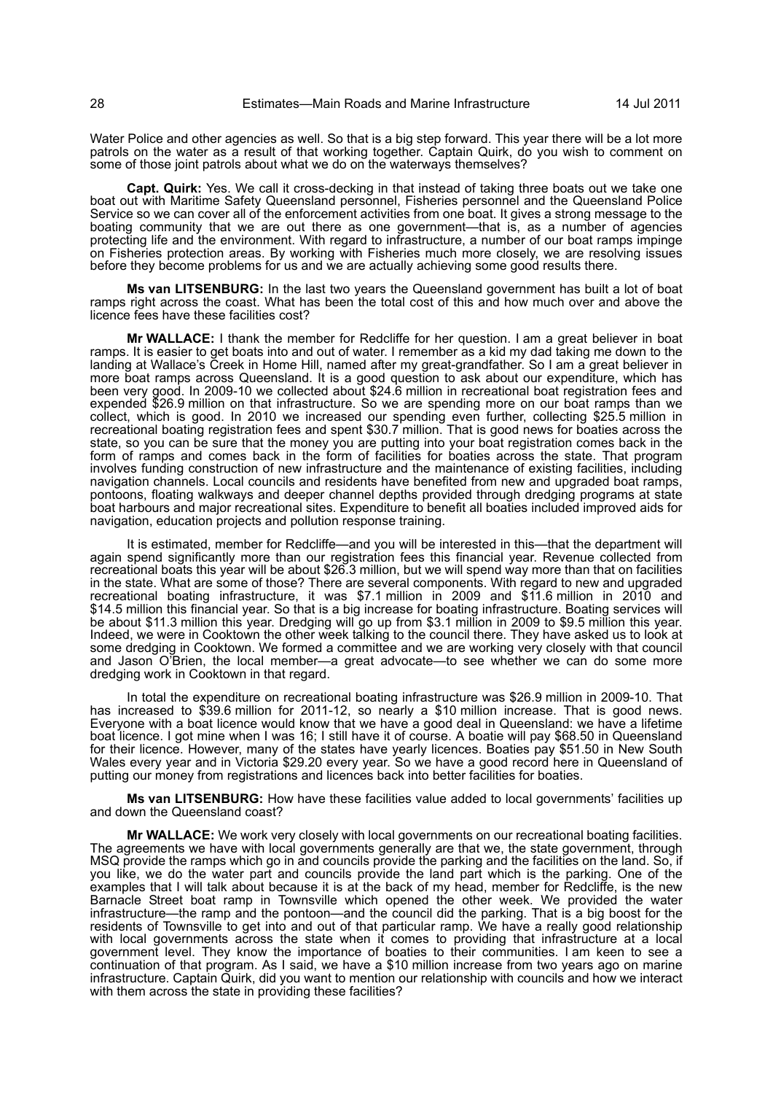Water Police and other agencies as well. So that is a big step forward. This year there will be a lot more patrols on the water as a result of that working together. Captain Quirk, do you wish to comment on some of those joint patrols about what we do on the waterways themselves?

**Capt. Quirk:** Yes. We call it cross-decking in that instead of taking three boats out we take one boat out with Maritime Safety Queensland personnel, Fisheries personnel and the Queensland Police Service so we can cover all of the enforcement activities from one boat. It gives a strong message to the boating community that we are out there as one government—that is, as a number of agencies protecting life and the environment. With regard to infrastructure, a number of our boat ramps impinge on Fisheries protection areas. By working with Fisheries much more closely, we are resolving issues before they become problems for us and we are actually achieving some good results there.

**Ms van LITSENBURG:** In the last two years the Queensland government has built a lot of boat ramps right across the coast. What has been the total cost of this and how much over and above the licence fees have these facilities cost?

**Mr WALLACE:** I thank the member for Redcliffe for her question. I am a great believer in boat ramps. It is easier to get boats into and out of water. I remember as a kid my dad taking me down to the landing at Wallace's Creek in Home Hill, named after my great-grandfather. So I am a great believer in more boat ramps across Queensland. It is a good question to ask about our expenditure, which has been very good. In 2009-10 we collected about \$24.6 million in recreational boat registration fees and expended \$26.9 million on that infrastructure. So we are spending more on our boat ramps than we collect, which is good. In 2010 we increased our spending even further, collecting \$25.5 million in recreational boating registration fees and spent \$30.7 million. That is good news for boaties across the state, so you can be sure that the money you are putting into your boat registration comes back in the form of ramps and comes back in the form of facilities for boaties across the state. That program involves funding construction of new infrastructure and the maintenance of existing facilities, including navigation channels. Local councils and residents have benefited from new and upgraded boat ramps, pontoons, floating walkways and deeper channel depths provided through dredging programs at state boat harbours and major recreational sites. Expenditure to benefit all boaties included improved aids for navigation, education projects and pollution response training.

It is estimated, member for Redcliffe—and you will be interested in this—that the department will again spend significantly more than our registration fees this financial year. Revenue collected from recreational boats this year will be about \$26.3 million, but we will spend way more than that on facilities in the state. What are some of those? There are several components. With regard to new and upgraded recreational boating infrastructure, it was \$7.1 million in 2009 and \$11.6 million in 2010 and \$14.5 million this financial year. So that is a big increase for boating infrastructure. Boating services will be about \$11.3 million this year. Dredging will go up from \$3.1 million in 2009 to \$9.5 million this year. Indeed, we were in Cooktown the other week talking to the council there. They have asked us to look at some dredging in Cooktown. We formed a committee and we are working very closely with that council and Jason O'Brien, the local member—a great advocate—to see whether we can do some more dredging work in Cooktown in that regard.

In total the expenditure on recreational boating infrastructure was \$26.9 million in 2009-10. That has increased to \$39.6 million for 2011-12, so nearly a \$10 million increase. That is good news. Everyone with a boat licence would know that we have a good deal in Queensland: we have a lifetime boat licence. I got mine when I was 16; I still have it of course. A boatie will pay \$68.50 in Queensland for their licence. However, many of the states have yearly licences. Boaties pay \$51.50 in New South Wales every year and in Victoria \$29.20 every year. So we have a good record here in Queensland of putting our money from registrations and licences back into better facilities for boaties.

**Ms van LITSENBURG:** How have these facilities value added to local governments' facilities up and down the Queensland coast?

**Mr WALLACE:** We work very closely with local governments on our recreational boating facilities. The agreements we have with local governments generally are that we, the state government, through MSQ provide the ramps which go in and councils provide the parking and the facilities on the land. So, if you like, we do the water part and councils provide the land part which is the parking. One of the examples that I will talk about because it is at the back of my head, member for Redcliffe, is the new Barnacle Street boat ramp in Townsville which opened the other week. We provided the water infrastructure—the ramp and the pontoon—and the council did the parking. That is a big boost for the residents of Townsville to get into and out of that particular ramp. We have a really good relationship with local governments across the state when it comes to providing that infrastructure at a local government level. They know the importance of boaties to their communities. I am keen to see a continuation of that program. As I said, we have a \$10 million increase from two years ago on marine infrastructure. Captain Quirk, did you want to mention our relationship with councils and how we interact with them across the state in providing these facilities?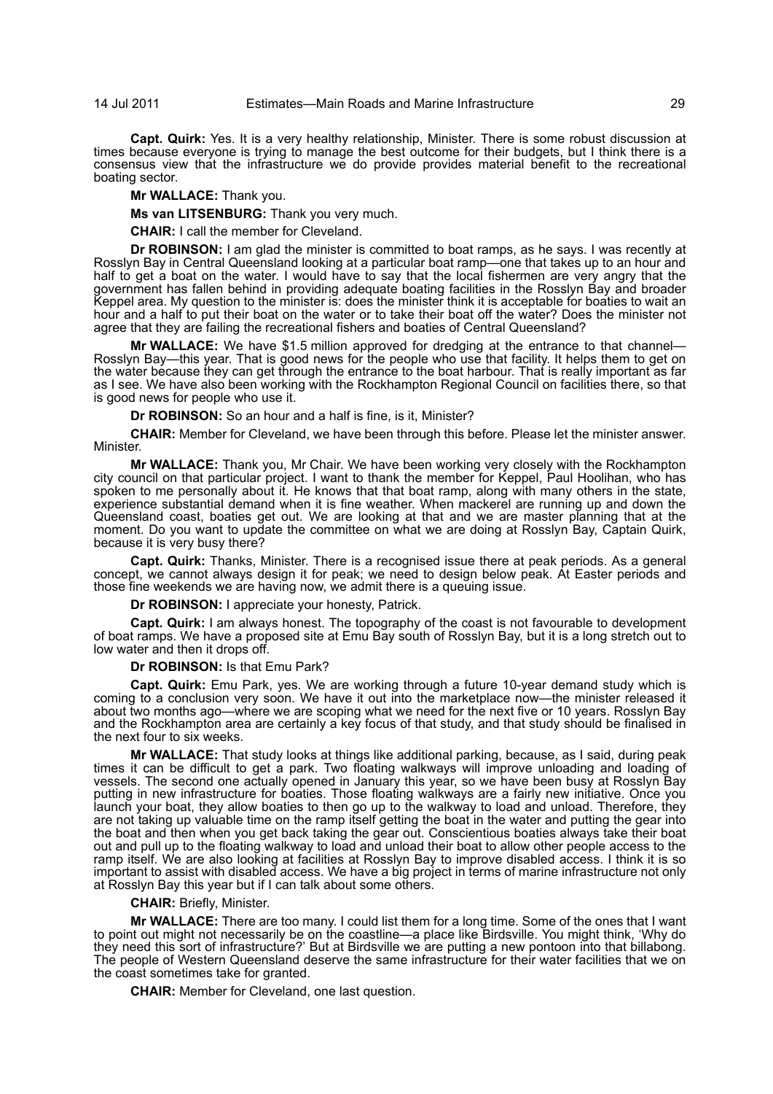**Capt. Quirk:** Yes. It is a very healthy relationship, Minister. There is some robust discussion at times because everyone is trying to manage the best outcome for their budgets, but I think there is a consensus view that the infrastructure we do provide provides material benefit to the recreational boating sector.

**Mr WALLACE:** Thank you.

**Ms van LITSENBURG:** Thank you very much.

**CHAIR:** I call the member for Cleveland.

**Dr ROBINSON:** I am glad the minister is committed to boat ramps, as he says. I was recently at Rosslyn Bay in Central Queensland looking at a particular boat ramp—one that takes up to an hour and half to get a boat on the water. I would have to say that the local fishermen are very angry that the government has fallen behind in providing adequate boating facilities in the Rosslyn Bay and broader Keppel area. My question to the minister is: does the minister think it is acceptable for boaties to wait an hour and a half to put their boat on the water or to take their boat off the water? Does the minister not agree that they are failing the recreational fishers and boaties of Central Queensland?

**Mr WALLACE:** We have \$1.5 million approved for dredging at the entrance to that channel— Rosslyn Bay—this year. That is good news for the people who use that facility. It helps them to get on the water because they can get through the entrance to the boat harbour. That is really important as far as I see. We have also been working with the Rockhampton Regional Council on facilities there, so that is good news for people who use it.

**Dr ROBINSON:** So an hour and a half is fine, is it, Minister?

**CHAIR:** Member for Cleveland, we have been through this before. Please let the minister answer. Minister.

**Mr WALLACE:** Thank you, Mr Chair. We have been working very closely with the Rockhampton city council on that particular project. I want to thank the member for Keppel, Paul Hoolihan, who has spoken to me personally about it. He knows that that boat ramp, along with many others in the state, experience substantial demand when it is fine weather. When mackerel are running up and down the Queensland coast, boaties get out. We are looking at that and we are master planning that at the moment. Do you want to update the committee on what we are doing at Rosslyn Bay, Captain Quirk, because it is very busy there?

**Capt. Quirk:** Thanks, Minister. There is a recognised issue there at peak periods. As a general concept, we cannot always design it for peak; we need to design below peak. At Easter periods and those fine weekends we are having now, we admit there is a queuing issue.

**Dr ROBINSON:** I appreciate your honesty, Patrick.

**Capt. Quirk:** I am always honest. The topography of the coast is not favourable to development of boat ramps. We have a proposed site at Emu Bay south of Rosslyn Bay, but it is a long stretch out to low water and then it drops off.

#### **Dr ROBINSON:** Is that Emu Park?

**Capt. Quirk:** Emu Park, yes. We are working through a future 10-year demand study which is coming to a conclusion very soon. We have it out into the marketplace now—the minister released it about two months ago—where we are scoping what we need for the next five or 10 years. Rosslyn Bay and the Rockhampton area are certainly a key focus of that study, and that study should be finalised in the next four to six weeks.

**Mr WALLACE:** That study looks at things like additional parking, because, as I said, during peak times it can be difficult to get a park. Two floating walkways will improve unloading and loading of vessels. The second one actually opened in January this year, so we have been busy at Rosslyn Bay putting in new infrastructure for boaties. Those floating walkways are a fairly new initiative. Once you launch your boat, they allow boaties to then go up to the walkway to load and unload. Therefore, they are not taking up valuable time on the ramp itself getting the boat in the water and putting the gear into the boat and then when you get back taking the gear out. Conscientious boaties always take their boat out and pull up to the floating walkway to load and unload their boat to allow other people access to the ramp itself. We are also looking at facilities at Rosslyn Bay to improve disabled access. I think it is so important to assist with disabled access. We have a big project in terms of marine infrastructure not only at Rosslyn Bay this year but if I can talk about some others.

#### **CHAIR:** Briefly, Minister.

**Mr WALLACE:** There are too many. I could list them for a long time. Some of the ones that I want to point out might not necessarily be on the coastline—a place like Birdsville. You might think, 'Why do they need this sort of infrastructure?' But at Birdsville we are putting a new pontoon into that billabong. The people of Western Queensland deserve the same infrastructure for their water facilities that we on the coast sometimes take for granted.

**CHAIR:** Member for Cleveland, one last question.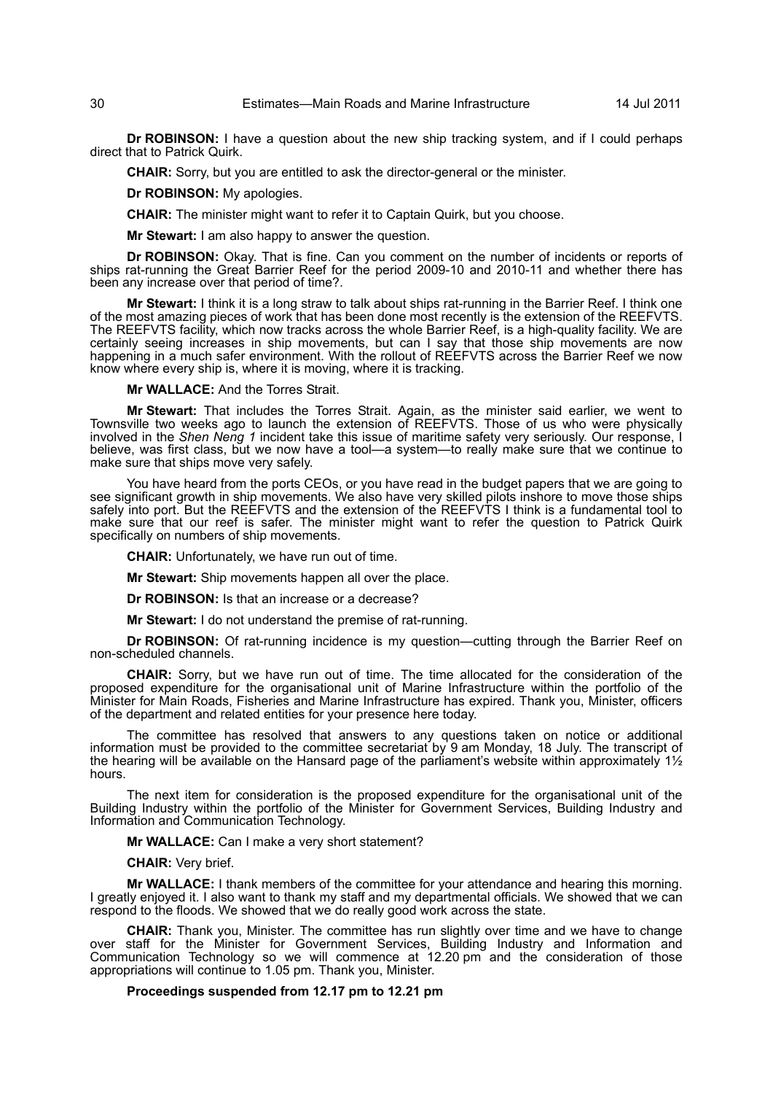**Dr ROBINSON:** I have a question about the new ship tracking system, and if I could perhaps direct that to Patrick Quirk.

**CHAIR:** Sorry, but you are entitled to ask the director-general or the minister.

## **Dr ROBINSON:** My apologies.

**CHAIR:** The minister might want to refer it to Captain Quirk, but you choose.

**Mr Stewart:** I am also happy to answer the question.

**Dr ROBINSON:** Okay. That is fine. Can you comment on the number of incidents or reports of ships rat-running the Great Barrier Reef for the period 2009-10 and 2010-11 and whether there has been any increase over that period of time?.

**Mr Stewart:** I think it is a long straw to talk about ships rat-running in the Barrier Reef. I think one of the most amazing pieces of work that has been done most recently is the extension of the REEFVTS. The REEFVTS facility, which now tracks across the whole Barrier Reef, is a high-quality facility. We are certainly seeing increases in ship movements, but can I say that those ship movements are now happening in a much safer environment. With the rollout of REEFVTS across the Barrier Reef we now know where every ship is, where it is moving, where it is tracking.

**Mr WALLACE:** And the Torres Strait.

**Mr Stewart:** That includes the Torres Strait. Again, as the minister said earlier, we went to Townsville two weeks ago to launch the extension of REEFVTS. Those of us who were physically involved in the *Shen Neng 1* incident take this issue of maritime safety very seriously. Our response, I believe, was first class, but we now have a tool—a system—to really make sure that we continue to make sure that ships move very safely.

You have heard from the ports CEOs, or you have read in the budget papers that we are going to see significant growth in ship movements. We also have very skilled pilots inshore to move those ships safely into port. But the REEFVTS and the extension of the REEFVTS I think is a fundamental tool to make sure that our reef is safer. The minister might want to refer the question to Patrick Quirk specifically on numbers of ship movements.

**CHAIR:** Unfortunately, we have run out of time.

**Mr Stewart:** Ship movements happen all over the place.

**Dr ROBINSON:** Is that an increase or a decrease?

**Mr Stewart:** I do not understand the premise of rat-running.

**Dr ROBINSON:** Of rat-running incidence is my question—cutting through the Barrier Reef on non-scheduled channels.

**CHAIR:** Sorry, but we have run out of time. The time allocated for the consideration of the proposed expenditure for the organisational unit of Marine Infrastructure within the portfolio of the Minister for Main Roads, Fisheries and Marine Infrastructure has expired. Thank you, Minister, officers of the department and related entities for your presence here today.

The committee has resolved that answers to any questions taken on notice or additional information must be provided to the committee secretariat by 9 am Monday, 18 July. The transcript of the hearing will be available on the Hansard page of the parliament's website within approximately  $1\frac{1}{2}$ hours.

The next item for consideration is the proposed expenditure for the organisational unit of the Building Industry within the portfolio of the Minister for Government Services, Building Industry and Information and Communication Technology.

## **Mr WALLACE:** Can I make a very short statement?

#### **CHAIR:** Very brief.

**Mr WALLACE:** I thank members of the committee for your attendance and hearing this morning. I greatly enjoyed it. I also want to thank my staff and my departmental officials. We showed that we can respond to the floods. We showed that we do really good work across the state.

**CHAIR:** Thank you, Minister. The committee has run slightly over time and we have to change over staff for the Minister for Government Services, Building Industry and Information and Communication Technology so we will commence at 12.20 pm and the consideration of those appropriations will continue to 1.05 pm. Thank you, Minister.

## **Proceedings suspended from 12.17 pm to 12.21 pm**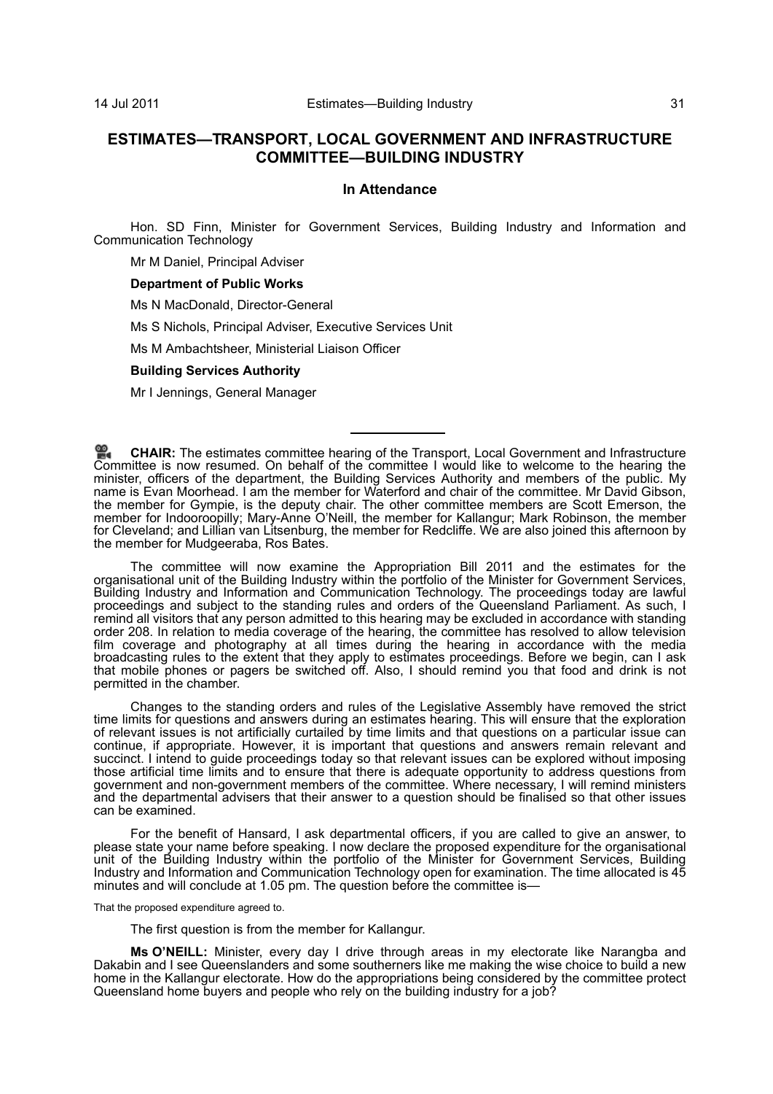# **ESTIMATES—TRANSPORT, LOCAL GOVERNMENT AND INFRASTRUCTURE COMMITTEE—BUILDING INDUSTRY**

## **In Attendance**

Hon. SD Finn, Minister for Government Services, Building Industry and Information and Communication Technology

Mr M Daniel, Principal Adviser

#### **Department of Public Works**

Ms N MacDonald, Director-General

Ms S Nichols, Principal Adviser, Executive Services Unit

Ms M Ambachtsheer, Ministerial Liaison Officer

#### **Building Services Authority**

Mr I Jennings, General Manager

**[CHAIR:](http://www.parliament.qld.gov.au/docs/find.aspx?id=0Mba20110714_122234)** The estimates committee hearing of the Transport, Local Government and Infrastructure [Com](http://www.parliament.qld.gov.au/docs/find.aspx?id=0Mba20110714_122234)mittee is now resumed. On behalf of the committee I would like to welcome to the hearing the minister, officers of the department, the Building Services Authority and members of the public. My name is Evan Moorhead. I am the member for Waterford and chair of the committee. Mr David Gibson, the member for Gympie, is the deputy chair. The other committee members are Scott Emerson, the member for Indooroopilly; Mary-Anne O'Neill, the member for Kallangur; Mark Robinson, the member for Cleveland; and Lillian van Litsenburg, the member for Redcliffe. We are also joined this afternoon by the member for Mudgeeraba, Ros Bates.

The committee will now examine the Appropriation Bill 2011 and the estimates for the organisational unit of the Building Industry within the portfolio of the Minister for Government Services, Building Industry and Information and Communication Technology. The proceedings today are lawful proceedings and subject to the standing rules and orders of the Queensland Parliament. As such, I remind all visitors that any person admitted to this hearing may be excluded in accordance with standing order 208. In relation to media coverage of the hearing, the committee has resolved to allow television film coverage and photography at all times during the hearing in accordance with the media broadcasting rules to the extent that they apply to estimates proceedings. Before we begin, can I ask that mobile phones or pagers be switched off. Also, I should remind you that food and drink is not permitted in the chamber.

Changes to the standing orders and rules of the Legislative Assembly have removed the strict time limits for questions and answers during an estimates hearing. This will ensure that the exploration of relevant issues is not artificially curtailed by time limits and that questions on a particular issue can continue, if appropriate. However, it is important that questions and answers remain relevant and succinct. I intend to guide proceedings today so that relevant issues can be explored without imposing those artificial time limits and to ensure that there is adequate opportunity to address questions from government and non-government members of the committee. Where necessary, I will remind ministers and the departmental advisers that their answer to a question should be finalised so that other issues can be examined.

For the benefit of Hansard, I ask departmental officers, if you are called to give an answer, to please state your name before speaking. I now declare the proposed expenditure for the organisational unit of the Building Industry within the portfolio of the Minister for Government Services, Building Industry and Information and Communication Technology open for examination. The time allocated is 45 minutes and will conclude at 1.05 pm. The question before the committee is—

That the proposed expenditure agreed to.

The first question is from the member for Kallangur.

**Ms O'NEILL:** Minister, every day I drive through areas in my electorate like Narangba and Dakabin and I see Queenslanders and some southerners like me making the wise choice to build a new home in the Kallangur electorate. How do the appropriations being considered by the committee protect Queensland home buyers and people who rely on the building industry for a job?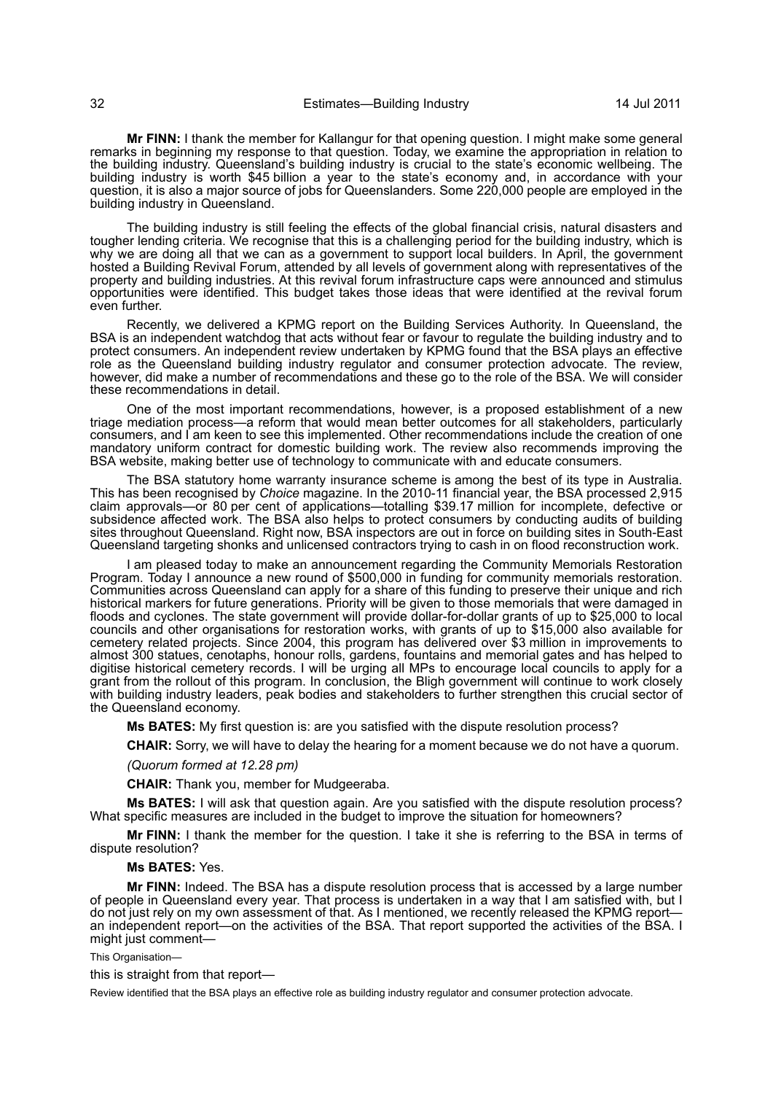**Mr FINN:** I thank the member for Kallangur for that opening question. I might make some general remarks in beginning my response to that question. Today, we examine the appropriation in relation to the building industry. Queensland's building industry is crucial to the state's economic wellbeing. The building industry is worth \$45 billion a year to the state's economy and, in accordance with your question, it is also a major source of jobs for Queenslanders. Some 220,000 people are employed in the building industry in Queensland.

The building industry is still feeling the effects of the global financial crisis, natural disasters and tougher lending criteria. We recognise that this is a challenging period for the building industry, which is why we are doing all that we can as a government to support local builders. In April, the government hosted a Building Revival Forum, attended by all levels of government along with representatives of the property and building industries. At this revival forum infrastructure caps were announced and stimulus opportunities were identified. This budget takes those ideas that were identified at the revival forum even further.

Recently, we delivered a KPMG report on the Building Services Authority. In Queensland, the BSA is an independent watchdog that acts without fear or favour to regulate the building industry and to protect consumers. An independent review undertaken by KPMG found that the BSA plays an effective role as the Queensland building industry regulator and consumer protection advocate. The review, however, did make a number of recommendations and these go to the role of the BSA. We will consider these recommendations in detail.

One of the most important recommendations, however, is a proposed establishment of a new triage mediation process—a reform that would mean better outcomes for all stakeholders, particularly consumers, and I am keen to see this implemented. Other recommendations include the creation of one mandatory uniform contract for domestic building work. The review also recommends improving the BSA website, making better use of technology to communicate with and educate consumers.

The BSA statutory home warranty insurance scheme is among the best of its type in Australia. This has been recognised by *Choice* magazine. In the 2010-11 financial year, the BSA processed 2,915 claim approvals—or 80 per cent of applications—totalling \$39.17 million for incomplete, defective or subsidence affected work. The BSA also helps to protect consumers by conducting audits of building sites throughout Queensland. Right now, BSA inspectors are out in force on building sites in South-East Queensland targeting shonks and unlicensed contractors trying to cash in on flood reconstruction work.

I am pleased today to make an announcement regarding the Community Memorials Restoration Program. Today I announce a new round of \$500,000 in funding for community memorials restoration. Communities across Queensland can apply for a share of this funding to preserve their unique and rich historical markers for future generations. Priority will be given to those memorials that were damaged in floods and cyclones. The state government will provide dollar-for-dollar grants of up to \$25,000 to local councils and other organisations for restoration works, with grants of up to \$15,000 also available for cemetery related projects. Since 2004, this program has delivered over \$3 million in improvements to almost 300 statues, cenotaphs, honour rolls, gardens, fountains and memorial gates and has helped to digitise historical cemetery records. I will be urging all MPs to encourage local councils to apply for a grant from the rollout of this program. In conclusion, the Bligh government will continue to work closely with building industry leaders, peak bodies and stakeholders to further strengthen this crucial sector of the Queensland economy.

**Ms BATES:** My first question is: are you satisfied with the dispute resolution process?

**CHAIR:** Sorry, we will have to delay the hearing for a moment because we do not have a quorum.

## *(Quorum formed at 12.28 pm)*

**CHAIR:** Thank you, member for Mudgeeraba.

**Ms BATES:** I will ask that question again. Are you satisfied with the dispute resolution process? What specific measures are included in the budget to improve the situation for homeowners?

**Mr FINN:** I thank the member for the question. I take it she is referring to the BSA in terms of dispute resolution?

#### **Ms BATES:** Yes.

**Mr FINN:** Indeed. The BSA has a dispute resolution process that is accessed by a large number of people in Queensland every year. That process is undertaken in a way that I am satisfied with, but I do not just rely on my own assessment of that. As I mentioned, we recently released the KPMG report an independent report—on the activities of the BSA. That report supported the activities of the BSA. I might just comment—

## This Organisation—

this is straight from that report—

Review identified that the BSA plays an effective role as building industry regulator and consumer protection advocate.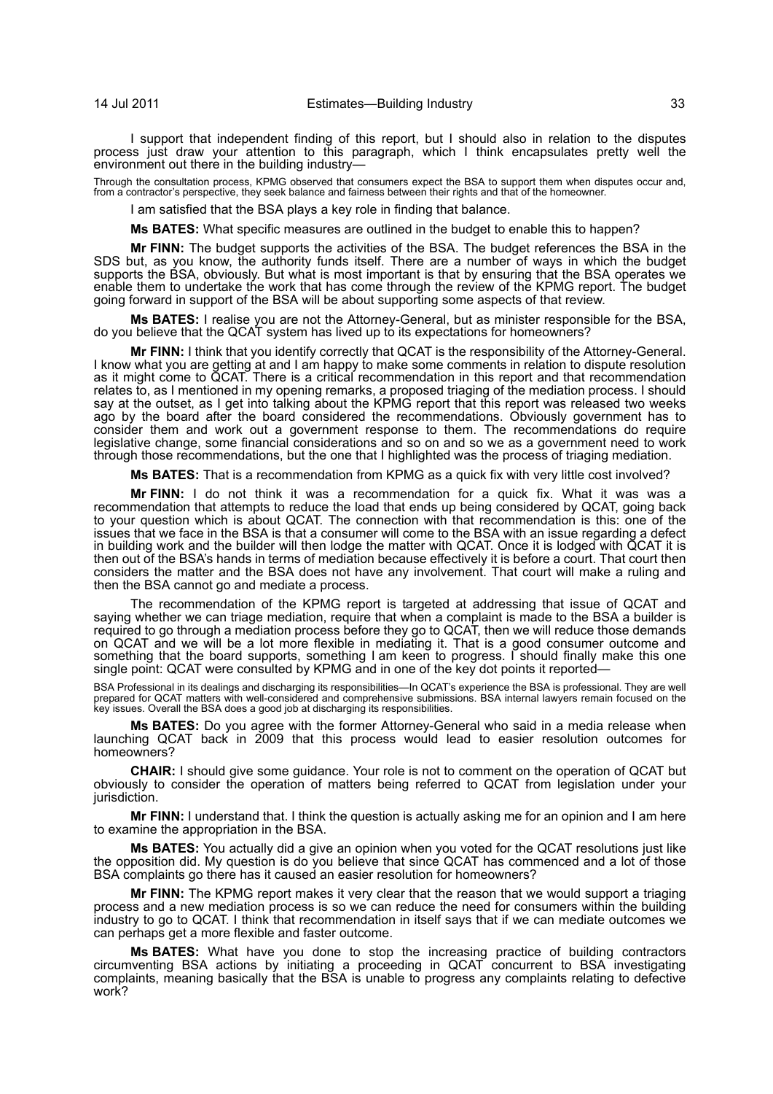I support that independent finding of this report, but I should also in relation to the disputes process just draw your attention to this paragraph, which I think encapsulates pretty well the environment out there in the building industry—

Through the consultation process, KPMG observed that consumers expect the BSA to support them when disputes occur and, from a contractor's perspective, they seek balance and fairness between their rights and that of the homeowner.

I am satisfied that the BSA plays a key role in finding that balance.

**Ms BATES:** What specific measures are outlined in the budget to enable this to happen?

**Mr FINN:** The budget supports the activities of the BSA. The budget references the BSA in the SDS but, as you know, the authority funds itself. There are a number of ways in which the budget supports the BSA, obviously. But what is most important is that by ensuring that the BSA operates we enable them to undertake the work that has come through the review of the KPMG report. The budget going forward in support of the BSA will be about supporting some aspects of that review.

**Ms BATES:** I realise you are not the Attorney-General, but as minister responsible for the BSA, do you believe that the QCAT system has lived up to its expectations for homeowners?

**Mr FINN:** I think that you identify correctly that QCAT is the responsibility of the Attorney-General. I know what you are getting at and I am happy to make some comments in relation to dispute resolution as it might come to QCAT. There is a critical recommendation in this report and that recommendation relates to, as I mentioned in my opening remarks, a proposed triaging of the mediation process. I should say at the outset, as I get into talking about the KPMG report that this report was released two weeks ago by the board after the board considered the recommendations. Obviously government has to consider them and work out a government response to them. The recommendations do require legislative change, some financial considerations and so on and so we as a government need to work through those recommendations, but the one that I highlighted was the process of triaging mediation.

**Ms BATES:** That is a recommendation from KPMG as a quick fix with very little cost involved?

**Mr FINN:** I do not think it was a recommendation for a quick fix. What it was was a recommendation that attempts to reduce the load that ends up being considered by QCAT, going back to your question which is about QCAT. The connection with that recommendation is this: one of the issues that we face in the BSA is that a consumer will come to the BSA with an issue regarding a defect in building work and the builder will then lodge the matter with QCAT. Once it is lodged with QCAT it is then out of the BSA's hands in terms of mediation because effectively it is before a court. That court then considers the matter and the BSA does not have any involvement. That court will make a ruling and then the BSA cannot go and mediate a process.

The recommendation of the KPMG report is targeted at addressing that issue of QCAT and saying whether we can triage mediation, require that when a complaint is made to the BSA a builder is required to go through a mediation process before they go to QCAT, then we will reduce those demands on QCAT and we will be a lot more flexible in mediating it. That is a good consumer outcome and something that the board supports, something I am keen to progress. I should finally make this one single point: QCAT were consulted by KPMG and in one of the key dot points it reported-

BSA Professional in its dealings and discharging its responsibilities—In QCAT's experience the BSA is professional. They are well<br>prepared for QCAT matters with well-considered and comprehensive submissions. BSA internal l

**Ms BATES:** Do you agree with the former Attorney-General who said in a media release when launching QCAT back in 2009 that this process would lead to easier resolution outcomes for homeowners?

**CHAIR:** I should give some guidance. Your role is not to comment on the operation of QCAT but obviously to consider the operation of matters being referred to QCAT from legislation under your jurisdiction.

**Mr FINN:** I understand that. I think the question is actually asking me for an opinion and I am here to examine the appropriation in the BSA.

**Ms BATES:** You actually did a give an opinion when you voted for the QCAT resolutions just like the opposition did. My question is do you believe that since QCAT has commenced and a lot of those BSA complaints go there has it caused an easier resolution for homeowners?

**Mr FINN:** The KPMG report makes it very clear that the reason that we would support a triaging process and a new mediation process is so we can reduce the need for consumers within the building industry to go to QCAT. I think that recommendation in itself says that if we can mediate outcomes we can perhaps get a more flexible and faster outcome.

**Ms BATES:** What have you done to stop the increasing practice of building contractors circumventing BSA actions by initiating a proceeding in QCAT concurrent to BSA investigating complaints, meaning basically that the BSA is unable to progress any complaints relating to defective work?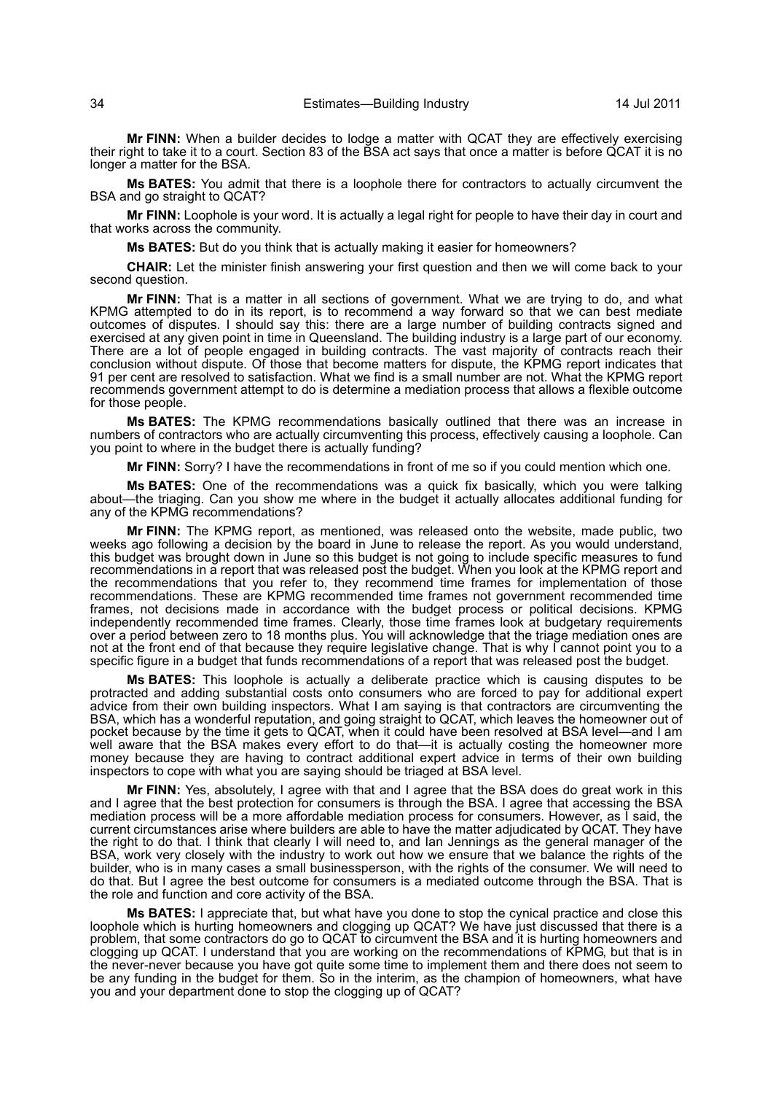**Mr FINN:** When a builder decides to lodge a matter with QCAT they are effectively exercising their right to take it to a court. Section 83 of the BSA act says that once a matter is before QCAT it is no longer a matter for the BSA.

**Ms BATES:** You admit that there is a loophole there for contractors to actually circumvent the BSA and go straight to QCAT?

**Mr FINN:** Loophole is your word. It is actually a legal right for people to have their day in court and that works across the community.

**Ms BATES:** But do you think that is actually making it easier for homeowners?

**CHAIR:** Let the minister finish answering your first question and then we will come back to your second question.

**Mr FINN:** That is a matter in all sections of government. What we are trying to do, and what KPMG attempted to do in its report, is to recommend a way forward so that we can best mediate outcomes of disputes. I should say this: there are a large number of building contracts signed and exercised at any given point in time in Queensland. The building industry is a large part of our economy. There are a lot of people engaged in building contracts. The vast majority of contracts reach their conclusion without dispute. Of those that become matters for dispute, the KPMG report indicates that 91 per cent are resolved to satisfaction. What we find is a small number are not. What the KPMG report recommends government attempt to do is determine a mediation process that allows a flexible outcome for those people.

**Ms BATES:** The KPMG recommendations basically outlined that there was an increase in numbers of contractors who are actually circumventing this process, effectively causing a loophole. Can you point to where in the budget there is actually funding?

**Mr FINN:** Sorry? I have the recommendations in front of me so if you could mention which one.

**Ms BATES:** One of the recommendations was a quick fix basically, which you were talking about—the triaging. Can you show me where in the budget it actually allocates additional funding for any of the KPMG recommendations?

**Mr FINN:** The KPMG report, as mentioned, was released onto the website, made public, two weeks ago following a decision by the board in June to release the report. As you would understand, this budget was brought down in June so this budget is not going to include specific measures to fund recommendations in a report that was released post the budget. When you look at the KPMG report and the recommendations that you refer to, they recommend time frames for implementation of those recommendations. These are KPMG recommended time frames not government recommended time frames, not decisions made in accordance with the budget process or political decisions. KPMG independently recommended time frames. Clearly, those time frames look at budgetary requirements over a period between zero to 18 months plus. You will acknowledge that the triage mediation ones are not at the front end of that because they require legislative change. That is why I cannot point you to a specific figure in a budget that funds recommendations of a report that was released post the budget.

**Ms BATES:** This loophole is actually a deliberate practice which is causing disputes to be protracted and adding substantial costs onto consumers who are forced to pay for additional expert advice from their own building inspectors. What I am saying is that contractors are circumventing the BSA, which has a wonderful reputation, and going straight to QCAT, which leaves the homeowner out of pocket because by the time it gets to QCAT, when it could have been resolved at BSA level—and I am well aware that the BSA makes every effort to do that—it is actually costing the homeowner more money because they are having to contract additional expert advice in terms of their own building inspectors to cope with what you are saying should be triaged at BSA level.

**Mr FINN:** Yes, absolutely, I agree with that and I agree that the BSA does do great work in this and I agree that the best protection for consumers is through the BSA. I agree that accessing the BSA mediation process will be a more affordable mediation process for consumers. However, as I said, the current circumstances arise where builders are able to have the matter adjudicated by QCAT. They have the right to do that. I think that clearly I will need to, and Ian Jennings as the general manager of the BSA, work very closely with the industry to work out how we ensure that we balance the rights of the builder, who is in many cases a small businessperson, with the rights of the consumer. We will need to do that. But I agree the best outcome for consumers is a mediated outcome through the BSA. That is the role and function and core activity of the BSA.

**Ms BATES:** I appreciate that, but what have you done to stop the cynical practice and close this loophole which is hurting homeowners and clogging up QCAT? We have just discussed that there is a problem, that some contractors do go to QCAT to circumvent the BSA and it is hurting homeowners and clogging up QCAT. I understand that you are working on the recommendations of KPMG, but that is in the never-never because you have got quite some time to implement them and there does not seem to be any funding in the budget for them. So in the interim, as the champion of homeowners, what have you and your department done to stop the clogging up of QCAT?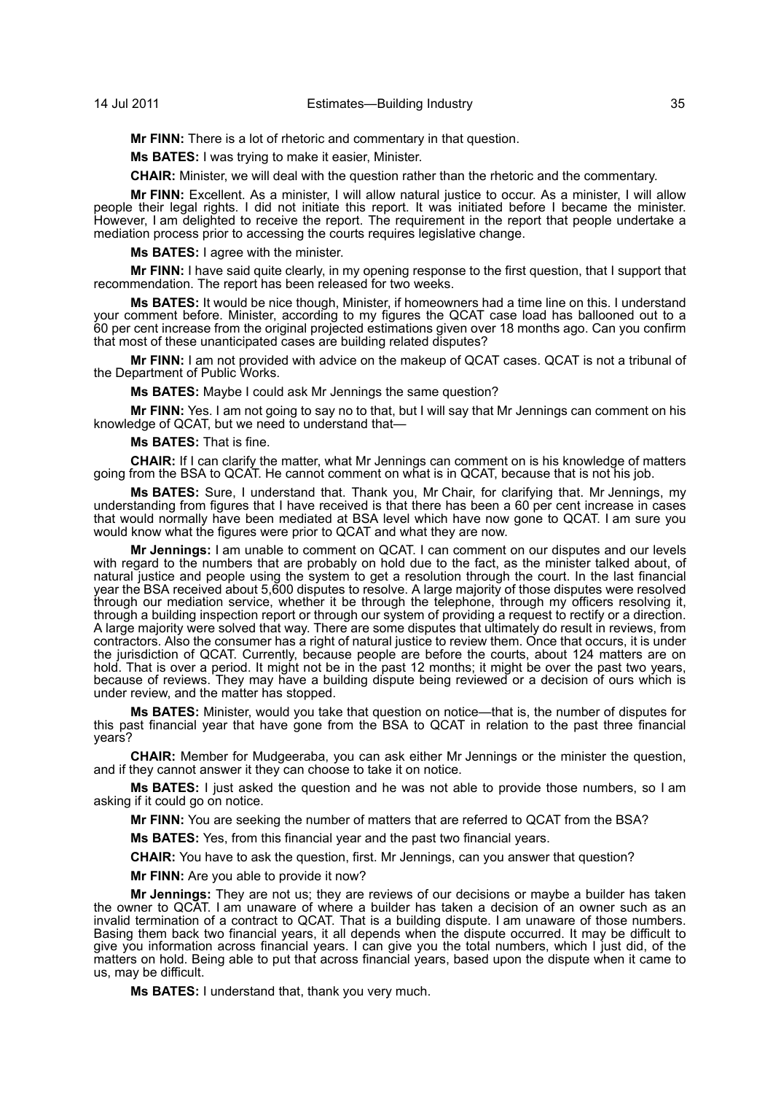**Mr FINN:** There is a lot of rhetoric and commentary in that question.

**Ms BATES:** I was trying to make it easier, Minister.

**CHAIR:** Minister, we will deal with the question rather than the rhetoric and the commentary.

**Mr FINN:** Excellent. As a minister, I will allow natural justice to occur. As a minister, I will allow people their legal rights. I did not initiate this report. It was initiated before I became the minister. However, I am delighted to receive the report. The requirement in the report that people undertake a mediation process prior to accessing the courts requires legislative change.

**Ms BATES:** I agree with the minister.

**Mr FINN:** I have said quite clearly, in my opening response to the first question, that I support that recommendation. The report has been released for two weeks.

**Ms BATES:** It would be nice though, Minister, if homeowners had a time line on this. I understand your comment before. Minister, according to my figures the QCAT case load has ballooned out to a 60 per cent increase from the original projected estimations given over 18 months ago. Can you confirm that most of these unanticipated cases are building related disputes?

**Mr FINN:** I am not provided with advice on the makeup of QCAT cases. QCAT is not a tribunal of the Department of Public Works.

**Ms BATES:** Maybe I could ask Mr Jennings the same question?

**Mr FINN:** Yes. I am not going to say no to that, but I will say that Mr Jennings can comment on his knowledge of QCAT, but we need to understand that—

**Ms BATES:** That is fine.

**CHAIR:** If I can clarify the matter, what Mr Jennings can comment on is his knowledge of matters going from the BSA to QCAT. He cannot comment on what is in QCAT, because that is not his job.

**Ms BATES:** Sure, I understand that. Thank you, Mr Chair, for clarifying that. Mr Jennings, my understanding from figures that I have received is that there has been a 60 per cent increase in cases that would normally have been mediated at BSA level which have now gone to QCAT. I am sure you would know what the figures were prior to QCAT and what they are now.

**Mr Jennings:** I am unable to comment on QCAT. I can comment on our disputes and our levels with regard to the numbers that are probably on hold due to the fact, as the minister talked about, of natural justice and people using the system to get a resolution through the court. In the last financial year the BSA received about 5,600 disputes to resolve. A large majority of those disputes were resolved through our mediation service, whether it be through the telephone, through my officers resolving it, through a building inspection report or through our system of providing a request to rectify or a direction. A large majority were solved that way. There are some disputes that ultimately do result in reviews, from contractors. Also the consumer has a right of natural justice to review them. Once that occurs, it is under the jurisdiction of QCAT. Currently, because people are before the courts, about 124 matters are on hold. That is over a period. It might not be in the past 12 months; it might be over the past two years, because of reviews. They may have a building dispute being reviewed or a decision of ours which is under review, and the matter has stopped.

**Ms BATES:** Minister, would you take that question on notice—that is, the number of disputes for this past financial year that have gone from the BSA to QCAT in relation to the past three financial years?

**CHAIR:** Member for Mudgeeraba, you can ask either Mr Jennings or the minister the question, and if they cannot answer it they can choose to take it on notice.

**Ms BATES:** I just asked the question and he was not able to provide those numbers, so I am asking if it could go on notice.

**Mr FINN:** You are seeking the number of matters that are referred to QCAT from the BSA?

**Ms BATES:** Yes, from this financial year and the past two financial years.

**CHAIR:** You have to ask the question, first. Mr Jennings, can you answer that question?

**Mr FINN:** Are you able to provide it now?

**Mr Jennings:** They are not us; they are reviews of our decisions or maybe a builder has taken the owner to QCAT. I am unaware of where a builder has taken a decision of an owner such as an invalid termination of a contract to QCAT. That is a building dispute. I am unaware of those numbers. Basing them back two financial years, it all depends when the dispute occurred. It may be difficult to give you information across financial years. I can give you the total numbers, which I just did, of the matters on hold. Being able to put that across financial years, based upon the dispute when it came to us, may be difficult.

**Ms BATES:** I understand that, thank you very much.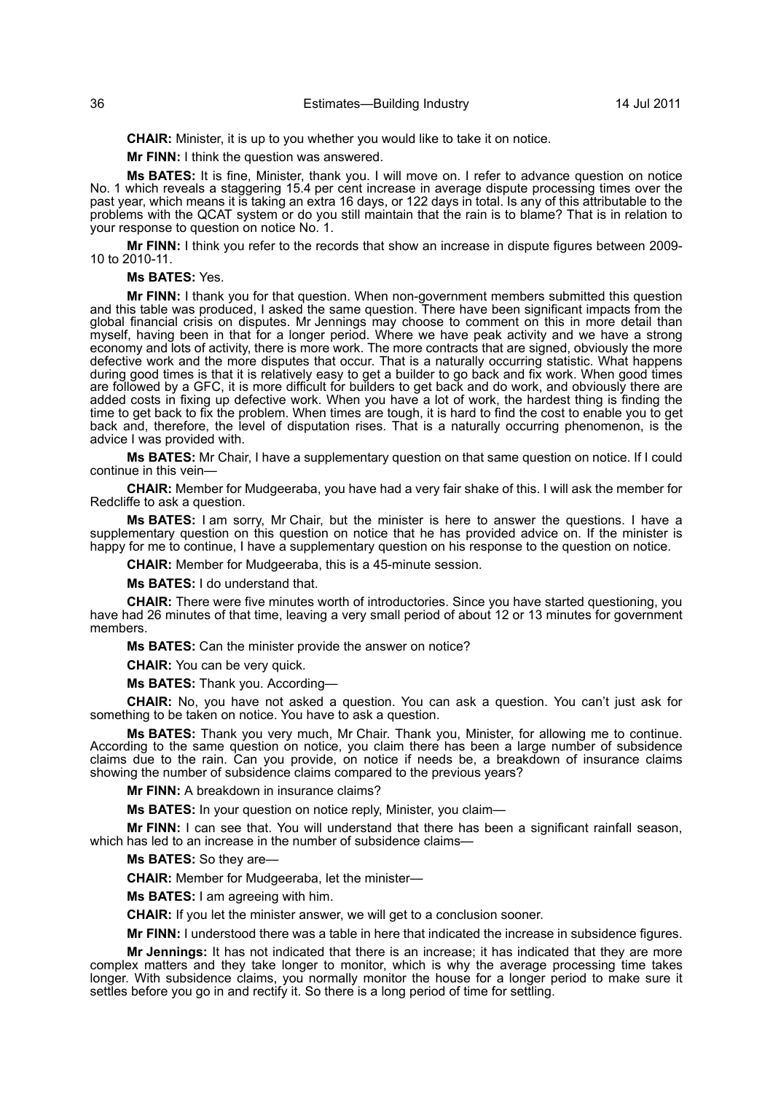**CHAIR:** Minister, it is up to you whether you would like to take it on notice.

**Mr FINN:** I think the question was answered.

**Ms BATES:** It is fine, Minister, thank you. I will move on. I refer to advance question on notice No. 1 which reveals a staggering 15.4 per cent increase in average dispute processing times over the past year, which means it is taking an extra 16 days, or 122 days in total. Is any of this attributable to the problems with the QCAT system or do you still maintain that the rain is to blame? That is in relation to your response to question on notice No. 1.

**Mr FINN:** I think you refer to the records that show an increase in dispute figures between 2009- 10 to 2010-11.

**Ms BATES:** Yes.

**Mr FINN:** I thank you for that question. When non-government members submitted this question and this table was produced, I asked the same question. There have been significant impacts from the global financial crisis on disputes. Mr Jennings may choose to comment on this in more detail than myself, having been in that for a longer period. Where we have peak activity and we have a strong economy and lots of activity, there is more work. The more contracts that are signed, obviously the more defective work and the more disputes that occur. That is a naturally occurring statistic. What happens during good times is that it is relatively easy to get a builder to go back and fix work. When good times are followed by a GFC, it is more difficult for builders to get back and do work, and obviously there are added costs in fixing up defective work. When you have a lot of work, the hardest thing is finding the time to get back to fix the problem. When times are tough, it is hard to find the cost to enable you to get back and, therefore, the level of disputation rises. That is a naturally occurring phenomenon, is the advice I was provided with.

**Ms BATES:** Mr Chair, I have a supplementary question on that same question on notice. If I could continue in this vein—

**CHAIR:** Member for Mudgeeraba, you have had a very fair shake of this. I will ask the member for Redcliffe to ask a question.

**Ms BATES:** I am sorry, Mr Chair, but the minister is here to answer the questions. I have a supplementary question on this question on notice that he has provided advice on. If the minister is happy for me to continue, I have a supplementary question on his response to the question on notice.

**CHAIR:** Member for Mudgeeraba, this is a 45-minute session.

**Ms BATES:** I do understand that.

**CHAIR:** There were five minutes worth of introductories. Since you have started questioning, you have had 26 minutes of that time, leaving a very small period of about 12 or 13 minutes for government members.

**Ms BATES:** Can the minister provide the answer on notice?

**CHAIR:** You can be very quick.

**Ms BATES:** Thank you. According—

**CHAIR:** No, you have not asked a question. You can ask a question. You can't just ask for something to be taken on notice. You have to ask a question.

**Ms BATES:** Thank you very much, Mr Chair. Thank you, Minister, for allowing me to continue. According to the same question on notice, you claim there has been a large number of subsidence claims due to the rain. Can you provide, on notice if needs be, a breakdown of insurance claims showing the number of subsidence claims compared to the previous years?

**Mr FINN:** A breakdown in insurance claims?

**Ms BATES:** In your question on notice reply, Minister, you claim—

**Mr FINN:** I can see that. You will understand that there has been a significant rainfall season, which has led to an increase in the number of subsidence claims—

**Ms BATES:** So they are—

**CHAIR:** Member for Mudgeeraba, let the minister—

**Ms BATES:** I am agreeing with him.

**CHAIR:** If you let the minister answer, we will get to a conclusion sooner.

**Mr FINN:** I understood there was a table in here that indicated the increase in subsidence figures.

**Mr Jennings:** It has not indicated that there is an increase; it has indicated that they are more complex matters and they take longer to monitor, which is why the average processing time takes longer. With subsidence claims, you normally monitor the house for a longer period to make sure it settles before you go in and rectify it. So there is a long period of time for settling.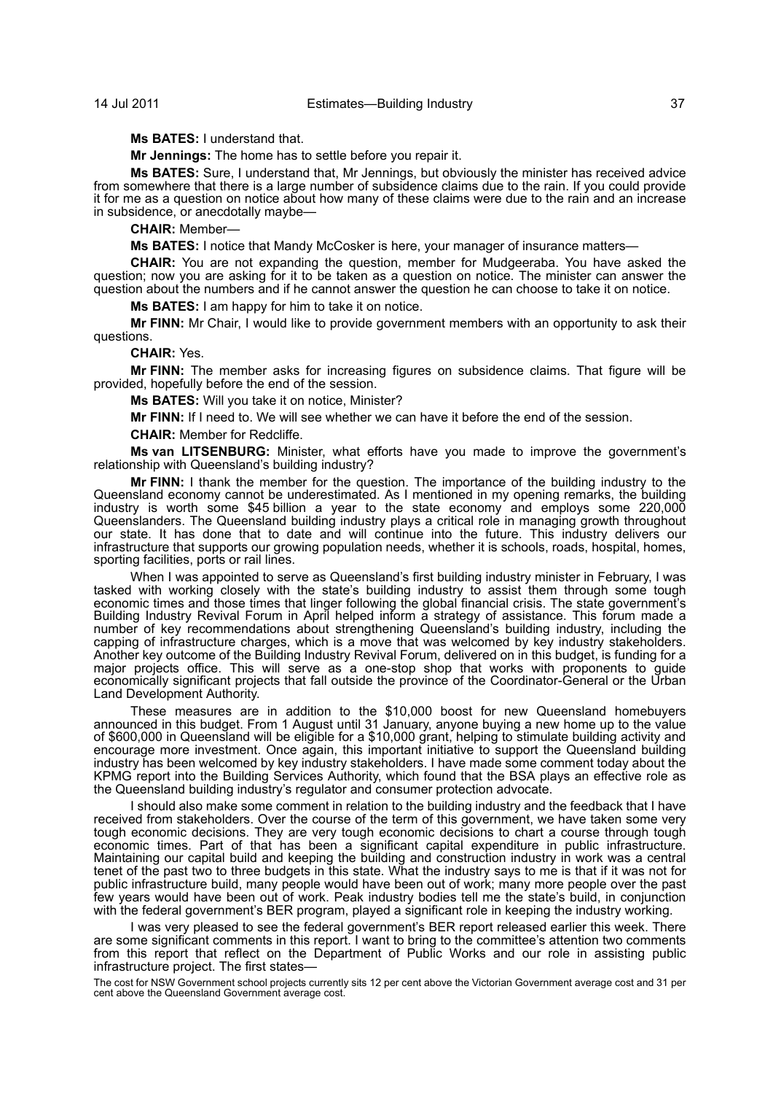**Ms BATES:** I understand that.

**Mr Jennings:** The home has to settle before you repair it.

**Ms BATES:** Sure, I understand that, Mr Jennings, but obviously the minister has received advice from somewhere that there is a large number of subsidence claims due to the rain. If you could provide it for me as a question on notice about how many of these claims were due to the rain and an increase in subsidence, or anecdotally maybe—

**CHAIR:** Member—

**Ms BATES:** I notice that Mandy McCosker is here, your manager of insurance matters—

**CHAIR:** You are not expanding the question, member for Mudgeeraba. You have asked the question; now you are asking for it to be taken as a question on notice. The minister can answer the question about the numbers and if he cannot answer the question he can choose to take it on notice.

**Ms BATES:** I am happy for him to take it on notice.

**Mr FINN:** Mr Chair, I would like to provide government members with an opportunity to ask their questions.

#### **CHAIR:** Yes.

**Mr FINN:** The member asks for increasing figures on subsidence claims. That figure will be provided, hopefully before the end of the session.

**Ms BATES:** Will you take it on notice, Minister?

**Mr FINN:** If I need to. We will see whether we can have it before the end of the session.

**CHAIR:** Member for Redcliffe.

**Ms van LITSENBURG:** Minister, what efforts have you made to improve the government's relationship with Queensland's building industry?

**Mr FINN:** I thank the member for the question. The importance of the building industry to the Queensland economy cannot be underestimated. As I mentioned in my opening remarks, the building industry is worth some \$45 billion a year to the state economy and employs some 220,000 Queenslanders. The Queensland building industry plays a critical role in managing growth throughout our state. It has done that to date and will continue into the future. This industry delivers our infrastructure that supports our growing population needs, whether it is schools, roads, hospital, homes, sporting facilities, ports or rail lines.

When I was appointed to serve as Queensland's first building industry minister in February, I was tasked with working closely with the state's building industry to assist them through some tough economic times and those times that linger following the global financial crisis. The state government's Building Industry Revival Forum in April helped inform a strategy of assistance. This forum made a number of key recommendations about strengthening Queensland's building industry, including the capping of infrastructure charges, which is a move that was welcomed by key industry stakeholders. Another key outcome of the Building Industry Revival Forum, delivered on in this budget, is funding for a major projects office. This will serve as a one-stop shop that works with proponents to guide economically significant projects that fall outside the province of the Coordinator-General or the Urban Land Development Authority.

These measures are in addition to the \$10,000 boost for new Queensland homebuyers announced in this budget. From 1 August until 31 January, anyone buying a new home up to the value of \$600,000 in Queensland will be eligible for a \$10,000 grant, helping to stimulate building activity and encourage more investment. Once again, this important initiative to support the Queensland building industry has been welcomed by key industry stakeholders. I have made some comment today about the KPMG report into the Building Services Authority, which found that the BSA plays an effective role as the Queensland building industry's regulator and consumer protection advocate.

I should also make some comment in relation to the building industry and the feedback that I have received from stakeholders. Over the course of the term of this government, we have taken some very tough economic decisions. They are very tough economic decisions to chart a course through tough economic times. Part of that has been a significant capital expenditure in public infrastructure. Maintaining our capital build and keeping the building and construction industry in work was a central tenet of the past two to three budgets in this state. What the industry says to me is that if it was not for public infrastructure build, many people would have been out of work; many more people over the past few years would have been out of work. Peak industry bodies tell me the state's build, in conjunction with the federal government's BER program, played a significant role in keeping the industry working.

I was very pleased to see the federal government's BER report released earlier this week. There are some significant comments in this report. I want to bring to the committee's attention two comments from this report that reflect on the Department of Public Works and our role in assisting public infrastructure project. The first states—

The cost for NSW Government school projects currently sits 12 per cent above the Victorian Government average cost and 31 per cent above the Queensland Government average cost.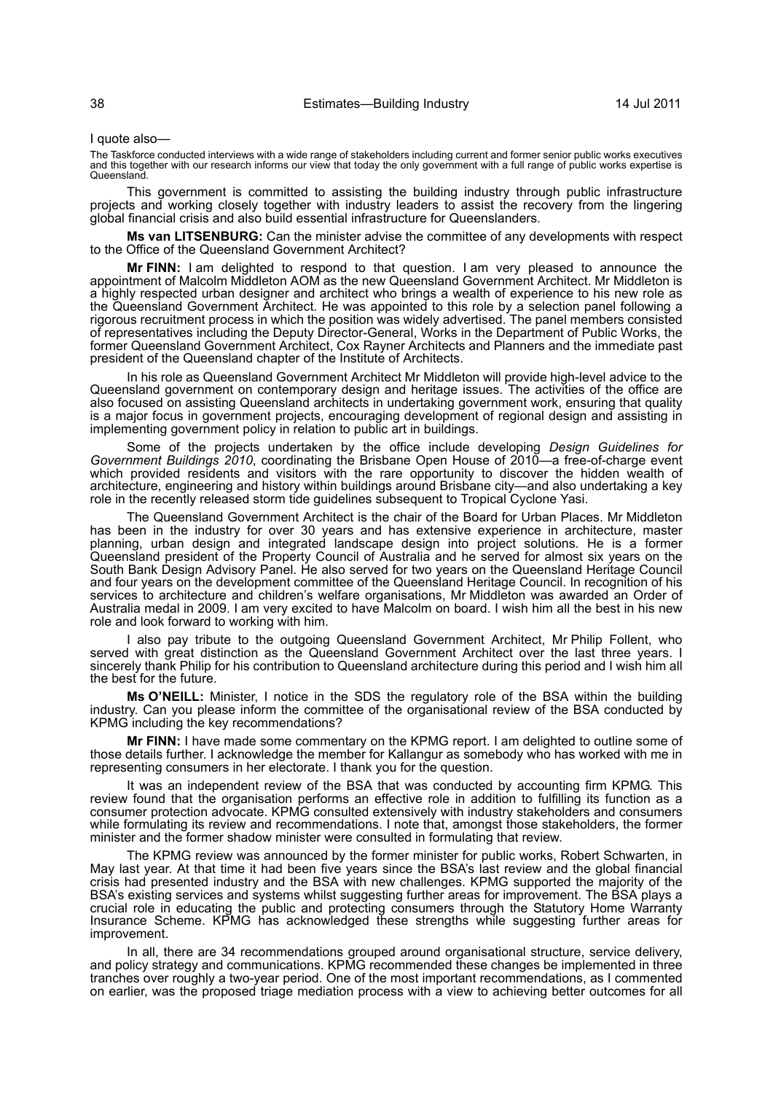I quote also—

The Taskforce conducted interviews with a wide range of stakeholders including current and former senior public works executives<br>and this together with our research informs our view that today the only government with a fu Queensland.

This government is committed to assisting the building industry through public infrastructure projects and working closely together with industry leaders to assist the recovery from the lingering global financial crisis and also build essential infrastructure for Queenslanders.

**Ms van LITSENBURG:** Can the minister advise the committee of any developments with respect to the Office of the Queensland Government Architect?

**Mr FINN:** I am delighted to respond to that question. I am very pleased to announce the appointment of Malcolm Middleton AOM as the new Queensland Government Architect. Mr Middleton is a highly respected urban designer and architect who brings a wealth of experience to his new role as the Queensland Government Architect. He was appointed to this role by a selection panel following a rigorous recruitment process in which the position was widely advertised. The panel members consisted of representatives including the Deputy Director-General, Works in the Department of Public Works, the former Queensland Government Architect, Cox Rayner Architects and Planners and the immediate past president of the Queensland chapter of the Institute of Architects.

In his role as Queensland Government Architect Mr Middleton will provide high-level advice to the Queensland government on contemporary design and heritage issues. The activities of the office are also focused on assisting Queensland architects in undertaking government work, ensuring that quality is a major focus in government projects, encouraging development of regional design and assisting in implementing government policy in relation to public art in buildings.

Some of the projects undertaken by the office include developing *Design Guidelines for Government Buildings 2010*, coordinating the Brisbane Open House of 2010—a free-of-charge event which provided residents and visitors with the rare opportunity to discover the hidden wealth of architecture, engineering and history within buildings around Brisbane city—and also undertaking a key role in the recently released storm tide guidelines subsequent to Tropical Cyclone Yasi.

The Queensland Government Architect is the chair of the Board for Urban Places. Mr Middleton has been in the industry for over 30 years and has extensive experience in architecture, master planning, urban design and integrated landscape design into project solutions. He is a former Queensland president of the Property Council of Australia and he served for almost six years on the South Bank Design Advisory Panel. He also served for two years on the Queensland Heritage Council and four years on the development committee of the Queensland Heritage Council. In recognition of his services to architecture and children's welfare organisations, Mr Middleton was awarded an Order of Australia medal in 2009. I am very excited to have Malcolm on board. I wish him all the best in his new role and look forward to working with him.

I also pay tribute to the outgoing Queensland Government Architect, Mr Philip Follent, who served with great distinction as the Queensland Government Architect over the last three years. I sincerely thank Philip for his contribution to Queensland architecture during this period and I wish him all the best for the future.

**Ms O'NEILL:** Minister, I notice in the SDS the regulatory role of the BSA within the building industry. Can you please inform the committee of the organisational review of the BSA conducted by KPMG including the key recommendations?

**Mr FINN:** I have made some commentary on the KPMG report. I am delighted to outline some of those details further. I acknowledge the member for Kallangur as somebody who has worked with me in representing consumers in her electorate. I thank you for the question.

It was an independent review of the BSA that was conducted by accounting firm KPMG. This review found that the organisation performs an effective role in addition to fulfilling its function as a consumer protection advocate. KPMG consulted extensively with industry stakeholders and consumers while formulating its review and recommendations. I note that, amongst those stakeholders, the former minister and the former shadow minister were consulted in formulating that review.

The KPMG review was announced by the former minister for public works, Robert Schwarten, in May last year. At that time it had been five years since the BSA's last review and the global financial crisis had presented industry and the BSA with new challenges. KPMG supported the majority of the BSA's existing services and systems whilst suggesting further areas for improvement. The BSA plays a crucial role in educating the public and protecting consumers through the Statutory Home Warranty Insurance Scheme. KPMG has acknowledged these strengths while suggesting further areas for improvement.

In all, there are 34 recommendations grouped around organisational structure, service delivery, and policy strategy and communications. KPMG recommended these changes be implemented in three tranches over roughly a two-year period. One of the most important recommendations, as I commented on earlier, was the proposed triage mediation process with a view to achieving better outcomes for all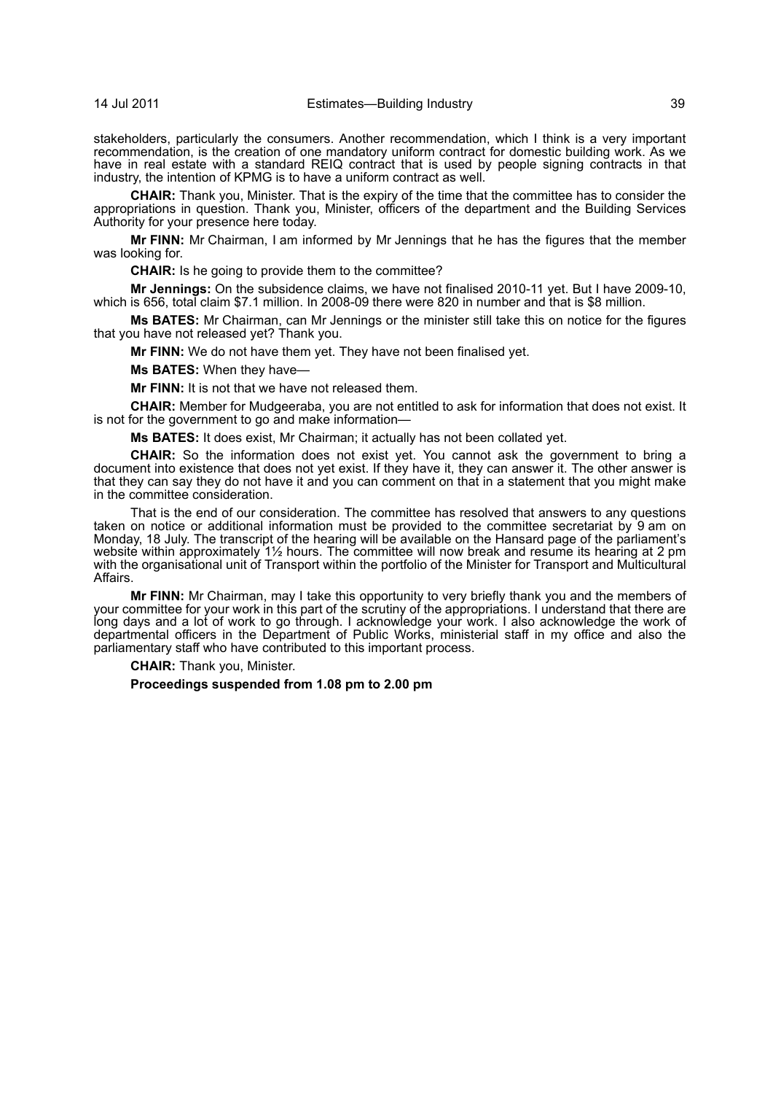stakeholders, particularly the consumers. Another recommendation, which I think is a very important recommendation, is the creation of one mandatory uniform contract for domestic building work. As we have in real estate with a standard REIQ contract that is used by people signing contracts in that industry, the intention of KPMG is to have a uniform contract as well.

**CHAIR:** Thank you, Minister. That is the expiry of the time that the committee has to consider the appropriations in question. Thank you, Minister, officers of the department and the Building Services Authority for your presence here today.

**Mr FINN:** Mr Chairman, I am informed by Mr Jennings that he has the figures that the member was looking for.

**CHAIR:** Is he going to provide them to the committee?

**Mr Jennings:** On the subsidence claims, we have not finalised 2010-11 yet. But I have 2009-10, which is 656, total claim \$7.1 million. In 2008-09 there were 820 in number and that is \$8 million.

**Ms BATES:** Mr Chairman, can Mr Jennings or the minister still take this on notice for the figures that you have not released yet? Thank you.

**Mr FINN:** We do not have them yet. They have not been finalised yet.

**Ms BATES:** When they have—

**Mr FINN:** It is not that we have not released them.

**CHAIR:** Member for Mudgeeraba, you are not entitled to ask for information that does not exist. It is not for the government to go and make information—

**Ms BATES:** It does exist, Mr Chairman; it actually has not been collated yet.

**CHAIR:** So the information does not exist yet. You cannot ask the government to bring a document into existence that does not yet exist. If they have it, they can answer it. The other answer is that they can say they do not have it and you can comment on that in a statement that you might make in the committee consideration.

That is the end of our consideration. The committee has resolved that answers to any questions taken on notice or additional information must be provided to the committee secretariat by 9 am on Monday, 18 July. The transcript of the hearing will be available on the Hansard page of the parliament's website within approximately 1½ hours. The committee will now break and resume its hearing at 2 pm with the organisational unit of Transport within the portfolio of the Minister for Transport and Multicultural Affairs.

**Mr FINN:** Mr Chairman, may I take this opportunity to very briefly thank you and the members of your committee for your work in this part of the scrutiny of the appropriations. I understand that there are long days and a lot of work to go through. I acknowledge your work. I also acknowledge the work of departmental officers in the Department of Public Works, ministerial staff in my office and also the parliamentary staff who have contributed to this important process.

**CHAIR:** Thank you, Minister.

## **Proceedings suspended from 1.08 pm to 2.00 pm**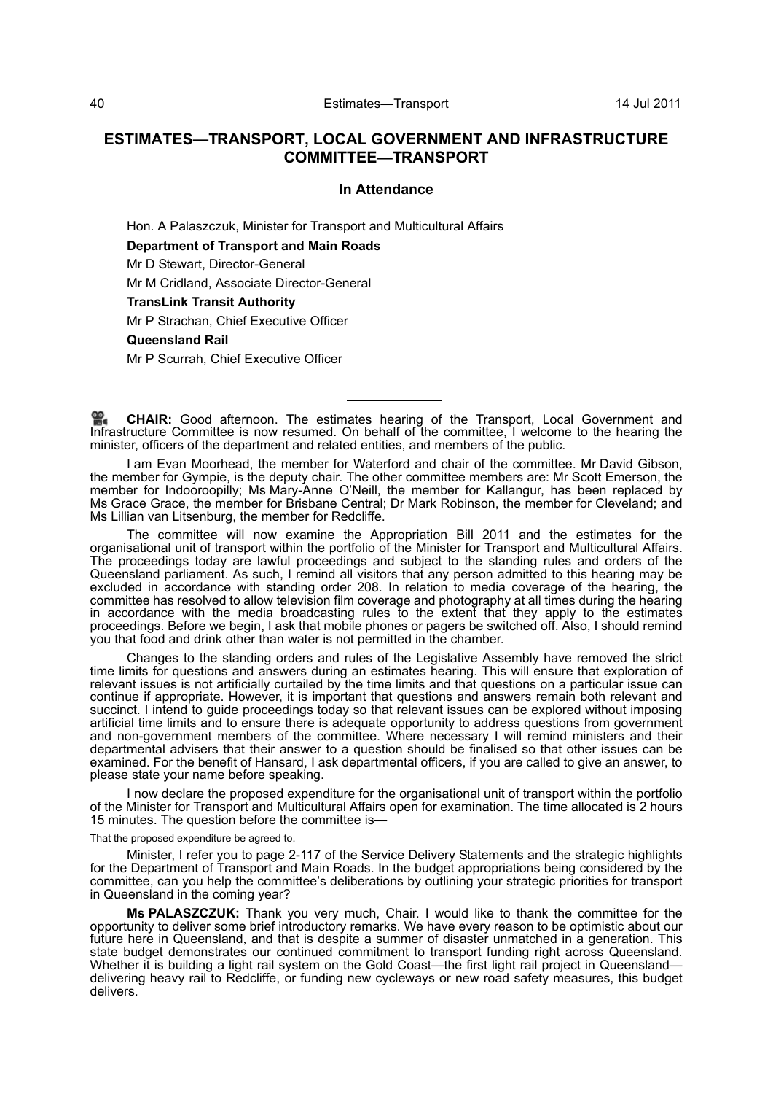# **ESTIMATES—TRANSPORT, LOCAL GOVERNMENT AND INFRASTRUCTURE COMMITTEE—TRANSPORT**

## **In Attendance**

Hon. A Palaszczuk, Minister for Transport and Multicultural Affairs

**Department of Transport and Main Roads**

Mr D Stewart, Director-General

Mr M Cridland, Associate Director-General

**TransLink Transit Authority**

Mr P Strachan, Chief Executive Officer

**Queensland Rail**

Mr P Scurrah, Chief Executive Officer

**CHAIR:** [Good afternoon. The estimates hearing of the Transport, Local Government and](http://www.parliament.qld.gov.au/docs/find.aspx?id=0Mba20110714_140018) [Infrastructure Committee is now resumed. On behalf of the committee, I welcome to the hearing the](http://www.parliament.qld.gov.au/docs/find.aspx?id=0Mba20110714_140018) minister, officers of the department and related entities, and members of the public.

I am Evan Moorhead, the member for Waterford and chair of the committee. Mr David Gibson, the member for Gympie, is the deputy chair. The other committee members are: Mr Scott Emerson, the member for Indooroopilly; Ms Mary-Anne O'Neill, the member for Kallangur, has been replaced by Ms Grace Grace, the member for Brisbane Central; Dr Mark Robinson, the member for Cleveland; and Ms Lillian van Litsenburg, the member for Redcliffe.

The committee will now examine the Appropriation Bill 2011 and the estimates for the organisational unit of transport within the portfolio of the Minister for Transport and Multicultural Affairs. The proceedings today are lawful proceedings and subject to the standing rules and orders of the Queensland parliament. As such, I remind all visitors that any person admitted to this hearing may be excluded in accordance with standing order 208. In relation to media coverage of the hearing, the committee has resolved to allow television film coverage and photography at all times during the hearing in accordance with the media broadcasting rules to the extent that they apply to the estimates proceedings. Before we begin, I ask that mobile phones or pagers be switched off. Also, I should remind you that food and drink other than water is not permitted in the chamber.

Changes to the standing orders and rules of the Legislative Assembly have removed the strict time limits for questions and answers during an estimates hearing. This will ensure that exploration of relevant issues is not artificially curtailed by the time limits and that questions on a particular issue can continue if appropriate. However, it is important that questions and answers remain both relevant and succinct. I intend to guide proceedings today so that relevant issues can be explored without imposing artificial time limits and to ensure there is adequate opportunity to address questions from government and non-government members of the committee. Where necessary I will remind ministers and their departmental advisers that their answer to a question should be finalised so that other issues can be examined. For the benefit of Hansard, I ask departmental officers, if you are called to give an answer, to please state your name before speaking.

I now declare the proposed expenditure for the organisational unit of transport within the portfolio of the Minister for Transport and Multicultural Affairs open for examination. The time allocated is 2 hours 15 minutes. The question before the committee is—

That the proposed expenditure be agreed to.

Minister, I refer you to page 2-117 of the Service Delivery Statements and the strategic highlights for the Department of Transport and Main Roads. In the budget appropriations being considered by the committee, can you help the committee's deliberations by outlining your strategic priorities for transport in Queensland in the coming year?

**Ms PALASZCZUK:** Thank you very much, Chair. I would like to thank the committee for the opportunity to deliver some brief introductory remarks. We have every reason to be optimistic about our future here in Queensland, and that is despite a summer of disaster unmatched in a generation. This state budget demonstrates our continued commitment to transport funding right across Queensland. Whether it is building a light rail system on the Gold Coast—the first light rail project in Queensland delivering heavy rail to Redcliffe, or funding new cycleways or new road safety measures, this budget delivers.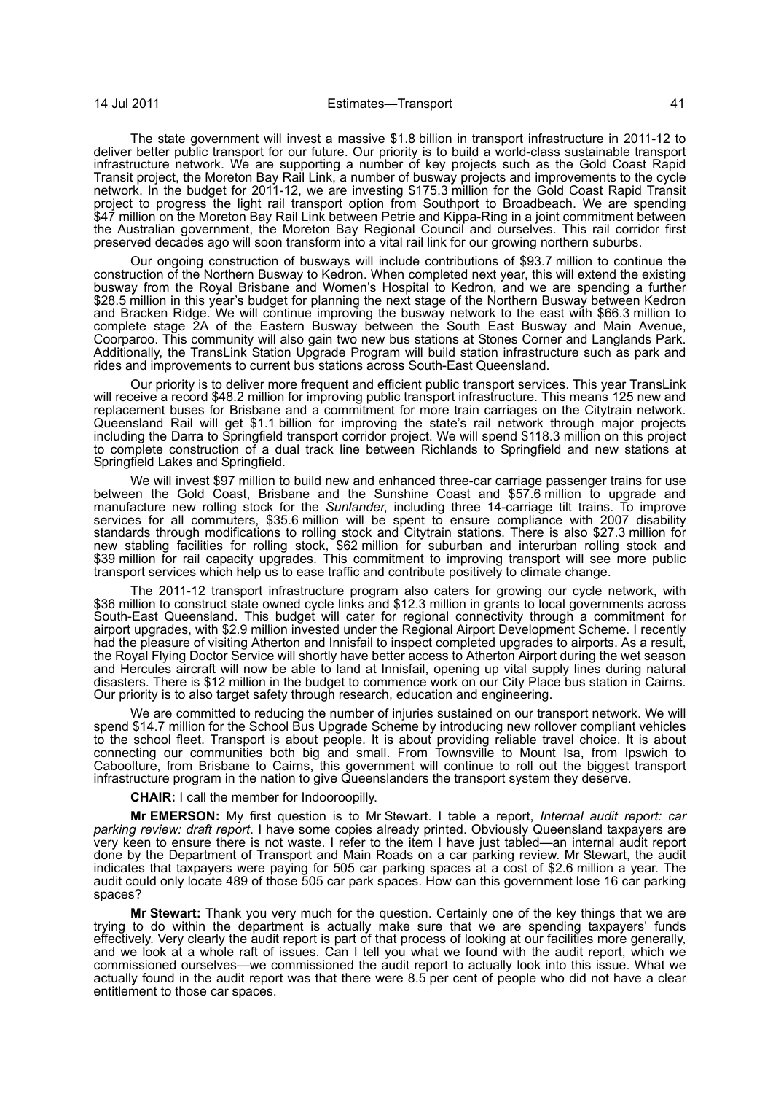The state government will invest a massive \$1.8 billion in transport infrastructure in 2011-12 to deliver better public transport for our future. Our priority is to build a world-class sustainable transport infrastructure network. We are supporting a number of key projects such as the Gold Coast Rapid Transit project, the Moreton Bay Rail Link, a number of busway projects and improvements to the cycle network. In the budget for 2011-12, we are investing \$175.3 million for the Gold Coast Rapid Transit project to progress the light rail transport option from Southport to Broadbeach. We are spending \$47 million on the Moreton Bay Rail Link between Petrie and Kippa-Ring in a joint commitment between the Australian government, the Moreton Bay Regional Council and ourselves. This rail corridor first preserved decades ago will soon transform into a vital rail link for our growing northern suburbs.

Our ongoing construction of busways will include contributions of \$93.7 million to continue the construction of the Northern Busway to Kedron. When completed next year, this will extend the existing busway from the Royal Brisbane and Women's Hospital to Kedron, and we are spending a further \$28.5 million in this year's budget for planning the next stage of the Northern Busway between Kedron and Bracken Ridge. We will continue improving the busway network to the east with \$66.3 million to complete stage 2A of the Eastern Busway between the South East Busway and Main Avenue, Coorparoo. This community will also gain two new bus stations at Stones Corner and Langlands Park. Additionally, the TransLink Station Upgrade Program will build station infrastructure such as park and rides and improvements to current bus stations across South-East Queensland.

Our priority is to deliver more frequent and efficient public transport services. This year TransLink will receive a record \$48.2 million for improving public transport infrastructure. This means 125 new and replacement buses for Brisbane and a commitment for more train carriages on the Citytrain network. Queensland Rail will get \$1.1 billion for improving the state's rail network through major projects including the Darra to Springfield transport corridor project. We will spend \$118.3 million on this project to complete construction of a dual track line between Richlands to Springfield and new stations at Springfield Lakes and Springfield.

We will invest \$97 million to build new and enhanced three-car carriage passenger trains for use between the Gold Coast, Brisbane and the Sunshine Coast and \$57.6 million to upgrade and manufacture new rolling stock for the *Sunlander*, including three 14-carriage tilt trains. To improve services for all commuters, \$35.6 million will be spent to ensure compliance with 2007 disability standards through modifications to rolling stock and Citytrain stations. There is also \$27.3 million for new stabling facilities for rolling stock, \$62 million for suburban and interurban rolling stock and \$39 million for rail capacity upgrades. This commitment to improving transport will see more public transport services which help us to ease traffic and contribute positively to climate change.

The 2011-12 transport infrastructure program also caters for growing our cycle network, with \$36 million to construct state owned cycle links and \$12.3 million in grants to local governments across South-East Queensland. This budget will cater for regional connectivity through a commitment for airport upgrades, with \$2.9 million invested under the Regional Airport Development Scheme. I recently had the pleasure of visiting Atherton and Innisfail to inspect completed upgrades to airports. As a result, the Royal Flying Doctor Service will shortly have better access to Atherton Airport during the wet season and Hercules aircraft will now be able to land at Innisfail, opening up vital supply lines during natural disasters. There is \$12 million in the budget to commence work on our City Place bus station in Cairns. Our priority is to also target safety through research, education and engineering.

We are committed to reducing the number of injuries sustained on our transport network. We will spend \$14.7 million for the School Bus Upgrade Scheme by introducing new rollover compliant vehicles to the school fleet. Transport is about people. It is about providing reliable travel choice. It is about connecting our communities both big and small. From Townsville to Mount Isa, from Ipswich to Caboolture, from Brisbane to Cairns, this government will continue to roll out the biggest transport infrastructure program in the nation to give Queenslanders the transport system they deserve.

**CHAIR:** I call the member for Indooroopilly.

**Mr EMERSON:** My first question is to Mr Stewart. I table a report, *Internal audit report: car parking review: draft report*. I have some copies already printed. Obviously Queensland taxpayers are very keen to ensure there is not waste. I refer to the item I have just tabled—an internal audit report done by the Department of Transport and Main Roads on a car parking review. Mr Stewart, the audit indicates that taxpayers were paying for 505 car parking spaces at a cost of \$2.6 million a year. The audit could only locate 489 of those 505 car park spaces. How can this government lose 16 car parking spaces?

**Mr Stewart:** Thank you very much for the question. Certainly one of the key things that we are trying to do within the department is actually make sure that we are spending taxpayers' funds effectively. Very clearly the audit report is part of that process of looking at our facilities more generally, and we look at a whole raft of issues. Can I tell you what we found with the audit report, which we commissioned ourselves—we commissioned the audit report to actually look into this issue. What we actually found in the audit report was that there were 8.5 per cent of people who did not have a clear entitlement to those car spaces.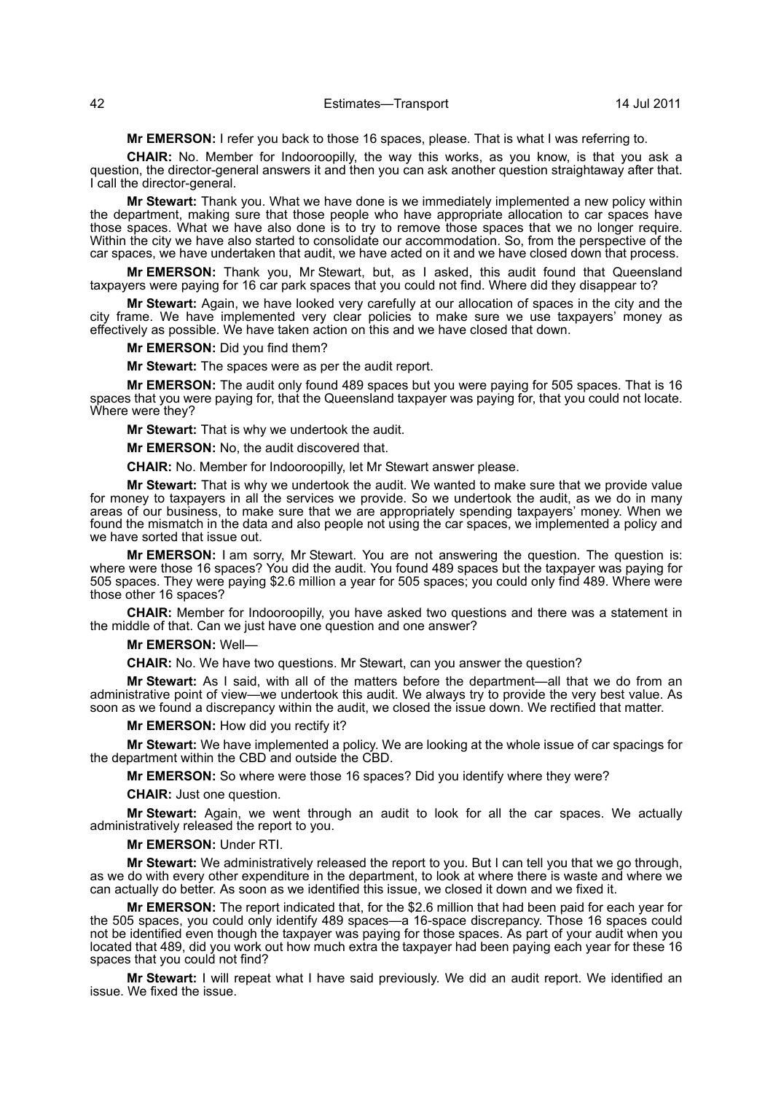**Mr EMERSON:** I refer you back to those 16 spaces, please. That is what I was referring to.

**CHAIR:** No. Member for Indooroopilly, the way this works, as you know, is that you ask a question, the director-general answers it and then you can ask another question straightaway after that. I call the director-general.

**Mr Stewart:** Thank you. What we have done is we immediately implemented a new policy within the department, making sure that those people who have appropriate allocation to car spaces have those spaces. What we have also done is to try to remove those spaces that we no longer require. Within the city we have also started to consolidate our accommodation. So, from the perspective of the car spaces, we have undertaken that audit, we have acted on it and we have closed down that process.

**Mr EMERSON:** Thank you, Mr Stewart, but, as I asked, this audit found that Queensland taxpayers were paying for 16 car park spaces that you could not find. Where did they disappear to?

**Mr Stewart:** Again, we have looked very carefully at our allocation of spaces in the city and the city frame. We have implemented very clear policies to make sure we use taxpayers' money as effectively as possible. We have taken action on this and we have closed that down.

**Mr EMERSON:** Did you find them?

**Mr Stewart:** The spaces were as per the audit report.

**Mr EMERSON:** The audit only found 489 spaces but you were paying for 505 spaces. That is 16 spaces that you were paying for, that the Queensland taxpayer was paying for, that you could not locate. Where were they?

**Mr Stewart:** That is why we undertook the audit.

**Mr EMERSON:** No, the audit discovered that.

**CHAIR:** No. Member for Indooroopilly, let Mr Stewart answer please.

**Mr Stewart:** That is why we undertook the audit. We wanted to make sure that we provide value for money to taxpayers in all the services we provide. So we undertook the audit, as we do in many areas of our business, to make sure that we are appropriately spending taxpayers' money. When we found the mismatch in the data and also people not using the car spaces, we implemented a policy and we have sorted that issue out.

**Mr EMERSON:** I am sorry, Mr Stewart. You are not answering the question. The question is: where were those 16 spaces? You did the audit. You found 489 spaces but the taxpayer was paying for 505 spaces. They were paying \$2.6 million a year for 505 spaces; you could only find 489. Where were those other 16 spaces?

**CHAIR:** Member for Indooroopilly, you have asked two questions and there was a statement in the middle of that. Can we just have one question and one answer?

#### **Mr EMERSON:** Well—

**CHAIR:** No. We have two questions. Mr Stewart, can you answer the question?

**Mr Stewart:** As I said, with all of the matters before the department—all that we do from an administrative point of view—we undertook this audit. We always try to provide the very best value. As soon as we found a discrepancy within the audit, we closed the issue down. We rectified that matter.

#### **Mr EMERSON:** How did you rectify it?

**Mr Stewart:** We have implemented a policy. We are looking at the whole issue of car spacings for the department within the CBD and outside the CBD.

**Mr EMERSON:** So where were those 16 spaces? Did you identify where they were?

**CHAIR:** Just one question.

**Mr Stewart:** Again, we went through an audit to look for all the car spaces. We actually administratively released the report to you.

#### **Mr EMERSON:** Under RTI.

**Mr Stewart:** We administratively released the report to you. But I can tell you that we go through, as we do with every other expenditure in the department, to look at where there is waste and where we can actually do better. As soon as we identified this issue, we closed it down and we fixed it.

**Mr EMERSON:** The report indicated that, for the \$2.6 million that had been paid for each year for the 505 spaces, you could only identify 489 spaces—a 16-space discrepancy. Those 16 spaces could not be identified even though the taxpayer was paying for those spaces. As part of your audit when you located that 489, did you work out how much extra the taxpayer had been paying each year for these 16 spaces that you could not find?

**Mr Stewart:** I will repeat what I have said previously. We did an audit report. We identified an issue. We fixed the issue.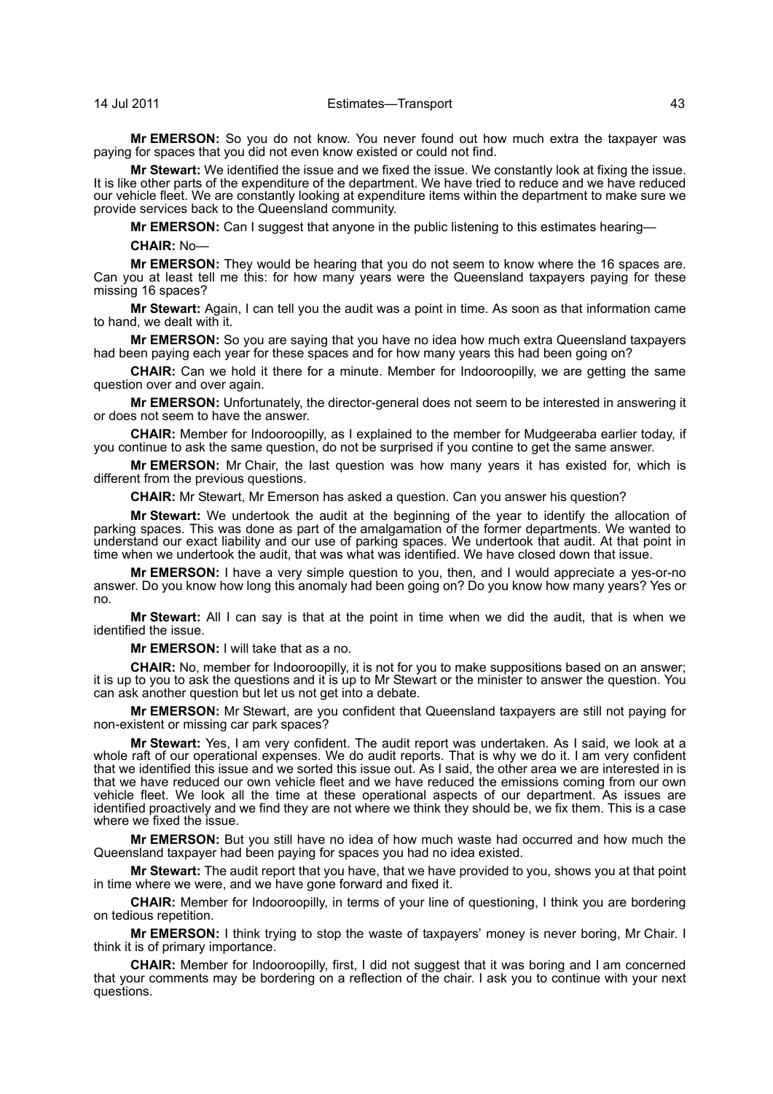## 14 Jul 2011 Estimates—Transport 43

**Mr EMERSON:** So you do not know. You never found out how much extra the taxpayer was paying for spaces that you did not even know existed or could not find.

**Mr Stewart:** We identified the issue and we fixed the issue. We constantly look at fixing the issue. It is like other parts of the expenditure of the department. We have tried to reduce and we have reduced our vehicle fleet. We are constantly looking at expenditure items within the department to make sure we provide services back to the Queensland community.

**Mr EMERSON:** Can I suggest that anyone in the public listening to this estimates hearing—

**CHAIR:** No—

**Mr EMERSON:** They would be hearing that you do not seem to know where the 16 spaces are. Can you at least tell me this: for how many years were the Queensland taxpayers paying for these missing 16 spaces?

**Mr Stewart:** Again, I can tell you the audit was a point in time. As soon as that information came to hand, we dealt with it.

**Mr EMERSON:** So you are saying that you have no idea how much extra Queensland taxpayers had been paying each year for these spaces and for how many years this had been going on?

**CHAIR:** Can we hold it there for a minute. Member for Indooroopilly, we are getting the same question over and over again.

**Mr EMERSON:** Unfortunately, the director-general does not seem to be interested in answering it or does not seem to have the answer.

**CHAIR:** Member for Indooroopilly, as I explained to the member for Mudgeeraba earlier today, if you continue to ask the same question, do not be surprised if you contine to get the same answer.

**Mr EMERSON:** Mr Chair, the last question was how many years it has existed for, which is different from the previous questions.

**CHAIR:** Mr Stewart, Mr Emerson has asked a question. Can you answer his question?

**Mr Stewart:** We undertook the audit at the beginning of the year to identify the allocation of parking spaces. This was done as part of the amalgamation of the former departments. We wanted to understand our exact liability and our use of parking spaces. We undertook that audit. At that point in time when we undertook the audit, that was what was identified. We have closed down that issue.

**Mr EMERSON:** I have a very simple question to you, then, and I would appreciate a yes-or-no answer. Do you know how long this anomaly had been going on? Do you know how many years? Yes or no.

**Mr Stewart:** All I can say is that at the point in time when we did the audit, that is when we identified the issue.

**Mr EMERSON:** I will take that as a no.

**CHAIR:** No, member for Indooroopilly, it is not for you to make suppositions based on an answer; it is up to you to ask the questions and it is up to Mr Stewart or the minister to answer the question. You can ask another question but let us not get into a debate.

**Mr EMERSON:** Mr Stewart, are you confident that Queensland taxpayers are still not paying for non-existent or missing car park spaces?

**Mr Stewart:** Yes, I am very confident. The audit report was undertaken. As I said, we look at a whole raft of our operational expenses. We do audit reports. That is why we do it. I am very confident that we identified this issue and we sorted this issue out. As I said, the other area we are interested in is that we have reduced our own vehicle fleet and we have reduced the emissions coming from our own vehicle fleet. We look all the time at these operational aspects of our department. As issues are identified proactively and we find they are not where we think they should be, we fix them. This is a case where we fixed the issue.

**Mr EMERSON:** But you still have no idea of how much waste had occurred and how much the Queensland taxpayer had been paying for spaces you had no idea existed.

**Mr Stewart:** The audit report that you have, that we have provided to you, shows you at that point in time where we were, and we have gone forward and fixed it.

**CHAIR:** Member for Indooroopilly, in terms of your line of questioning, I think you are bordering on tedious repetition.

**Mr EMERSON:** I think trying to stop the waste of taxpayers' money is never boring, Mr Chair. I think it is of primary importance.

**CHAIR:** Member for Indooroopilly, first, I did not suggest that it was boring and I am concerned that your comments may be bordering on a reflection of the chair. I ask you to continue with your next questions.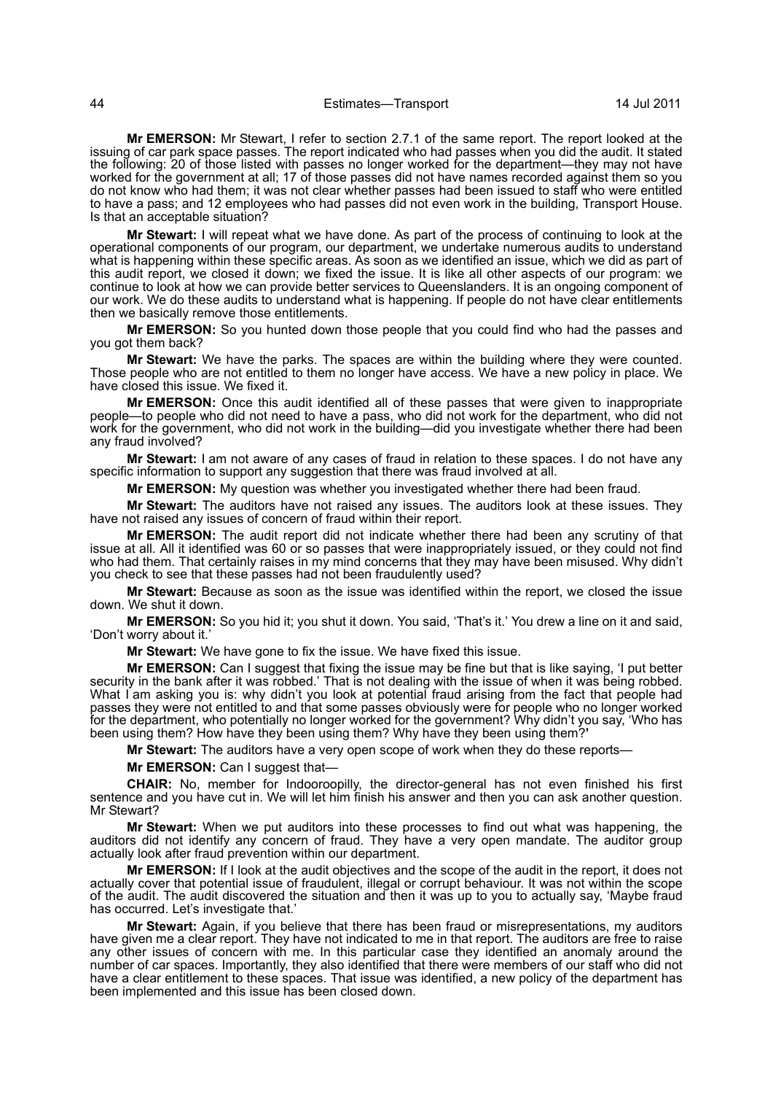**Mr EMERSON:** Mr Stewart, I refer to section 2.7.1 of the same report. The report looked at the issuing of car park space passes. The report indicated who had passes when you did the audit. It stated the following: 20 of those listed with passes no longer worked for the department—they may not have worked for the government at all; 17 of those passes did not have names recorded against them so you do not know who had them; it was not clear whether passes had been issued to staff who were entitled to have a pass; and 12 employees who had passes did not even work in the building, Transport House. Is that an acceptable situation?

**Mr Stewart:** I will repeat what we have done. As part of the process of continuing to look at the operational components of our program, our department, we undertake numerous audits to understand what is happening within these specific areas. As soon as we identified an issue, which we did as part of this audit report, we closed it down; we fixed the issue. It is like all other aspects of our program: we continue to look at how we can provide better services to Queenslanders. It is an ongoing component of our work. We do these audits to understand what is happening. If people do not have clear entitlements then we basically remove those entitlements.

**Mr EMERSON:** So you hunted down those people that you could find who had the passes and you got them back?

**Mr Stewart:** We have the parks. The spaces are within the building where they were counted. Those people who are not entitled to them no longer have access. We have a new policy in place. We have closed this issue. We fixed it.

**Mr EMERSON:** Once this audit identified all of these passes that were given to inappropriate people—to people who did not need to have a pass, who did not work for the department, who did not work for the government, who did not work in the building—did you investigate whether there had been any fraud involved?

**Mr Stewart:** I am not aware of any cases of fraud in relation to these spaces. I do not have any specific information to support any suggestion that there was fraud involved at all.

**Mr EMERSON:** My question was whether you investigated whether there had been fraud.

**Mr Stewart:** The auditors have not raised any issues. The auditors look at these issues. They have not raised any issues of concern of fraud within their report.

**Mr EMERSON:** The audit report did not indicate whether there had been any scrutiny of that issue at all. All it identified was 60 or so passes that were inappropriately issued, or they could not find who had them. That certainly raises in my mind concerns that they may have been misused. Why didn't you check to see that these passes had not been fraudulently used?

**Mr Stewart:** Because as soon as the issue was identified within the report, we closed the issue down. We shut it down.

**Mr EMERSON:** So you hid it; you shut it down. You said, 'That's it.' You drew a line on it and said, 'Don't worry about it.'

**Mr Stewart:** We have gone to fix the issue. We have fixed this issue.

**Mr EMERSON:** Can I suggest that fixing the issue may be fine but that is like saying, 'I put better security in the bank after it was robbed.' That is not dealing with the issue of when it was being robbed. What I am asking you is: why didn't you look at potential fraud arising from the fact that people had passes they were not entitled to and that some passes obviously were for people who no longer worked for the department, who potentially no longer worked for the government? Why didn't you say, 'Who has been using them? How have they been using them? Why have they been using them?**'** 

**Mr Stewart:** The auditors have a very open scope of work when they do these reports—

**Mr EMERSON:** Can I suggest that—

**CHAIR:** No, member for Indooroopilly, the director-general has not even finished his first sentence and you have cut in. We will let him finish his answer and then you can ask another question. Mr Stewart?

**Mr Stewart:** When we put auditors into these processes to find out what was happening, the auditors did not identify any concern of fraud. They have a very open mandate. The auditor group actually look after fraud prevention within our department.

**Mr EMERSON:** If I look at the audit objectives and the scope of the audit in the report, it does not actually cover that potential issue of fraudulent, illegal or corrupt behaviour. It was not within the scope of the audit. The audit discovered the situation and then it was up to you to actually say, 'Maybe fraud has occurred. Let's investigate that.'

**Mr Stewart:** Again, if you believe that there has been fraud or misrepresentations, my auditors have given me a clear report. They have not indicated to me in that report. The auditors are free to raise any other issues of concern with me. In this particular case they identified an anomaly around the number of car spaces. Importantly, they also identified that there were members of our staff who did not have a clear entitlement to these spaces. That issue was identified, a new policy of the department has been implemented and this issue has been closed down.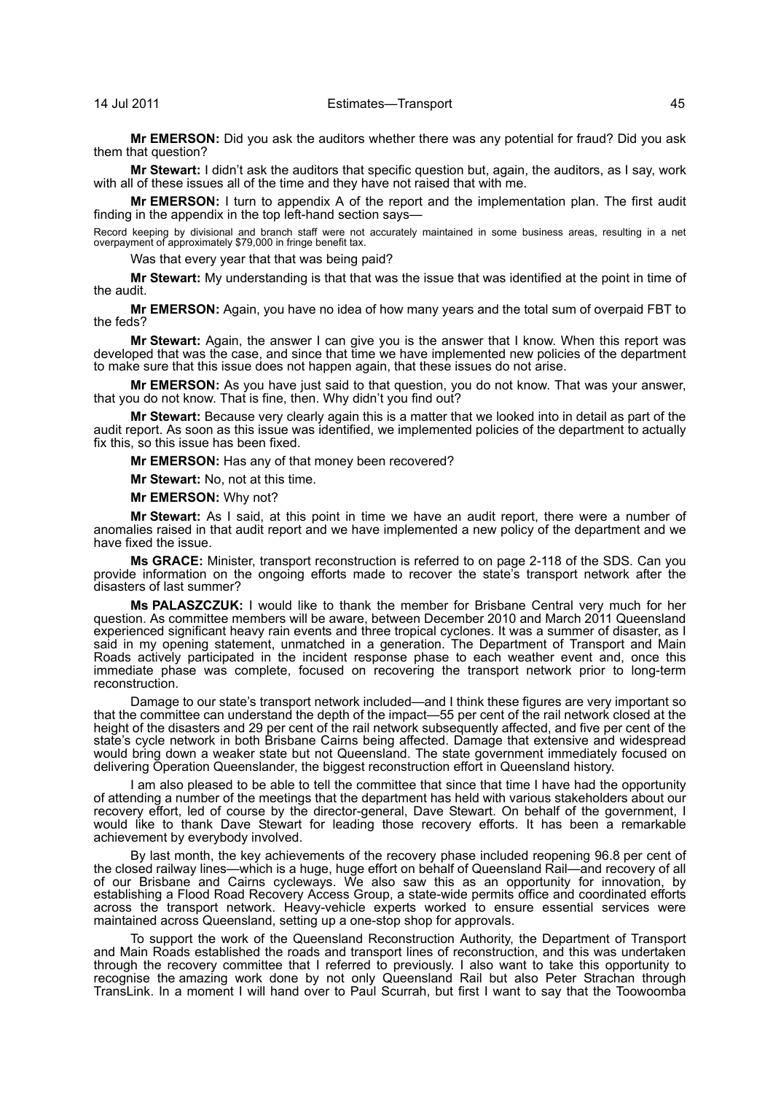**Mr EMERSON:** Did you ask the auditors whether there was any potential for fraud? Did you ask them that question?

**Mr Stewart:** I didn't ask the auditors that specific question but, again, the auditors, as I say, work with all of these issues all of the time and they have not raised that with me.

**Mr EMERSON:** I turn to appendix A of the report and the implementation plan. The first audit finding in the appendix in the top left-hand section says—

Record keeping by divisional and branch staff were not accurately maintained in some business areas, resulting in a net overpayment of approximately \$79,000 in fringe benefit tax.

Was that every year that that was being paid?

**Mr Stewart:** My understanding is that that was the issue that was identified at the point in time of the audit.

**Mr EMERSON:** Again, you have no idea of how many years and the total sum of overpaid FBT to the feds?

**Mr Stewart:** Again, the answer I can give you is the answer that I know. When this report was developed that was the case, and since that time we have implemented new policies of the department to make sure that this issue does not happen again, that these issues do not arise.

**Mr EMERSON:** As you have just said to that question, you do not know. That was your answer, that you do not know. That is fine, then. Why didn't you find out?

**Mr Stewart:** Because very clearly again this is a matter that we looked into in detail as part of the audit report. As soon as this issue was identified, we implemented policies of the department to actually fix this, so this issue has been fixed.

**Mr EMERSON:** Has any of that money been recovered?

**Mr Stewart:** No, not at this time.

**Mr EMERSON:** Why not?

**Mr Stewart:** As I said, at this point in time we have an audit report, there were a number of anomalies raised in that audit report and we have implemented a new policy of the department and we have fixed the issue.

**Ms GRACE:** Minister, transport reconstruction is referred to on page 2-118 of the SDS. Can you provide information on the ongoing efforts made to recover the state's transport network after the disasters of last summer?

**Ms PALASZCZUK:** I would like to thank the member for Brisbane Central very much for her question. As committee members will be aware, between December 2010 and March 2011 Queensland experienced significant heavy rain events and three tropical cyclones. It was a summer of disaster, as I said in my opening statement, unmatched in a generation. The Department of Transport and Main Roads actively participated in the incident response phase to each weather event and, once this immediate phase was complete, focused on recovering the transport network prior to long-term reconstruction.

Damage to our state's transport network included—and I think these figures are very important so that the committee can understand the depth of the impact—55 per cent of the rail network closed at the height of the disasters and 29 per cent of the rail network subsequently affected, and five per cent of the state's cycle network in both Brisbane Cairns being affected. Damage that extensive and widespread would bring down a weaker state but not Queensland. The state government immediately focused on delivering Operation Queenslander, the biggest reconstruction effort in Queensland history.

I am also pleased to be able to tell the committee that since that time I have had the opportunity of attending a number of the meetings that the department has held with various stakeholders about our recovery effort, led of course by the director-general, Dave Stewart. On behalf of the government, I would like to thank Dave Stewart for leading those recovery efforts. It has been a remarkable achievement by everybody involved.

By last month, the key achievements of the recovery phase included reopening 96.8 per cent of the closed railway lines—which is a huge, huge effort on behalf of Queensland Rail—and recovery of all of our Brisbane and Cairns cycleways. We also saw this as an opportunity for innovation, by establishing a Flood Road Recovery Access Group, a state-wide permits office and coordinated efforts across the transport network. Heavy-vehicle experts worked to ensure essential services were maintained across Queensland, setting up a one-stop shop for approvals.

To support the work of the Queensland Reconstruction Authority, the Department of Transport and Main Roads established the roads and transport lines of reconstruction, and this was undertaken through the recovery committee that I referred to previously. I also want to take this opportunity to recognise the amazing work done by not only Queensland Rail but also Peter Strachan through TransLink. In a moment I will hand over to Paul Scurrah, but first I want to say that the Toowoomba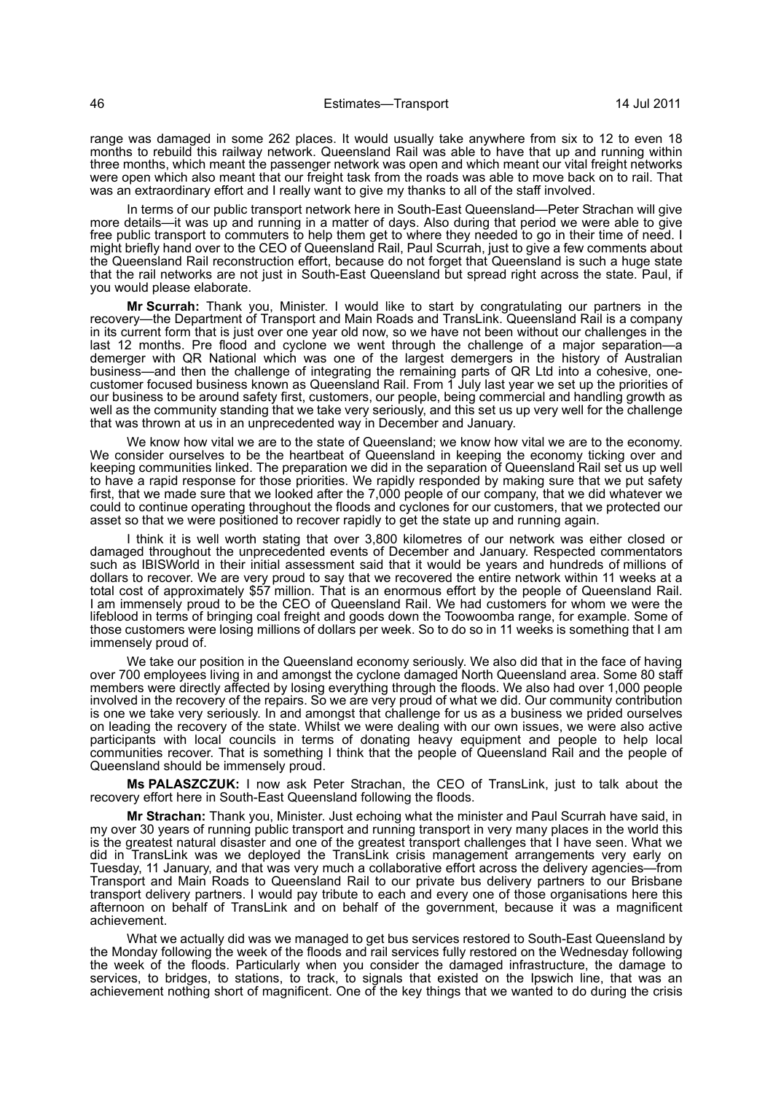range was damaged in some 262 places. It would usually take anywhere from six to 12 to even 18 months to rebuild this railway network. Queensland Rail was able to have that up and running within three months, which meant the passenger network was open and which meant our vital freight networks were open which also meant that our freight task from the roads was able to move back on to rail. That was an extraordinary effort and I really want to give my thanks to all of the staff involved.

In terms of our public transport network here in South-East Queensland—Peter Strachan will give more details—it was up and running in a matter of days. Also during that period we were able to give free public transport to commuters to help them get to where they needed to go in their time of need. I might briefly hand over to the CEO of Queensland Rail, Paul Scurrah, just to give a few comments about the Queensland Rail reconstruction effort, because do not forget that Queensland is such a huge state that the rail networks are not just in South-East Queensland but spread right across the state. Paul, if you would please elaborate.

**Mr Scurrah:** Thank you, Minister. I would like to start by congratulating our partners in the recovery—the Department of Transport and Main Roads and TransLink. Queensland Rail is a company in its current form that is just over one year old now, so we have not been without our challenges in the last 12 months. Pre flood and cyclone we went through the challenge of a major separation—a demerger with QR National which was one of the largest demergers in the history of Australian business—and then the challenge of integrating the remaining parts of QR Ltd into a cohesive, onecustomer focused business known as Queensland Rail. From 1 July last year we set up the priorities of our business to be around safety first, customers, our people, being commercial and handling growth as well as the community standing that we take very seriously, and this set us up very well for the challenge that was thrown at us in an unprecedented way in December and January.

We know how vital we are to the state of Queensland; we know how vital we are to the economy. We consider ourselves to be the heartbeat of Queensland in keeping the economy ticking over and keeping communities linked. The preparation we did in the separation of Queensland Rail set us up well to have a rapid response for those priorities. We rapidly responded by making sure that we put safety first, that we made sure that we looked after the 7,000 people of our company, that we did whatever we could to continue operating throughout the floods and cyclones for our customers, that we protected our asset so that we were positioned to recover rapidly to get the state up and running again.

I think it is well worth stating that over 3,800 kilometres of our network was either closed or damaged throughout the unprecedented events of December and January. Respected commentators such as IBISWorld in their initial assessment said that it would be years and hundreds of millions of dollars to recover. We are very proud to say that we recovered the entire network within 11 weeks at a total cost of approximately \$57 million. That is an enormous effort by the people of Queensland Rail. I am immensely proud to be the CEO of Queensland Rail. We had customers for whom we were the lifeblood in terms of bringing coal freight and goods down the Toowoomba range, for example. Some of those customers were losing millions of dollars per week. So to do so in 11 weeks is something that I am immensely proud of.

We take our position in the Queensland economy seriously. We also did that in the face of having over 700 employees living in and amongst the cyclone damaged North Queensland area. Some 80 staff members were directly affected by losing everything through the floods. We also had over 1,000 people involved in the recovery of the repairs. So we are very proud of what we did. Our community contribution is one we take very seriously. In and amongst that challenge for us as a business we prided ourselves on leading the recovery of the state. Whilst we were dealing with our own issues, we were also active participants with local councils in terms of donating heavy equipment and people to help local communities recover. That is something I think that the people of Queensland Rail and the people of Queensland should be immensely proud.

**Ms PALASZCZUK:** I now ask Peter Strachan, the CEO of TransLink, just to talk about the recovery effort here in South-East Queensland following the floods.

**Mr Strachan:** Thank you, Minister. Just echoing what the minister and Paul Scurrah have said, in my over 30 years of running public transport and running transport in very many places in the world this is the greatest natural disaster and one of the greatest transport challenges that I have seen. What we did in TransLink was we deployed the TransLink crisis management arrangements very early on Tuesday, 11 January, and that was very much a collaborative effort across the delivery agencies—from Transport and Main Roads to Queensland Rail to our private bus delivery partners to our Brisbane transport delivery partners. I would pay tribute to each and every one of those organisations here this afternoon on behalf of TransLink and on behalf of the government, because it was a magnificent achievement.

What we actually did was we managed to get bus services restored to South-East Queensland by the Monday following the week of the floods and rail services fully restored on the Wednesday following the week of the floods. Particularly when you consider the damaged infrastructure, the damage to services, to bridges, to stations, to track, to signals that existed on the Ipswich line, that was an achievement nothing short of magnificent. One of the key things that we wanted to do during the crisis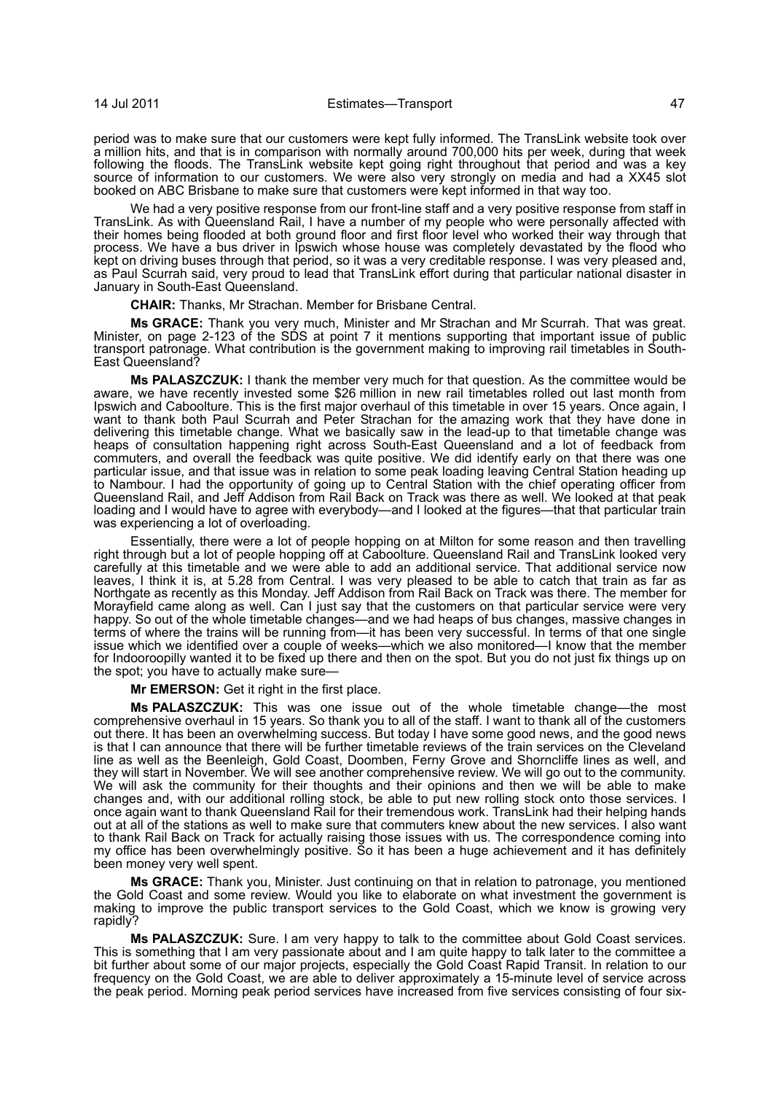period was to make sure that our customers were kept fully informed. The TransLink website took over a million hits, and that is in comparison with normally around 700,000 hits per week, during that week following the floods. The TransLink website kept going right throughout that period and was a key source of information to our customers. We were also very strongly on media and had a XX45 slot booked on ABC Brisbane to make sure that customers were kept informed in that way too.

We had a very positive response from our front-line staff and a very positive response from staff in TransLink. As with Queensland Rail, I have a number of my people who were personally affected with their homes being flooded at both ground floor and first floor level who worked their way through that process. We have a bus driver in Ipswich whose house was completely devastated by the flood who kept on driving buses through that period, so it was a very creditable response. I was very pleased and, as Paul Scurrah said, very proud to lead that TransLink effort during that particular national disaster in January in South-East Queensland.

**CHAIR:** Thanks, Mr Strachan. Member for Brisbane Central.

**Ms GRACE:** Thank you very much, Minister and Mr Strachan and Mr Scurrah. That was great. Minister, on page 2-123 of the SDS at point 7 it mentions supporting that important issue of public transport patronage. What contribution is the government making to improving rail timetables in South-East Queensland?

**Ms PALASZCZUK:** I thank the member very much for that question. As the committee would be aware, we have recently invested some \$26 million in new rail timetables rolled out last month from Ipswich and Caboolture. This is the first major overhaul of this timetable in over 15 years. Once again, I want to thank both Paul Scurrah and Peter Strachan for the amazing work that they have done in delivering this timetable change. What we basically saw in the lead-up to that timetable change was heaps of consultation happening right across South-East Queensland and a lot of feedback from commuters, and overall the feedback was quite positive. We did identify early on that there was one particular issue, and that issue was in relation to some peak loading leaving Central Station heading up to Nambour. I had the opportunity of going up to Central Station with the chief operating officer from Queensland Rail, and Jeff Addison from Rail Back on Track was there as well. We looked at that peak loading and I would have to agree with everybody—and I looked at the figures—that that particular train was experiencing a lot of overloading.

Essentially, there were a lot of people hopping on at Milton for some reason and then travelling right through but a lot of people hopping off at Caboolture. Queensland Rail and TransLink looked very carefully at this timetable and we were able to add an additional service. That additional service now leaves, I think it is, at 5.28 from Central. I was very pleased to be able to catch that train as far as Northgate as recently as this Monday. Jeff Addison from Rail Back on Track was there. The member for Morayfield came along as well. Can I just say that the customers on that particular service were very happy. So out of the whole timetable changes—and we had heaps of bus changes, massive changes in terms of where the trains will be running from—it has been very successful. In terms of that one single issue which we identified over a couple of weeks—which we also monitored—I know that the member for Indooroopilly wanted it to be fixed up there and then on the spot. But you do not just fix things up on the spot; you have to actually make sure—

**Mr EMERSON:** Get it right in the first place.

**Ms PALASZCZUK:** This was one issue out of the whole timetable change—the most comprehensive overhaul in 15 years. So thank you to all of the staff. I want to thank all of the customers out there. It has been an overwhelming success. But today I have some good news, and the good news is that I can announce that there will be further timetable reviews of the train services on the Cleveland line as well as the Beenleigh, Gold Coast, Doomben, Ferny Grove and Shorncliffe lines as well, and they will start in November. We will see another comprehensive review. We will go out to the community. We will ask the community for their thoughts and their opinions and then we will be able to make changes and, with our additional rolling stock, be able to put new rolling stock onto those services. I once again want to thank Queensland Rail for their tremendous work. TransLink had their helping hands out at all of the stations as well to make sure that commuters knew about the new services. I also want to thank Rail Back on Track for actually raising those issues with us. The correspondence coming into my office has been overwhelmingly positive. So it has been a huge achievement and it has definitely been money very well spent.

**Ms GRACE:** Thank you, Minister. Just continuing on that in relation to patronage, you mentioned the Gold Coast and some review. Would you like to elaborate on what investment the government is making to improve the public transport services to the Gold Coast, which we know is growing very rapidly?

**Ms PALASZCZUK:** Sure. I am very happy to talk to the committee about Gold Coast services. This is something that I am very passionate about and I am quite happy to talk later to the committee a bit further about some of our major projects, especially the Gold Coast Rapid Transit. In relation to our frequency on the Gold Coast, we are able to deliver approximately a 15-minute level of service across the peak period. Morning peak period services have increased from five services consisting of four six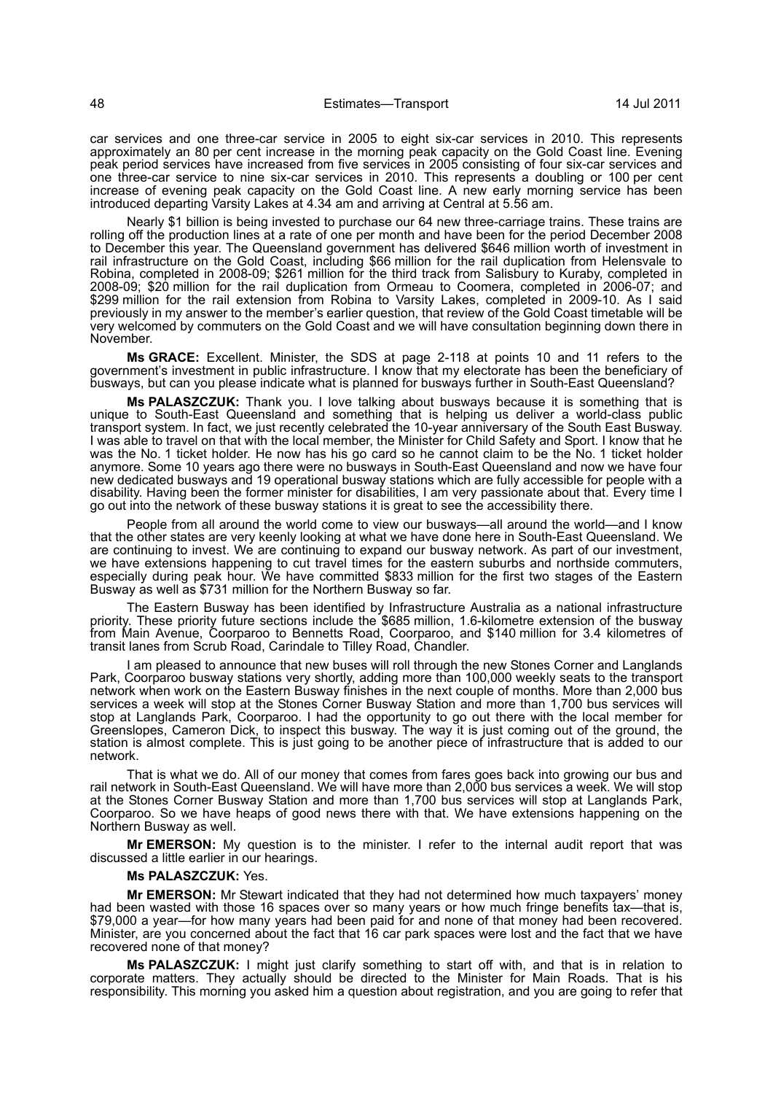car services and one three-car service in 2005 to eight six-car services in 2010. This represents approximately an 80 per cent increase in the morning peak capacity on the Gold Coast line. Evening peak period services have increased from five services in 2005 consisting of four six-car services and one three-car service to nine six-car services in 2010. This represents a doubling or 100 per cent increase of evening peak capacity on the Gold Coast line. A new early morning service has been introduced departing Varsity Lakes at 4.34 am and arriving at Central at 5.56 am.

Nearly \$1 billion is being invested to purchase our 64 new three-carriage trains. These trains are rolling off the production lines at a rate of one per month and have been for the period December 2008 to December this year. The Queensland government has delivered \$646 million worth of investment in rail infrastructure on the Gold Coast, including \$66 million for the rail duplication from Helensvale to Robina, completed in 2008-09; \$261 million for the third track from Salisbury to Kuraby, completed in 2008-09; \$20 million for the rail duplication from Ormeau to Coomera, completed in 2006-07; and \$299 million for the rail extension from Robina to Varsity Lakes, completed in 2009-10. As I said previously in my answer to the member's earlier question, that review of the Gold Coast timetable will be very welcomed by commuters on the Gold Coast and we will have consultation beginning down there in November.

**Ms GRACE:** Excellent. Minister, the SDS at page 2-118 at points 10 and 11 refers to the government's investment in public infrastructure. I know that my electorate has been the beneficiary of busways, but can you please indicate what is planned for busways further in South-East Queensland?

**Ms PALASZCZUK:** Thank you. I love talking about busways because it is something that is unique to South-East Queensland and something that is helping us deliver a world-class public transport system. In fact, we just recently celebrated the 10-year anniversary of the South East Busway. I was able to travel on that with the local member, the Minister for Child Safety and Sport. I know that he was the No. 1 ticket holder. He now has his go card so he cannot claim to be the No. 1 ticket holder anymore. Some 10 years ago there were no busways in South-East Queensland and now we have four new dedicated busways and 19 operational busway stations which are fully accessible for people with a disability. Having been the former minister for disabilities, I am very passionate about that. Every time I go out into the network of these busway stations it is great to see the accessibility there.

People from all around the world come to view our busways—all around the world—and I know that the other states are very keenly looking at what we have done here in South-East Queensland. We are continuing to invest. We are continuing to expand our busway network. As part of our investment, we have extensions happening to cut travel times for the eastern suburbs and northside commuters, especially during peak hour. We have committed \$833 million for the first two stages of the Eastern Busway as well as \$731 million for the Northern Busway so far.

The Eastern Busway has been identified by Infrastructure Australia as a national infrastructure priority. These priority future sections include the \$685 million, 1.6-kilometre extension of the busway from Main Avenue, Coorparoo to Bennetts Road, Coorparoo, and \$140 million for 3.4 kilometres of transit lanes from Scrub Road, Carindale to Tilley Road, Chandler.

I am pleased to announce that new buses will roll through the new Stones Corner and Langlands Park, Coorparoo busway stations very shortly, adding more than 100,000 weekly seats to the transport network when work on the Eastern Busway finishes in the next couple of months. More than 2,000 bus services a week will stop at the Stones Corner Busway Station and more than 1,700 bus services will stop at Langlands Park, Coorparoo. I had the opportunity to go out there with the local member for Greenslopes, Cameron Dick, to inspect this busway. The way it is just coming out of the ground, the station is almost complete. This is just going to be another piece of infrastructure that is added to our network.

That is what we do. All of our money that comes from fares goes back into growing our bus and rail network in South-East Queensland. We will have more than 2,000 bus services a week. We will stop at the Stones Corner Busway Station and more than 1,700 bus services will stop at Langlands Park, Coorparoo. So we have heaps of good news there with that. We have extensions happening on the Northern Busway as well.

**Mr EMERSON:** My question is to the minister. I refer to the internal audit report that was discussed a little earlier in our hearings.

#### **Ms PALASZCZUK:** Yes.

**Mr EMERSON:** Mr Stewart indicated that they had not determined how much taxpayers' money had been wasted with those 16 spaces over so many years or how much fringe benefits tax—that is, \$79,000 a year—for how many years had been paid for and none of that money had been recovered. Minister, are you concerned about the fact that 16 car park spaces were lost and the fact that we have recovered none of that money?

**Ms PALASZCZUK:** I might just clarify something to start off with, and that is in relation to corporate matters. They actually should be directed to the Minister for Main Roads. That is his responsibility. This morning you asked him a question about registration, and you are going to refer that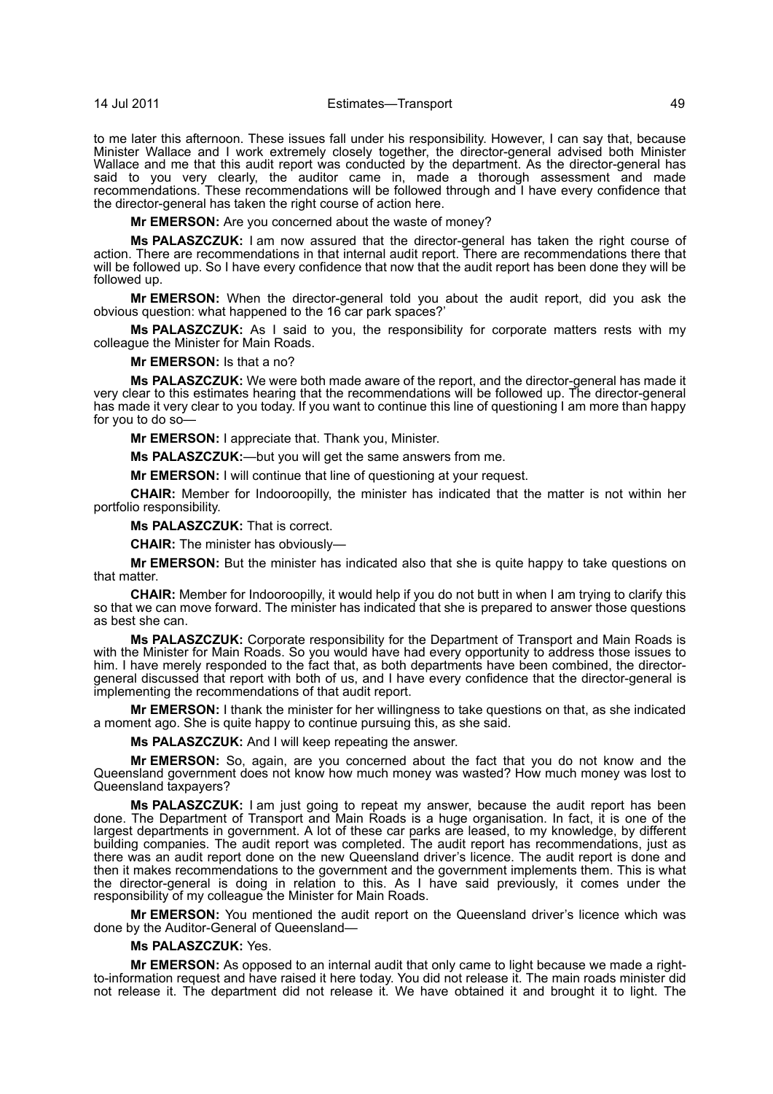14 Jul 2011 Estimates—Transport 49

to me later this afternoon. These issues fall under his responsibility. However, I can say that, because Minister Wallace and I work extremely closely together, the director-general advised both Minister Wallace and me that this audit report was conducted by the department. As the director-general has said to you very clearly, the auditor came in, made a thorough assessment and made recommendations. These recommendations will be followed through and I have every confidence that the director-general has taken the right course of action here.

**Mr EMERSON:** Are you concerned about the waste of money?

**Ms PALASZCZUK:** I am now assured that the director-general has taken the right course of action. There are recommendations in that internal audit report. There are recommendations there that will be followed up. So I have every confidence that now that the audit report has been done they will be followed up.

**Mr EMERSON:** When the director-general told you about the audit report, did you ask the obvious question: what happened to the 16 car park spaces?'

**Ms PALASZCZUK:** As I said to you, the responsibility for corporate matters rests with my colleague the Minister for Main Roads.

**Mr EMERSON:** Is that a no?

**Ms PALASZCZUK:** We were both made aware of the report, and the director-general has made it very clear to this estimates hearing that the recommendations will be followed up. The director-general has made it very clear to you today. If you want to continue this line of questioning I am more than happy for you to do so—

**Mr EMERSON:** I appreciate that. Thank you, Minister.

**Ms PALASZCZUK:**—but you will get the same answers from me.

**Mr EMERSON:** I will continue that line of questioning at your request.

**CHAIR:** Member for Indooroopilly, the minister has indicated that the matter is not within her portfolio responsibility.

**Ms PALASZCZUK:** That is correct.

**CHAIR:** The minister has obviously—

**Mr EMERSON:** But the minister has indicated also that she is quite happy to take questions on that matter.

**CHAIR:** Member for Indooroopilly, it would help if you do not butt in when I am trying to clarify this so that we can move forward. The minister has indicated that she is prepared to answer those questions as best she can.

**Ms PALASZCZUK:** Corporate responsibility for the Department of Transport and Main Roads is with the Minister for Main Roads. So you would have had every opportunity to address those issues to him. I have merely responded to the fact that, as both departments have been combined, the directorgeneral discussed that report with both of us, and I have every confidence that the director-general is implementing the recommendations of that audit report.

**Mr EMERSON:** I thank the minister for her willingness to take questions on that, as she indicated a moment ago. She is quite happy to continue pursuing this, as she said.

**Ms PALASZCZUK:** And I will keep repeating the answer.

**Mr EMERSON:** So, again, are you concerned about the fact that you do not know and the Queensland government does not know how much money was wasted? How much money was lost to Queensland taxpayers?

**Ms PALASZCZUK:** I am just going to repeat my answer, because the audit report has been done. The Department of Transport and Main Roads is a huge organisation. In fact, it is one of the largest departments in government. A lot of these car parks are leased, to my knowledge, by different building companies. The audit report was completed. The audit report has recommendations, just as there was an audit report done on the new Queensland driver's licence. The audit report is done and then it makes recommendations to the government and the government implements them. This is what the director-general is doing in relation to this. As I have said previously, it comes under the responsibility of my colleague the Minister for Main Roads.

**Mr EMERSON:** You mentioned the audit report on the Queensland driver's licence which was done by the Auditor-General of Queensland—

## **Ms PALASZCZUK:** Yes.

**Mr EMERSON:** As opposed to an internal audit that only came to light because we made a rightto-information request and have raised it here today. You did not release it. The main roads minister did not release it. The department did not release it. We have obtained it and brought it to light. The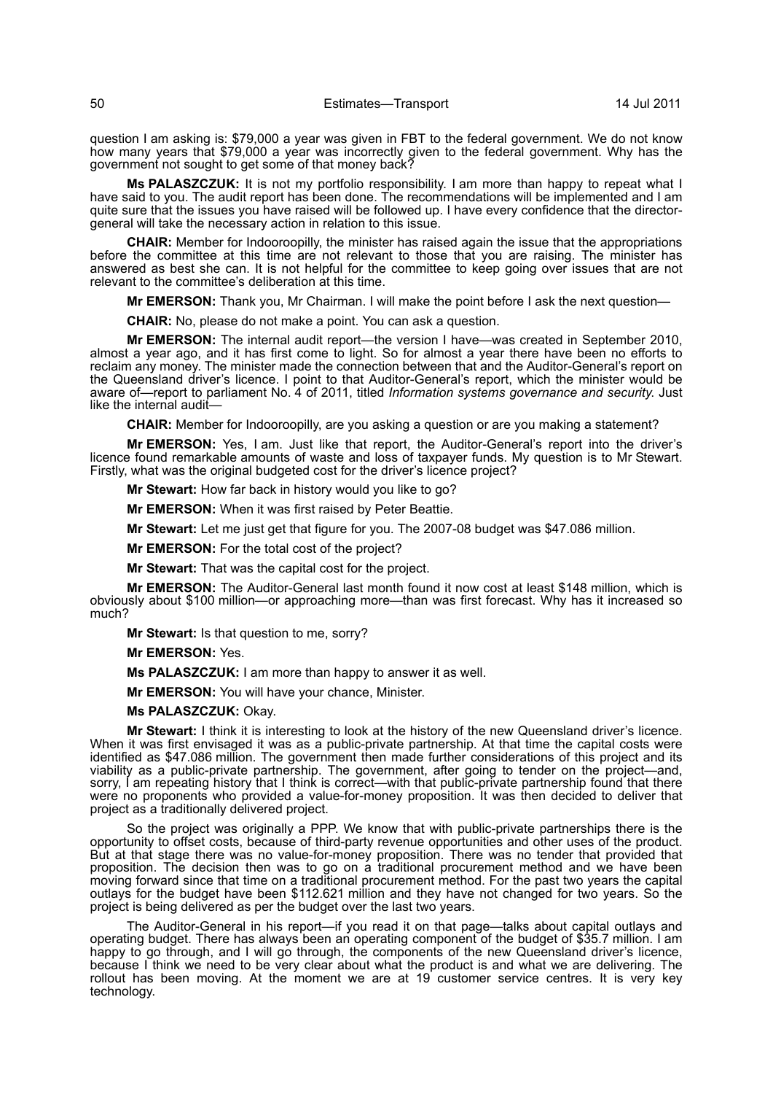question I am asking is: \$79,000 a year was given in FBT to the federal government. We do not know how many years that \$79,000 a year was incorrectly given to the federal government. Why has the government not sought to get some of that money back?

**Ms PALASZCZUK:** It is not my portfolio responsibility. I am more than happy to repeat what I have said to you. The audit report has been done. The recommendations will be implemented and I am quite sure that the issues you have raised will be followed up. I have every confidence that the directorgeneral will take the necessary action in relation to this issue.

**CHAIR:** Member for Indooroopilly, the minister has raised again the issue that the appropriations before the committee at this time are not relevant to those that you are raising. The minister has answered as best she can. It is not helpful for the committee to keep going over issues that are not relevant to the committee's deliberation at this time.

**Mr EMERSON:** Thank you, Mr Chairman. I will make the point before I ask the next question—

**CHAIR:** No, please do not make a point. You can ask a question.

**Mr EMERSON:** The internal audit report—the version I have—was created in September 2010, almost a year ago, and it has first come to light. So for almost a year there have been no efforts to reclaim any money. The minister made the connection between that and the Auditor-General's report on the Queensland driver's licence. I point to that Auditor-General's report, which the minister would be aware of—report to parliament No. 4 of 2011, titled *Information systems governance and security*. Just like the internal audit-

**CHAIR:** Member for Indooroopilly, are you asking a question or are you making a statement?

**Mr EMERSON:** Yes, I am. Just like that report, the Auditor-General's report into the driver's licence found remarkable amounts of waste and loss of taxpayer funds. My question is to Mr Stewart. Firstly, what was the original budgeted cost for the driver's licence project?

**Mr Stewart:** How far back in history would you like to go?

**Mr EMERSON:** When it was first raised by Peter Beattie.

**Mr Stewart:** Let me just get that figure for you. The 2007-08 budget was \$47.086 million.

**Mr EMERSON:** For the total cost of the project?

**Mr Stewart:** That was the capital cost for the project.

**Mr EMERSON:** The Auditor-General last month found it now cost at least \$148 million, which is obviously about \$100 million—or approaching more—than was first forecast. Why has it increased so much?

**Mr Stewart:** Is that question to me, sorry?

**Mr EMERSON:** Yes.

**Ms PALASZCZUK:** I am more than happy to answer it as well.

**Mr EMERSON:** You will have your chance, Minister.

**Ms PALASZCZUK:** Okay.

**Mr Stewart:** I think it is interesting to look at the history of the new Queensland driver's licence. When it was first envisaged it was as a public-private partnership. At that time the capital costs were identified as \$47.086 million. The government then made further considerations of this project and its viability as a public-private partnership. The government, after going to tender on the project—and, sorry, I am repeating history that I think is correct—with that public-private partnership found that there were no proponents who provided a value-for-money proposition. It was then decided to deliver that project as a traditionally delivered project.

So the project was originally a PPP. We know that with public-private partnerships there is the opportunity to offset costs, because of third-party revenue opportunities and other uses of the product. But at that stage there was no value-for-money proposition. There was no tender that provided that proposition. The decision then was to go on a traditional procurement method and we have been moving forward since that time on a traditional procurement method. For the past two years the capital outlays for the budget have been \$112.621 million and they have not changed for two years. So the project is being delivered as per the budget over the last two years.

The Auditor-General in his report—if you read it on that page—talks about capital outlays and operating budget. There has always been an operating component of the budget of \$35.7 million. I am happy to go through, and I will go through, the components of the new Queensland driver's licence, because I think we need to be very clear about what the product is and what we are delivering. The rollout has been moving. At the moment we are at 19 customer service centres. It is very key technology.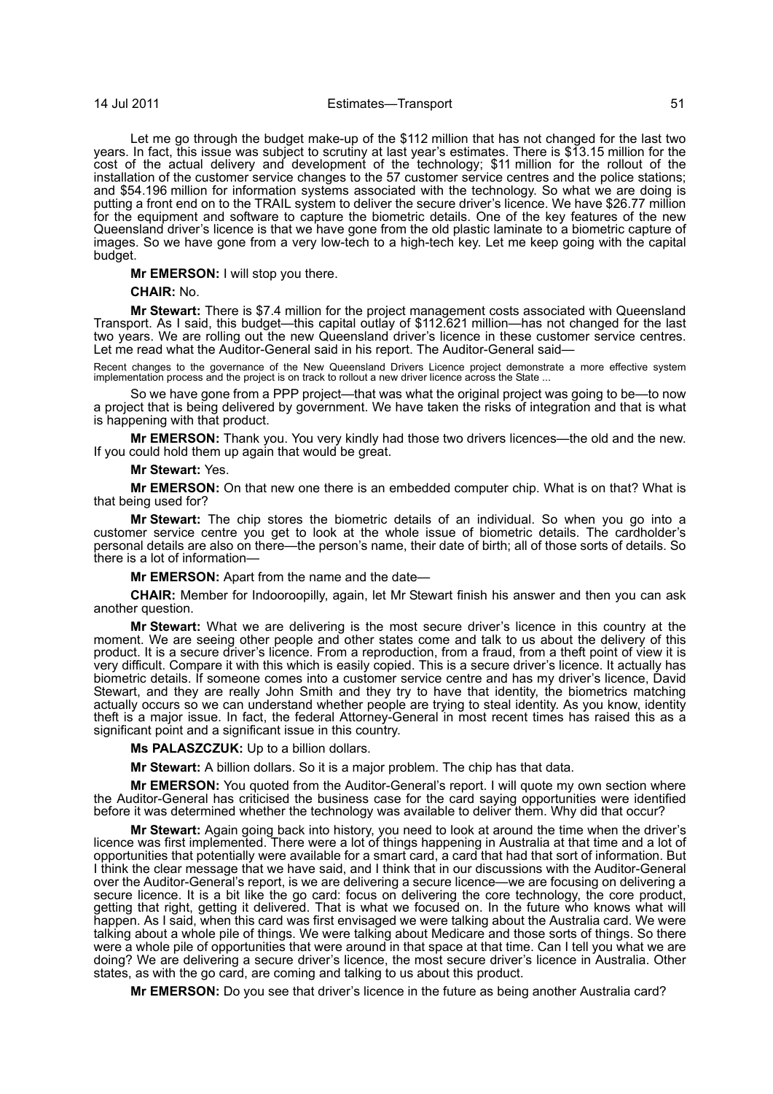## 14 Jul 2011 Estimates—Transport 51

Let me go through the budget make-up of the \$112 million that has not changed for the last two years. In fact, this issue was subject to scrutiny at last year's estimates. There is \$13.15 million for the cost of the actual delivery and development of the technology; \$11 million for the rollout of the installation of the customer service changes to the 57 customer service centres and the police stations; and \$54.196 million for information systems associated with the technology. So what we are doing is putting a front end on to the TRAIL system to deliver the secure driver's licence. We have \$26.77 million for the equipment and software to capture the biometric details. One of the key features of the new Queensland driver's licence is that we have gone from the old plastic laminate to a biometric capture of images. So we have gone from a very low-tech to a high-tech key. Let me keep going with the capital budget.

**Mr EMERSON:** I will stop you there.

## **CHAIR:** No.

**Mr Stewart:** There is \$7.4 million for the project management costs associated with Queensland Transport. As I said, this budget—this capital outlay of \$112.621 million—has not changed for the last two years. We are rolling out the new Queensland driver's licence in these customer service centres. Let me read what the Auditor-General said in his report. The Auditor-General said—

Recent changes to the governance of the New Queensland Drivers Licence project demonstrate a more effective system<br>implementation process and the project is on track to rollout a new driver licence across the State ...

So we have gone from a PPP project—that was what the original project was going to be—to now a project that is being delivered by government. We have taken the risks of integration and that is what is happening with that product.

**Mr EMERSON:** Thank you. You very kindly had those two drivers licences—the old and the new. If you could hold them up again that would be great.

#### **Mr Stewart:** Yes.

**Mr EMERSON:** On that new one there is an embedded computer chip. What is on that? What is that being used for?

**Mr Stewart:** The chip stores the biometric details of an individual. So when you go into a customer service centre you get to look at the whole issue of biometric details. The cardholder's personal details are also on there—the person's name, their date of birth; all of those sorts of details. So there is a lot of information—

**Mr EMERSON:** Apart from the name and the date—

**CHAIR:** Member for Indooroopilly, again, let Mr Stewart finish his answer and then you can ask another question.

**Mr Stewart:** What we are delivering is the most secure driver's licence in this country at the moment. We are seeing other people and other states come and talk to us about the delivery of this product. It is a secure driver's licence. From a reproduction, from a fraud, from a theft point of view it is very difficult. Compare it with this which is easily copied. This is a secure driver's licence. It actually has biometric details. If someone comes into a customer service centre and has my driver's licence, David Stewart, and they are really John Smith and they try to have that identity, the biometrics matching actually occurs so we can understand whether people are trying to steal identity. As you know, identity theft is a major issue. In fact, the federal Attorney-General in most recent times has raised this as a significant point and a significant issue in this country.

## **Ms PALASZCZUK:** Up to a billion dollars.

**Mr Stewart:** A billion dollars. So it is a major problem. The chip has that data.

**Mr EMERSON:** You quoted from the Auditor-General's report. I will quote my own section where the Auditor-General has criticised the business case for the card saying opportunities were identified before it was determined whether the technology was available to deliver them. Why did that occur?

**Mr Stewart:** Again going back into history, you need to look at around the time when the driver's licence was first implemented. There were a lot of things happening in Australia at that time and a lot of opportunities that potentially were available for a smart card, a card that had that sort of information. But I think the clear message that we have said, and I think that in our discussions with the Auditor-General over the Auditor-General's report, is we are delivering a secure licence—we are focusing on delivering a secure licence. It is a bit like the go card: focus on delivering the core technology, the core product, getting that right, getting it delivered. That is what we focused on. In the future who knows what will happen. As I said, when this card was first envisaged we were talking about the Australia card. We were talking about a whole pile of things. We were talking about Medicare and those sorts of things. So there were a whole pile of opportunities that were around in that space at that time. Can I tell you what we are doing? We are delivering a secure driver's licence, the most secure driver's licence in Australia. Other states, as with the go card, are coming and talking to us about this product.

**Mr EMERSON:** Do you see that driver's licence in the future as being another Australia card?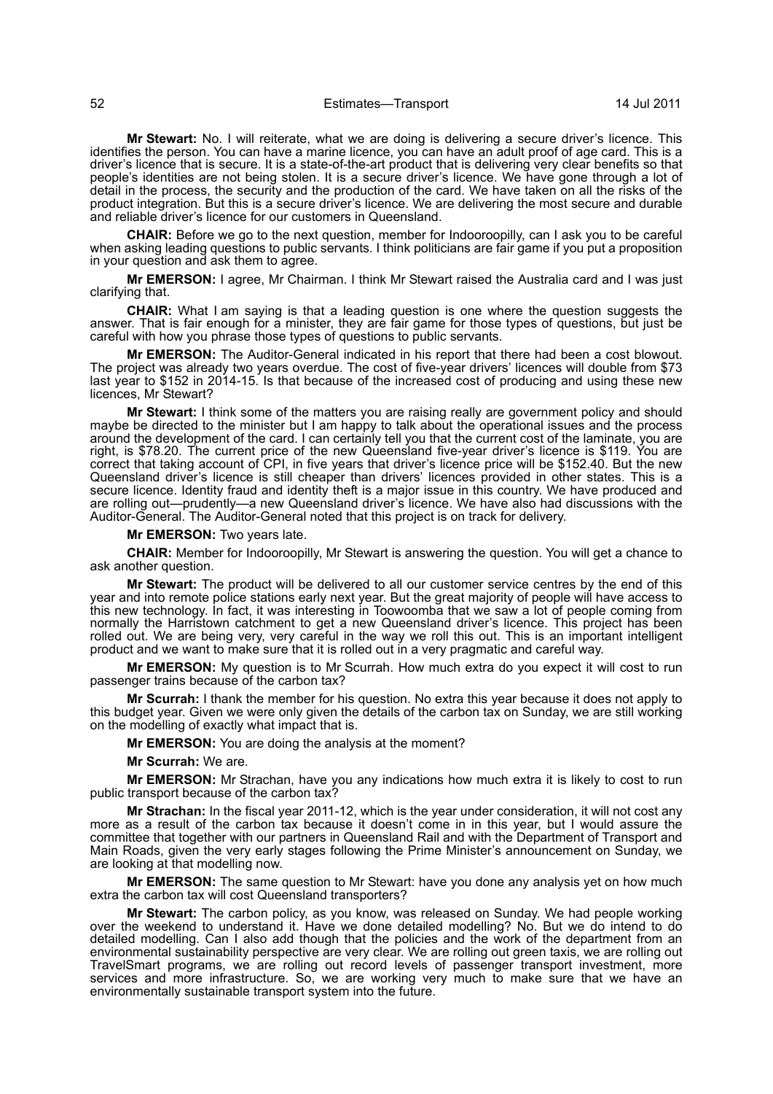**Mr Stewart:** No. I will reiterate, what we are doing is delivering a secure driver's licence. This identifies the person. You can have a marine licence, you can have an adult proof of age card. This is a driver's licence that is secure. It is a state-of-the-art product that is delivering very clear benefits so that people's identities are not being stolen. It is a secure driver's licence. We have gone through a lot of detail in the process, the security and the production of the card. We have taken on all the risks of the product integration. But this is a secure driver's licence. We are delivering the most secure and durable and reliable driver's licence for our customers in Queensland.

**CHAIR:** Before we go to the next question, member for Indooroopilly, can I ask you to be careful when asking leading questions to public servants. I think politicians are fair game if you put a proposition in your question and ask them to agree.

**Mr EMERSON:** I agree, Mr Chairman. I think Mr Stewart raised the Australia card and I was just clarifying that.

**CHAIR:** What I am saying is that a leading question is one where the question suggests the answer. That is fair enough for a minister, they are fair game for those types of questions, but just be careful with how you phrase those types of questions to public servants.

**Mr EMERSON:** The Auditor-General indicated in his report that there had been a cost blowout. The project was already two years overdue. The cost of five-year drivers' licences will double from \$73 last year to \$152 in 2014-15. Is that because of the increased cost of producing and using these new licences, Mr Stewart?

**Mr Stewart:** I think some of the matters you are raising really are government policy and should maybe be directed to the minister but I am happy to talk about the operational issues and the process around the development of the card. I can certainly tell you that the current cost of the laminate, you are right, is \$78.20. The current price of the new Queensland five-year driver's licence is \$119. You are correct that taking account of CPI, in five years that driver's licence price will be \$152.40. But the new Queensland driver's licence is still cheaper than drivers' licences provided in other states. This is a secure licence. Identity fraud and identity theft is a major issue in this country. We have produced and are rolling out—prudently—a new Queensland driver's licence. We have also had discussions with the Auditor-General. The Auditor-General noted that this project is on track for delivery.

**Mr EMERSON:** Two years late.

**CHAIR:** Member for Indooroopilly, Mr Stewart is answering the question. You will get a chance to ask another question.

**Mr Stewart:** The product will be delivered to all our customer service centres by the end of this year and into remote police stations early next year. But the great majority of people will have access to this new technology. In fact, it was interesting in Toowoomba that we saw a lot of people coming from normally the Harristown catchment to get a new Queensland driver's licence. This project has been rolled out. We are being very, very careful in the way we roll this out. This is an important intelligent product and we want to make sure that it is rolled out in a very pragmatic and careful way.

**Mr EMERSON:** My question is to Mr Scurrah. How much extra do you expect it will cost to run passenger trains because of the carbon tax?

**Mr Scurrah:** I thank the member for his question. No extra this year because it does not apply to this budget year. Given we were only given the details of the carbon tax on Sunday, we are still working on the modelling of exactly what impact that is.

**Mr EMERSON:** You are doing the analysis at the moment?

**Mr Scurrah:** We are.

**Mr EMERSON:** Mr Strachan, have you any indications how much extra it is likely to cost to run public transport because of the carbon tax?

**Mr Strachan:** In the fiscal year 2011-12, which is the year under consideration, it will not cost any more as a result of the carbon tax because it doesn't come in in this year, but I would assure the committee that together with our partners in Queensland Rail and with the Department of Transport and Main Roads, given the very early stages following the Prime Minister's announcement on Sunday, we are looking at that modelling now.

**Mr EMERSON:** The same question to Mr Stewart: have you done any analysis yet on how much extra the carbon tax will cost Queensland transporters?

**Mr Stewart:** The carbon policy, as you know, was released on Sunday. We had people working over the weekend to understand it. Have we done detailed modelling? No. But we do intend to do detailed modelling. Can I also add though that the policies and the work of the department from an environmental sustainability perspective are very clear. We are rolling out green taxis, we are rolling out TravelSmart programs, we are rolling out record levels of passenger transport investment, more services and more infrastructure. So, we are working very much to make sure that we have an environmentally sustainable transport system into the future.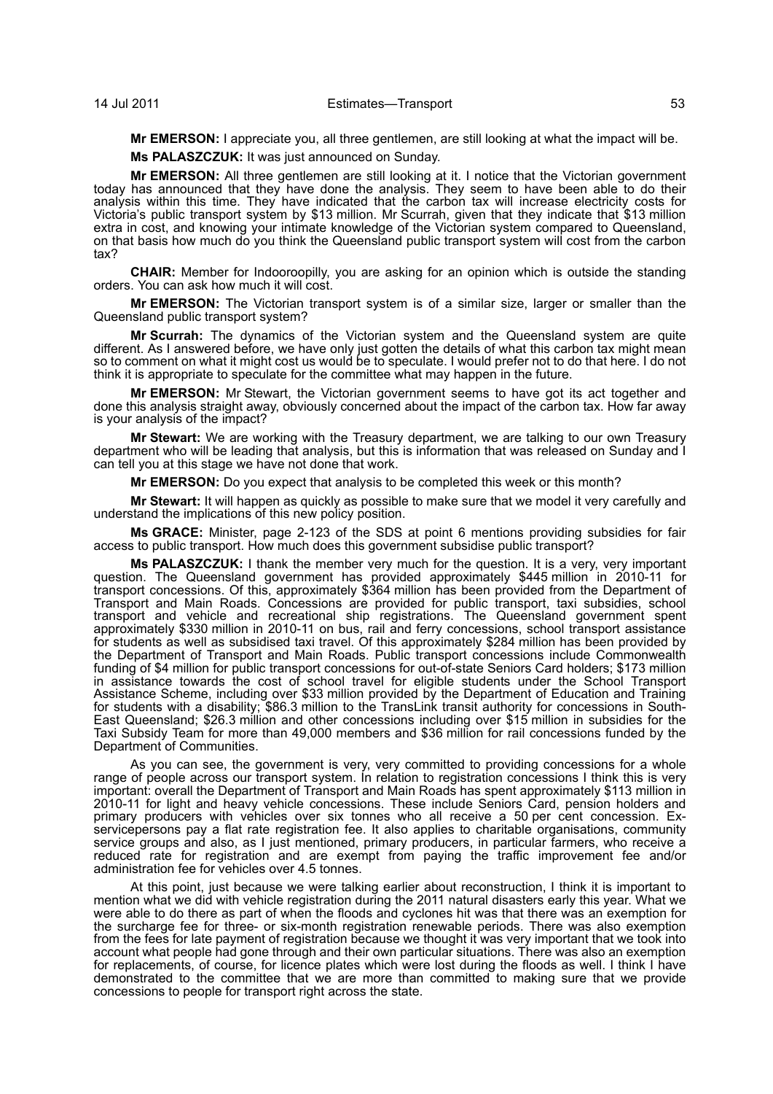**Mr EMERSON:** I appreciate you, all three gentlemen, are still looking at what the impact will be.

**Ms PALASZCZUK:** It was just announced on Sunday.

**Mr EMERSON:** All three gentlemen are still looking at it. I notice that the Victorian government today has announced that they have done the analysis. They seem to have been able to do their analysis within this time. They have indicated that the carbon tax will increase electricity costs for Victoria's public transport system by \$13 million. Mr Scurrah, given that they indicate that \$13 million extra in cost, and knowing your intimate knowledge of the Victorian system compared to Queensland, on that basis how much do you think the Queensland public transport system will cost from the carbon tax?

**CHAIR:** Member for Indooroopilly, you are asking for an opinion which is outside the standing orders. You can ask how much it will cost.

**Mr EMERSON:** The Victorian transport system is of a similar size, larger or smaller than the Queensland public transport system?

**Mr Scurrah:** The dynamics of the Victorian system and the Queensland system are quite different. As I answered before, we have only just gotten the details of what this carbon tax might mean so to comment on what it might cost us would be to speculate. I would prefer not to do that here. I do not think it is appropriate to speculate for the committee what may happen in the future.

**Mr EMERSON:** Mr Stewart, the Victorian government seems to have got its act together and done this analysis straight away, obviously concerned about the impact of the carbon tax. How far away is your analysis of the impact?

**Mr Stewart:** We are working with the Treasury department, we are talking to our own Treasury department who will be leading that analysis, but this is information that was released on Sunday and I can tell you at this stage we have not done that work.

**Mr EMERSON:** Do you expect that analysis to be completed this week or this month?

**Mr Stewart:** It will happen as quickly as possible to make sure that we model it very carefully and understand the implications of this new policy position.

**Ms GRACE:** Minister, page 2-123 of the SDS at point 6 mentions providing subsidies for fair access to public transport. How much does this government subsidise public transport?

**Ms PALASZCZUK:** I thank the member very much for the question. It is a very, very important question. The Queensland government has provided approximately \$445 million in 2010-11 for transport concessions. Of this, approximately \$364 million has been provided from the Department of Transport and Main Roads. Concessions are provided for public transport, taxi subsidies, school transport and vehicle and recreational ship registrations. The Queensland government spent approximately \$330 million in 2010-11 on bus, rail and ferry concessions, school transport assistance for students as well as subsidised taxi travel. Of this approximately \$284 million has been provided by the Department of Transport and Main Roads. Public transport concessions include Commonwealth funding of \$4 million for public transport concessions for out-of-state Seniors Card holders; \$173 million in assistance towards the cost of school travel for eligible students under the School Transport Assistance Scheme, including over \$33 million provided by the Department of Education and Training for students with a disability; \$86.3 million to the TransLink transit authority for concessions in South-East Queensland; \$26.3 million and other concessions including over \$15 million in subsidies for the Taxi Subsidy Team for more than 49,000 members and \$36 million for rail concessions funded by the Department of Communities.

As you can see, the government is very, very committed to providing concessions for a whole range of people across our transport system. In relation to registration concessions I think this is very important: overall the Department of Transport and Main Roads has spent approximately \$113 million in 2010-11 for light and heavy vehicle concessions. These include Seniors Card, pension holders and primary producers with vehicles over six tonnes who all receive a 50 per cent concession. Exservicepersons pay a flat rate registration fee. It also applies to charitable organisations, community service groups and also, as I just mentioned, primary producers, in particular farmers, who receive a reduced rate for registration and are exempt from paying the traffic improvement fee and/or administration fee for vehicles over 4.5 tonnes.

At this point, just because we were talking earlier about reconstruction, I think it is important to mention what we did with vehicle registration during the 2011 natural disasters early this year. What we were able to do there as part of when the floods and cyclones hit was that there was an exemption for the surcharge fee for three- or six-month registration renewable periods. There was also exemption from the fees for late payment of registration because we thought it was very important that we took into account what people had gone through and their own particular situations. There was also an exemption for replacements, of course, for licence plates which were lost during the floods as well. I think I have demonstrated to the committee that we are more than committed to making sure that we provide concessions to people for transport right across the state.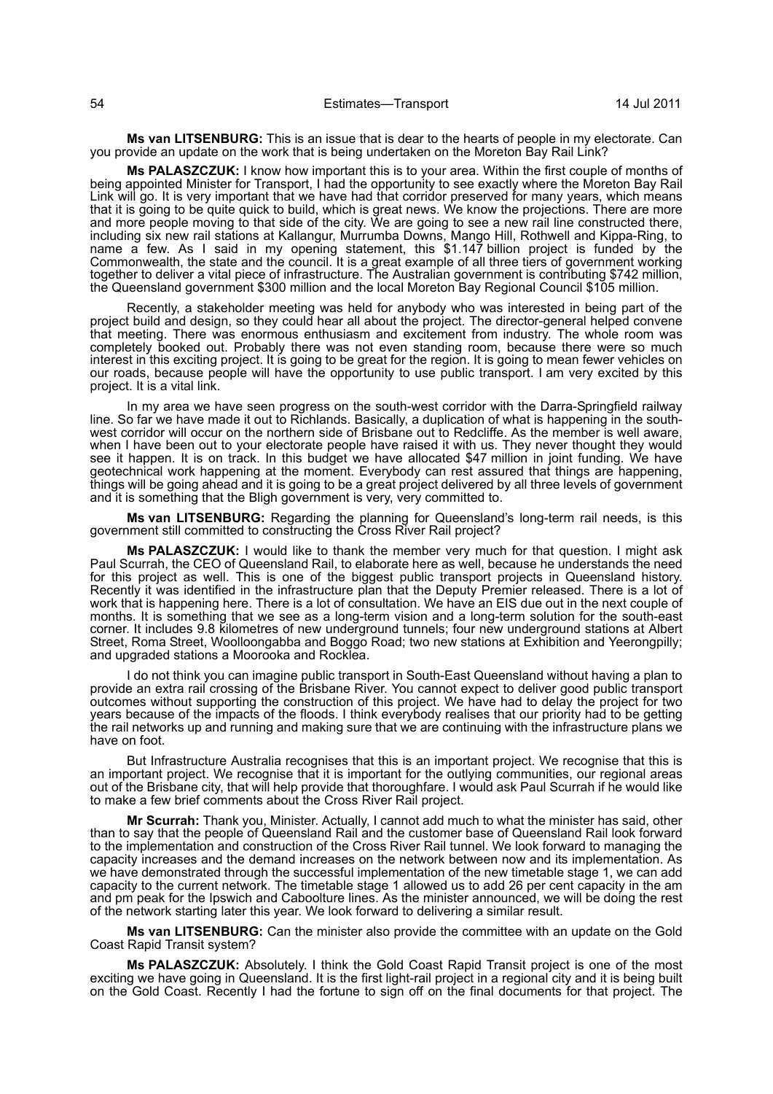**Ms van LITSENBURG:** This is an issue that is dear to the hearts of people in my electorate. Can you provide an update on the work that is being undertaken on the Moreton Bay Rail Link?

**Ms PALASZCZUK:** I know how important this is to your area. Within the first couple of months of being appointed Minister for Transport, I had the opportunity to see exactly where the Moreton Bay Rail Link will go. It is very important that we have had that corridor preserved for many years, which means that it is going to be quite quick to build, which is great news. We know the projections. There are more and more people moving to that side of the city. We are going to see a new rail line constructed there, including six new rail stations at Kallangur, Murrumba Downs, Mango Hill, Rothwell and Kippa-Ring, to name a few. As I said in my opening statement, this \$1.147 billion project is funded by the Commonwealth, the state and the council. It is a great example of all three tiers of government working together to deliver a vital piece of infrastructure. The Australian government is contributing \$742 million, the Queensland government \$300 million and the local Moreton Bay Regional Council \$105 million.

Recently, a stakeholder meeting was held for anybody who was interested in being part of the project build and design, so they could hear all about the project. The director-general helped convene that meeting. There was enormous enthusiasm and excitement from industry. The whole room was completely booked out. Probably there was not even standing room, because there were so much interest in this exciting project. It is going to be great for the region. It is going to mean fewer vehicles on our roads, because people will have the opportunity to use public transport. I am very excited by this project. It is a vital link.

In my area we have seen progress on the south-west corridor with the Darra-Springfield railway line. So far we have made it out to Richlands. Basically, a duplication of what is happening in the southwest corridor will occur on the northern side of Brisbane out to Redcliffe. As the member is well aware, when I have been out to your electorate people have raised it with us. They never thought they would see it happen. It is on track. In this budget we have allocated \$47 million in joint funding. We have geotechnical work happening at the moment. Everybody can rest assured that things are happening, things will be going ahead and it is going to be a great project delivered by all three levels of government and it is something that the Bligh government is very, very committed to.

**Ms van LITSENBURG:** Regarding the planning for Queensland's long-term rail needs, is this government still committed to constructing the Cross River Rail project?

**Ms PALASZCZUK:** I would like to thank the member very much for that question. I might ask Paul Scurrah, the CEO of Queensland Rail, to elaborate here as well, because he understands the need for this project as well. This is one of the biggest public transport projects in Queensland history. Recently it was identified in the infrastructure plan that the Deputy Premier released. There is a lot of work that is happening here. There is a lot of consultation. We have an EIS due out in the next couple of months. It is something that we see as a long-term vision and a long-term solution for the south-east corner. It includes 9.8 kilometres of new underground tunnels; four new underground stations at Albert Street, Roma Street, Woolloongabba and Boggo Road; two new stations at Exhibition and Yeerongpilly; and upgraded stations a Moorooka and Rocklea.

I do not think you can imagine public transport in South-East Queensland without having a plan to provide an extra rail crossing of the Brisbane River. You cannot expect to deliver good public transport outcomes without supporting the construction of this project. We have had to delay the project for two years because of the impacts of the floods. I think everybody realises that our priority had to be getting the rail networks up and running and making sure that we are continuing with the infrastructure plans we have on foot.

But Infrastructure Australia recognises that this is an important project. We recognise that this is an important project. We recognise that it is important for the outlying communities, our regional areas out of the Brisbane city, that will help provide that thoroughfare. I would ask Paul Scurrah if he would like to make a few brief comments about the Cross River Rail project.

**Mr Scurrah:** Thank you, Minister. Actually, I cannot add much to what the minister has said, other than to say that the people of Queensland Rail and the customer base of Queensland Rail look forward to the implementation and construction of the Cross River Rail tunnel. We look forward to managing the capacity increases and the demand increases on the network between now and its implementation. As we have demonstrated through the successful implementation of the new timetable stage 1, we can add capacity to the current network. The timetable stage 1 allowed us to add 26 per cent capacity in the am and pm peak for the Ipswich and Caboolture lines. As the minister announced, we will be doing the rest of the network starting later this year. We look forward to delivering a similar result.

**Ms van LITSENBURG:** Can the minister also provide the committee with an update on the Gold Coast Rapid Transit system?

**Ms PALASZCZUK:** Absolutely. I think the Gold Coast Rapid Transit project is one of the most exciting we have going in Queensland. It is the first light-rail project in a regional city and it is being built on the Gold Coast. Recently I had the fortune to sign off on the final documents for that project. The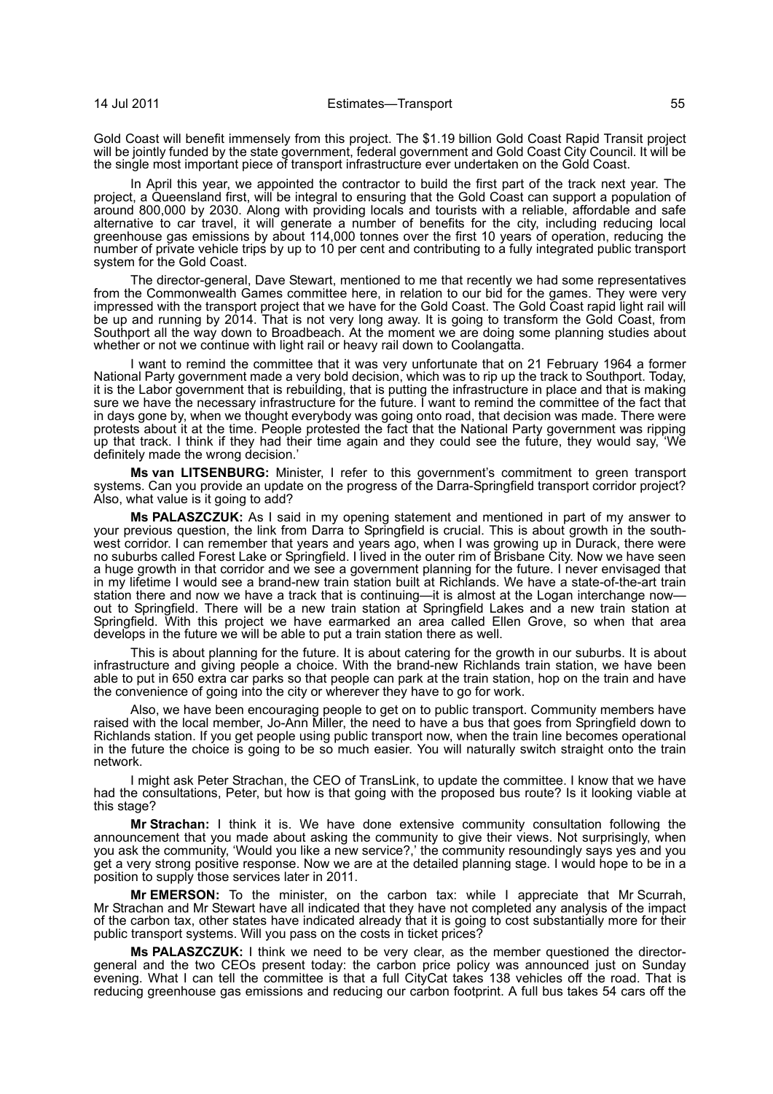Gold Coast will benefit immensely from this project. The \$1.19 billion Gold Coast Rapid Transit project will be jointly funded by the state government, federal government and Gold Coast City Council. It will be the single most important piece of transport infrastructure ever undertaken on the Gold Coast.

In April this year, we appointed the contractor to build the first part of the track next year. The project, a Queensland first, will be integral to ensuring that the Gold Coast can support a population of around 800,000 by 2030. Along with providing locals and tourists with a reliable, affordable and safe alternative to car travel, it will generate a number of benefits for the city, including reducing local greenhouse gas emissions by about 114,000 tonnes over the first 10 years of operation, reducing the number of private vehicle trips by up to 10 per cent and contributing to a fully integrated public transport system for the Gold Coast.

The director-general, Dave Stewart, mentioned to me that recently we had some representatives from the Commonwealth Games committee here, in relation to our bid for the games. They were very impressed with the transport project that we have for the Gold Coast. The Gold Coast rapid light rail will be up and running by 2014. That is not very long away. It is going to transform the Gold Coast, from Southport all the way down to Broadbeach. At the moment we are doing some planning studies about whether or not we continue with light rail or heavy rail down to Coolangatta.

I want to remind the committee that it was very unfortunate that on 21 February 1964 a former National Party government made a very bold decision, which was to rip up the track to Southport. Today, it is the Labor government that is rebuilding, that is putting the infrastructure in place and that is making sure we have the necessary infrastructure for the future. I want to remind the committee of the fact that in days gone by, when we thought everybody was going onto road, that decision was made. There were protests about it at the time. People protested the fact that the National Party government was ripping up that track. I think if they had their time again and they could see the future, they would say, 'We definitely made the wrong decision.'

**Ms van LITSENBURG:** Minister, I refer to this government's commitment to green transport systems. Can you provide an update on the progress of the Darra-Springfield transport corridor project? Also, what value is it going to add?

**Ms PALASZCZUK:** As I said in my opening statement and mentioned in part of my answer to your previous question, the link from Darra to Springfield is crucial. This is about growth in the southwest corridor. I can remember that years and years ago, when I was growing up in Durack, there were no suburbs called Forest Lake or Springfield. I lived in the outer rim of Brisbane City. Now we have seen a huge growth in that corridor and we see a government planning for the future. I never envisaged that in my lifetime I would see a brand-new train station built at Richlands. We have a state-of-the-art train station there and now we have a track that is continuing—it is almost at the Logan interchange now out to Springfield. There will be a new train station at Springfield Lakes and a new train station at Springfield. With this project we have earmarked an area called Ellen Grove, so when that area develops in the future we will be able to put a train station there as well.

This is about planning for the future. It is about catering for the growth in our suburbs. It is about infrastructure and giving people a choice. With the brand-new Richlands train station, we have been able to put in 650 extra car parks so that people can park at the train station, hop on the train and have the convenience of going into the city or wherever they have to go for work.

Also, we have been encouraging people to get on to public transport. Community members have raised with the local member, Jo-Ann Miller, the need to have a bus that goes from Springfield down to Richlands station. If you get people using public transport now, when the train line becomes operational in the future the choice is going to be so much easier. You will naturally switch straight onto the train network.

I might ask Peter Strachan, the CEO of TransLink, to update the committee. I know that we have had the consultations, Peter, but how is that going with the proposed bus route? Is it looking viable at this stage?

**Mr Strachan:** I think it is. We have done extensive community consultation following the announcement that you made about asking the community to give their views. Not surprisingly, when you ask the community, 'Would you like a new service?,' the community resoundingly says yes and you get a very strong positive response. Now we are at the detailed planning stage. I would hope to be in a position to supply those services later in 2011.

**Mr EMERSON:** To the minister, on the carbon tax: while I appreciate that Mr Scurrah, Mr Strachan and Mr Stewart have all indicated that they have not completed any analysis of the impact of the carbon tax, other states have indicated already that it is going to cost substantially more for their public transport systems. Will you pass on the costs in ticket prices?

**Ms PALASZCZUK:** I think we need to be very clear, as the member questioned the directorgeneral and the two CEOs present today: the carbon price policy was announced just on Sunday evening. What I can tell the committee is that a full CityCat takes 138 vehicles off the road. That is reducing greenhouse gas emissions and reducing our carbon footprint. A full bus takes 54 cars off the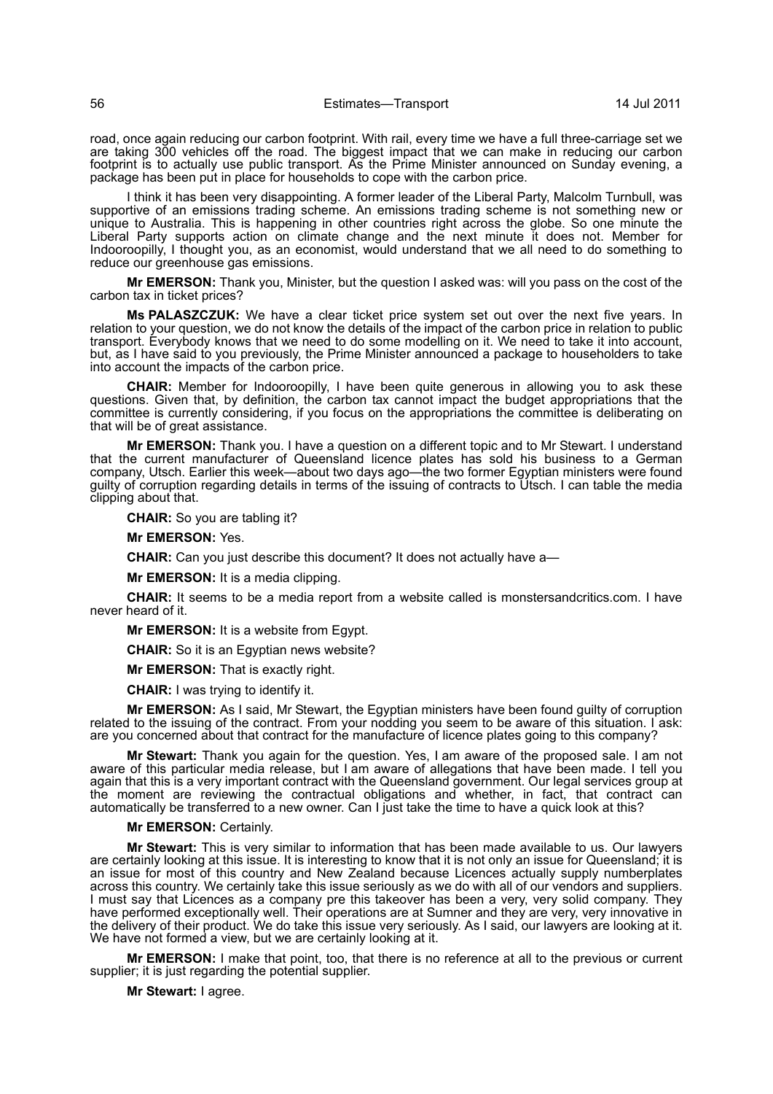road, once again reducing our carbon footprint. With rail, every time we have a full three-carriage set we are taking 300 vehicles off the road. The biggest impact that we can make in reducing our carbon footprint is to actually use public transport. As the Prime Minister announced on Sunday evening, a package has been put in place for households to cope with the carbon price.

I think it has been very disappointing. A former leader of the Liberal Party, Malcolm Turnbull, was supportive of an emissions trading scheme. An emissions trading scheme is not something new or unique to Australia. This is happening in other countries right across the globe. So one minute the Liberal Party supports action on climate change and the next minute it does not. Member for Indooroopilly, I thought you, as an economist, would understand that we all need to do something to reduce our greenhouse gas emissions.

**Mr EMERSON:** Thank you, Minister, but the question I asked was: will you pass on the cost of the carbon tax in ticket prices?

**Ms PALASZCZUK:** We have a clear ticket price system set out over the next five years. In relation to your question, we do not know the details of the impact of the carbon price in relation to public transport. Everybody knows that we need to do some modelling on it. We need to take it into account, but, as I have said to you previously, the Prime Minister announced a package to householders to take into account the impacts of the carbon price.

**CHAIR:** Member for Indooroopilly, I have been quite generous in allowing you to ask these questions. Given that, by definition, the carbon tax cannot impact the budget appropriations that the committee is currently considering, if you focus on the appropriations the committee is deliberating on that will be of great assistance.

**Mr EMERSON:** Thank you. I have a question on a different topic and to Mr Stewart. I understand that the current manufacturer of Queensland licence plates has sold his business to a German company, Utsch. Earlier this week—about two days ago—the two former Egyptian ministers were found guilty of corruption regarding details in terms of the issuing of contracts to Utsch. I can table the media clipping about that.

**CHAIR:** So you are tabling it?

**Mr EMERSON:** Yes.

**CHAIR:** Can you just describe this document? It does not actually have a—

**Mr EMERSON:** It is a media clipping.

**CHAIR:** It seems to be a media report from a website called is monstersandcritics.com. I have never heard of it.

**Mr EMERSON:** It is a website from Egypt.

**CHAIR:** So it is an Egyptian news website?

**Mr EMERSON:** That is exactly right.

**CHAIR:** I was trying to identify it.

**Mr EMERSON:** As I said, Mr Stewart, the Egyptian ministers have been found guilty of corruption related to the issuing of the contract. From your nodding you seem to be aware of this situation. I ask: are you concerned about that contract for the manufacture of licence plates going to this company?

**Mr Stewart:** Thank you again for the question. Yes, I am aware of the proposed sale. I am not aware of this particular media release, but I am aware of allegations that have been made. I tell you again that this is a very important contract with the Queensland government. Our legal services group at the moment are reviewing the contractual obligations and whether, in fact, that contract can automatically be transferred to a new owner. Can I just take the time to have a quick look at this?

#### **Mr EMERSON:** Certainly.

**Mr Stewart:** This is very similar to information that has been made available to us. Our lawyers are certainly looking at this issue. It is interesting to know that it is not only an issue for Queensland; it is an issue for most of this country and New Zealand because Licences actually supply numberplates across this country. We certainly take this issue seriously as we do with all of our vendors and suppliers. I must say that Licences as a company pre this takeover has been a very, very solid company. They have performed exceptionally well. Their operations are at Sumner and they are very, very innovative in the delivery of their product. We do take this issue very seriously. As I said, our lawyers are looking at it. We have not formed a view, but we are certainly looking at it.

**Mr EMERSON:** I make that point, too, that there is no reference at all to the previous or current supplier; it is just regarding the potential supplier.

**Mr Stewart:** I agree.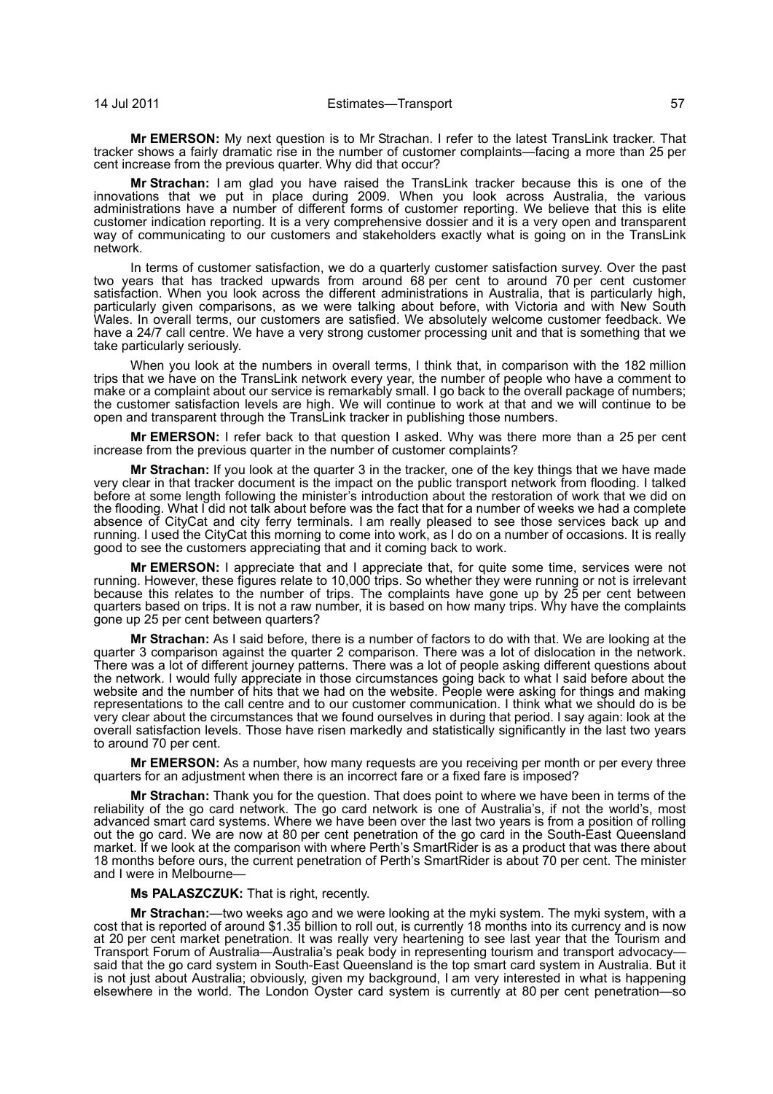**Mr EMERSON:** My next question is to Mr Strachan. I refer to the latest TransLink tracker. That tracker shows a fairly dramatic rise in the number of customer complaints—facing a more than 25 per cent increase from the previous quarter. Why did that occur?

**Mr Strachan:** I am glad you have raised the TransLink tracker because this is one of the innovations that we put in place during 2009. When you look across Australia, the various administrations have a number of different forms of customer reporting. We believe that this is elite customer indication reporting. It is a very comprehensive dossier and it is a very open and transparent way of communicating to our customers and stakeholders exactly what is going on in the TransLink network.

In terms of customer satisfaction, we do a quarterly customer satisfaction survey. Over the past two years that has tracked upwards from around 68 per cent to around 70 per cent customer satisfaction. When you look across the different administrations in Australia, that is particularly high, particularly given comparisons, as we were talking about before, with Victoria and with New South Wales. In overall terms, our customers are satisfied. We absolutely welcome customer feedback. We have a 24/7 call centre. We have a very strong customer processing unit and that is something that we take particularly seriously.

When you look at the numbers in overall terms, I think that, in comparison with the 182 million trips that we have on the TransLink network every year, the number of people who have a comment to make or a complaint about our service is remarkably small. I go back to the overall package of numbers; the customer satisfaction levels are high. We will continue to work at that and we will continue to be open and transparent through the TransLink tracker in publishing those numbers.

**Mr EMERSON:** I refer back to that question I asked. Why was there more than a 25 per cent increase from the previous quarter in the number of customer complaints?

**Mr Strachan:** If you look at the quarter 3 in the tracker, one of the key things that we have made very clear in that tracker document is the impact on the public transport network from flooding. I talked before at some length following the minister's introduction about the restoration of work that we did on the flooding. What I did not talk about before was the fact that for a number of weeks we had a complete absence of CityCat and city ferry terminals. I am really pleased to see those services back up and running. I used the CityCat this morning to come into work, as I do on a number of occasions. It is really good to see the customers appreciating that and it coming back to work.

**Mr EMERSON:** I appreciate that and I appreciate that, for quite some time, services were not running. However, these figures relate to 10,000 trips. So whether they were running or not is irrelevant because this relates to the number of trips. The complaints have gone up by 25 per cent between quarters based on trips. It is not a raw number, it is based on how many trips. Why have the complaints gone up 25 per cent between quarters?

**Mr Strachan:** As I said before, there is a number of factors to do with that. We are looking at the quarter 3 comparison against the quarter 2 comparison. There was a lot of dislocation in the network. There was a lot of different journey patterns. There was a lot of people asking different questions about the network. I would fully appreciate in those circumstances going back to what I said before about the website and the number of hits that we had on the website. People were asking for things and making representations to the call centre and to our customer communication. I think what we should do is be very clear about the circumstances that we found ourselves in during that period. I say again: look at the overall satisfaction levels. Those have risen markedly and statistically significantly in the last two years to around 70 per cent.

**Mr EMERSON:** As a number, how many requests are you receiving per month or per every three quarters for an adjustment when there is an incorrect fare or a fixed fare is imposed?

**Mr Strachan:** Thank you for the question. That does point to where we have been in terms of the reliability of the go card network. The go card network is one of Australia's, if not the world's, most advanced smart card systems. Where we have been over the last two years is from a position of rolling out the go card. We are now at 80 per cent penetration of the go card in the South-East Queensland market. If we look at the comparison with where Perth's SmartRider is as a product that was there about 18 months before ours, the current penetration of Perth's SmartRider is about 70 per cent. The minister and I were in Melbourne-

## **Ms PALASZCZUK:** That is right, recently.

**Mr Strachan:**—two weeks ago and we were looking at the myki system. The myki system, with a cost that is reported of around \$1.35 billion to roll out, is currently 18 months into its currency and is now at 20 per cent market penetration. It was really very heartening to see last year that the Tourism and Transport Forum of Australia—Australia's peak body in representing tourism and transport advocacy said that the go card system in South-East Queensland is the top smart card system in Australia. But it is not just about Australia; obviously, given my background, I am very interested in what is happening elsewhere in the world. The London Oyster card system is currently at 80 per cent penetration—so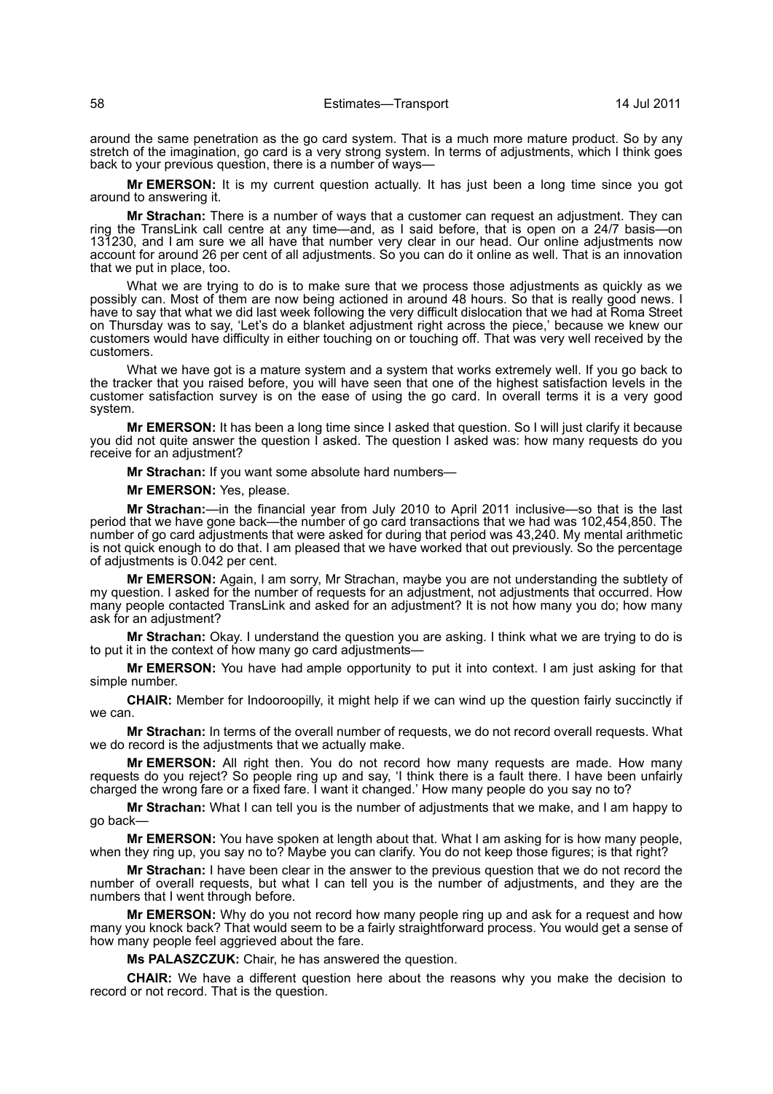around the same penetration as the go card system. That is a much more mature product. So by any stretch of the imagination, go card is a very strong system. In terms of adjustments, which I think goes back to your previous question, there is a number of ways—

**Mr EMERSON:** It is my current question actually. It has just been a long time since you got around to answering it.

**Mr Strachan:** There is a number of ways that a customer can request an adjustment. They can ring the TransLink call centre at any time—and, as I said before, that is open on a 24/7 basis—on 131230, and I am sure we all have that number very clear in our head. Our online adjustments now account for around 26 per cent of all adjustments. So you can do it online as well. That is an innovation that we put in place, too.

What we are trying to do is to make sure that we process those adjustments as quickly as we possibly can. Most of them are now being actioned in around 48 hours. So that is really good news. I have to say that what we did last week following the very difficult dislocation that we had at Roma Street on Thursday was to say, 'Let's do a blanket adjustment right across the piece,' because we knew our customers would have difficulty in either touching on or touching off. That was very well received by the customers.

What we have got is a mature system and a system that works extremely well. If you go back to the tracker that you raised before, you will have seen that one of the highest satisfaction levels in the customer satisfaction survey is on the ease of using the go card. In overall terms it is a very good system.

**Mr EMERSON:** It has been a long time since I asked that question. So I will just clarify it because you did not quite answer the question I asked. The question I asked was: how many requests do you receive for an adjustment?

**Mr Strachan:** If you want some absolute hard numbers—

**Mr EMERSON:** Yes, please.

**Mr Strachan:**—in the financial year from July 2010 to April 2011 inclusive—so that is the last period that we have gone back—the number of go card transactions that we had was 102,454,850. The number of go card adjustments that were asked for during that period was 43,240. My mental arithmetic is not quick enough to do that. I am pleased that we have worked that out previously. So the percentage of adjustments is 0.042 per cent.

**Mr EMERSON:** Again, I am sorry, Mr Strachan, maybe you are not understanding the subtlety of my question. I asked for the number of requests for an adjustment, not adjustments that occurred. How many people contacted TransLink and asked for an adjustment? It is not how many you do; how many ask for an adjustment?

**Mr Strachan:** Okay. I understand the question you are asking. I think what we are trying to do is to put it in the context of how many go card adjustments—

**Mr EMERSON:** You have had ample opportunity to put it into context. I am just asking for that simple number.

**CHAIR:** Member for Indooroopilly, it might help if we can wind up the question fairly succinctly if we can.

**Mr Strachan:** In terms of the overall number of requests, we do not record overall requests. What we do record is the adjustments that we actually make.

**Mr EMERSON:** All right then. You do not record how many requests are made. How many requests do you reject? So people ring up and say, 'I think there is a fault there. I have been unfairly charged the wrong fare or a fixed fare. I want it changed.' How many people do you say no to?

**Mr Strachan:** What I can tell you is the number of adjustments that we make, and I am happy to go back—

**Mr EMERSON:** You have spoken at length about that. What I am asking for is how many people, when they ring up, you say no to? Maybe you can clarify. You do not keep those figures; is that right?

**Mr Strachan:** I have been clear in the answer to the previous question that we do not record the number of overall requests, but what I can tell you is the number of adjustments, and they are the numbers that I went through before.

**Mr EMERSON:** Why do you not record how many people ring up and ask for a request and how many you knock back? That would seem to be a fairly straightforward process. You would get a sense of how many people feel aggrieved about the fare.

**Ms PALASZCZUK:** Chair, he has answered the question.

**CHAIR:** We have a different question here about the reasons why you make the decision to record or not record. That is the question.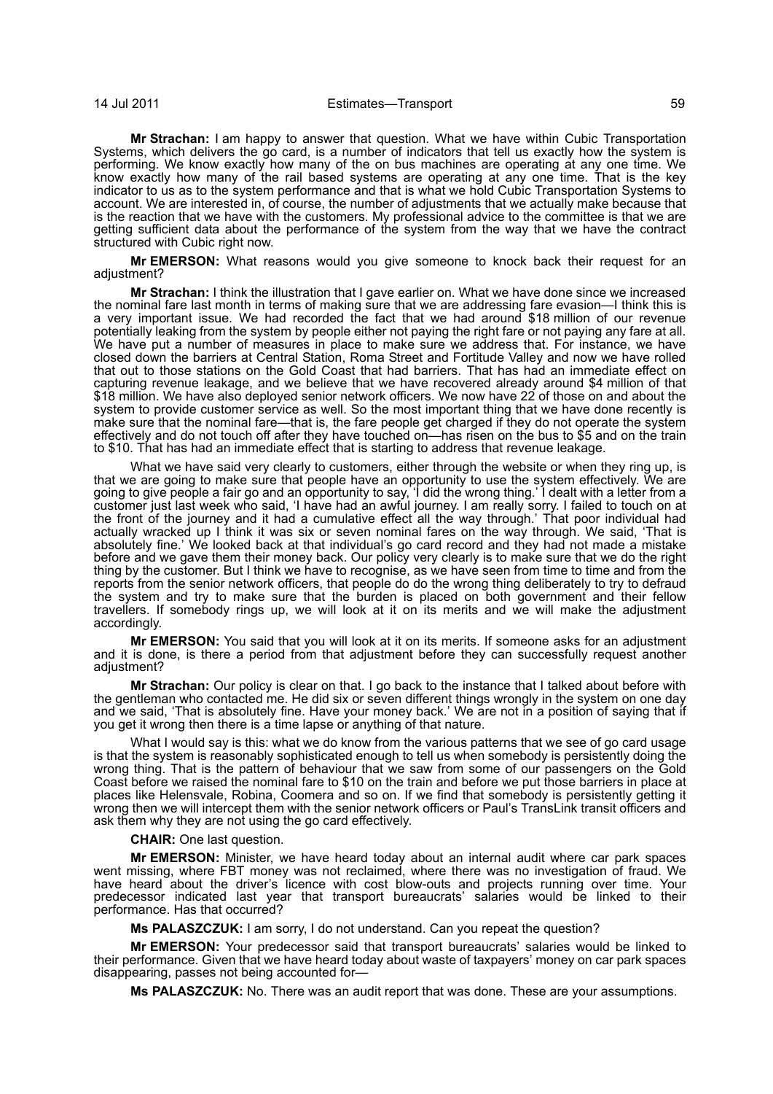**Mr Strachan:** I am happy to answer that question. What we have within Cubic Transportation Systems, which delivers the go card, is a number of indicators that tell us exactly how the system is performing. We know exactly how many of the on bus machines are operating at any one time. We know exactly how many of the rail based systems are operating at any one time. That is the key indicator to us as to the system performance and that is what we hold Cubic Transportation Systems to account. We are interested in, of course, the number of adjustments that we actually make because that is the reaction that we have with the customers. My professional advice to the committee is that we are getting sufficient data about the performance of the system from the way that we have the contract structured with Cubic right now.

**Mr EMERSON:** What reasons would you give someone to knock back their request for an adjustment?

**Mr Strachan:** I think the illustration that I gave earlier on. What we have done since we increased the nominal fare last month in terms of making sure that we are addressing fare evasion—I think this is a very important issue. We had recorded the fact that we had around \$18 million of our revenue potentially leaking from the system by people either not paying the right fare or not paying any fare at all. We have put a number of measures in place to make sure we address that. For instance, we have closed down the barriers at Central Station, Roma Street and Fortitude Valley and now we have rolled that out to those stations on the Gold Coast that had barriers. That has had an immediate effect on capturing revenue leakage, and we believe that we have recovered already around \$4 million of that \$18 million. We have also deployed senior network officers. We now have 22 of those on and about the system to provide customer service as well. So the most important thing that we have done recently is make sure that the nominal fare—that is, the fare people get charged if they do not operate the system effectively and do not touch off after they have touched on—has risen on the bus to \$5 and on the train to \$10. That has had an immediate effect that is starting to address that revenue leakage.

What we have said very clearly to customers, either through the website or when they ring up, is that we are going to make sure that people have an opportunity to use the system effectively. We are going to give people a fair go and an opportunity to say, 'I did the wrong thing.' I dealt with a letter from a customer just last week who said, 'I have had an awful journey. I am really sorry. I failed to touch on at the front of the journey and it had a cumulative effect all the way through.' That poor individual had actually wracked up I think it was six or seven nominal fares on the way through. We said, 'That is absolutely fine.' We looked back at that individual's go card record and they had not made a mistake before and we gave them their money back. Our policy very clearly is to make sure that we do the right thing by the customer. But I think we have to recognise, as we have seen from time to time and from the reports from the senior network officers, that people do do the wrong thing deliberately to try to defraud the system and try to make sure that the burden is placed on both government and their fellow travellers. If somebody rings up, we will look at it on its merits and we will make the adjustment accordingly.

**Mr EMERSON:** You said that you will look at it on its merits. If someone asks for an adjustment and it is done, is there a period from that adjustment before they can successfully request another adiustment?

**Mr Strachan:** Our policy is clear on that. I go back to the instance that I talked about before with the gentleman who contacted me. He did six or seven different things wrongly in the system on one day and we said, 'That is absolutely fine. Have your money back.' We are not in a position of saying that if you get it wrong then there is a time lapse or anything of that nature.

What I would say is this: what we do know from the various patterns that we see of go card usage is that the system is reasonably sophisticated enough to tell us when somebody is persistently doing the wrong thing. That is the pattern of behaviour that we saw from some of our passengers on the Gold Coast before we raised the nominal fare to \$10 on the train and before we put those barriers in place at places like Helensvale, Robina, Coomera and so on. If we find that somebody is persistently getting it wrong then we will intercept them with the senior network officers or Paul's TransLink transit officers and ask them why they are not using the go card effectively.

**CHAIR:** One last question.

**Mr EMERSON:** Minister, we have heard today about an internal audit where car park spaces went missing, where FBT money was not reclaimed, where there was no investigation of fraud. We have heard about the driver's licence with cost blow-outs and projects running over time. Your predecessor indicated last year that transport bureaucrats' salaries would be linked to their performance. Has that occurred?

**Ms PALASZCZUK:** I am sorry, I do not understand. Can you repeat the question?

**Mr EMERSON:** Your predecessor said that transport bureaucrats' salaries would be linked to their performance. Given that we have heard today about waste of taxpayers' money on car park spaces disappearing, passes not being accounted for—

**Ms PALASZCZUK:** No. There was an audit report that was done. These are your assumptions.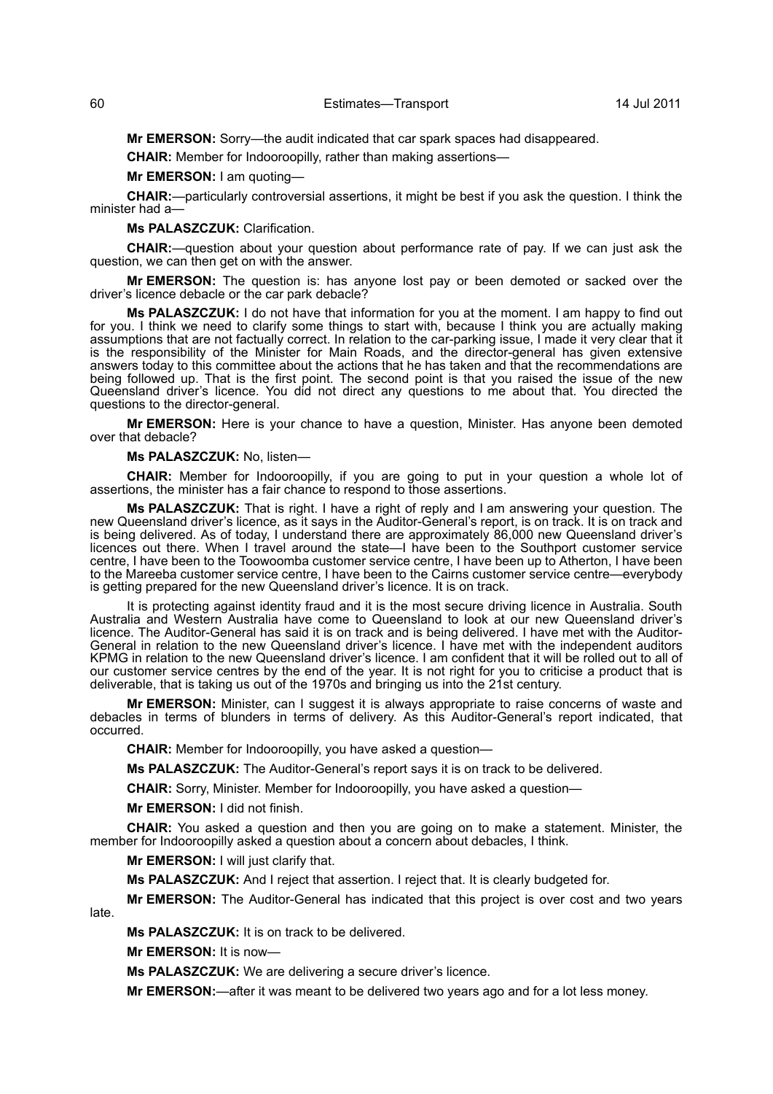**Mr EMERSON:** Sorry—the audit indicated that car spark spaces had disappeared.

**CHAIR:** Member for Indooroopilly, rather than making assertions—

**Mr EMERSON:** I am quoting—

**CHAIR:**—particularly controversial assertions, it might be best if you ask the question. I think the minister had a

**Ms PALASZCZUK:** Clarification.

**CHAIR:**—question about your question about performance rate of pay. If we can just ask the question, we can then get on with the answer.

**Mr EMERSON:** The question is: has anyone lost pay or been demoted or sacked over the driver's licence debacle or the car park debacle?

**Ms PALASZCZUK:** I do not have that information for you at the moment. I am happy to find out for you. I think we need to clarify some things to start with, because I think you are actually making assumptions that are not factually correct. In relation to the car-parking issue, I made it very clear that it is the responsibility of the Minister for Main Roads, and the director-general has given extensive answers today to this committee about the actions that he has taken and that the recommendations are being followed up. That is the first point. The second point is that you raised the issue of the new Queensland driver's licence. You did not direct any questions to me about that. You directed the questions to the director-general.

**Mr EMERSON:** Here is your chance to have a question, Minister. Has anyone been demoted over that debacle?

#### **Ms PALASZCZUK:** No, listen—

**CHAIR:** Member for Indooroopilly, if you are going to put in your question a whole lot of assertions, the minister has a fair chance to respond to those assertions.

**Ms PALASZCZUK:** That is right. I have a right of reply and I am answering your question. The new Queensland driver's licence, as it says in the Auditor-General's report, is on track. It is on track and is being delivered. As of today, I understand there are approximately 86,000 new Queensland driver's licences out there. When I travel around the state—I have been to the Southport customer service centre, I have been to the Toowoomba customer service centre, I have been up to Atherton, I have been to the Mareeba customer service centre, I have been to the Cairns customer service centre—everybody is getting prepared for the new Queensland driver's licence. It is on track.

It is protecting against identity fraud and it is the most secure driving licence in Australia. South Australia and Western Australia have come to Queensland to look at our new Queensland driver's licence. The Auditor-General has said it is on track and is being delivered. I have met with the Auditor-General in relation to the new Queensland driver's licence. I have met with the independent auditors KPMG in relation to the new Queensland driver's licence. I am confident that it will be rolled out to all of our customer service centres by the end of the year. It is not right for you to criticise a product that is deliverable, that is taking us out of the 1970s and bringing us into the 21st century.

**Mr EMERSON:** Minister, can I suggest it is always appropriate to raise concerns of waste and debacles in terms of blunders in terms of delivery. As this Auditor-General's report indicated, that occurred.

**CHAIR:** Member for Indooroopilly, you have asked a question—

**Ms PALASZCZUK:** The Auditor-General's report says it is on track to be delivered.

**CHAIR:** Sorry, Minister. Member for Indooroopilly, you have asked a question—

**Mr EMERSON:** I did not finish.

**CHAIR:** You asked a question and then you are going on to make a statement. Minister, the member for Indooroopilly asked a question about a concern about debacles, I think.

**Mr EMERSON:** I will just clarify that.

**Ms PALASZCZUK:** And I reject that assertion. I reject that. It is clearly budgeted for.

**Mr EMERSON:** The Auditor-General has indicated that this project is over cost and two years

**Ms PALASZCZUK:** It is on track to be delivered.

**Mr EMERSON:** It is now—

late.

**Ms PALASZCZUK:** We are delivering a secure driver's licence.

**Mr EMERSON:**—after it was meant to be delivered two years ago and for a lot less money.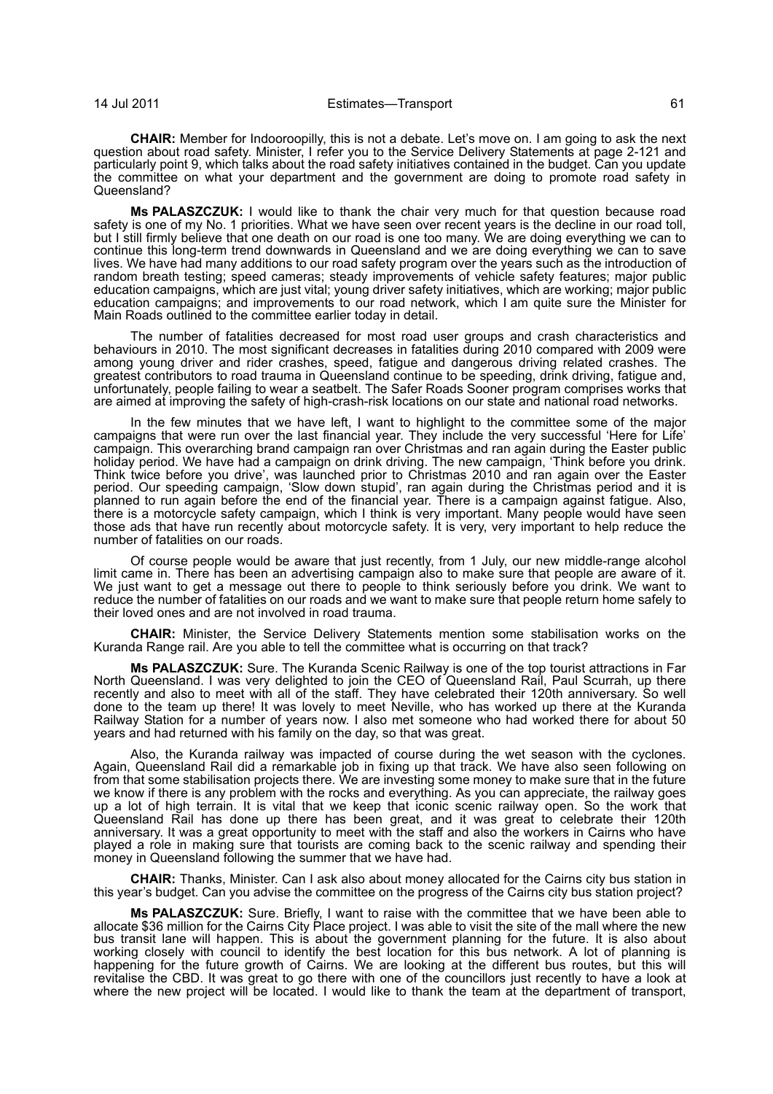**CHAIR:** Member for Indooroopilly, this is not a debate. Let's move on. I am going to ask the next question about road safety. Minister, I refer you to the Service Delivery Statements at page 2-121 and particularly point 9, which talks about the road safety initiatives contained in the budget. Can you update the committee on what your department and the government are doing to promote road safety in Queensland?

**Ms PALASZCZUK:** I would like to thank the chair very much for that question because road safety is one of my No. 1 priorities. What we have seen over recent years is the decline in our road toll, but I still firmly believe that one death on our road is one too many. We are doing everything we can to continue this long-term trend downwards in Queensland and we are doing everything we can to save lives. We have had many additions to our road safety program over the years such as the introduction of random breath testing; speed cameras; steady improvements of vehicle safety features; major public education campaigns, which are just vital; young driver safety initiatives, which are working; major public education campaigns; and improvements to our road network, which I am quite sure the Minister for Main Roads outlined to the committee earlier today in detail.

The number of fatalities decreased for most road user groups and crash characteristics and behaviours in 2010. The most significant decreases in fatalities during 2010 compared with 2009 were among young driver and rider crashes, speed, fatigue and dangerous driving related crashes. The greatest contributors to road trauma in Queensland continue to be speeding, drink driving, fatigue and, unfortunately, people failing to wear a seatbelt. The Safer Roads Sooner program comprises works that are aimed at improving the safety of high-crash-risk locations on our state and national road networks.

In the few minutes that we have left, I want to highlight to the committee some of the major campaigns that were run over the last financial year. They include the very successful 'Here for Life' campaign. This overarching brand campaign ran over Christmas and ran again during the Easter public holiday period. We have had a campaign on drink driving. The new campaign, 'Think before you drink. Think twice before you drive', was launched prior to Christmas 2010 and ran again over the Easter period. Our speeding campaign, 'Slow down stupid', ran again during the Christmas period and it is planned to run again before the end of the financial year. There is a campaign against fatigue. Also, there is a motorcycle safety campaign, which I think is very important. Many people would have seen those ads that have run recently about motorcycle safety. It is very, very important to help reduce the number of fatalities on our roads.

Of course people would be aware that just recently, from 1 July, our new middle-range alcohol limit came in. There has been an advertising campaign also to make sure that people are aware of it. We just want to get a message out there to people to think seriously before you drink. We want to reduce the number of fatalities on our roads and we want to make sure that people return home safely to their loved ones and are not involved in road trauma.

**CHAIR:** Minister, the Service Delivery Statements mention some stabilisation works on the Kuranda Range rail. Are you able to tell the committee what is occurring on that track?

**Ms PALASZCZUK:** Sure. The Kuranda Scenic Railway is one of the top tourist attractions in Far North Queensland. I was very delighted to join the CEO of Queensland Rail, Paul Scurrah, up there recently and also to meet with all of the staff. They have celebrated their 120th anniversary. So well done to the team up there! It was lovely to meet Neville, who has worked up there at the Kuranda Railway Station for a number of years now. I also met someone who had worked there for about 50 years and had returned with his family on the day, so that was great.

Also, the Kuranda railway was impacted of course during the wet season with the cyclones. Again, Queensland Rail did a remarkable job in fixing up that track. We have also seen following on from that some stabilisation projects there. We are investing some money to make sure that in the future we know if there is any problem with the rocks and everything. As you can appreciate, the railway goes up a lot of high terrain. It is vital that we keep that iconic scenic railway open. So the work that Queensland Rail has done up there has been great, and it was great to celebrate their 120th anniversary. It was a great opportunity to meet with the staff and also the workers in Cairns who have played a role in making sure that tourists are coming back to the scenic railway and spending their money in Queensland following the summer that we have had.

**CHAIR:** Thanks, Minister. Can I ask also about money allocated for the Cairns city bus station in this year's budget. Can you advise the committee on the progress of the Cairns city bus station project?

**Ms PALASZCZUK:** Sure. Briefly, I want to raise with the committee that we have been able to allocate \$36 million for the Cairns City Place project. I was able to visit the site of the mall where the new bus transit lane will happen. This is about the government planning for the future. It is also about working closely with council to identify the best location for this bus network. A lot of planning is happening for the future growth of Cairns. We are looking at the different bus routes, but this will revitalise the CBD. It was great to go there with one of the councillors just recently to have a look at where the new project will be located. I would like to thank the team at the department of transport,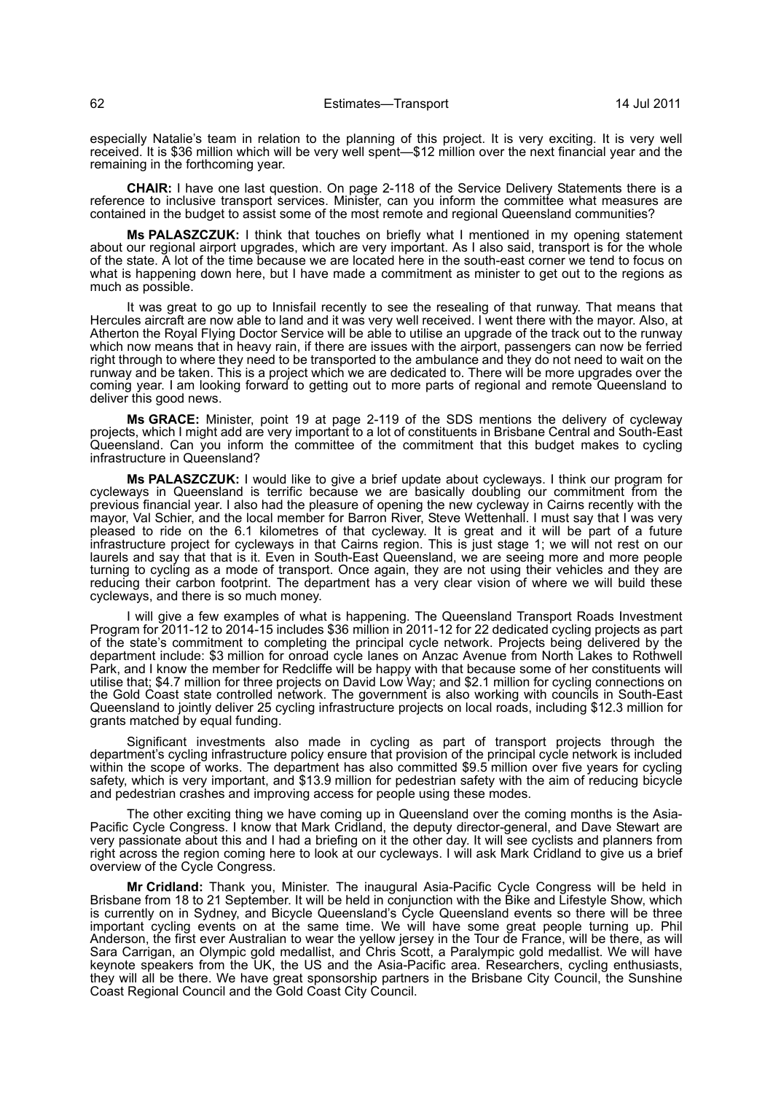especially Natalie's team in relation to the planning of this project. It is very exciting. It is very well received. It is \$36 million which will be very well spent—\$12 million over the next financial year and the remaining in the forthcoming year.

**CHAIR:** I have one last question. On page 2-118 of the Service Delivery Statements there is a reference to inclusive transport services. Minister, can you inform the committee what measures are contained in the budget to assist some of the most remote and regional Queensland communities?

**Ms PALASZCZUK:** I think that touches on briefly what I mentioned in my opening statement about our regional airport upgrades, which are very important. As I also said, transport is for the whole of the state. A lot of the time because we are located here in the south-east corner we tend to focus on what is happening down here, but I have made a commitment as minister to get out to the regions as much as possible.

It was great to go up to Innisfail recently to see the resealing of that runway. That means that Hercules aircraft are now able to land and it was very well received. I went there with the mayor. Also, at Atherton the Royal Flying Doctor Service will be able to utilise an upgrade of the track out to the runway which now means that in heavy rain, if there are issues with the airport, passengers can now be ferried right through to where they need to be transported to the ambulance and they do not need to wait on the runway and be taken. This is a project which we are dedicated to. There will be more upgrades over the coming year. I am looking forward to getting out to more parts of regional and remote Queensland to deliver this good news.

**Ms GRACE:** Minister, point 19 at page 2-119 of the SDS mentions the delivery of cycleway projects, which I might add are very important to a lot of constituents in Brisbane Central and South-East Queensland. Can you inform the committee of the commitment that this budget makes to cycling infrastructure in Queensland?

**Ms PALASZCZUK:** I would like to give a brief update about cycleways. I think our program for cycleways in Queensland is terrific because we are basically doubling our commitment from the previous financial year. I also had the pleasure of opening the new cycleway in Cairns recently with the mayor, Val Schier, and the local member for Barron River, Steve Wettenhall. I must say that I was very pleased to ride on the 6.1 kilometres of that cycleway. It is great and it will be part of a future infrastructure project for cycleways in that Cairns region. This is just stage 1; we will not rest on our laurels and say that that is it. Even in South-East Queensland, we are seeing more and more people turning to cycling as a mode of transport. Once again, they are not using their vehicles and they are reducing their carbon footprint. The department has a very clear vision of where we will build these cycleways, and there is so much money.

I will give a few examples of what is happening. The Queensland Transport Roads Investment Program for 2011-12 to 2014-15 includes \$36 million in 2011-12 for 22 dedicated cycling projects as part of the state's commitment to completing the principal cycle network. Projects being delivered by the department include: \$3 million for onroad cycle lanes on Anzac Avenue from North Lakes to Rothwell Park, and I know the member for Redcliffe will be happy with that because some of her constituents will utilise that; \$4.7 million for three projects on David Low Way; and \$2.1 million for cycling connections on the Gold Coast state controlled network. The government is also working with councils in South-East Queensland to jointly deliver 25 cycling infrastructure projects on local roads, including \$12.3 million for grants matched by equal funding.

Significant investments also made in cycling as part of transport projects through the department's cycling infrastructure policy ensure that provision of the principal cycle network is included within the scope of works. The department has also committed \$9.5 million over five years for cycling safety, which is very important, and \$13.9 million for pedestrian safety with the aim of reducing bicycle and pedestrian crashes and improving access for people using these modes.

The other exciting thing we have coming up in Queensland over the coming months is the Asia-Pacific Cycle Congress. I know that Mark Cridland, the deputy director-general, and Dave Stewart are very passionate about this and I had a briefing on it the other day. It will see cyclists and planners from right across the region coming here to look at our cycleways. I will ask Mark Cridland to give us a brief overview of the Cycle Congress.

**Mr Cridland:** Thank you, Minister. The inaugural Asia-Pacific Cycle Congress will be held in Brisbane from 18 to 21 September. It will be held in conjunction with the Bike and Lifestyle Show, which is currently on in Sydney, and Bicycle Queensland's Cycle Queensland events so there will be three important cycling events on at the same time. We will have some great people turning up. Phil Anderson, the first ever Australian to wear the yellow jersey in the Tour de France, will be there, as will Sara Carrigan, an Olympic gold medallist, and Chris Scott, a Paralympic gold medallist. We will have keynote speakers from the UK, the US and the Asia-Pacific area. Researchers, cycling enthusiasts, they will all be there. We have great sponsorship partners in the Brisbane City Council, the Sunshine Coast Regional Council and the Gold Coast City Council.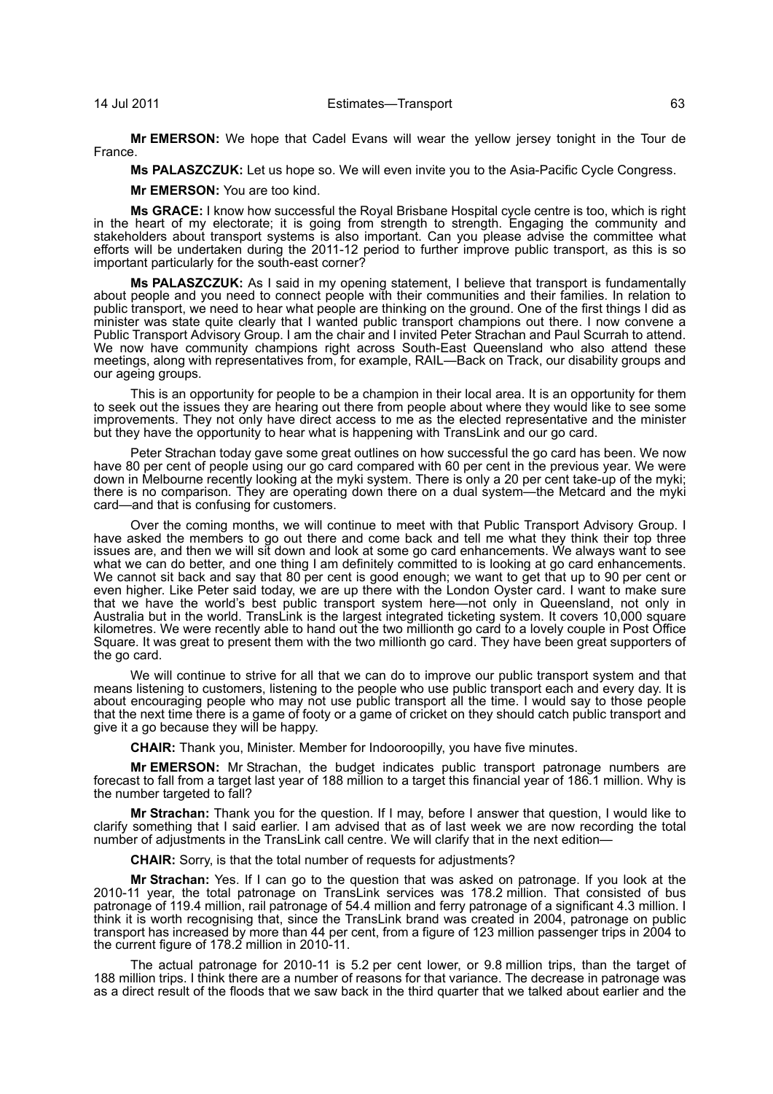**Mr EMERSON:** We hope that Cadel Evans will wear the yellow jersey tonight in the Tour de France.

**Ms PALASZCZUK:** Let us hope so. We will even invite you to the Asia-Pacific Cycle Congress.

**Mr EMERSON:** You are too kind.

**Ms GRACE:** I know how successful the Royal Brisbane Hospital cycle centre is too, which is right in the heart of my electorate; it is going from strength to strength. Engaging the community and stakeholders about transport systems is also important. Can you please advise the committee what efforts will be undertaken during the 2011-12 period to further improve public transport, as this is so important particularly for the south-east corner?

**Ms PALASZCZUK:** As I said in my opening statement, I believe that transport is fundamentally about people and you need to connect people with their communities and their families. In relation to public transport, we need to hear what people are thinking on the ground. One of the first things I did as minister was state quite clearly that I wanted public transport champions out there. I now convene a Public Transport Advisory Group. I am the chair and I invited Peter Strachan and Paul Scurrah to attend. We now have community champions right across South-East Queensland who also attend these meetings, along with representatives from, for example, RAIL—Back on Track, our disability groups and our ageing groups.

This is an opportunity for people to be a champion in their local area. It is an opportunity for them to seek out the issues they are hearing out there from people about where they would like to see some improvements. They not only have direct access to me as the elected representative and the minister but they have the opportunity to hear what is happening with TransLink and our go card.

Peter Strachan today gave some great outlines on how successful the go card has been. We now have 80 per cent of people using our go card compared with 60 per cent in the previous year. We were down in Melbourne recently looking at the myki system. There is only a 20 per cent take-up of the myki; there is no comparison. They are operating down there on a dual system—the Metcard and the myki card—and that is confusing for customers.

Over the coming months, we will continue to meet with that Public Transport Advisory Group. I have asked the members to go out there and come back and tell me what they think their top three issues are, and then we will sit down and look at some go card enhancements. We always want to see what we can do better, and one thing I am definitely committed to is looking at go card enhancements. We cannot sit back and say that 80 per cent is good enough; we want to get that up to 90 per cent or even higher. Like Peter said today, we are up there with the London Oyster card. I want to make sure that we have the world's best public transport system here—not only in Queensland, not only in Australia but in the world. TransLink is the largest integrated ticketing system. It covers 10,000 square kilometres. We were recently able to hand out the two millionth go card to a lovely couple in Post Office Square. It was great to present them with the two millionth go card. They have been great supporters of the go card.

We will continue to strive for all that we can do to improve our public transport system and that means listening to customers, listening to the people who use public transport each and every day. It is about encouraging people who may not use public transport all the time. I would say to those people that the next time there is a game of footy or a game of cricket on they should catch public transport and give it a go because they will be happy.

**CHAIR:** Thank you, Minister. Member for Indooroopilly, you have five minutes.

**Mr EMERSON:** Mr Strachan, the budget indicates public transport patronage numbers are forecast to fall from a target last year of 188 million to a target this financial year of 186.1 million. Why is the number targeted to fall?

**Mr Strachan:** Thank you for the question. If I may, before I answer that question, I would like to clarify something that I said earlier. I am advised that as of last week we are now recording the total number of adjustments in the TransLink call centre. We will clarify that in the next edition—

**CHAIR:** Sorry, is that the total number of requests for adjustments?

**Mr Strachan:** Yes. If I can go to the question that was asked on patronage. If you look at the 2010-11 year, the total patronage on TransLink services was 178.2 million. That consisted of bus patronage of 119.4 million, rail patronage of 54.4 million and ferry patronage of a significant 4.3 million. I think it is worth recognising that, since the TransLink brand was created in 2004, patronage on public transport has increased by more than 44 per cent, from a figure of 123 million passenger trips in 2004 to the current figure of 178.2 million in 2010-11.

The actual patronage for 2010-11 is 5.2 per cent lower, or 9.8 million trips, than the target of 188 million trips. I think there are a number of reasons for that variance. The decrease in patronage was as a direct result of the floods that we saw back in the third quarter that we talked about earlier and the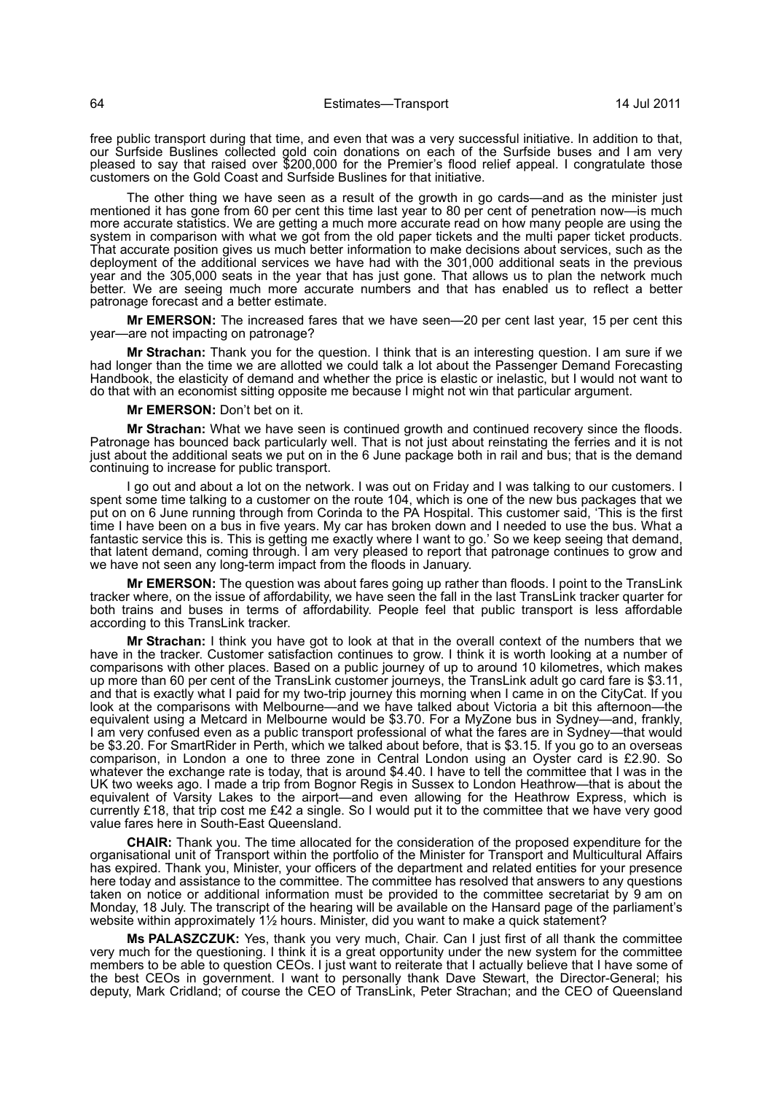free public transport during that time, and even that was a very successful initiative. In addition to that, our Surfside Buslines collected gold coin donations on each of the Surfside buses and I am very pleased to say that raised over \$200,000 for the Premier's flood relief appeal. I congratulate those customers on the Gold Coast and Surfside Buslines for that initiative.

The other thing we have seen as a result of the growth in go cards—and as the minister just mentioned it has gone from 60 per cent this time last year to 80 per cent of penetration now—is much more accurate statistics. We are getting a much more accurate read on how many people are using the system in comparison with what we got from the old paper tickets and the multi paper ticket products. That accurate position gives us much better information to make decisions about services, such as the deployment of the additional services we have had with the 301,000 additional seats in the previous year and the 305,000 seats in the year that has just gone. That allows us to plan the network much better. We are seeing much more accurate numbers and that has enabled us to reflect a better patronage forecast and a better estimate.

**Mr EMERSON:** The increased fares that we have seen—20 per cent last year, 15 per cent this year—are not impacting on patronage?

**Mr Strachan:** Thank you for the question. I think that is an interesting question. I am sure if we had longer than the time we are allotted we could talk a lot about the Passenger Demand Forecasting Handbook, the elasticity of demand and whether the price is elastic or inelastic, but I would not want to do that with an economist sitting opposite me because I might not win that particular argument.

**Mr EMERSON:** Don't bet on it.

**Mr Strachan:** What we have seen is continued growth and continued recovery since the floods. Patronage has bounced back particularly well. That is not just about reinstating the ferries and it is not just about the additional seats we put on in the 6 June package both in rail and bus; that is the demand continuing to increase for public transport.

I go out and about a lot on the network. I was out on Friday and I was talking to our customers. I spent some time talking to a customer on the route 104, which is one of the new bus packages that we put on on 6 June running through from Corinda to the PA Hospital. This customer said, 'This is the first time I have been on a bus in five years. My car has broken down and I needed to use the bus. What a fantastic service this is. This is getting me exactly where I want to go.' So we keep seeing that demand, that latent demand, coming through. I am very pleased to report that patronage continues to grow and we have not seen any long-term impact from the floods in January.

**Mr EMERSON:** The question was about fares going up rather than floods. I point to the TransLink tracker where, on the issue of affordability, we have seen the fall in the last TransLink tracker quarter for both trains and buses in terms of affordability. People feel that public transport is less affordable according to this TransLink tracker.

**Mr Strachan:** I think you have got to look at that in the overall context of the numbers that we have in the tracker. Customer satisfaction continues to grow. I think it is worth looking at a number of comparisons with other places. Based on a public journey of up to around 10 kilometres, which makes up more than 60 per cent of the TransLink customer journeys, the TransLink adult go card fare is \$3.11, and that is exactly what I paid for my two-trip journey this morning when I came in on the CityCat. If you look at the comparisons with Melbourne—and we have talked about Victoria a bit this afternoon—the equivalent using a Metcard in Melbourne would be \$3.70. For a MyZone bus in Sydney—and, frankly, I am very confused even as a public transport professional of what the fares are in Sydney—that would be \$3.20. For SmartRider in Perth, which we talked about before, that is \$3.15. If you go to an overseas comparison, in London a one to three zone in Central London using an Oyster card is £2.90. So whatever the exchange rate is today, that is around \$4.40. I have to tell the committee that I was in the UK two weeks ago. I made a trip from Bognor Regis in Sussex to London Heathrow—that is about the equivalent of Varsity Lakes to the airport—and even allowing for the Heathrow Express, which is currently £18, that trip cost me £42 a single. So I would put it to the committee that we have very good value fares here in South-East Queensland.

**CHAIR:** Thank you. The time allocated for the consideration of the proposed expenditure for the organisational unit of Transport within the portfolio of the Minister for Transport and Multicultural Affairs has expired. Thank you, Minister, your officers of the department and related entities for your presence here today and assistance to the committee. The committee has resolved that answers to any questions taken on notice or additional information must be provided to the committee secretariat by 9 am on Monday, 18 July. The transcript of the hearing will be available on the Hansard page of the parliament's website within approximately 11/2 hours. Minister, did you want to make a quick statement?

**Ms PALASZCZUK:** Yes, thank you very much, Chair. Can I just first of all thank the committee very much for the questioning. I think it is a great opportunity under the new system for the committee members to be able to question CEOs. I just want to reiterate that I actually believe that I have some of the best CEOs in government. I want to personally thank Dave Stewart, the Director-General; his deputy, Mark Cridland; of course the CEO of TransLink, Peter Strachan; and the CEO of Queensland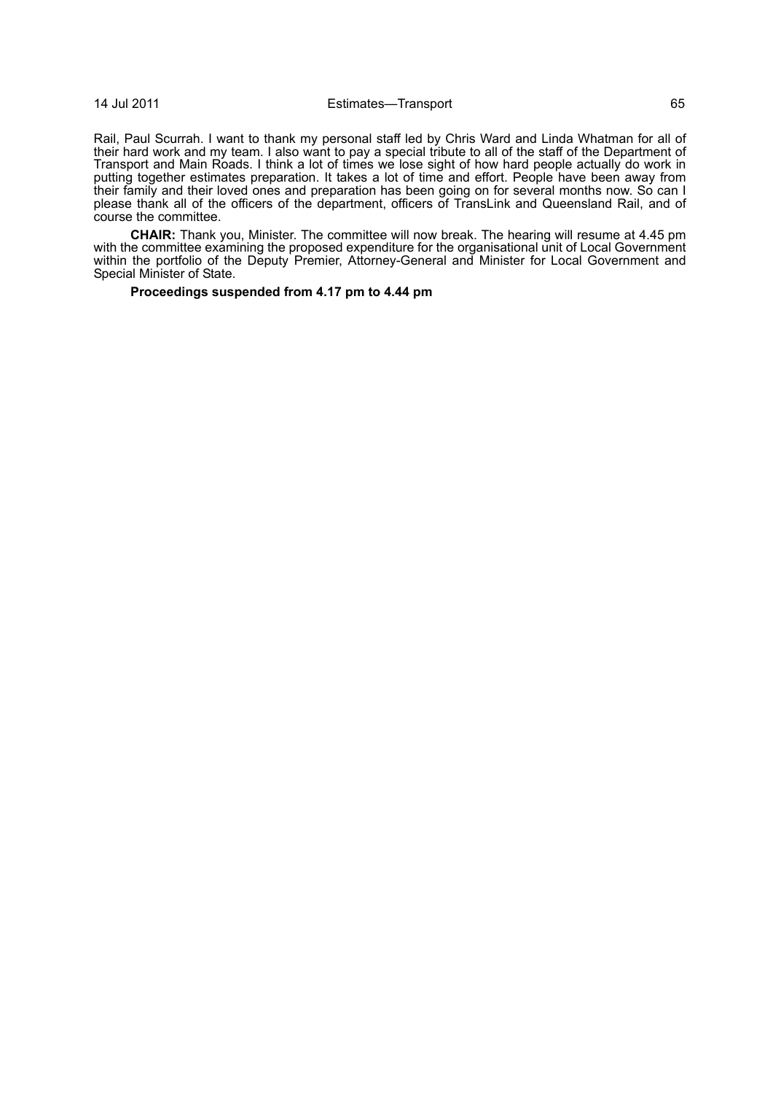## 14 Jul 2011 Estimates—Transport 65

Rail, Paul Scurrah. I want to thank my personal staff led by Chris Ward and Linda Whatman for all of their hard work and my team. I also want to pay a special tribute to all of the staff of the Department of Transport and Main Roads. I think a lot of times we lose sight of how hard people actually do work in putting together estimates preparation. It takes a lot of time and effort. People have been away from their family and their loved ones and preparation has been going on for several months now. So can I please thank all of the officers of the department, officers of TransLink and Queensland Rail, and of course the committee.

**CHAIR:** Thank you, Minister. The committee will now break. The hearing will resume at 4.45 pm with the committee examining the proposed expenditure for the organisational unit of Local Government within the portfolio of the Deputy Premier, Attorney-General and Minister for Local Government and Special Minister of State.

## **Proceedings suspended from 4.17 pm to 4.44 pm**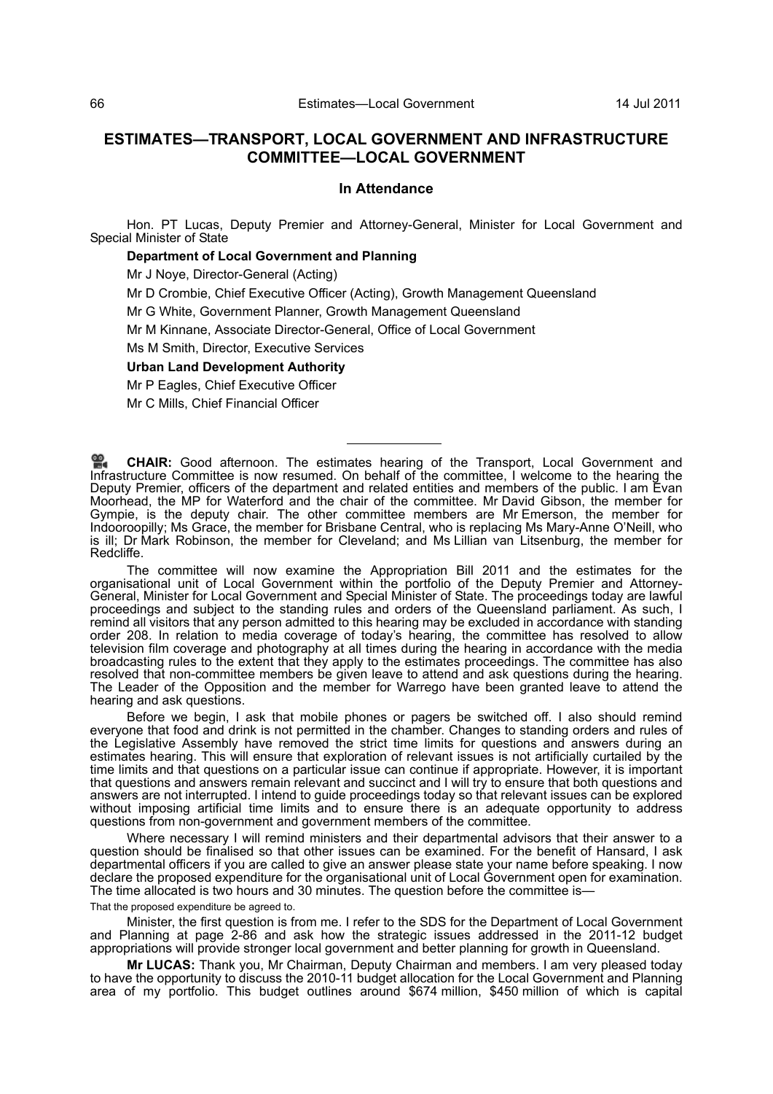# **ESTIMATES—TRANSPORT, LOCAL GOVERNMENT AND INFRASTRUCTURE COMMITTEE—LOCAL GOVERNMENT**

## **In Attendance**

Hon. PT Lucas, Deputy Premier and Attorney-General, Minister for Local Government and Special Minister of State

## **Department of Local Government and Planning**

Mr J Noye, Director-General (Acting)

Mr D Crombie, Chief Executive Officer (Acting), Growth Management Queensland

Mr G White, Government Planner, Growth Management Queensland

Mr M Kinnane, Associate Director-General, Office of Local Government

Ms M Smith, Director, Executive Services

## **Urban Land Development Authority**

Mr P Eagles, Chief Executive Officer

Mr C Mills, Chief Financial Officer

**CHAIR:** [Good afternoon. The estimates hearing of the Transport, Local Government and](http://www.parliament.qld.gov.au/docs/find.aspx?id=0Mba20110714_164451) [Infr](http://www.parliament.qld.gov.au/docs/find.aspx?id=0Mba20110714_164451)astructure Committee is now resumed. On behalf of the committee, I welcome to the hearing the Deputy Premier, officers of the department and related entities and members of the public. I am Evan [Moorhead, the MP for Waterford and the chair of the committee. Mr David Gibson, the member for](http://www.parliament.qld.gov.au/docs/find.aspx?id=0Mba20110714_164451) Gympie, is the deputy chair. The other committee members are Mr Emerson, the member for Indooroopilly; Ms Grace, the member for Brisbane Central, who is replacing Ms Mary-Anne O'Neill, who is ill; Dr Mark Robinson, the member for Cleveland; and Ms Lillian van Litsenburg, the member for Redcliffe.

The committee will now examine the Appropriation Bill 2011 and the estimates for the organisational unit of Local Government within the portfolio of the Deputy Premier and Attorney-General, Minister for Local Government and Special Minister of State. The proceedings today are lawful proceedings and subject to the standing rules and orders of the Queensland parliament. As such, I remind all visitors that any person admitted to this hearing may be excluded in accordance with standing order 208. In relation to media coverage of today's hearing, the committee has resolved to allow television film coverage and photography at all times during the hearing in accordance with the media broadcasting rules to the extent that they apply to the estimates proceedings. The committee has also resolved that non-committee members be given leave to attend and ask questions during the hearing. The Leader of the Opposition and the member for Warrego have been granted leave to attend the hearing and ask questions.

Before we begin, I ask that mobile phones or pagers be switched off. I also should remind everyone that food and drink is not permitted in the chamber. Changes to standing orders and rules of the Legislative Assembly have removed the strict time limits for questions and answers during an estimates hearing. This will ensure that exploration of relevant issues is not artificially curtailed by the time limits and that questions on a particular issue can continue if appropriate. However, it is important that questions and answers remain relevant and succinct and I will try to ensure that both questions and answers are not interrupted. I intend to guide proceedings today so that relevant issues can be explored without imposing artificial time limits and to ensure there is an adequate opportunity to address questions from non-government and government members of the committee.

Where necessary I will remind ministers and their departmental advisors that their answer to a question should be finalised so that other issues can be examined. For the benefit of Hansard, I ask departmental officers if you are called to give an answer please state your name before speaking. I now declare the proposed expenditure for the organisational unit of Local Government open for examination. The time allocated is two hours and 30 minutes. The question before the committee is—

That the proposed expenditure be agreed to.

Minister, the first question is from me. I refer to the SDS for the Department of Local Government and Planning at page 2-86 and ask how the strategic issues addressed in the 2011-12 budget appropriations will provide stronger local government and better planning for growth in Queensland.

**Mr LUCAS:** Thank you, Mr Chairman, Deputy Chairman and members. I am very pleased today to have the opportunity to discuss the 2010-11 budget allocation for the Local Government and Planning area of my portfolio. This budget outlines around \$674 million, \$450 million of which is capital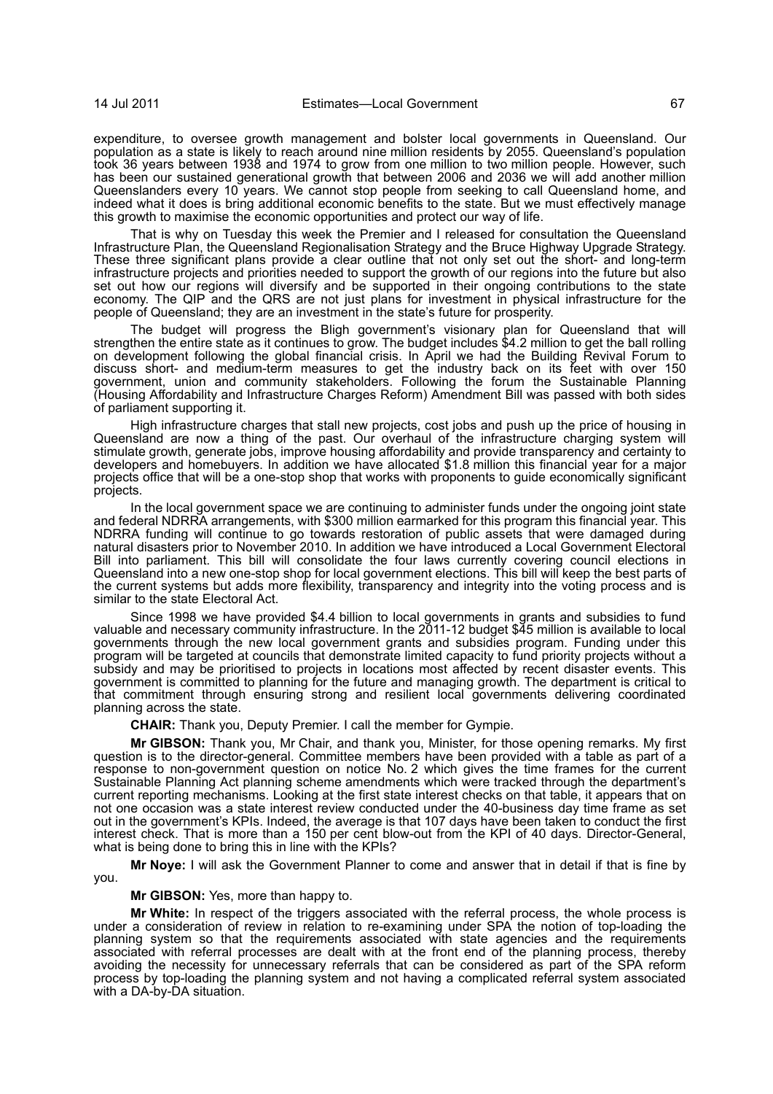expenditure, to oversee growth management and bolster local governments in Queensland. Our population as a state is likely to reach around nine million residents by 2055. Queensland's population took 36 years between 1938 and 1974 to grow from one million to two million people. However, such has been our sustained generational growth that between 2006 and 2036 we will add another million Queenslanders every 10 years. We cannot stop people from seeking to call Queensland home, and indeed what it does is bring additional economic benefits to the state. But we must effectively manage this growth to maximise the economic opportunities and protect our way of life.

That is why on Tuesday this week the Premier and I released for consultation the Queensland Infrastructure Plan, the Queensland Regionalisation Strategy and the Bruce Highway Upgrade Strategy. These three significant plans provide a clear outline that not only set out the short- and long-term infrastructure projects and priorities needed to support the growth of our regions into the future but also set out how our regions will diversify and be supported in their ongoing contributions to the state economy. The QIP and the QRS are not just plans for investment in physical infrastructure for the people of Queensland; they are an investment in the state's future for prosperity.

The budget will progress the Bligh government's visionary plan for Queensland that will strengthen the entire state as it continues to grow. The budget includes \$4.2 million to get the ball rolling on development following the global financial crisis. In April we had the Building Revival Forum to discuss short- and medium-term measures to get the industry back on its feet with over 150 government, union and community stakeholders. Following the forum the Sustainable Planning (Housing Affordability and Infrastructure Charges Reform) Amendment Bill was passed with both sides of parliament supporting it.

High infrastructure charges that stall new projects, cost jobs and push up the price of housing in Queensland are now a thing of the past. Our overhaul of the infrastructure charging system will stimulate growth, generate jobs, improve housing affordability and provide transparency and certainty to developers and homebuyers. In addition we have allocated \$1.8 million this financial year for a major projects office that will be a one-stop shop that works with proponents to guide economically significant projects.

In the local government space we are continuing to administer funds under the ongoing joint state and federal NDRRA arrangements, with \$300 million earmarked for this program this financial year. This NDRRA funding will continue to go towards restoration of public assets that were damaged during natural disasters prior to November 2010. In addition we have introduced a Local Government Electoral Bill into parliament. This bill will consolidate the four laws currently covering council elections in Queensland into a new one-stop shop for local government elections. This bill will keep the best parts of the current systems but adds more flexibility, transparency and integrity into the voting process and is similar to the state Electoral Act.

Since 1998 we have provided \$4.4 billion to local governments in grants and subsidies to fund valuable and necessary community infrastructure. In the 2011-12 budget \$45 million is available to local governments through the new local government grants and subsidies program. Funding under this program will be targeted at councils that demonstrate limited capacity to fund priority projects without a subsidy and may be prioritised to projects in locations most affected by recent disaster events. This government is committed to planning for the future and managing growth. The department is critical to that commitment through ensuring strong and resilient local governments delivering coordinated planning across the state.

**CHAIR:** Thank you, Deputy Premier. I call the member for Gympie.

**Mr GIBSON:** Thank you, Mr Chair, and thank you, Minister, for those opening remarks. My first question is to the director-general. Committee members have been provided with a table as part of a response to non-government question on notice No. 2 which gives the time frames for the current Sustainable Planning Act planning scheme amendments which were tracked through the department's current reporting mechanisms. Looking at the first state interest checks on that table, it appears that on not one occasion was a state interest review conducted under the 40-business day time frame as set out in the government's KPIs. Indeed, the average is that 107 days have been taken to conduct the first interest check. That is more than a 150 per cent blow-out from the KPI of 40 days. Director-General, what is being done to bring this in line with the KPIs?

**Mr Noye:** I will ask the Government Planner to come and answer that in detail if that is fine by you.

#### **Mr GIBSON:** Yes, more than happy to.

**Mr White:** In respect of the triggers associated with the referral process, the whole process is under a consideration of review in relation to re-examining under SPA the notion of top-loading the planning system so that the requirements associated with state agencies and the requirements associated with referral processes are dealt with at the front end of the planning process, thereby avoiding the necessity for unnecessary referrals that can be considered as part of the SPA reform process by top-loading the planning system and not having a complicated referral system associated with a DA-by-DA situation.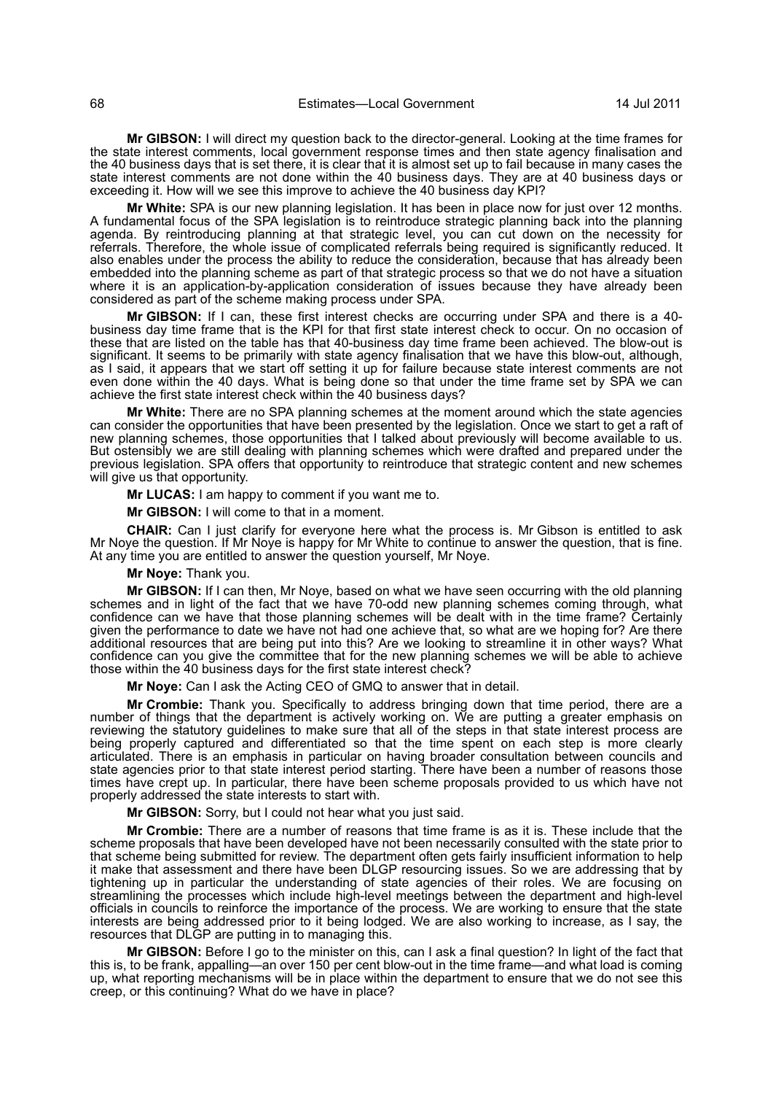**Mr GIBSON:** I will direct my question back to the director-general. Looking at the time frames for the state interest comments, local government response times and then state agency finalisation and the 40 business days that is set there, it is clear that it is almost set up to fail because in many cases the state interest comments are not done within the 40 business days. They are at 40 business days or exceeding it. How will we see this improve to achieve the 40 business day KPI?

**Mr White:** SPA is our new planning legislation. It has been in place now for just over 12 months. A fundamental focus of the SPA legislation is to reintroduce strategic planning back into the planning agenda. By reintroducing planning at that strategic level, you can cut down on the necessity for referrals. Therefore, the whole issue of complicated referrals being required is significantly reduced. It also enables under the process the ability to reduce the consideration, because that has already been embedded into the planning scheme as part of that strategic process so that we do not have a situation where it is an application-by-application consideration of issues because they have already been considered as part of the scheme making process under SPA.

**Mr GIBSON:** If I can, these first interest checks are occurring under SPA and there is a 40 business day time frame that is the KPI for that first state interest check to occur. On no occasion of these that are listed on the table has that 40-business day time frame been achieved. The blow-out is significant. It seems to be primarily with state agency finalisation that we have this blow-out, although, as I said, it appears that we start off setting it up for failure because state interest comments are not even done within the 40 days. What is being done so that under the time frame set by SPA we can achieve the first state interest check within the 40 business days?

**Mr White:** There are no SPA planning schemes at the moment around which the state agencies can consider the opportunities that have been presented by the legislation. Once we start to get a raft of new planning schemes, those opportunities that I talked about previously will become available to us. But ostensibly we are still dealing with planning schemes which were drafted and prepared under the previous legislation. SPA offers that opportunity to reintroduce that strategic content and new schemes will give us that opportunity.

**Mr LUCAS:** I am happy to comment if you want me to.

**Mr GIBSON:** I will come to that in a moment.

**CHAIR:** Can I just clarify for everyone here what the process is. Mr Gibson is entitled to ask Mr Noye the question. If Mr Noye is happy for Mr White to continue to answer the question, that is fine. At any time you are entitled to answer the question yourself, Mr Noye.

#### **Mr Noye:** Thank you.

**Mr GIBSON:** If I can then, Mr Noye, based on what we have seen occurring with the old planning schemes and in light of the fact that we have 70-odd new planning schemes coming through, what confidence can we have that those planning schemes will be dealt with in the time frame? Certainly given the performance to date we have not had one achieve that, so what are we hoping for? Are there additional resources that are being put into this? Are we looking to streamline it in other ways? What confidence can you give the committee that for the new planning schemes we will be able to achieve those within the 40 business days for the first state interest check?

**Mr Noye:** Can I ask the Acting CEO of GMQ to answer that in detail.

**Mr Crombie:** Thank you. Specifically to address bringing down that time period, there are a number of things that the department is actively working on. We are putting a greater emphasis on reviewing the statutory guidelines to make sure that all of the steps in that state interest process are being properly captured and differentiated so that the time spent on each step is more clearly articulated. There is an emphasis in particular on having broader consultation between councils and state agencies prior to that state interest period starting. There have been a number of reasons those times have crept up. In particular, there have been scheme proposals provided to us which have not properly addressed the state interests to start with.

**Mr GIBSON:** Sorry, but I could not hear what you just said.

**Mr Crombie:** There are a number of reasons that time frame is as it is. These include that the scheme proposals that have been developed have not been necessarily consulted with the state prior to that scheme being submitted for review. The department often gets fairly insufficient information to help it make that assessment and there have been DLGP resourcing issues. So we are addressing that by tightening up in particular the understanding of state agencies of their roles. We are focusing on streamlining the processes which include high-level meetings between the department and high-level officials in councils to reinforce the importance of the process. We are working to ensure that the state interests are being addressed prior to it being lodged. We are also working to increase, as I say, the resources that DLGP are putting in to managing this.

**Mr GIBSON:** Before I go to the minister on this, can I ask a final question? In light of the fact that this is, to be frank, appalling—an over 150 per cent blow-out in the time frame—and what load is coming up, what reporting mechanisms will be in place within the department to ensure that we do not see this creep, or this continuing? What do we have in place?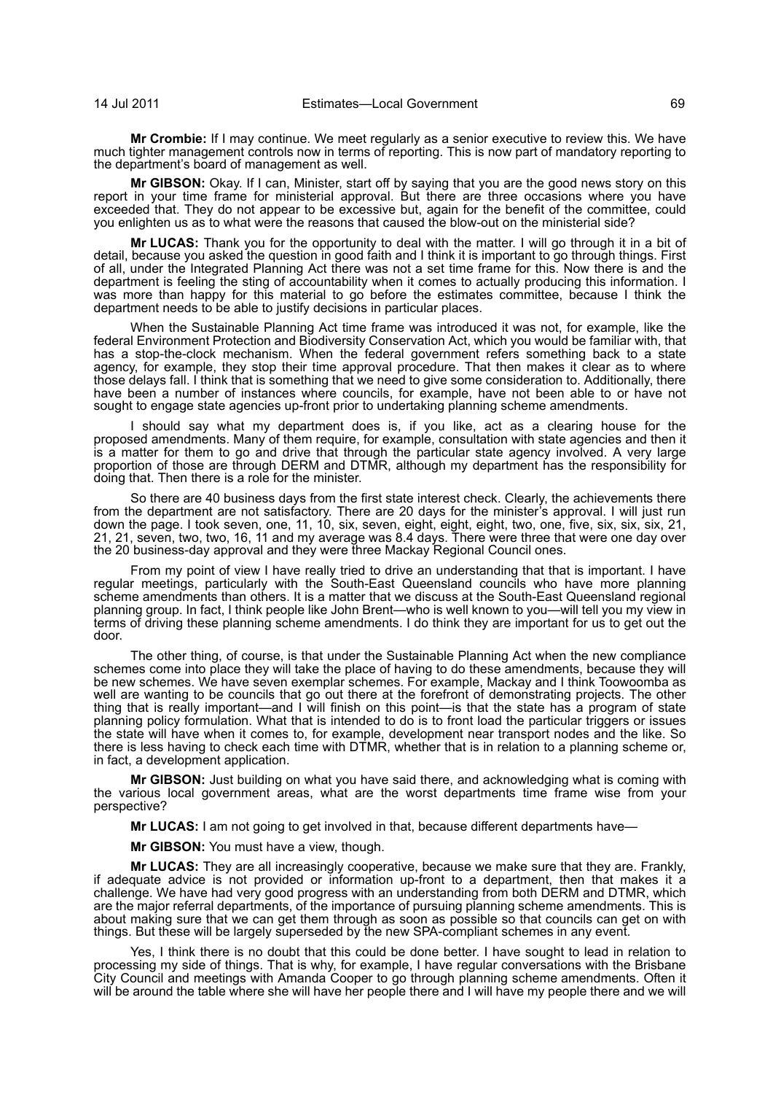**Mr Crombie:** If I may continue. We meet regularly as a senior executive to review this. We have much tighter management controls now in terms of reporting. This is now part of mandatory reporting to the department's board of management as well.

**Mr GIBSON:** Okay. If I can, Minister, start off by saying that you are the good news story on this report in your time frame for ministerial approval. But there are three occasions where you have exceeded that. They do not appear to be excessive but, again for the benefit of the committee, could you enlighten us as to what were the reasons that caused the blow-out on the ministerial side?

**Mr LUCAS:** Thank you for the opportunity to deal with the matter. I will go through it in a bit of detail, because you asked the question in good faith and I think it is important to go through things. First of all, under the Integrated Planning Act there was not a set time frame for this. Now there is and the department is feeling the sting of accountability when it comes to actually producing this information. I was more than happy for this material to go before the estimates committee, because I think the department needs to be able to justify decisions in particular places.

When the Sustainable Planning Act time frame was introduced it was not, for example, like the federal Environment Protection and Biodiversity Conservation Act, which you would be familiar with, that has a stop-the-clock mechanism. When the federal government refers something back to a state agency, for example, they stop their time approval procedure. That then makes it clear as to where those delays fall. I think that is something that we need to give some consideration to. Additionally, there have been a number of instances where councils, for example, have not been able to or have not sought to engage state agencies up-front prior to undertaking planning scheme amendments.

I should say what my department does is, if you like, act as a clearing house for the proposed amendments. Many of them require, for example, consultation with state agencies and then it is a matter for them to go and drive that through the particular state agency involved. A very large proportion of those are through DERM and DTMR, although my department has the responsibility for doing that. Then there is a role for the minister.

So there are 40 business days from the first state interest check. Clearly, the achievements there from the department are not satisfactory. There are 20 days for the minister's approval. I will just run down the page. I took seven, one, 11, 10, six, seven, eight, eight, eight, two, one, five, six, six, six, 21, 21, 21, seven, two, two, 16, 11 and my average was 8.4 days. There were three that were one day over the 20 business-day approval and they were three Mackay Regional Council ones.

From my point of view I have really tried to drive an understanding that that is important. I have regular meetings, particularly with the South-East Queensland councils who have more planning scheme amendments than others. It is a matter that we discuss at the South-East Queensland regional planning group. In fact, I think people like John Brent—who is well known to you—will tell you my view in terms of driving these planning scheme amendments. I do think they are important for us to get out the door.

The other thing, of course, is that under the Sustainable Planning Act when the new compliance schemes come into place they will take the place of having to do these amendments, because they will be new schemes. We have seven exemplar schemes. For example, Mackay and I think Toowoomba as well are wanting to be councils that go out there at the forefront of demonstrating projects. The other thing that is really important—and I will finish on this point—is that the state has a program of state planning policy formulation. What that is intended to do is to front load the particular triggers or issues the state will have when it comes to, for example, development near transport nodes and the like. So there is less having to check each time with DTMR, whether that is in relation to a planning scheme or, in fact, a development application.

**Mr GIBSON:** Just building on what you have said there, and acknowledging what is coming with the various local government areas, what are the worst departments time frame wise from your perspective?

**Mr LUCAS:** I am not going to get involved in that, because different departments have—

**Mr GIBSON:** You must have a view, though.

**Mr LUCAS:** They are all increasingly cooperative, because we make sure that they are. Frankly, if adequate advice is not provided or information up-front to a department, then that makes it a challenge. We have had very good progress with an understanding from both DERM and DTMR, which are the major referral departments, of the importance of pursuing planning scheme amendments. This is about making sure that we can get them through as soon as possible so that councils can get on with things. But these will be largely superseded by the new SPA-compliant schemes in any event.

Yes, I think there is no doubt that this could be done better. I have sought to lead in relation to processing my side of things. That is why, for example, I have regular conversations with the Brisbane City Council and meetings with Amanda Cooper to go through planning scheme amendments. Often it will be around the table where she will have her people there and I will have my people there and we will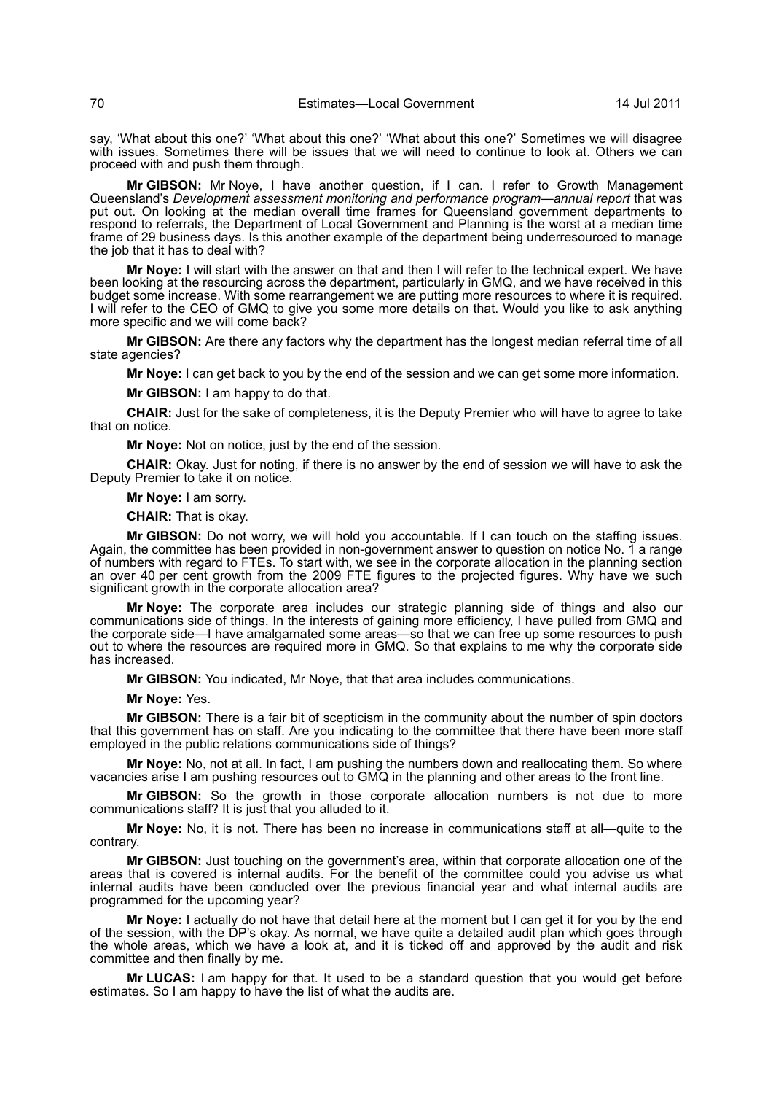say, 'What about this one?' 'What about this one?' 'What about this one?' Sometimes we will disagree with issues. Sometimes there will be issues that we will need to continue to look at. Others we can proceed with and push them through.

**Mr GIBSON:** Mr Noye, I have another question, if I can. I refer to Growth Management Queensland's *Development assessment monitoring and performance program—annual report* that was put out. On looking at the median overall time frames for Queensland government departments to respond to referrals, the Department of Local Government and Planning is the worst at a median time frame of 29 business days. Is this another example of the department being underresourced to manage the job that it has to deal with?

**Mr Noye:** I will start with the answer on that and then I will refer to the technical expert. We have been looking at the resourcing across the department, particularly in GMQ, and we have received in this budget some increase. With some rearrangement we are putting more resources to where it is required. I will refer to the CEO of GMQ to give you some more details on that. Would you like to ask anything more specific and we will come back?

**Mr GIBSON:** Are there any factors why the department has the longest median referral time of all state agencies?

**Mr Noye:** I can get back to you by the end of the session and we can get some more information.

**Mr GIBSON:** I am happy to do that.

**CHAIR:** Just for the sake of completeness, it is the Deputy Premier who will have to agree to take that on notice.

**Mr Noye:** Not on notice, just by the end of the session.

**CHAIR:** Okay. Just for noting, if there is no answer by the end of session we will have to ask the Deputy Premier to take it on notice.

## **Mr Noye:** I am sorry.

**CHAIR:** That is okay.

**Mr GIBSON:** Do not worry, we will hold you accountable. If I can touch on the staffing issues. Again, the committee has been provided in non-government answer to question on notice No. 1 a range of numbers with regard to FTEs. To start with, we see in the corporate allocation in the planning section an over 40 per cent growth from the 2009 FTE figures to the projected figures. Why have we such significant growth in the corporate allocation area?

**Mr Noye:** The corporate area includes our strategic planning side of things and also our communications side of things. In the interests of gaining more efficiency, I have pulled from GMQ and the corporate side—I have amalgamated some areas—so that we can free up some resources to push out to where the resources are required more in GMQ. So that explains to me why the corporate side has increased.

**Mr GIBSON:** You indicated, Mr Noye, that that area includes communications.

**Mr Noye:** Yes.

**Mr GIBSON:** There is a fair bit of scepticism in the community about the number of spin doctors that this government has on staff. Are you indicating to the committee that there have been more staff employed in the public relations communications side of things?

**Mr Noye:** No, not at all. In fact, I am pushing the numbers down and reallocating them. So where vacancies arise I am pushing resources out to GMQ in the planning and other areas to the front line.

**Mr GIBSON:** So the growth in those corporate allocation numbers is not due to more communications staff? It is just that you alluded to it.

**Mr Noye:** No, it is not. There has been no increase in communications staff at all—quite to the contrary.

**Mr GIBSON:** Just touching on the government's area, within that corporate allocation one of the areas that is covered is internal audits. For the benefit of the committee could you advise us what internal audits have been conducted over the previous financial year and what internal audits are programmed for the upcoming year?

**Mr Noye:** I actually do not have that detail here at the moment but I can get it for you by the end of the session, with the DP's okay. As normal, we have quite a detailed audit plan which goes through the whole areas, which we have a look at, and it is ticked off and approved by the audit and risk committee and then finally by me.

**Mr LUCAS:** I am happy for that. It used to be a standard question that you would get before estimates. So I am happy to have the list of what the audits are.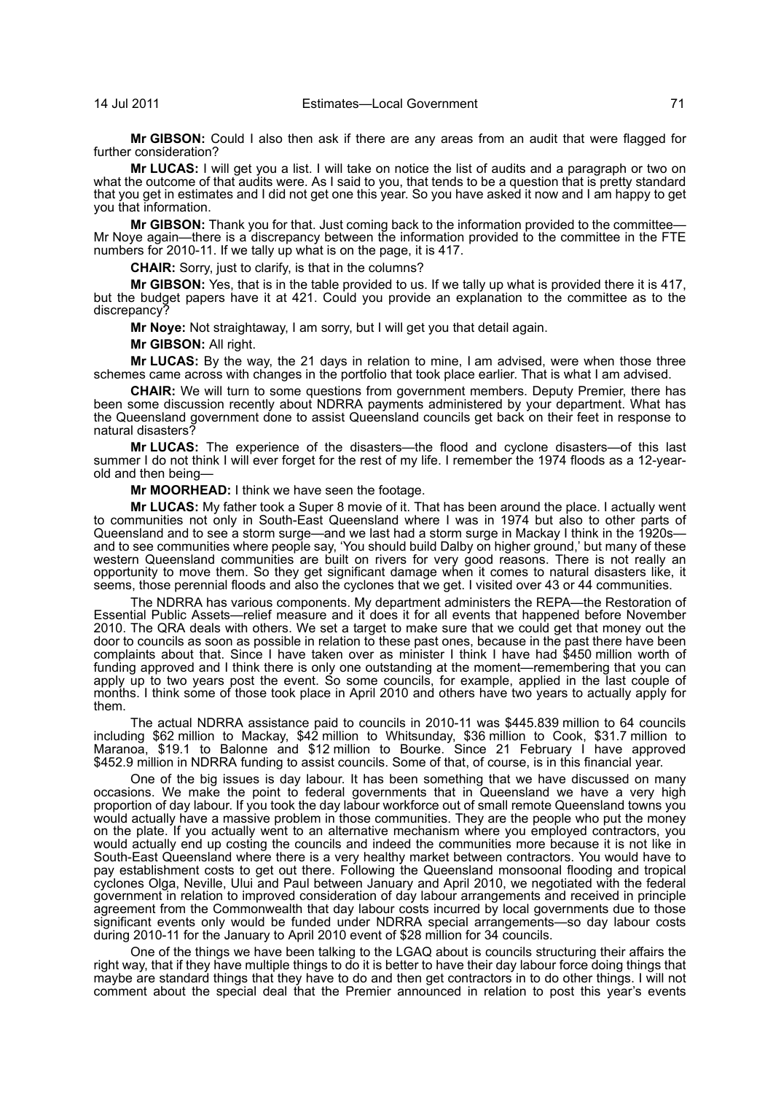**Mr GIBSON:** Could I also then ask if there are any areas from an audit that were flagged for further consideration?

**Mr LUCAS:** I will get you a list. I will take on notice the list of audits and a paragraph or two on what the outcome of that audits were. As I said to you, that tends to be a question that is pretty standard that you get in estimates and I did not get one this year. So you have asked it now and I am happy to get you that information.

**Mr GIBSON:** Thank you for that. Just coming back to the information provided to the committee— Mr Noye again—there is a discrepancy between the information provided to the committee in the FTE numbers for 2010-11. If we tally up what is on the page, it is 417.

**CHAIR:** Sorry, just to clarify, is that in the columns?

**Mr GIBSON:** Yes, that is in the table provided to us. If we tally up what is provided there it is 417, but the budget papers have it at 421. Could you provide an explanation to the committee as to the discrepancy?

**Mr Noye:** Not straightaway, I am sorry, but I will get you that detail again.

**Mr GIBSON:** All right.

**Mr LUCAS:** By the way, the 21 days in relation to mine, I am advised, were when those three schemes came across with changes in the portfolio that took place earlier. That is what I am advised.

**CHAIR:** We will turn to some questions from government members. Deputy Premier, there has been some discussion recently about NDRRA payments administered by your department. What has the Queensland government done to assist Queensland councils get back on their feet in response to natural disasters?

**Mr LUCAS:** The experience of the disasters—the flood and cyclone disasters—of this last summer I do not think I will ever forget for the rest of my life. I remember the 1974 floods as a 12-yearold and then being—

**Mr MOORHEAD:** I think we have seen the footage.

**Mr LUCAS:** My father took a Super 8 movie of it. That has been around the place. I actually went to communities not only in South-East Queensland where I was in 1974 but also to other parts of Queensland and to see a storm surge—and we last had a storm surge in Mackay I think in the 1920s and to see communities where people say, 'You should build Dalby on higher ground,' but many of these western Queensland communities are built on rivers for very good reasons. There is not really an opportunity to move them. So they get significant damage when it comes to natural disasters like, it seems, those perennial floods and also the cyclones that we get. I visited over 43 or 44 communities.

The NDRRA has various components. My department administers the REPA—the Restoration of Essential Public Assets—relief measure and it does it for all events that happened before November 2010. The QRA deals with others. We set a target to make sure that we could get that money out the door to councils as soon as possible in relation to these past ones, because in the past there have been complaints about that. Since I have taken over as minister I think I have had \$450 million worth of funding approved and I think there is only one outstanding at the moment—remembering that you can apply up to two years post the event. So some councils, for example, applied in the last couple of months. I think some of those took place in April 2010 and others have two years to actually apply for them.

The actual NDRRA assistance paid to councils in 2010-11 was \$445.839 million to 64 councils including \$62 million to Mackay, \$42 million to Whitsunday, \$36 million to Cook, \$31.7 million to Maranoa, \$19.1 to Balonne and \$12 million to Bourke. Since 21 February I have approved \$452.9 million in NDRRA funding to assist councils. Some of that, of course, is in this financial year.

One of the big issues is day labour. It has been something that we have discussed on many occasions. We make the point to federal governments that in Queensland we have a very high proportion of day labour. If you took the day labour workforce out of small remote Queensland towns you would actually have a massive problem in those communities. They are the people who put the money on the plate. If you actually went to an alternative mechanism where you employed contractors, you would actually end up costing the councils and indeed the communities more because it is not like in South-East Queensland where there is a very healthy market between contractors. You would have to pay establishment costs to get out there. Following the Queensland monsoonal flooding and tropical cyclones Olga, Neville, Ului and Paul between January and April 2010, we negotiated with the federal government in relation to improved consideration of day labour arrangements and received in principle agreement from the Commonwealth that day labour costs incurred by local governments due to those significant events only would be funded under NDRRA special arrangements—so day labour costs during 2010-11 for the January to April 2010 event of \$28 million for 34 councils.

One of the things we have been talking to the LGAQ about is councils structuring their affairs the right way, that if they have multiple things to do it is better to have their day labour force doing things that maybe are standard things that they have to do and then get contractors in to do other things. I will not comment about the special deal that the Premier announced in relation to post this year's events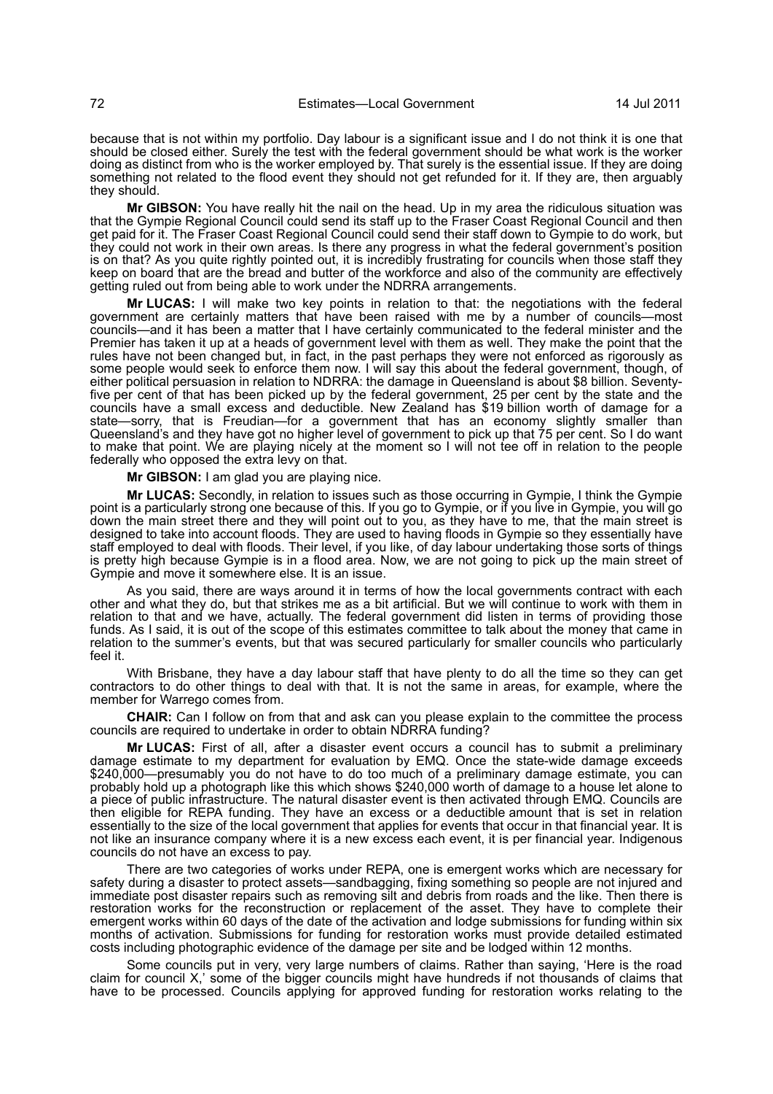because that is not within my portfolio. Day labour is a significant issue and I do not think it is one that should be closed either. Surely the test with the federal government should be what work is the worker doing as distinct from who is the worker employed by. That surely is the essential issue. If they are doing something not related to the flood event they should not get refunded for it. If they are, then arguably they should.

**Mr GIBSON:** You have really hit the nail on the head. Up in my area the ridiculous situation was that the Gympie Regional Council could send its staff up to the Fraser Coast Regional Council and then get paid for it. The Fraser Coast Regional Council could send their staff down to Gympie to do work, but they could not work in their own areas. Is there any progress in what the federal government's position is on that? As you quite rightly pointed out, it is incredibly frustrating for councils when those staff they keep on board that are the bread and butter of the workforce and also of the community are effectively getting ruled out from being able to work under the NDRRA arrangements.

**Mr LUCAS:** I will make two key points in relation to that: the negotiations with the federal government are certainly matters that have been raised with me by a number of councils—most councils—and it has been a matter that I have certainly communicated to the federal minister and the Premier has taken it up at a heads of government level with them as well. They make the point that the rules have not been changed but, in fact, in the past perhaps they were not enforced as rigorously as some people would seek to enforce them now. I will say this about the federal government, though, of either political persuasion in relation to NDRRA: the damage in Queensland is about \$8 billion. Seventyfive per cent of that has been picked up by the federal government, 25 per cent by the state and the councils have a small excess and deductible. New Zealand has \$19 billion worth of damage for a state—sorry, that is Freudian—for a government that has an economy slightly smaller than Queensland's and they have got no higher level of government to pick up that 75 per cent. So I do want to make that point. We are playing nicely at the moment so I will not tee off in relation to the people federally who opposed the extra levy on that.

**Mr GIBSON:** I am glad you are playing nice.

**Mr LUCAS:** Secondly, in relation to issues such as those occurring in Gympie, I think the Gympie point is a particularly strong one because of this. If you go to Gympie, or if you live in Gympie, you will go down the main street there and they will point out to you, as they have to me, that the main street is designed to take into account floods. They are used to having floods in Gympie so they essentially have staff employed to deal with floods. Their level, if you like, of day labour undertaking those sorts of things is pretty high because Gympie is in a flood area. Now, we are not going to pick up the main street of Gympie and move it somewhere else. It is an issue.

As you said, there are ways around it in terms of how the local governments contract with each other and what they do, but that strikes me as a bit artificial. But we will continue to work with them in relation to that and we have, actually. The federal government did listen in terms of providing those funds. As I said, it is out of the scope of this estimates committee to talk about the money that came in relation to the summer's events, but that was secured particularly for smaller councils who particularly feel it.

With Brisbane, they have a day labour staff that have plenty to do all the time so they can get contractors to do other things to deal with that. It is not the same in areas, for example, where the member for Warrego comes from.

**CHAIR:** Can I follow on from that and ask can you please explain to the committee the process councils are required to undertake in order to obtain NDRRA funding?

**Mr LUCAS:** First of all, after a disaster event occurs a council has to submit a preliminary damage estimate to my department for evaluation by EMQ. Once the state-wide damage exceeds \$240,000—presumably you do not have to do too much of a preliminary damage estimate, you can probably hold up a photograph like this which shows \$240,000 worth of damage to a house let alone to a piece of public infrastructure. The natural disaster event is then activated through EMQ. Councils are then eligible for REPA funding. They have an excess or a deductible amount that is set in relation essentially to the size of the local government that applies for events that occur in that financial year. It is not like an insurance company where it is a new excess each event, it is per financial year. Indigenous councils do not have an excess to pay.

There are two categories of works under REPA, one is emergent works which are necessary for safety during a disaster to protect assets—sandbagging, fixing something so people are not injured and immediate post disaster repairs such as removing silt and debris from roads and the like. Then there is restoration works for the reconstruction or replacement of the asset. They have to complete their emergent works within 60 days of the date of the activation and lodge submissions for funding within six months of activation. Submissions for funding for restoration works must provide detailed estimated costs including photographic evidence of the damage per site and be lodged within 12 months.

Some councils put in very, very large numbers of claims. Rather than saying, 'Here is the road claim for council X,' some of the bigger councils might have hundreds if not thousands of claims that have to be processed. Councils applying for approved funding for restoration works relating to the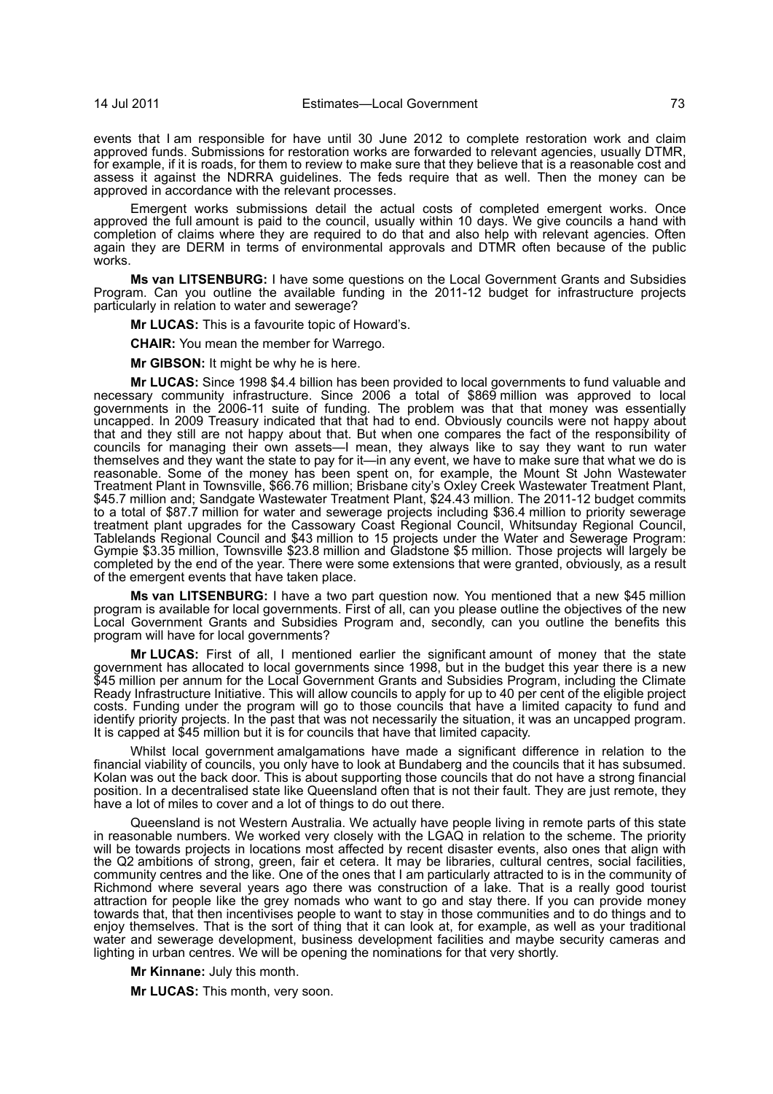events that I am responsible for have until 30 June 2012 to complete restoration work and claim approved funds. Submissions for restoration works are forwarded to relevant agencies, usually DTMR, for example, if it is roads, for them to review to make sure that they believe that is a reasonable cost and assess it against the NDRRA guidelines. The feds require that as well. Then the money can be approved in accordance with the relevant processes.

Emergent works submissions detail the actual costs of completed emergent works. Once approved the full amount is paid to the council, usually within 10 days. We give councils a hand with completion of claims where they are required to do that and also help with relevant agencies. Often again they are DERM in terms of environmental approvals and DTMR often because of the public works.

**Ms van LITSENBURG:** I have some questions on the Local Government Grants and Subsidies Program. Can you outline the available funding in the 2011-12 budget for infrastructure projects particularly in relation to water and sewerage?

**Mr LUCAS:** This is a favourite topic of Howard's.

**CHAIR:** You mean the member for Warrego.

**Mr GIBSON:** It might be why he is here.

**Mr LUCAS:** Since 1998 \$4.4 billion has been provided to local governments to fund valuable and necessary community infrastructure. Since 2006 a total of \$869 million was approved to local governments in the 2006-11 suite of funding. The problem was that that money was essentially uncapped. In 2009 Treasury indicated that that had to end. Obviously councils were not happy about that and they still are not happy about that. But when one compares the fact of the responsibility of councils for managing their own assets—I mean, they always like to say they want to run water themselves and they want the state to pay for it—in any event, we have to make sure that what we do is reasonable. Some of the money has been spent on, for example, the Mount St John Wastewater Treatment Plant in Townsville, \$66.76 million; Brisbane city's Oxley Creek Wastewater Treatment Plant, \$45.7 million and; Sandgate Wastewater Treatment Plant, \$24.43 million. The 2011-12 budget commits to a total of \$87.7 million for water and sewerage projects including \$36.4 million to priority sewerage treatment plant upgrades for the Cassowary Coast Regional Council, Whitsunday Regional Council, Tablelands Regional Council and \$43 million to 15 projects under the Water and Sewerage Program: Gympie \$3.35 million, Townsville \$23.8 million and Gladstone \$5 million. Those projects will largely be completed by the end of the year. There were some extensions that were granted, obviously, as a result of the emergent events that have taken place.

**Ms van LITSENBURG:** I have a two part question now. You mentioned that a new \$45 million program is available for local governments. First of all, can you please outline the objectives of the new Local Government Grants and Subsidies Program and, secondly, can you outline the benefits this program will have for local governments?

**Mr LUCAS:** First of all, I mentioned earlier the significant amount of money that the state government has allocated to local governments since 1998, but in the budget this year there is a new \$45 million per annum for the Local Government Grants and Subsidies Program, including the Climate Ready Infrastructure Initiative. This will allow councils to apply for up to 40 per cent of the eligible project costs. Funding under the program will go to those councils that have a limited capacity to fund and identify priority projects. In the past that was not necessarily the situation, it was an uncapped program. It is capped at \$45 million but it is for councils that have that limited capacity.

Whilst local government amalgamations have made a significant difference in relation to the financial viability of councils, you only have to look at Bundaberg and the councils that it has subsumed. Kolan was out the back door. This is about supporting those councils that do not have a strong financial position. In a decentralised state like Queensland often that is not their fault. They are just remote, they have a lot of miles to cover and a lot of things to do out there.

Queensland is not Western Australia. We actually have people living in remote parts of this state in reasonable numbers. We worked very closely with the LGAQ in relation to the scheme. The priority will be towards projects in locations most affected by recent disaster events, also ones that align with the Q2 ambitions of strong, green, fair et cetera. It may be libraries, cultural centres, social facilities, community centres and the like. One of the ones that I am particularly attracted to is in the community of Richmond where several years ago there was construction of a lake. That is a really good tourist attraction for people like the grey nomads who want to go and stay there. If you can provide money towards that, that then incentivises people to want to stay in those communities and to do things and to enjoy themselves. That is the sort of thing that it can look at, for example, as well as your traditional water and sewerage development, business development facilities and maybe security cameras and lighting in urban centres. We will be opening the nominations for that very shortly.

**Mr Kinnane:** July this month.

**Mr LUCAS:** This month, very soon.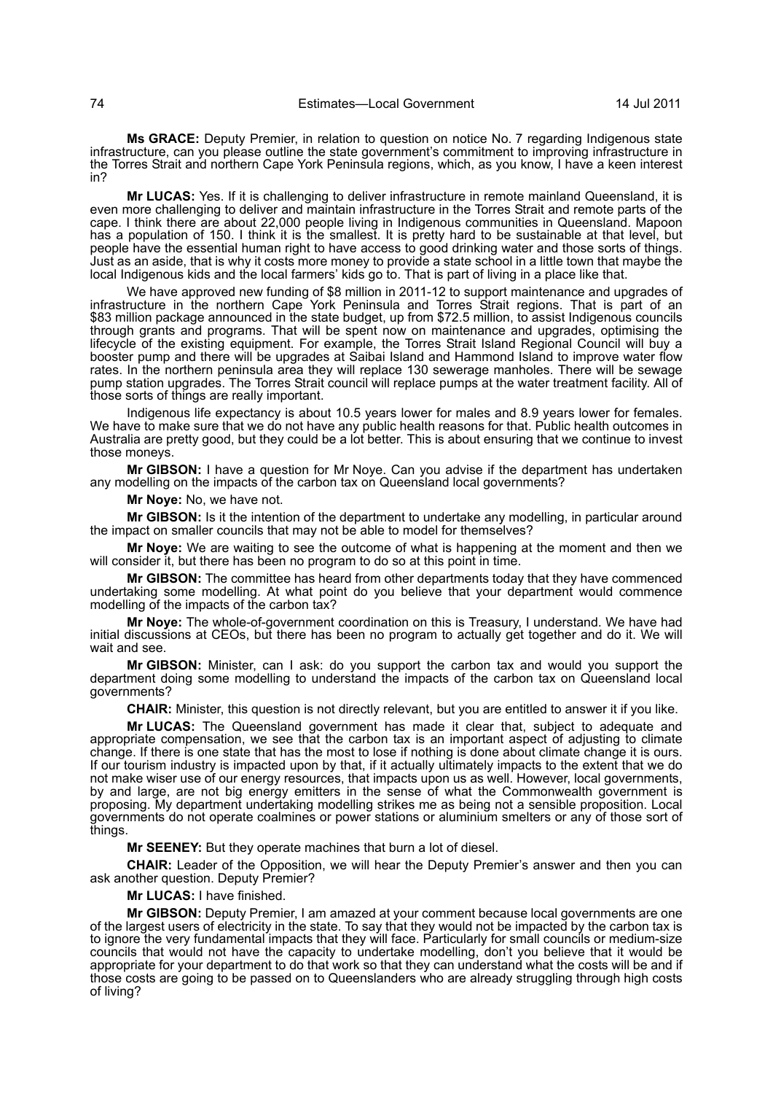**Ms GRACE:** Deputy Premier, in relation to question on notice No. 7 regarding Indigenous state infrastructure, can you please outline the state government's commitment to improving infrastructure in the Torres Strait and northern Cape York Peninsula regions, which, as you know, I have a keen interest in?

**Mr LUCAS:** Yes. If it is challenging to deliver infrastructure in remote mainland Queensland, it is even more challenging to deliver and maintain infrastructure in the Torres Strait and remote parts of the cape. I think there are about 22,000 people living in Indigenous communities in Queensland. Mapoon has a population of 150. I think it is the smallest. It is pretty hard to be sustainable at that level, but people have the essential human right to have access to good drinking water and those sorts of things. Just as an aside, that is why it costs more money to provide a state school in a little town that maybe the local Indigenous kids and the local farmers' kids go to. That is part of living in a place like that.

We have approved new funding of \$8 million in 2011-12 to support maintenance and upgrades of infrastructure in the northern Cape York Peninsula and Torres Strait regions. That is part of an \$83 million package announced in the state budget, up from \$72.5 million, to assist Indigenous councils through grants and programs. That will be spent now on maintenance and upgrades, optimising the lifecycle of the existing equipment. For example, the Torres Strait Island Regional Council will buy a booster pump and there will be upgrades at Saibai Island and Hammond Island to improve water flow rates. In the northern peninsula area they will replace 130 sewerage manholes. There will be sewage pump station upgrades. The Torres Strait council will replace pumps at the water treatment facility. All of those sorts of things are really important.

Indigenous life expectancy is about 10.5 years lower for males and 8.9 years lower for females. We have to make sure that we do not have any public health reasons for that. Public health outcomes in Australia are pretty good, but they could be a lot better. This is about ensuring that we continue to invest those moneys.

**Mr GIBSON:** I have a question for Mr Noye. Can you advise if the department has undertaken any modelling on the impacts of the carbon tax on Queensland local governments?

**Mr Noye:** No, we have not.

**Mr GIBSON:** Is it the intention of the department to undertake any modelling, in particular around the impact on smaller councils that may not be able to model for themselves?

**Mr Noye:** We are waiting to see the outcome of what is happening at the moment and then we will consider it, but there has been no program to do so at this point in time.

**Mr GIBSON:** The committee has heard from other departments today that they have commenced undertaking some modelling. At what point do you believe that your department would commence modelling of the impacts of the carbon tax?

**Mr Noye:** The whole-of-government coordination on this is Treasury, I understand. We have had initial discussions at CEOs, but there has been no program to actually get together and do it. We will wait and see.

**Mr GIBSON:** Minister, can I ask: do you support the carbon tax and would you support the department doing some modelling to understand the impacts of the carbon tax on Queensland local governments?

**CHAIR:** Minister, this question is not directly relevant, but you are entitled to answer it if you like.

**Mr LUCAS:** The Queensland government has made it clear that, subject to adequate and appropriate compensation, we see that the carbon tax is an important aspect of adjusting to climate change. If there is one state that has the most to lose if nothing is done about climate change it is ours. If our tourism industry is impacted upon by that, if it actually ultimately impacts to the extent that we do not make wiser use of our energy resources, that impacts upon us as well. However, local governments, by and large, are not big energy emitters in the sense of what the Commonwealth government is proposing. My department undertaking modelling strikes me as being not a sensible proposition. Local governments do not operate coalmines or power stations or aluminium smelters or any of those sort of things.

**Mr SEENEY:** But they operate machines that burn a lot of diesel.

**CHAIR:** Leader of the Opposition, we will hear the Deputy Premier's answer and then you can ask another question. Deputy Premier?

**Mr LUCAS:** I have finished.

**Mr GIBSON:** Deputy Premier, I am amazed at your comment because local governments are one of the largest users of electricity in the state. To say that they would not be impacted by the carbon tax is to ignore the very fundamental impacts that they will face. Particularly for small councils or medium-size councils that would not have the capacity to undertake modelling, don't you believe that it would be appropriate for your department to do that work so that they can understand what the costs will be and if those costs are going to be passed on to Queenslanders who are already struggling through high costs of living?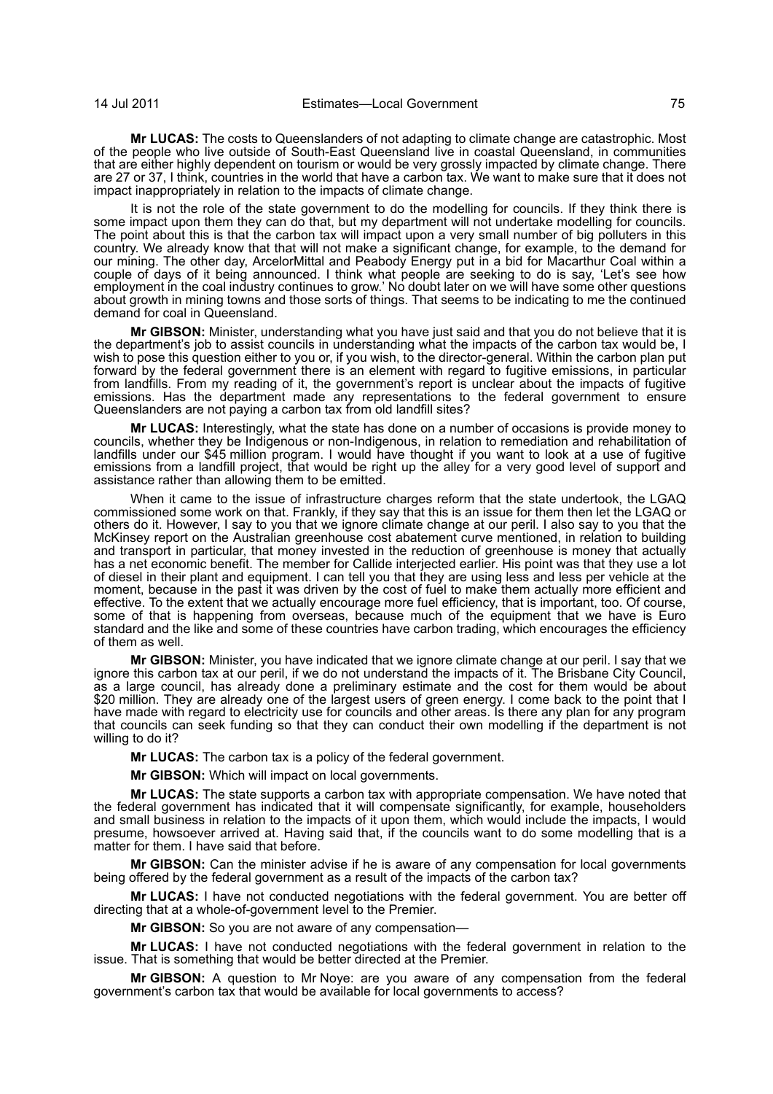**Mr LUCAS:** The costs to Queenslanders of not adapting to climate change are catastrophic. Most of the people who live outside of South-East Queensland live in coastal Queensland, in communities that are either highly dependent on tourism or would be very grossly impacted by climate change. There are 27 or 37, I think, countries in the world that have a carbon tax. We want to make sure that it does not impact inappropriately in relation to the impacts of climate change.

It is not the role of the state government to do the modelling for councils. If they think there is some impact upon them they can do that, but my department will not undertake modelling for councils. The point about this is that the carbon tax will impact upon a very small number of big polluters in this country. We already know that that will not make a significant change, for example, to the demand for our mining. The other day, ArcelorMittal and Peabody Energy put in a bid for Macarthur Coal within a couple of days of it being announced. I think what people are seeking to do is say, 'Let's see how employment in the coal industry continues to grow.' No doubt later on we will have some other questions about growth in mining towns and those sorts of things. That seems to be indicating to me the continued demand for coal in Queensland.

**Mr GIBSON:** Minister, understanding what you have just said and that you do not believe that it is the department's job to assist councils in understanding what the impacts of the carbon tax would be, I wish to pose this question either to you or, if you wish, to the director-general. Within the carbon plan put forward by the federal government there is an element with regard to fugitive emissions, in particular from landfills. From my reading of it, the government's report is unclear about the impacts of fugitive emissions. Has the department made any representations to the federal government to ensure Queenslanders are not paying a carbon tax from old landfill sites?

**Mr LUCAS:** Interestingly, what the state has done on a number of occasions is provide money to councils, whether they be Indigenous or non-Indigenous, in relation to remediation and rehabilitation of landfills under our \$45 million program. I would have thought if you want to look at a use of fugitive emissions from a landfill project, that would be right up the alley for a very good level of support and assistance rather than allowing them to be emitted.

When it came to the issue of infrastructure charges reform that the state undertook, the LGAQ commissioned some work on that. Frankly, if they say that this is an issue for them then let the LGAQ or others do it. However, I say to you that we ignore climate change at our peril. I also say to you that the McKinsey report on the Australian greenhouse cost abatement curve mentioned, in relation to building and transport in particular, that money invested in the reduction of greenhouse is money that actually has a net economic benefit. The member for Callide interjected earlier. His point was that they use a lot of diesel in their plant and equipment. I can tell you that they are using less and less per vehicle at the moment, because in the past it was driven by the cost of fuel to make them actually more efficient and effective. To the extent that we actually encourage more fuel efficiency, that is important, too. Of course, some of that is happening from overseas, because much of the equipment that we have is Euro standard and the like and some of these countries have carbon trading, which encourages the efficiency of them as well.

**Mr GIBSON:** Minister, you have indicated that we ignore climate change at our peril. I say that we ignore this carbon tax at our peril, if we do not understand the impacts of it. The Brisbane City Council, as a large council, has already done a preliminary estimate and the cost for them would be about \$20 million. They are already one of the largest users of green energy. I come back to the point that I have made with regard to electricity use for councils and other areas. Is there any plan for any program that councils can seek funding so that they can conduct their own modelling if the department is not willing to do it?

**Mr LUCAS:** The carbon tax is a policy of the federal government.

**Mr GIBSON:** Which will impact on local governments.

**Mr LUCAS:** The state supports a carbon tax with appropriate compensation. We have noted that the federal government has indicated that it will compensate significantly, for example, householders and small business in relation to the impacts of it upon them, which would include the impacts, I would presume, howsoever arrived at. Having said that, if the councils want to do some modelling that is a matter for them. I have said that before.

**Mr GIBSON:** Can the minister advise if he is aware of any compensation for local governments being offered by the federal government as a result of the impacts of the carbon tax?

**Mr LUCAS:** I have not conducted negotiations with the federal government. You are better off directing that at a whole-of-government level to the Premier.

**Mr GIBSON:** So you are not aware of any compensation—

**Mr LUCAS:** I have not conducted negotiations with the federal government in relation to the issue. That is something that would be better directed at the Premier.

**Mr GIBSON:** A question to Mr Noye: are you aware of any compensation from the federal government's carbon tax that would be available for local governments to access?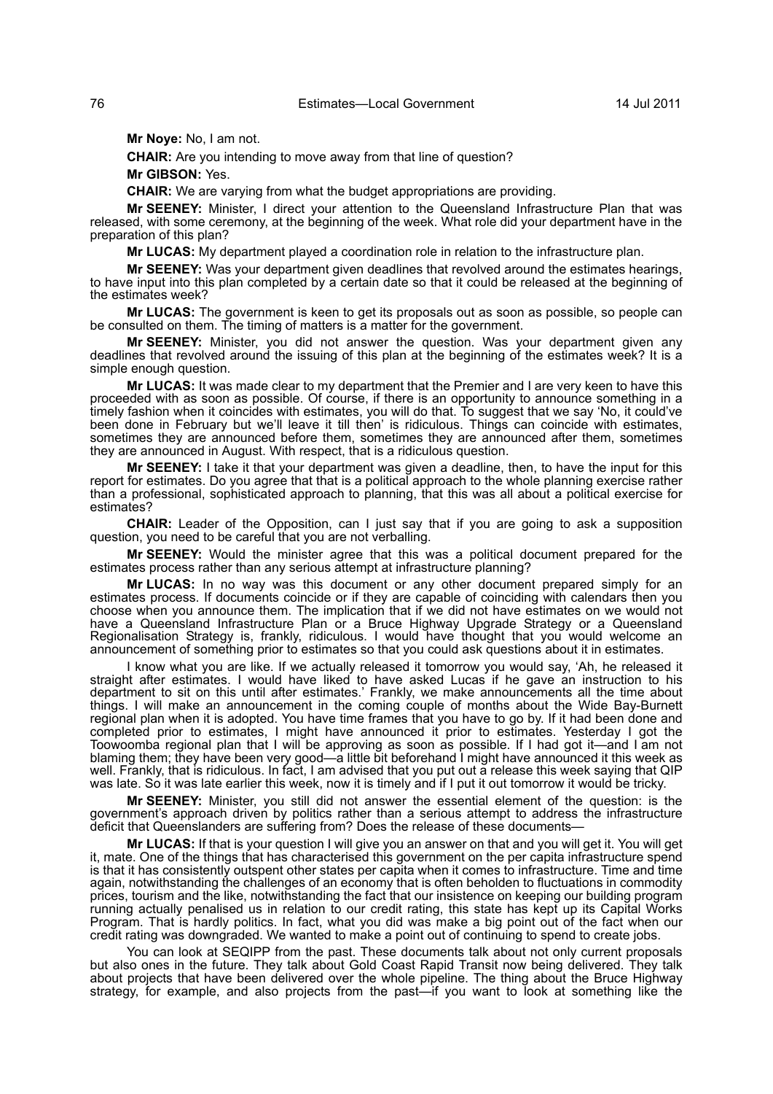**Mr Noye:** No, I am not.

**CHAIR:** Are you intending to move away from that line of question?

**Mr GIBSON:** Yes.

**CHAIR:** We are varying from what the budget appropriations are providing.

**Mr SEENEY:** Minister, I direct your attention to the Queensland Infrastructure Plan that was released, with some ceremony, at the beginning of the week. What role did your department have in the preparation of this plan?

**Mr LUCAS:** My department played a coordination role in relation to the infrastructure plan.

**Mr SEENEY:** Was your department given deadlines that revolved around the estimates hearings, to have input into this plan completed by a certain date so that it could be released at the beginning of the estimates week?

**Mr LUCAS:** The government is keen to get its proposals out as soon as possible, so people can be consulted on them. The timing of matters is a matter for the government.

**Mr SEENEY:** Minister, you did not answer the question. Was your department given any deadlines that revolved around the issuing of this plan at the beginning of the estimates week? It is a simple enough question.

**Mr LUCAS:** It was made clear to my department that the Premier and I are very keen to have this proceeded with as soon as possible. Of course, if there is an opportunity to announce something in a timely fashion when it coincides with estimates, you will do that. To suggest that we say 'No, it could've been done in February but we'll leave it till then' is ridiculous. Things can coincide with estimates, sometimes they are announced before them, sometimes they are announced after them, sometimes they are announced in August. With respect, that is a ridiculous question.

**Mr SEENEY:** I take it that your department was given a deadline, then, to have the input for this report for estimates. Do you agree that that is a political approach to the whole planning exercise rather than a professional, sophisticated approach to planning, that this was all about a political exercise for estimates?

**CHAIR:** Leader of the Opposition, can I just say that if you are going to ask a supposition question, you need to be careful that you are not verballing.

**Mr SEENEY:** Would the minister agree that this was a political document prepared for the estimates process rather than any serious attempt at infrastructure planning?

**Mr LUCAS:** In no way was this document or any other document prepared simply for an estimates process. If documents coincide or if they are capable of coinciding with calendars then you choose when you announce them. The implication that if we did not have estimates on we would not have a Queensland Infrastructure Plan or a Bruce Highway Upgrade Strategy or a Queensland Regionalisation Strategy is, frankly, ridiculous. I would have thought that you would welcome an announcement of something prior to estimates so that you could ask questions about it in estimates.

I know what you are like. If we actually released it tomorrow you would say, 'Ah, he released it straight after estimates. I would have liked to have asked Lucas if he gave an instruction to his department to sit on this until after estimates.' Frankly, we make announcements all the time about things. I will make an announcement in the coming couple of months about the Wide Bay-Burnett regional plan when it is adopted. You have time frames that you have to go by. If it had been done and completed prior to estimates, I might have announced it prior to estimates. Yesterday I got the Toowoomba regional plan that I will be approving as soon as possible. If I had got it—and I am not blaming them; they have been very good—a little bit beforehand I might have announced it this week as well. Frankly, that is ridiculous. In fact, I am advised that you put out a release this week saying that QIP was late. So it was late earlier this week, now it is timely and if I put it out tomorrow it would be tricky.

**Mr SEENEY:** Minister, you still did not answer the essential element of the question: is the government's approach driven by politics rather than a serious attempt to address the infrastructure deficit that Queenslanders are suffering from? Does the release of these documents—

**Mr LUCAS:** If that is your question I will give you an answer on that and you will get it. You will get it, mate. One of the things that has characterised this government on the per capita infrastructure spend is that it has consistently outspent other states per capita when it comes to infrastructure. Time and time again, notwithstanding the challenges of an economy that is often beholden to fluctuations in commodity prices, tourism and the like, notwithstanding the fact that our insistence on keeping our building program running actually penalised us in relation to our credit rating, this state has kept up its Capital Works Program. That is hardly politics. In fact, what you did was make a big point out of the fact when our credit rating was downgraded. We wanted to make a point out of continuing to spend to create jobs.

You can look at SEQIPP from the past. These documents talk about not only current proposals but also ones in the future. They talk about Gold Coast Rapid Transit now being delivered. They talk about projects that have been delivered over the whole pipeline. The thing about the Bruce Highway strategy, for example, and also projects from the past—if you want to look at something like the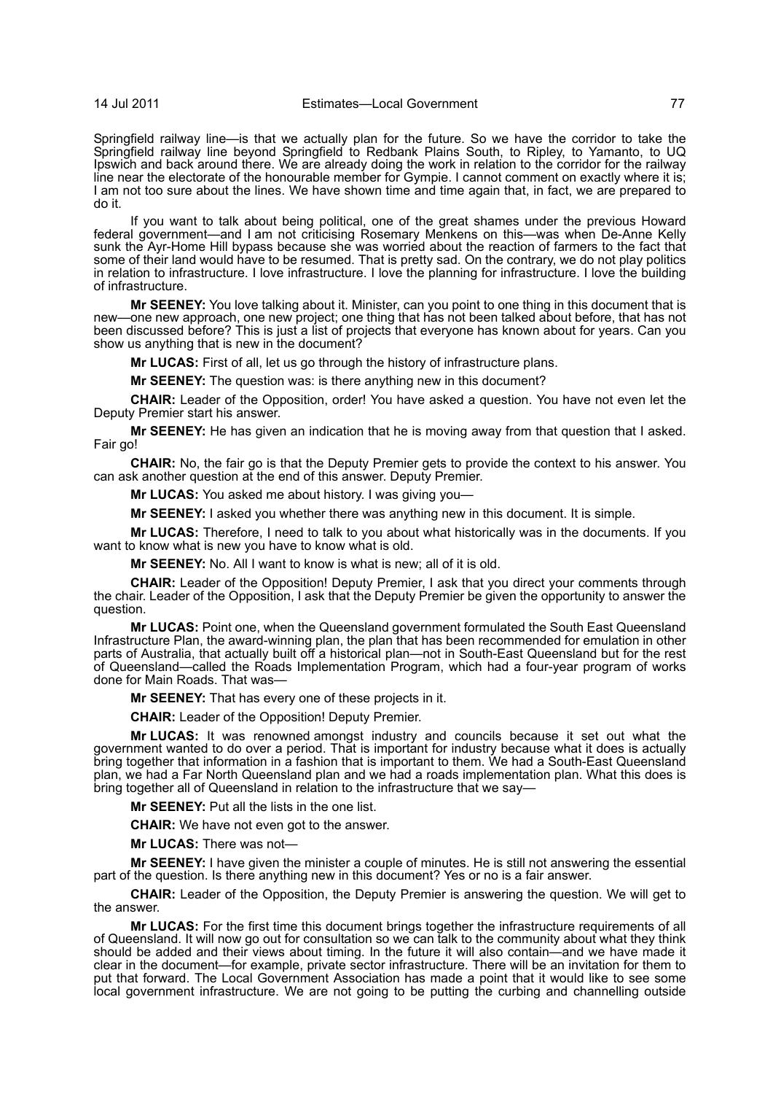Springfield railway line—is that we actually plan for the future. So we have the corridor to take the Springfield railway line beyond Springfield to Redbank Plains South, to Ripley, to Yamanto, to UQ Ipswich and back around there. We are already doing the work in relation to the corridor for the railway line near the electorate of the honourable member for Gympie. I cannot comment on exactly where it is; I am not too sure about the lines. We have shown time and time again that, in fact, we are prepared to do it.

If you want to talk about being political, one of the great shames under the previous Howard federal government—and I am not criticising Rosemary Menkens on this—was when De-Anne Kelly sunk the Ayr-Home Hill bypass because she was worried about the reaction of farmers to the fact that some of their land would have to be resumed. That is pretty sad. On the contrary, we do not play politics in relation to infrastructure. I love infrastructure. I love the planning for infrastructure. I love the building of infrastructure.

**Mr SEENEY:** You love talking about it. Minister, can you point to one thing in this document that is new—one new approach, one new project; one thing that has not been talked about before, that has not been discussed before? This is just a list of projects that everyone has known about for years. Can you show us anything that is new in the document?

**Mr LUCAS:** First of all, let us go through the history of infrastructure plans.

**Mr SEENEY:** The question was: is there anything new in this document?

**CHAIR:** Leader of the Opposition, order! You have asked a question. You have not even let the Deputy Premier start his answer.

**Mr SEENEY:** He has given an indication that he is moving away from that question that I asked. Fair go!

**CHAIR:** No, the fair go is that the Deputy Premier gets to provide the context to his answer. You can ask another question at the end of this answer. Deputy Premier.

**Mr LUCAS:** You asked me about history. I was giving you—

**Mr SEENEY:** I asked you whether there was anything new in this document. It is simple.

**Mr LUCAS:** Therefore, I need to talk to you about what historically was in the documents. If you want to know what is new you have to know what is old.

**Mr SEENEY:** No. All I want to know is what is new; all of it is old.

**CHAIR:** Leader of the Opposition! Deputy Premier, I ask that you direct your comments through the chair. Leader of the Opposition, I ask that the Deputy Premier be given the opportunity to answer the question.

**Mr LUCAS:** Point one, when the Queensland government formulated the South East Queensland Infrastructure Plan, the award-winning plan, the plan that has been recommended for emulation in other parts of Australia, that actually built off a historical plan—not in South-East Queensland but for the rest of Queensland—called the Roads Implementation Program, which had a four-year program of works done for Main Roads. That was—

**Mr SEENEY:** That has every one of these projects in it.

**CHAIR:** Leader of the Opposition! Deputy Premier.

**Mr LUCAS:** It was renowned amongst industry and councils because it set out what the government wanted to do over a period. That is important for industry because what it does is actually bring together that information in a fashion that is important to them. We had a South-East Queensland plan, we had a Far North Queensland plan and we had a roads implementation plan. What this does is bring together all of Queensland in relation to the infrastructure that we say-

**Mr SEENEY:** Put all the lists in the one list.

**CHAIR:** We have not even got to the answer.

**Mr LUCAS:** There was not—

**Mr SEENEY:** I have given the minister a couple of minutes. He is still not answering the essential part of the question. Is there anything new in this document? Yes or no is a fair answer.

**CHAIR:** Leader of the Opposition, the Deputy Premier is answering the question. We will get to the answer.

**Mr LUCAS:** For the first time this document brings together the infrastructure requirements of all of Queensland. It will now go out for consultation so we can talk to the community about what they think should be added and their views about timing. In the future it will also contain—and we have made it clear in the document—for example, private sector infrastructure. There will be an invitation for them to put that forward. The Local Government Association has made a point that it would like to see some local government infrastructure. We are not going to be putting the curbing and channelling outside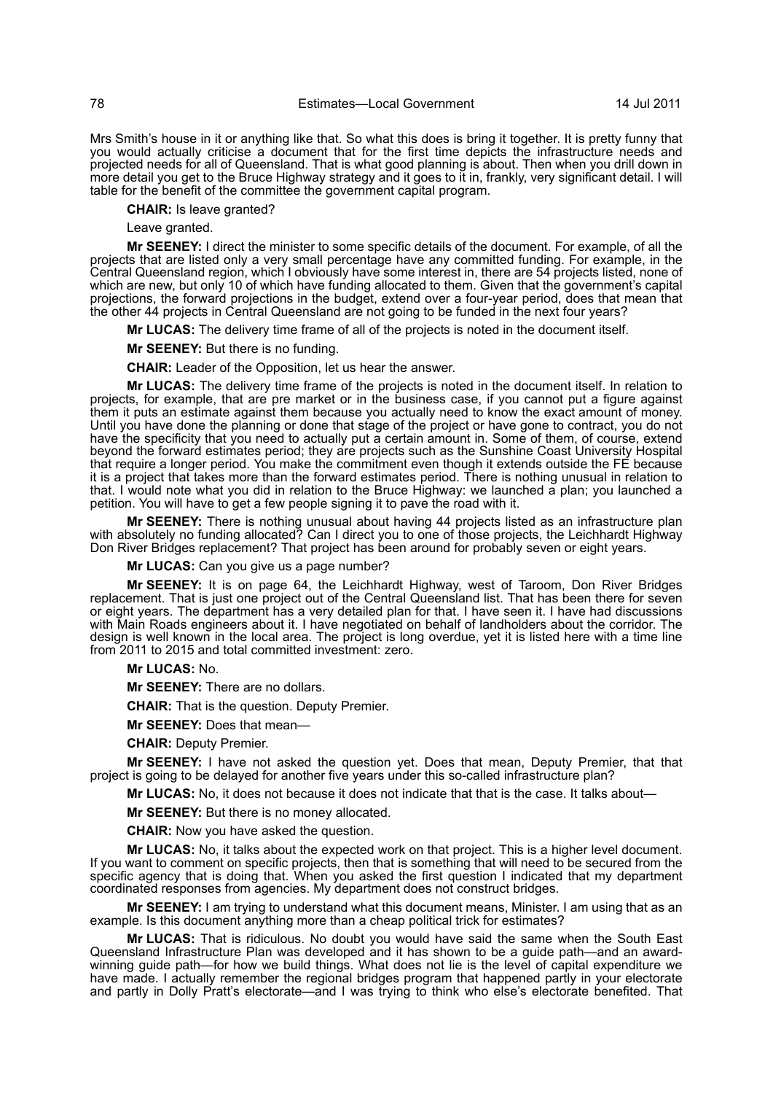Mrs Smith's house in it or anything like that. So what this does is bring it together. It is pretty funny that you would actually criticise a document that for the first time depicts the infrastructure needs and projected needs for all of Queensland. That is what good planning is about. Then when you drill down in more detail you get to the Bruce Highway strategy and it goes to it in, frankly, very significant detail. I will table for the benefit of the committee the government capital program.

**CHAIR:** Is leave granted?

Leave granted.

**Mr SEENEY:** I direct the minister to some specific details of the document. For example, of all the projects that are listed only a very small percentage have any committed funding. For example, in the Central Queensland region, which I obviously have some interest in, there are 54 projects listed, none of which are new, but only 10 of which have funding allocated to them. Given that the government's capital projections, the forward projections in the budget, extend over a four-year period, does that mean that the other 44 projects in Central Queensland are not going to be funded in the next four years?

**Mr LUCAS:** The delivery time frame of all of the projects is noted in the document itself.

**Mr SEENEY:** But there is no funding.

**CHAIR:** Leader of the Opposition, let us hear the answer.

**Mr LUCAS:** The delivery time frame of the projects is noted in the document itself. In relation to projects, for example, that are pre market or in the business case, if you cannot put a figure against them it puts an estimate against them because you actually need to know the exact amount of money. Until you have done the planning or done that stage of the project or have gone to contract, you do not have the specificity that you need to actually put a certain amount in. Some of them, of course, extend beyond the forward estimates period; they are projects such as the Sunshine Coast University Hospital that require a longer period. You make the commitment even though it extends outside the FE because it is a project that takes more than the forward estimates period. There is nothing unusual in relation to that. I would note what you did in relation to the Bruce Highway: we launched a plan; you launched a petition. You will have to get a few people signing it to pave the road with it.

**Mr SEENEY:** There is nothing unusual about having 44 projects listed as an infrastructure plan with absolutely no funding allocated? Can I direct you to one of those projects, the Leichhardt Highway Don River Bridges replacement? That project has been around for probably seven or eight years.

**Mr LUCAS:** Can you give us a page number?

**Mr SEENEY:** It is on page 64, the Leichhardt Highway, west of Taroom, Don River Bridges replacement. That is just one project out of the Central Queensland list. That has been there for seven or eight years. The department has a very detailed plan for that. I have seen it. I have had discussions with Main Roads engineers about it. I have negotiated on behalf of landholders about the corridor. The design is well known in the local area. The project is long overdue, yet it is listed here with a time line from 2011 to 2015 and total committed investment: zero.

**Mr LUCAS:** No.

**Mr SEENEY:** There are no dollars.

**CHAIR:** That is the question. Deputy Premier.

**Mr SEENEY:** Does that mean—

**CHAIR:** Deputy Premier.

**Mr SEENEY:** I have not asked the question yet. Does that mean, Deputy Premier, that that project is going to be delayed for another five years under this so-called infrastructure plan?

**Mr LUCAS:** No, it does not because it does not indicate that that is the case. It talks about—

**Mr SEENEY:** But there is no money allocated.

**CHAIR:** Now you have asked the question.

**Mr LUCAS:** No, it talks about the expected work on that project. This is a higher level document. If you want to comment on specific projects, then that is something that will need to be secured from the specific agency that is doing that. When you asked the first question I indicated that my department coordinated responses from agencies. My department does not construct bridges.

**Mr SEENEY:** I am trying to understand what this document means, Minister. I am using that as an example. Is this document anything more than a cheap political trick for estimates?

**Mr LUCAS:** That is ridiculous. No doubt you would have said the same when the South East Queensland Infrastructure Plan was developed and it has shown to be a guide path—and an awardwinning guide path—for how we build things. What does not lie is the level of capital expenditure we have made. I actually remember the regional bridges program that happened partly in your electorate and partly in Dolly Pratt's electorate—and I was trying to think who else's electorate benefited. That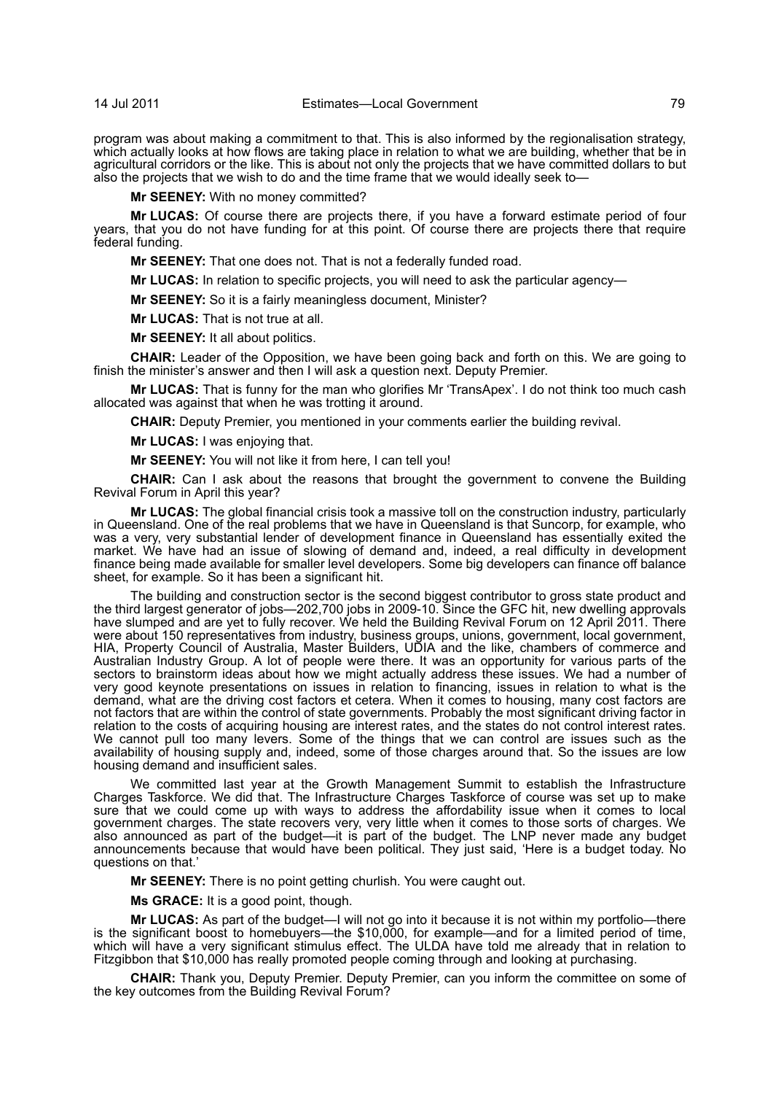program was about making a commitment to that. This is also informed by the regionalisation strategy, which actually looks at how flows are taking place in relation to what we are building, whether that be in agricultural corridors or the like. This is about not only the projects that we have committed dollars to but also the projects that we wish to do and the time frame that we would ideally seek to—

**Mr SEENEY:** With no money committed?

**Mr LUCAS:** Of course there are projects there, if you have a forward estimate period of four years, that you do not have funding for at this point. Of course there are projects there that require federal funding.

**Mr SEENEY:** That one does not. That is not a federally funded road.

**Mr LUCAS:** In relation to specific projects, you will need to ask the particular agency—

**Mr SEENEY:** So it is a fairly meaningless document, Minister?

**Mr LUCAS:** That is not true at all.

**Mr SEENEY:** It all about politics.

**CHAIR:** Leader of the Opposition, we have been going back and forth on this. We are going to finish the minister's answer and then I will ask a question next. Deputy Premier.

**Mr LUCAS:** That is funny for the man who glorifies Mr 'TransApex'. I do not think too much cash allocated was against that when he was trotting it around.

**CHAIR:** Deputy Premier, you mentioned in your comments earlier the building revival.

**Mr LUCAS:** I was enjoying that.

**Mr SEENEY:** You will not like it from here, I can tell you!

**CHAIR:** Can I ask about the reasons that brought the government to convene the Building Revival Forum in April this year?

**Mr LUCAS:** The global financial crisis took a massive toll on the construction industry, particularly in Queensland. One of the real problems that we have in Queensland is that Suncorp, for example, who was a very, very substantial lender of development finance in Queensland has essentially exited the market. We have had an issue of slowing of demand and, indeed, a real difficulty in development finance being made available for smaller level developers. Some big developers can finance off balance sheet, for example. So it has been a significant hit.

The building and construction sector is the second biggest contributor to gross state product and the third largest generator of jobs—202,700 jobs in 2009-10. Since the GFC hit, new dwelling approvals have slumped and are yet to fully recover. We held the Building Revival Forum on 12 April 2011. There were about 150 representatives from industry, business groups, unions, government, local government, HIA, Property Council of Australia, Master Builders, UDIA and the like, chambers of commerce and Australian Industry Group. A lot of people were there. It was an opportunity for various parts of the sectors to brainstorm ideas about how we might actually address these issues. We had a number of very good keynote presentations on issues in relation to financing, issues in relation to what is the demand, what are the driving cost factors et cetera. When it comes to housing, many cost factors are not factors that are within the control of state governments. Probably the most significant driving factor in relation to the costs of acquiring housing are interest rates, and the states do not control interest rates. We cannot pull too many levers. Some of the things that we can control are issues such as the availability of housing supply and, indeed, some of those charges around that. So the issues are low housing demand and insufficient sales.

We committed last year at the Growth Management Summit to establish the Infrastructure Charges Taskforce. We did that. The Infrastructure Charges Taskforce of course was set up to make sure that we could come up with ways to address the affordability issue when it comes to local government charges. The state recovers very, very little when it comes to those sorts of charges. We also announced as part of the budget—it is part of the budget. The LNP never made any budget announcements because that would have been political. They just said, 'Here is a budget today. No questions on that.'

**Mr SEENEY:** There is no point getting churlish. You were caught out.

**Ms GRACE:** It is a good point, though.

**Mr LUCAS:** As part of the budget—I will not go into it because it is not within my portfolio—there is the significant boost to homebuyers—the \$10,000, for example—and for a limited period of time, which will have a very significant stimulus effect. The ULDA have told me already that in relation to Fitzgibbon that \$10,000 has really promoted people coming through and looking at purchasing.

**CHAIR:** Thank you, Deputy Premier. Deputy Premier, can you inform the committee on some of the key outcomes from the Building Revival Forum?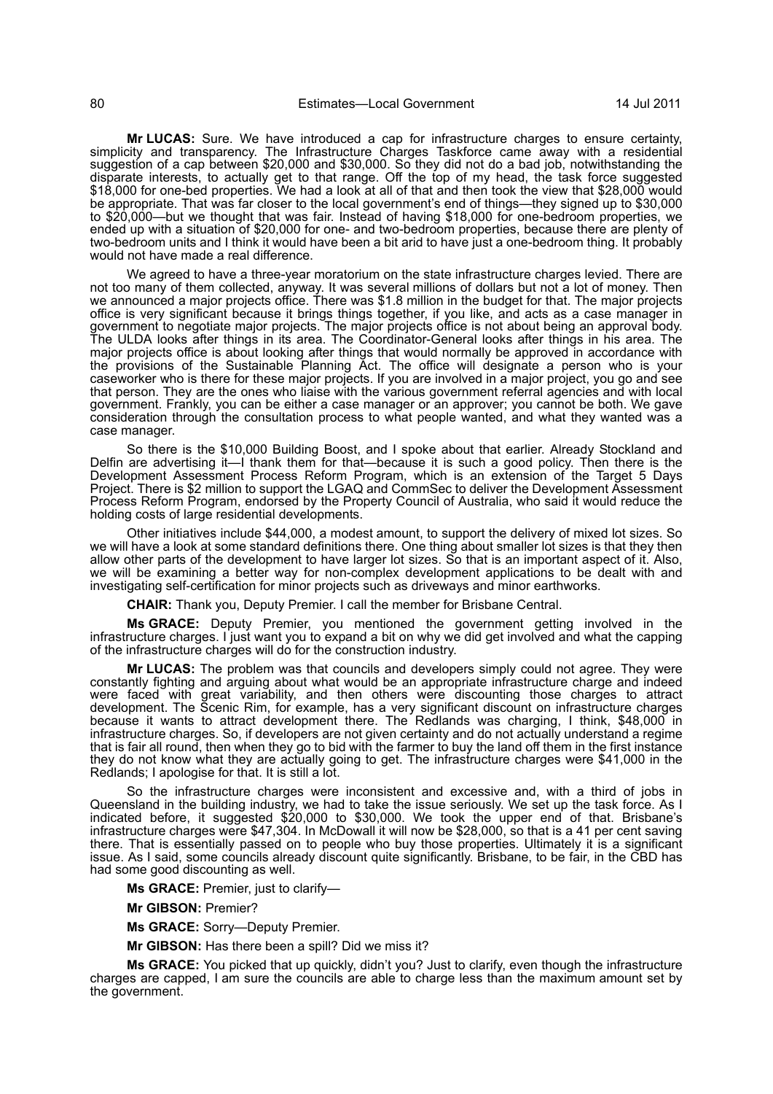**Mr LUCAS:** Sure. We have introduced a cap for infrastructure charges to ensure certainty, simplicity and transparency. The Infrastructure Charges Taskforce came away with a residential suggestion of a cap between \$20,000 and \$30,000. So they did not do a bad job, notwithstanding the disparate interests, to actually get to that range. Off the top of my head, the task force suggested \$18,000 for one-bed properties. We had a look at all of that and then took the view that \$28,000 would be appropriate. That was far closer to the local government's end of things—they signed up to \$30,000 to \$20,000—but we thought that was fair. Instead of having \$18,000 for one-bedroom properties, we ended up with a situation of \$20,000 for one- and two-bedroom properties, because there are plenty of two-bedroom units and I think it would have been a bit arid to have just a one-bedroom thing. It probably would not have made a real difference.

We agreed to have a three-year moratorium on the state infrastructure charges levied. There are not too many of them collected, anyway. It was several millions of dollars but not a lot of money. Then we announced a major projects office. There was \$1.8 million in the budget for that. The major projects office is very significant because it brings things together, if you like, and acts as a case manager in government to negotiate major projects. The major projects office is not about being an approval body. The ULDA looks after things in its area. The Coordinator-General looks after things in his area. The major projects office is about looking after things that would normally be approved in accordance with the provisions of the Sustainable Planning Act. The office will designate a person who is your caseworker who is there for these major projects. If you are involved in a major project, you go and see that person. They are the ones who liaise with the various government referral agencies and with local government. Frankly, you can be either a case manager or an approver; you cannot be both. We gave consideration through the consultation process to what people wanted, and what they wanted was a case manager.

So there is the \$10,000 Building Boost, and I spoke about that earlier. Already Stockland and Delfin are advertising it—I thank them for that—because it is such a good policy. Then there is the Development Assessment Process Reform Program, which is an extension of the Target 5 Days Project. There is \$2 million to support the LGAQ and CommSec to deliver the Development Assessment Process Reform Program, endorsed by the Property Council of Australia, who said it would reduce the holding costs of large residential developments.

Other initiatives include \$44,000, a modest amount, to support the delivery of mixed lot sizes. So we will have a look at some standard definitions there. One thing about smaller lot sizes is that they then allow other parts of the development to have larger lot sizes. So that is an important aspect of it. Also, we will be examining a better way for non-complex development applications to be dealt with and investigating self-certification for minor projects such as driveways and minor earthworks.

**CHAIR:** Thank you, Deputy Premier. I call the member for Brisbane Central.

**Ms GRACE:** Deputy Premier, you mentioned the government getting involved in the infrastructure charges. I just want you to expand a bit on why we did get involved and what the capping of the infrastructure charges will do for the construction industry.

**Mr LUCAS:** The problem was that councils and developers simply could not agree. They were constantly fighting and arguing about what would be an appropriate infrastructure charge and indeed were faced with great variability, and then others were discounting those charges to attract development. The Šcenic Rim, for example, has a very significant discount on infrastructure charges because it wants to attract development there. The Redlands was charging, I think, \$48,000 in infrastructure charges. So, if developers are not given certainty and do not actually understand a regime that is fair all round, then when they go to bid with the farmer to buy the land off them in the first instance they do not know what they are actually going to get. The infrastructure charges were \$41,000 in the Redlands; I apologise for that. It is still a lot.

So the infrastructure charges were inconsistent and excessive and, with a third of jobs in Queensland in the building industry, we had to take the issue seriously. We set up the task force. As I indicated before, it suggested \$20,000 to \$30,000. We took the upper end of that. Brisbane's infrastructure charges were \$47,304. In McDowall it will now be \$28,000, so that is a 41 per cent saving there. That is essentially passed on to people who buy those properties. Ultimately it is a significant issue. As I said, some councils already discount quite significantly. Brisbane, to be fair, in the CBD has had some good discounting as well.

**Ms GRACE:** Premier, just to clarify—

**Mr GIBSON:** Premier?

**Ms GRACE:** Sorry—Deputy Premier.

**Mr GIBSON:** Has there been a spill? Did we miss it?

**Ms GRACE:** You picked that up quickly, didn't you? Just to clarify, even though the infrastructure charges are capped, I am sure the councils are able to charge less than the maximum amount set by the government.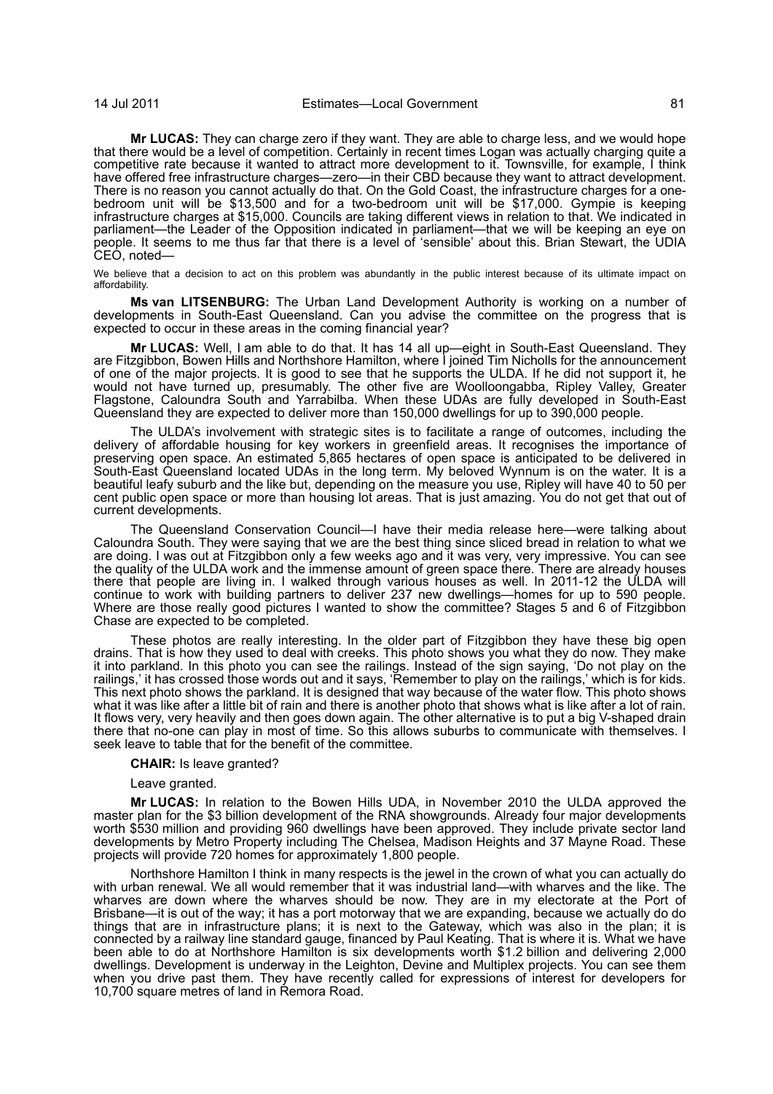**Mr LUCAS:** They can charge zero if they want. They are able to charge less, and we would hope that there would be a level of competition. Certainly in recent times Logan was actually charging quite a competitive rate because it wanted to attract more development to it. Townsville, for example, I think have offered free infrastructure charges—zero—in their CBD because they want to attract development. There is no reason you cannot actually do that. On the Gold Coast, the infrastructure charges for a onebedroom unit will be \$13,500 and for a two-bedroom unit will be \$17,000. Gympie is keeping infrastructure charges at \$15,000. Councils are taking different views in relation to that. We indicated in parliament—the Leader of the Opposition indicated in parliament—that we will be keeping an eye on people. It seems to me thus far that there is a level of 'sensible' about this. Brian Stewart, the UDIA CEO, noted—

We believe that a decision to act on this problem was abundantly in the public interest because of its ultimate impact on affordability.

**Ms van LITSENBURG:** The Urban Land Development Authority is working on a number of developments in South-East Queensland. Can you advise the committee on the progress that is expected to occur in these areas in the coming financial year?

**Mr LUCAS:** Well, I am able to do that. It has 14 all up—eight in South-East Queensland. They are Fitzgibbon, Bowen Hills and Northshore Hamilton, where I joined Tim Nicholls for the announcement of one of the major projects. It is good to see that he supports the ULDA. If he did not support it, he would not have turned up, presumably. The other five are Woolloongabba, Ripley Valley, Greater Flagstone, Caloundra South and Yarrabilba. When these UDAs are fully developed in South-East Queensland they are expected to deliver more than 150,000 dwellings for up to 390,000 people.

The ULDA's involvement with strategic sites is to facilitate a range of outcomes, including the delivery of affordable housing for key workers in greenfield areas. It recognises the importance of preserving open space. An estimated 5,865 hectares of open space is anticipated to be delivered in South-East Queensland located UDAs in the long term. My beloved Wynnum is on the water. It is a beautiful leafy suburb and the like but, depending on the measure you use, Ripley will have 40 to 50 per cent public open space or more than housing lot areas. That is just amazing. You do not get that out of current developments.

The Queensland Conservation Council—I have their media release here—were talking about Caloundra South. They were saying that we are the best thing since sliced bread in relation to what we are doing. I was out at Fitzgibbon only a few weeks ago and it was very, very impressive. You can see the quality of the ULDA work and the immense amount of green space there. There are already houses there that people are living in. I walked through various houses as well. In 2011-12 the ULDA will continue to work with building partners to deliver 237 new dwellings—homes for up to 590 people. Where are those really good pictures I wanted to show the committee? Stages 5 and 6 of Fitzgibbon Chase are expected to be completed.

These photos are really interesting. In the older part of Fitzgibbon they have these big open drains. That is how they used to deal with creeks. This photo shows you what they do now. They make it into parkland. In this photo you can see the railings. Instead of the sign saying, 'Do not play on the railings,' it has crossed those words out and it says, 'Remember to play on the railings,' which is for kids. This next photo shows the parkland. It is designed that way because of the water flow. This photo shows what it was like after a little bit of rain and there is another photo that shows what is like after a lot of rain. It flows very, very heavily and then goes down again. The other alternative is to put a big V-shaped drain there that no-one can play in most of time. So this allows suburbs to communicate with themselves. I seek leave to table that for the benefit of the committee.

#### **CHAIR:** Is leave granted?

Leave granted.

**Mr LUCAS:** In relation to the Bowen Hills UDA, in November 2010 the ULDA approved the master plan for the \$3 billion development of the RNA showgrounds. Already four major developments worth \$530 million and providing 960 dwellings have been approved. They include private sector land developments by Metro Property including The Chelsea, Madison Heights and 37 Mayne Road. These projects will provide 720 homes for approximately 1,800 people.

Northshore Hamilton I think in many respects is the jewel in the crown of what you can actually do with urban renewal. We all would remember that it was industrial land—with wharves and the like. The wharves are down where the wharves should be now. They are in my electorate at the Port of Brisbane—it is out of the way; it has a port motorway that we are expanding, because we actually do do things that are in infrastructure plans; it is next to the Gateway, which was also in the plan; it is connected by a railway line standard gauge, financed by Paul Keating. That is where it is. What we have been able to do at Northshore Hamilton is six developments worth \$1.2 billion and delivering 2,000 dwellings. Development is underway in the Leighton, Devine and Multiplex projects. You can see them when you drive past them. They have recently called for expressions of interest for developers for 10,700 square metres of land in Remora Road.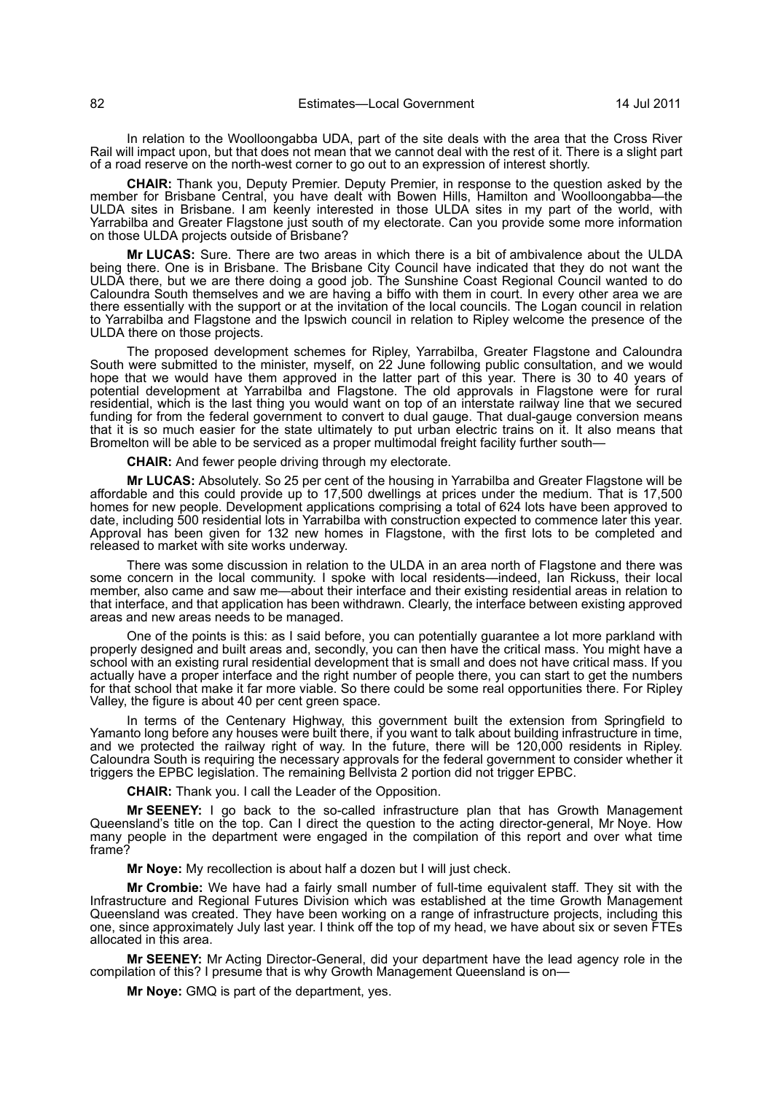In relation to the Woolloongabba UDA, part of the site deals with the area that the Cross River Rail will impact upon, but that does not mean that we cannot deal with the rest of it. There is a slight part of a road reserve on the north-west corner to go out to an expression of interest shortly.

**CHAIR:** Thank you, Deputy Premier. Deputy Premier, in response to the question asked by the member for Brisbane Central, you have dealt with Bowen Hills, Hamilton and Woolloongabba—the ULDA sites in Brisbane. I am keenly interested in those ULDA sites in my part of the world, with Yarrabilba and Greater Flagstone just south of my electorate. Can you provide some more information on those ULDA projects outside of Brisbane?

**Mr LUCAS:** Sure. There are two areas in which there is a bit of ambivalence about the ULDA being there. One is in Brisbane. The Brisbane City Council have indicated that they do not want the ULDA there, but we are there doing a good job. The Sunshine Coast Regional Council wanted to do Caloundra South themselves and we are having a biffo with them in court. In every other area we are there essentially with the support or at the invitation of the local councils. The Logan council in relation to Yarrabilba and Flagstone and the Ipswich council in relation to Ripley welcome the presence of the ULDA there on those projects.

The proposed development schemes for Ripley, Yarrabilba, Greater Flagstone and Caloundra South were submitted to the minister, myself, on 22 June following public consultation, and we would hope that we would have them approved in the latter part of this year. There is 30 to 40 years of potential development at Yarrabilba and Flagstone. The old approvals in Flagstone were for rural residential, which is the last thing you would want on top of an interstate railway line that we secured funding for from the federal government to convert to dual gauge. That dual-gauge conversion means that it is so much easier for the state ultimately to put urban electric trains on it. It also means that Bromelton will be able to be serviced as a proper multimodal freight facility further south—

**CHAIR:** And fewer people driving through my electorate.

**Mr LUCAS:** Absolutely. So 25 per cent of the housing in Yarrabilba and Greater Flagstone will be affordable and this could provide up to 17,500 dwellings at prices under the medium. That is 17,500 homes for new people. Development applications comprising a total of 624 lots have been approved to date, including 500 residential lots in Yarrabilba with construction expected to commence later this year. Approval has been given for 132 new homes in Flagstone, with the first lots to be completed and released to market with site works underway.

There was some discussion in relation to the ULDA in an area north of Flagstone and there was some concern in the local community. I spoke with local residents—indeed, Ian Rickuss, their local member, also came and saw me—about their interface and their existing residential areas in relation to that interface, and that application has been withdrawn. Clearly, the interface between existing approved areas and new areas needs to be managed.

One of the points is this: as I said before, you can potentially guarantee a lot more parkland with properly designed and built areas and, secondly, you can then have the critical mass. You might have a school with an existing rural residential development that is small and does not have critical mass. If you actually have a proper interface and the right number of people there, you can start to get the numbers for that school that make it far more viable. So there could be some real opportunities there. For Ripley Valley, the figure is about 40 per cent green space.

In terms of the Centenary Highway, this government built the extension from Springfield to Yamanto long before any houses were built there, if you want to talk about building infrastructure in time, and we protected the railway right of way. In the future, there will be 120,000 residents in Ripley. Caloundra South is requiring the necessary approvals for the federal government to consider whether it triggers the EPBC legislation. The remaining Bellvista 2 portion did not trigger EPBC.

**CHAIR:** Thank you. I call the Leader of the Opposition.

**Mr SEENEY:** I go back to the so-called infrastructure plan that has Growth Management Queensland's title on the top. Can I direct the question to the acting director-general, Mr Noye. How many people in the department were engaged in the compilation of this report and over what time frame?

**Mr Noye:** My recollection is about half a dozen but I will just check.

**Mr Crombie:** We have had a fairly small number of full-time equivalent staff. They sit with the Infrastructure and Regional Futures Division which was established at the time Growth Management Queensland was created. They have been working on a range of infrastructure projects, including this one, since approximately July last year. I think off the top of my head, we have about six or seven FTEs allocated in this area.

**Mr SEENEY:** Mr Acting Director-General, did your department have the lead agency role in the compilation of this? I presume that is why Growth Management Queensland is on—

**Mr Noye:** GMQ is part of the department, yes.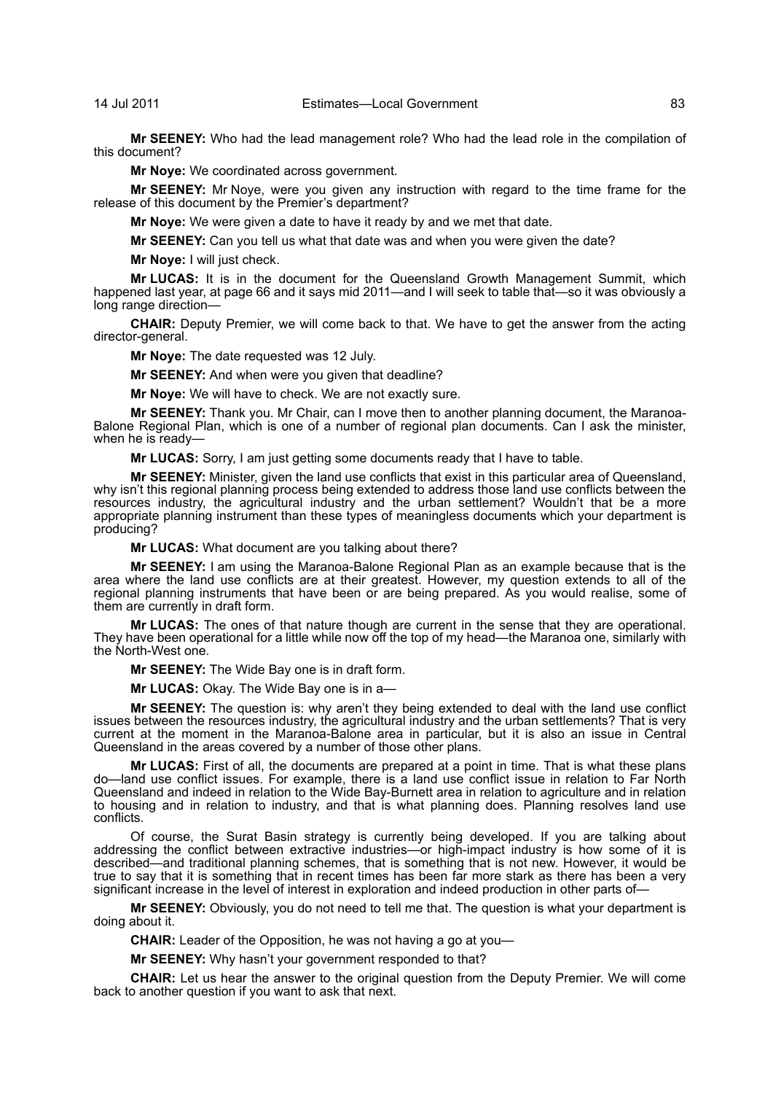**Mr SEENEY:** Who had the lead management role? Who had the lead role in the compilation of this document?

**Mr Noye:** We coordinated across government.

**Mr SEENEY:** Mr Noye, were you given any instruction with regard to the time frame for the release of this document by the Premier's department?

**Mr Noye:** We were given a date to have it ready by and we met that date.

**Mr SEENEY:** Can you tell us what that date was and when you were given the date?

**Mr Noye:** I will just check.

**Mr LUCAS:** It is in the document for the Queensland Growth Management Summit, which happened last year, at page 66 and it says mid 2011—and I will seek to table that—so it was obviously a long range direction—

**CHAIR:** Deputy Premier, we will come back to that. We have to get the answer from the acting director-general.

**Mr Noye:** The date requested was 12 July.

**Mr SEENEY:** And when were you given that deadline?

**Mr Noye:** We will have to check. We are not exactly sure.

**Mr SEENEY:** Thank you. Mr Chair, can I move then to another planning document, the Maranoa-Balone Regional Plan, which is one of a number of regional plan documents. Can I ask the minister, when he is ready-

**Mr LUCAS:** Sorry, I am just getting some documents ready that I have to table.

**Mr SEENEY:** Minister, given the land use conflicts that exist in this particular area of Queensland, why isn't this regional planning process being extended to address those land use conflicts between the resources industry, the agricultural industry and the urban settlement? Wouldn't that be a more appropriate planning instrument than these types of meaningless documents which your department is producing?

**Mr LUCAS:** What document are you talking about there?

**Mr SEENEY:** I am using the Maranoa-Balone Regional Plan as an example because that is the area where the land use conflicts are at their greatest. However, my question extends to all of the regional planning instruments that have been or are being prepared. As you would realise, some of them are currently in draft form.

**Mr LUCAS:** The ones of that nature though are current in the sense that they are operational. They have been operational for a little while now off the top of my head—the Maranoa one, similarly with the North-West one.

**Mr SEENEY:** The Wide Bay one is in draft form.

**Mr LUCAS:** Okay. The Wide Bay one is in a—

**Mr SEENEY:** The question is: why aren't they being extended to deal with the land use conflict issues between the resources industry, the agricultural industry and the urban settlements? That is very current at the moment in the Maranoa-Balone area in particular, but it is also an issue in Central Queensland in the areas covered by a number of those other plans.

**Mr LUCAS:** First of all, the documents are prepared at a point in time. That is what these plans do—land use conflict issues. For example, there is a land use conflict issue in relation to Far North Queensland and indeed in relation to the Wide Bay-Burnett area in relation to agriculture and in relation to housing and in relation to industry, and that is what planning does. Planning resolves land use conflicts.

Of course, the Surat Basin strategy is currently being developed. If you are talking about addressing the conflict between extractive industries—or high-impact industry is how some of it is described—and traditional planning schemes, that is something that is not new. However, it would be true to say that it is something that in recent times has been far more stark as there has been a very significant increase in the level of interest in exploration and indeed production in other parts of—

**Mr SEENEY:** Obviously, you do not need to tell me that. The question is what your department is doing about it.

**CHAIR:** Leader of the Opposition, he was not having a go at you—

**Mr SEENEY:** Why hasn't your government responded to that?

**CHAIR:** Let us hear the answer to the original question from the Deputy Premier. We will come back to another question if you want to ask that next.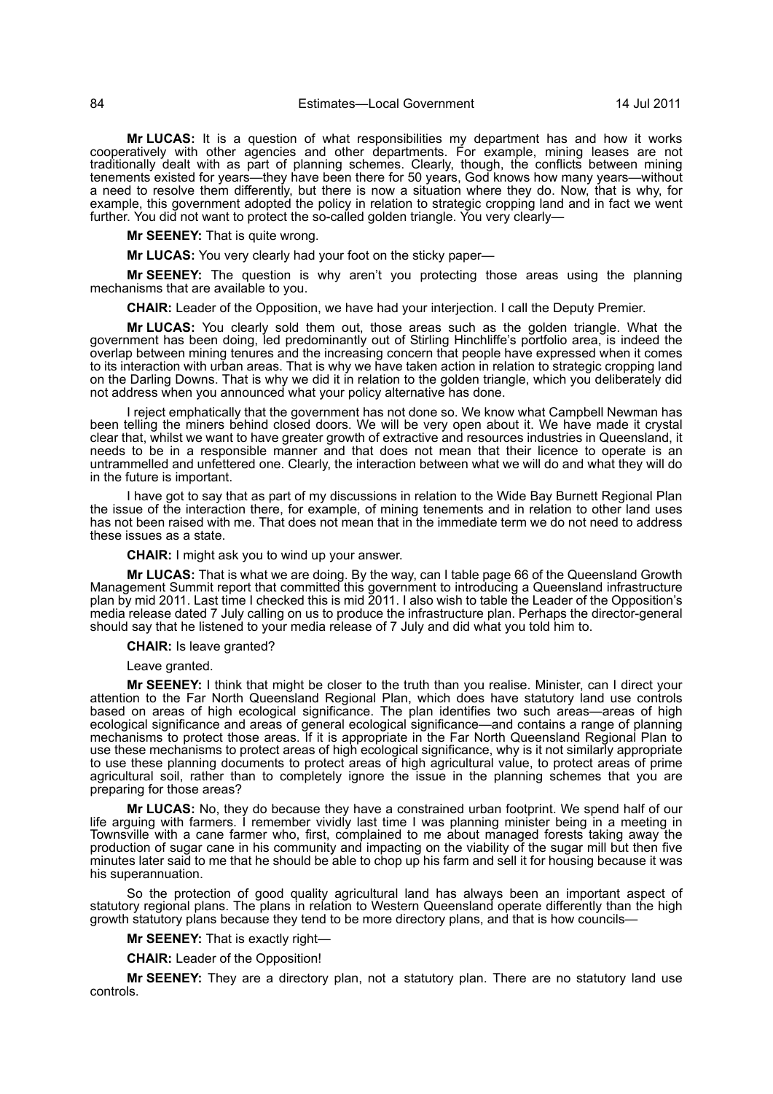**Mr LUCAS:** It is a question of what responsibilities my department has and how it works cooperatively with other agencies and other departments. For example, mining leases are not traditionally dealt with as part of planning schemes. Clearly, though, the conflicts between mining tenements existed for years—they have been there for 50 years, God knows how many years—without a need to resolve them differently, but there is now a situation where they do. Now, that is why, for example, this government adopted the policy in relation to strategic cropping land and in fact we went further. You did not want to protect the so-called golden triangle. You very clearly—

**Mr SEENEY:** That is quite wrong.

**Mr LUCAS:** You very clearly had your foot on the sticky paper—

**Mr SEENEY:** The question is why aren't you protecting those areas using the planning mechanisms that are available to you.

**CHAIR:** Leader of the Opposition, we have had your interjection. I call the Deputy Premier.

**Mr LUCAS:** You clearly sold them out, those areas such as the golden triangle. What the government has been doing, led predominantly out of Stirling Hinchliffe's portfolio area, is indeed the overlap between mining tenures and the increasing concern that people have expressed when it comes to its interaction with urban areas. That is why we have taken action in relation to strategic cropping land on the Darling Downs. That is why we did it in relation to the golden triangle, which you deliberately did not address when you announced what your policy alternative has done.

I reject emphatically that the government has not done so. We know what Campbell Newman has been telling the miners behind closed doors. We will be very open about it. We have made it crystal clear that, whilst we want to have greater growth of extractive and resources industries in Queensland, it needs to be in a responsible manner and that does not mean that their licence to operate is an untrammelled and unfettered one. Clearly, the interaction between what we will do and what they will do in the future is important.

I have got to say that as part of my discussions in relation to the Wide Bay Burnett Regional Plan the issue of the interaction there, for example, of mining tenements and in relation to other land uses has not been raised with me. That does not mean that in the immediate term we do not need to address these issues as a state.

**CHAIR:** I might ask you to wind up your answer.

**Mr LUCAS:** That is what we are doing. By the way, can I table page 66 of the Queensland Growth Management Summit report that committed this government to introducing a Queensland infrastructure plan by mid 2011. Last time I checked this is mid 2011. I also wish to table the Leader of the Opposition's media release dated 7 July calling on us to produce the infrastructure plan. Perhaps the director-general should say that he listened to your media release of 7 July and did what you told him to.

**CHAIR:** Is leave granted?

Leave granted.

**Mr SEENEY:** I think that might be closer to the truth than you realise. Minister, can I direct your attention to the Far North Queensland Regional Plan, which does have statutory land use controls based on areas of high ecological significance. The plan identifies two such areas—areas of high ecological significance and areas of general ecological significance—and contains a range of planning mechanisms to protect those areas. If it is appropriate in the Far North Queensland Regional Plan to use these mechanisms to protect areas of high ecological significance, why is it not similarly appropriate to use these planning documents to protect areas of high agricultural value, to protect areas of prime agricultural soil, rather than to completely ignore the issue in the planning schemes that you are preparing for those areas?

**Mr LUCAS:** No, they do because they have a constrained urban footprint. We spend half of our life arguing with farmers. I remember vividly last time I was planning minister being in a meeting in Townsville with a cane farmer who, first, complained to me about managed forests taking away the production of sugar cane in his community and impacting on the viability of the sugar mill but then five minutes later said to me that he should be able to chop up his farm and sell it for housing because it was his superannuation.

So the protection of good quality agricultural land has always been an important aspect of statutory regional plans. The plans in relation to Western Queensland operate differently than the high growth statutory plans because they tend to be more directory plans, and that is how councils—

**Mr SEENEY:** That is exactly right—

**CHAIR:** Leader of the Opposition!

**Mr SEENEY:** They are a directory plan, not a statutory plan. There are no statutory land use controls.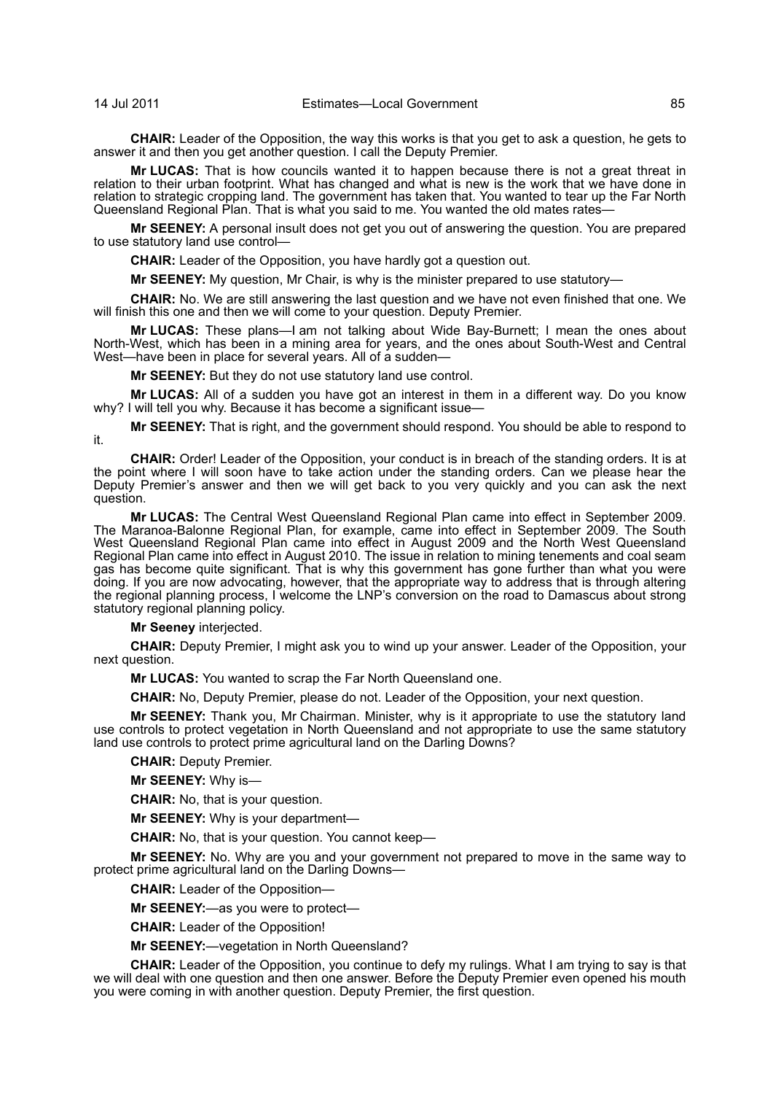**CHAIR:** Leader of the Opposition, the way this works is that you get to ask a question, he gets to answer it and then you get another question. I call the Deputy Premier.

**Mr LUCAS:** That is how councils wanted it to happen because there is not a great threat in relation to their urban footprint. What has changed and what is new is the work that we have done in relation to strategic cropping land. The government has taken that. You wanted to tear up the Far North Queensland Regional Plan. That is what you said to me. You wanted the old mates rates—

**Mr SEENEY:** A personal insult does not get you out of answering the question. You are prepared to use statutory land use control—

**CHAIR:** Leader of the Opposition, you have hardly got a question out.

**Mr SEENEY:** My question, Mr Chair, is why is the minister prepared to use statutory—

**CHAIR:** No. We are still answering the last question and we have not even finished that one. We will finish this one and then we will come to your question. Deputy Premier.

**Mr LUCAS:** These plans—I am not talking about Wide Bay-Burnett; I mean the ones about North-West, which has been in a mining area for years, and the ones about South-West and Central West—have been in place for several years. All of a sudden—

**Mr SEENEY:** But they do not use statutory land use control.

**Mr LUCAS:** All of a sudden you have got an interest in them in a different way. Do you know why? I will tell you why. Because it has become a significant issue-

**Mr SEENEY:** That is right, and the government should respond. You should be able to respond to it.

**CHAIR:** Order! Leader of the Opposition, your conduct is in breach of the standing orders. It is at the point where I will soon have to take action under the standing orders. Can we please hear the Deputy Premier's answer and then we will get back to you very quickly and you can ask the next question.

**Mr LUCAS:** The Central West Queensland Regional Plan came into effect in September 2009. The Maranoa-Balonne Regional Plan, for example, came into effect in September 2009. The South West Queensland Regional Plan came into effect in August 2009 and the North West Queensland Regional Plan came into effect in August 2010. The issue in relation to mining tenements and coal seam gas has become quite significant. That is why this government has gone further than what you were doing. If you are now advocating, however, that the appropriate way to address that is through altering the regional planning process, I welcome the LNP's conversion on the road to Damascus about strong statutory regional planning policy.

**Mr Seeney** interjected.

**CHAIR:** Deputy Premier, I might ask you to wind up your answer. Leader of the Opposition, your next question.

**Mr LUCAS:** You wanted to scrap the Far North Queensland one.

**CHAIR:** No, Deputy Premier, please do not. Leader of the Opposition, your next question.

**Mr SEENEY:** Thank you, Mr Chairman. Minister, why is it appropriate to use the statutory land use controls to protect vegetation in North Queensland and not appropriate to use the same statutory land use controls to protect prime agricultural land on the Darling Downs?

**CHAIR:** Deputy Premier.

**Mr SEENEY:** Why is—

**CHAIR:** No, that is your question.

**Mr SEENEY:** Why is your department—

**CHAIR:** No, that is your question. You cannot keep—

**Mr SEENEY:** No. Why are you and your government not prepared to move in the same way to protect prime agricultural land on the Darling Downs—

**CHAIR:** Leader of the Opposition—

**Mr SEENEY:**—as you were to protect—

**CHAIR:** Leader of the Opposition!

**Mr SEENEY:**—vegetation in North Queensland?

**CHAIR:** Leader of the Opposition, you continue to defy my rulings. What I am trying to say is that we will deal with one question and then one answer. Before the Deputy Premier even opened his mouth you were coming in with another question. Deputy Premier, the first question.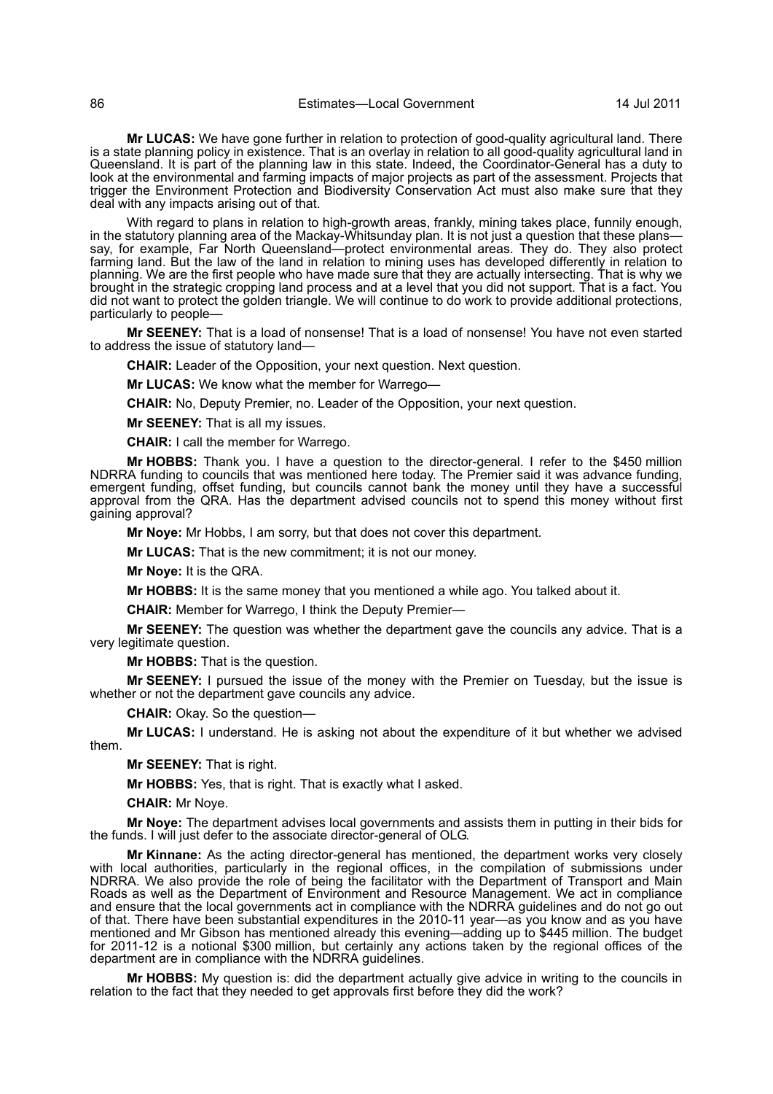**Mr LUCAS:** We have gone further in relation to protection of good-quality agricultural land. There is a state planning policy in existence. That is an overlay in relation to all good-quality agricultural land in Queensland. It is part of the planning law in this state. Indeed, the Coordinator-General has a duty to look at the environmental and farming impacts of major projects as part of the assessment. Projects that trigger the Environment Protection and Biodiversity Conservation Act must also make sure that they deal with any impacts arising out of that.

With regard to plans in relation to high-growth areas, frankly, mining takes place, funnily enough, in the statutory planning area of the Mackay-Whitsunday plan. It is not just a question that these planssay, for example, Far North Queensland—protect environmental areas. They do. They also protect farming land. But the law of the land in relation to mining uses has developed differently in relation to planning. We are the first people who have made sure that they are actually intersecting. That is why we brought in the strategic cropping land process and at a level that you did not support. That is a fact. You did not want to protect the golden triangle. We will continue to do work to provide additional protections, particularly to people—

**Mr SEENEY:** That is a load of nonsense! That is a load of nonsense! You have not even started to address the issue of statutory land—

**CHAIR:** Leader of the Opposition, your next question. Next question.

**Mr LUCAS:** We know what the member for Warrego—

**CHAIR:** No, Deputy Premier, no. Leader of the Opposition, your next question.

**Mr SEENEY:** That is all my issues.

**CHAIR:** I call the member for Warrego.

**Mr HOBBS:** Thank you. I have a question to the director-general. I refer to the \$450 million NDRRA funding to councils that was mentioned here today. The Premier said it was advance funding, emergent funding, offset funding, but councils cannot bank the money until they have a successful approval from the QRA. Has the department advised councils not to spend this money without first gaining approval?

**Mr Noye:** Mr Hobbs, I am sorry, but that does not cover this department.

**Mr LUCAS:** That is the new commitment; it is not our money.

**Mr Noye:** It is the QRA.

**Mr HOBBS:** It is the same money that you mentioned a while ago. You talked about it.

**CHAIR:** Member for Warrego, I think the Deputy Premier—

**Mr SEENEY:** The question was whether the department gave the councils any advice. That is a very legitimate question.

**Mr HOBBS:** That is the question.

**Mr SEENEY:** I pursued the issue of the money with the Premier on Tuesday, but the issue is whether or not the department gave councils any advice.

**CHAIR:** Okay. So the question—

**Mr LUCAS:** I understand. He is asking not about the expenditure of it but whether we advised them.

**Mr SEENEY:** That is right.

**Mr HOBBS:** Yes, that is right. That is exactly what I asked.

**CHAIR:** Mr Noye.

**Mr Noye:** The department advises local governments and assists them in putting in their bids for the funds. I will just defer to the associate director-general of OLG.

**Mr Kinnane:** As the acting director-general has mentioned, the department works very closely with local authorities, particularly in the regional offices, in the compilation of submissions under NDRRA. We also provide the role of being the facilitator with the Department of Transport and Main Roads as well as the Department of Environment and Resource Management. We act in compliance and ensure that the local governments act in compliance with the NDRRA guidelines and do not go out of that. There have been substantial expenditures in the 2010-11 year—as you know and as you have mentioned and Mr Gibson has mentioned already this evening—adding up to \$445 million. The budget for 2011-12 is a notional \$300 million, but certainly any actions taken by the regional offices of the department are in compliance with the NDRRA guidelines.

**Mr HOBBS:** My question is: did the department actually give advice in writing to the councils in relation to the fact that they needed to get approvals first before they did the work?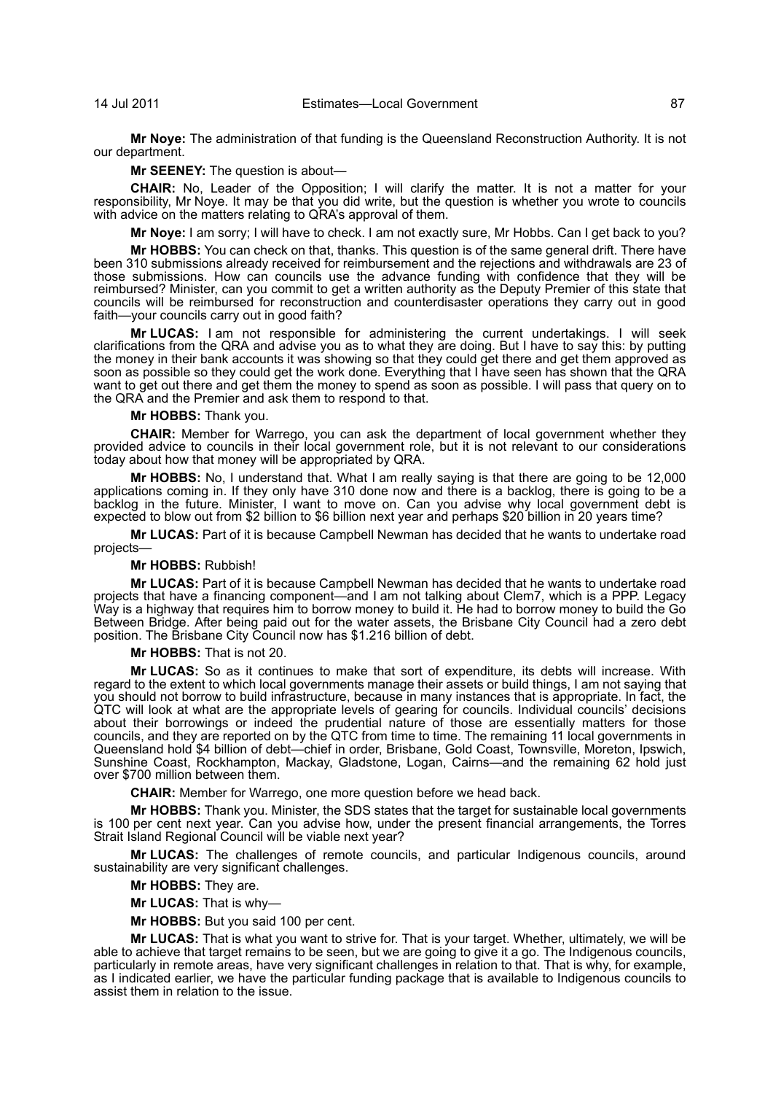**Mr Noye:** The administration of that funding is the Queensland Reconstruction Authority. It is not our department.

**Mr SEENEY:** The question is about—

**CHAIR:** No, Leader of the Opposition; I will clarify the matter. It is not a matter for your responsibility, Mr Noye. It may be that you did write, but the question is whether you wrote to councils with advice on the matters relating to QRA's approval of them.

**Mr Noye:** I am sorry; I will have to check. I am not exactly sure, Mr Hobbs. Can I get back to you?

**Mr HOBBS:** You can check on that, thanks. This question is of the same general drift. There have been 310 submissions already received for reimbursement and the rejections and withdrawals are 23 of those submissions. How can councils use the advance funding with confidence that they will be reimbursed? Minister, can you commit to get a written authority as the Deputy Premier of this state that councils will be reimbursed for reconstruction and counterdisaster operations they carry out in good faith—your councils carry out in good faith?

**Mr LUCAS:** I am not responsible for administering the current undertakings. I will seek clarifications from the QRA and advise you as to what they are doing. But I have to say this: by putting the money in their bank accounts it was showing so that they could get there and get them approved as soon as possible so they could get the work done. Everything that I have seen has shown that the QRA want to get out there and get them the money to spend as soon as possible. I will pass that query on to the QRA and the Premier and ask them to respond to that.

## **Mr HOBBS:** Thank you.

**CHAIR:** Member for Warrego, you can ask the department of local government whether they provided advice to councils in their local government role, but it is not relevant to our considerations today about how that money will be appropriated by QRA.

**Mr HOBBS:** No, I understand that. What I am really saying is that there are going to be 12,000 applications coming in. If they only have 310 done now and there is a backlog, there is going to be a backlog in the future. Minister, I want to move on. Can you advise why local government debt is expected to blow out from \$2 billion to \$6 billion next year and perhaps \$20 billion in 20 years time?

**Mr LUCAS:** Part of it is because Campbell Newman has decided that he wants to undertake road projects—

## **Mr HOBBS:** Rubbish!

**Mr LUCAS:** Part of it is because Campbell Newman has decided that he wants to undertake road projects that have a financing component—and I am not talking about Clem7, which is a PPP. Legacy Way is a highway that requires him to borrow money to build it. He had to borrow money to build the Go Between Bridge. After being paid out for the water assets, the Brisbane City Council had a zero debt position. The Brisbane City Council now has \$1.216 billion of debt.

**Mr HOBBS:** That is not 20.

**Mr LUCAS:** So as it continues to make that sort of expenditure, its debts will increase. With regard to the extent to which local governments manage their assets or build things, I am not saying that you should not borrow to build infrastructure, because in many instances that is appropriate. In fact, the QTC will look at what are the appropriate levels of gearing for councils. Individual councils' decisions about their borrowings or indeed the prudential nature of those are essentially matters for those councils, and they are reported on by the QTC from time to time. The remaining 11 local governments in Queensland hold \$4 billion of debt—chief in order, Brisbane, Gold Coast, Townsville, Moreton, Ipswich, Sunshine Coast, Rockhampton, Mackay, Gladstone, Logan, Cairns—and the remaining 62 hold just over \$700 million between them.

**CHAIR:** Member for Warrego, one more question before we head back.

**Mr HOBBS:** Thank you. Minister, the SDS states that the target for sustainable local governments is 100 per cent next year. Can you advise how, under the present financial arrangements, the Torres Strait Island Regional Council will be viable next year?

**Mr LUCAS:** The challenges of remote councils, and particular Indigenous councils, around sustainability are very significant challenges.

**Mr HOBBS:** They are.

**Mr LUCAS:** That is why—

**Mr HOBBS:** But you said 100 per cent.

**Mr LUCAS:** That is what you want to strive for. That is your target. Whether, ultimately, we will be able to achieve that target remains to be seen, but we are going to give it a go. The Indigenous councils, particularly in remote areas, have very significant challenges in relation to that. That is why, for example, as I indicated earlier, we have the particular funding package that is available to Indigenous councils to assist them in relation to the issue.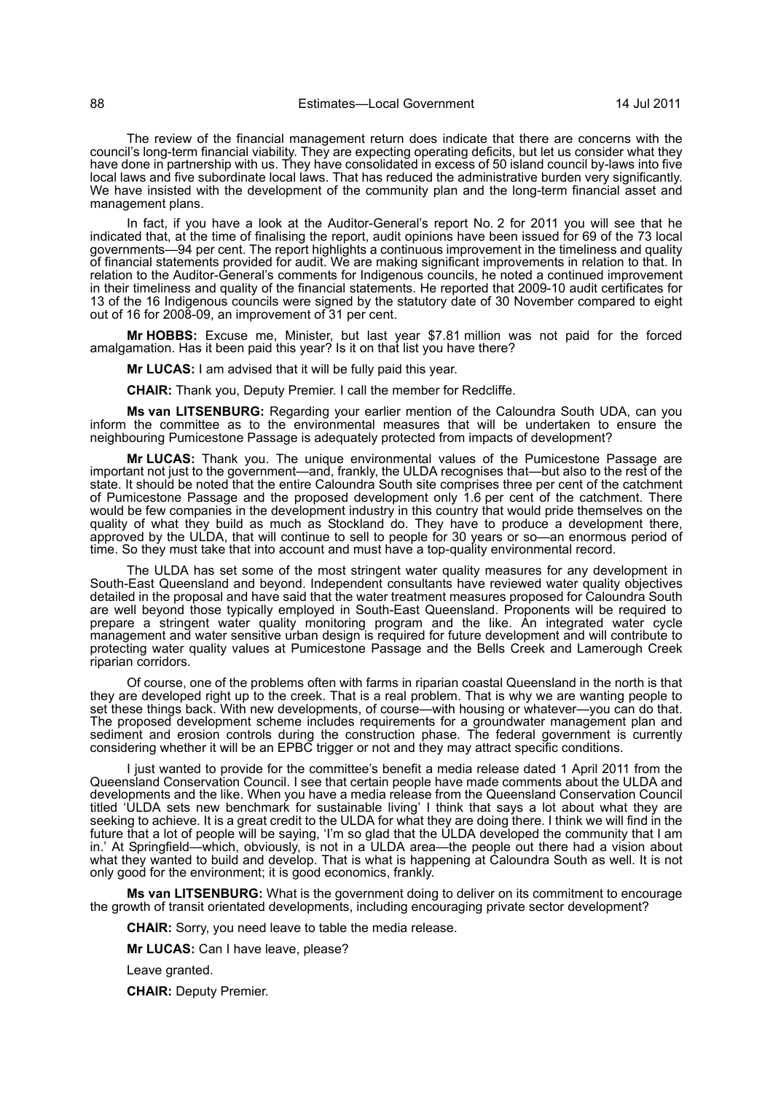The review of the financial management return does indicate that there are concerns with the council's long-term financial viability. They are expecting operating deficits, but let us consider what they have done in partnership with us. They have consolidated in excess of 50 island council by-laws into five local laws and five subordinate local laws. That has reduced the administrative burden very significantly. We have insisted with the development of the community plan and the long-term financial asset and management plans.

In fact, if you have a look at the Auditor-General's report No. 2 for 2011 you will see that he indicated that, at the time of finalising the report, audit opinions have been issued for 69 of the 73 local governments—94 per cent. The report highlights a continuous improvement in the timeliness and quality of financial statements provided for audit. We are making significant improvements in relation to that. In relation to the Auditor-General's comments for Indigenous councils, he noted a continued improvement in their timeliness and quality of the financial statements. He reported that 2009-10 audit certificates for 13 of the 16 Indigenous councils were signed by the statutory date of 30 November compared to eight out of 16 for 2008-09, an improvement of 31 per cent.

**Mr HOBBS:** Excuse me, Minister, but last year \$7.81 million was not paid for the forced amalgamation. Has it been paid this year? Is it on that list you have there?

**Mr LUCAS:** I am advised that it will be fully paid this year.

**CHAIR:** Thank you, Deputy Premier. I call the member for Redcliffe.

**Ms van LITSENBURG:** Regarding your earlier mention of the Caloundra South UDA, can you inform the committee as to the environmental measures that will be undertaken to ensure the neighbouring Pumicestone Passage is adequately protected from impacts of development?

**Mr LUCAS:** Thank you. The unique environmental values of the Pumicestone Passage are important not just to the government—and, frankly, the ULDA recognises that—but also to the rest of the state. It should be noted that the entire Caloundra South site comprises three per cent of the catchment of Pumicestone Passage and the proposed development only 1.6 per cent of the catchment. There would be few companies in the development industry in this country that would pride themselves on the quality of what they build as much as Stockland do. They have to produce a development there, approved by the ULDA, that will continue to sell to people for 30 years or so—an enormous period of time. So they must take that into account and must have a top-quality environmental record.

The ULDA has set some of the most stringent water quality measures for any development in South-East Queensland and beyond. Independent consultants have reviewed water quality objectives detailed in the proposal and have said that the water treatment measures proposed for Caloundra South are well beyond those typically employed in South-East Queensland. Proponents will be required to prepare a stringent water quality monitoring program and the like. An integrated water cycle management and water sensitive urban design is required for future development and will contribute to protecting water quality values at Pumicestone Passage and the Bells Creek and Lamerough Creek riparian corridors.

Of course, one of the problems often with farms in riparian coastal Queensland in the north is that they are developed right up to the creek. That is a real problem. That is why we are wanting people to set these things back. With new developments, of course—with housing or whatever—you can do that. The proposed development scheme includes requirements for a groundwater management plan and sediment and erosion controls during the construction phase. The federal government is currently considering whether it will be an EPBC trigger or not and they may attract specific conditions.

I just wanted to provide for the committee's benefit a media release dated 1 April 2011 from the Queensland Conservation Council. I see that certain people have made comments about the ULDA and developments and the like. When you have a media release from the Queensland Conservation Council titled 'ULDA sets new benchmark for sustainable living' I think that says a lot about what they are seeking to achieve. It is a great credit to the ULDA for what they are doing there. I think we will find in the future that a lot of people will be saying, 'I'm so glad that the ULDA developed the community that I am in.' At Springfield—which, obviously, is not in a ULDA area—the people out there had a vision about what they wanted to build and develop. That is what is happening at Caloundra South as well. It is not only good for the environment; it is good economics, frankly.

**Ms van LITSENBURG:** What is the government doing to deliver on its commitment to encourage the growth of transit orientated developments, including encouraging private sector development?

**CHAIR:** Sorry, you need leave to table the media release.

**Mr LUCAS:** Can I have leave, please?

Leave granted.

**CHAIR:** Deputy Premier.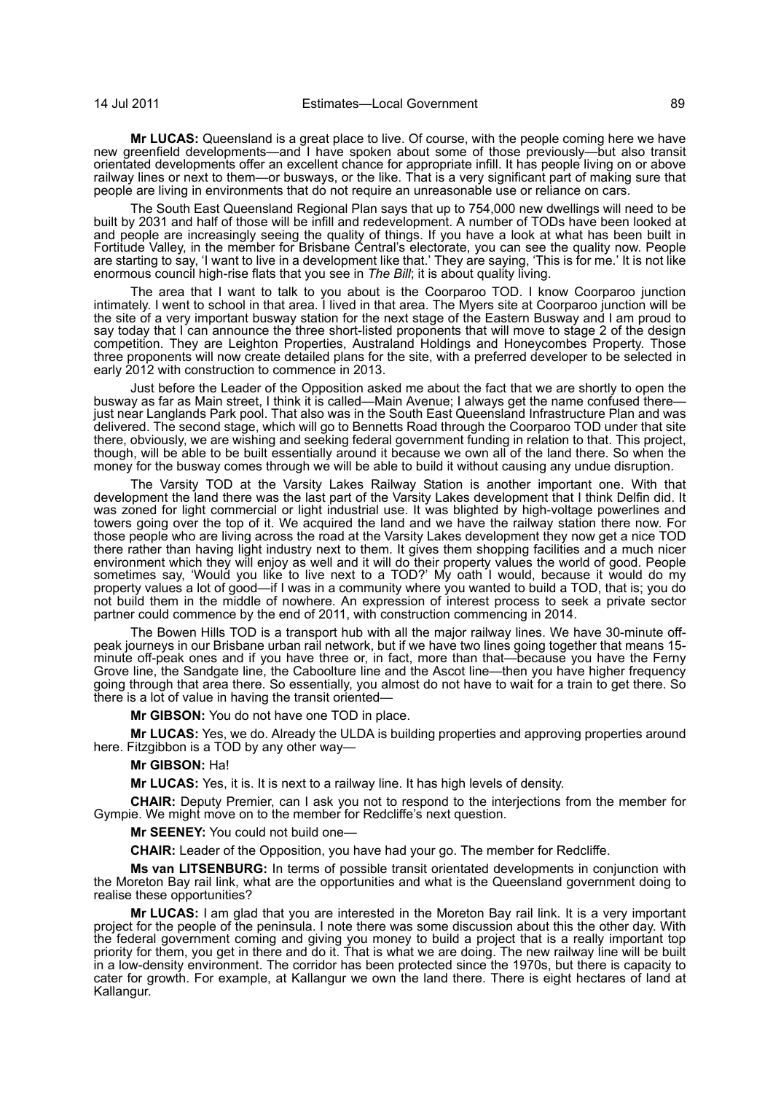**Mr LUCAS:** Queensland is a great place to live. Of course, with the people coming here we have new greenfield developments—and I have spoken about some of those previously—but also transit orientated developments offer an excellent chance for appropriate infill. It has people living on or above railway lines or next to them—or busways, or the like. That is a very significant part of making sure that people are living in environments that do not require an unreasonable use or reliance on cars.

The South East Queensland Regional Plan says that up to 754,000 new dwellings will need to be built by 2031 and half of those will be infill and redevelopment. A number of TODs have been looked at and people are increasingly seeing the quality of things. If you have a look at what has been built in Fortitude Valley, in the member for Brisbane Central's electorate, you can see the quality now. People are starting to say, 'I want to live in a development like that.' They are saying, 'This is for me.' It is not like enormous council high-rise flats that you see in *The Bill*; it is about quality living.

The area that I want to talk to you about is the Coorparoo TOD. I know Coorparoo junction intimately. I went to school in that area. I lived in that area. The Myers site at Coorparoo junction will be the site of a very important busway station for the next stage of the Eastern Busway and I am proud to say today that I can announce the three short-listed proponents that will move to stage 2 of the design competition. They are Leighton Properties, Australand Holdings and Honeycombes Property. Those three proponents will now create detailed plans for the site, with a preferred developer to be selected in early 2012 with construction to commence in 2013.

Just before the Leader of the Opposition asked me about the fact that we are shortly to open the busway as far as Main street, I think it is called—Main Avenue; I always get the name confused there just near Langlands Park pool. That also was in the South East Queensland Infrastructure Plan and was delivered. The second stage, which will go to Bennetts Road through the Coorparoo TOD under that site there, obviously, we are wishing and seeking federal government funding in relation to that. This project, though, will be able to be built essentially around it because we own all of the land there. So when the money for the busway comes through we will be able to build it without causing any undue disruption.

The Varsity TOD at the Varsity Lakes Railway Station is another important one. With that development the land there was the last part of the Varsity Lakes development that I think Delfin did. It was zoned for light commercial or light industrial use. It was blighted by high-voltage powerlines and towers going over the top of it. We acquired the land and we have the railway station there now. For those people who are living across the road at the Varsity Lakes development they now get a nice TOD there rather than having light industry next to them. It gives them shopping facilities and a much nicer environment which they will enjoy as well and it will do their property values the world of good. People sometimes say, 'Would you like to live next to a TOD?' My oath I would, because it would do my property values a lot of good—if I was in a community where you wanted to build a TOD, that is; you do not build them in the middle of nowhere. An expression of interest process to seek a private sector partner could commence by the end of 2011, with construction commencing in 2014.

The Bowen Hills TOD is a transport hub with all the major railway lines. We have 30-minute offpeak journeys in our Brisbane urban rail network, but if we have two lines going together that means 15 minute off-peak ones and if you have three or, in fact, more than that—because you have the Ferny Grove line, the Sandgate line, the Caboolture line and the Ascot line—then you have higher frequency going through that area there. So essentially, you almost do not have to wait for a train to get there. So there is a lot of value in having the transit oriented—

**Mr GIBSON:** You do not have one TOD in place.

**Mr LUCAS:** Yes, we do. Already the ULDA is building properties and approving properties around here. Fitzgibbon is a TOD by any other way—

#### **Mr GIBSON:** Ha!

**Mr LUCAS:** Yes, it is. It is next to a railway line. It has high levels of density.

**CHAIR:** Deputy Premier, can I ask you not to respond to the interjections from the member for Gympie. We might move on to the member for Redcliffe's next question.

**Mr SEENEY:** You could not build one—

**CHAIR:** Leader of the Opposition, you have had your go. The member for Redcliffe.

**Ms van LITSENBURG:** In terms of possible transit orientated developments in conjunction with the Moreton Bay rail link, what are the opportunities and what is the Queensland government doing to realise these opportunities?

**Mr LUCAS:** I am glad that you are interested in the Moreton Bay rail link. It is a very important project for the people of the peninsula. I note there was some discussion about this the other day. With the federal government coming and giving you money to build a project that is a really important top priority for them, you get in there and do it. That is what we are doing. The new railway line will be built in a low-density environment. The corridor has been protected since the 1970s, but there is capacity to cater for growth. For example, at Kallangur we own the land there. There is eight hectares of land at Kallangur.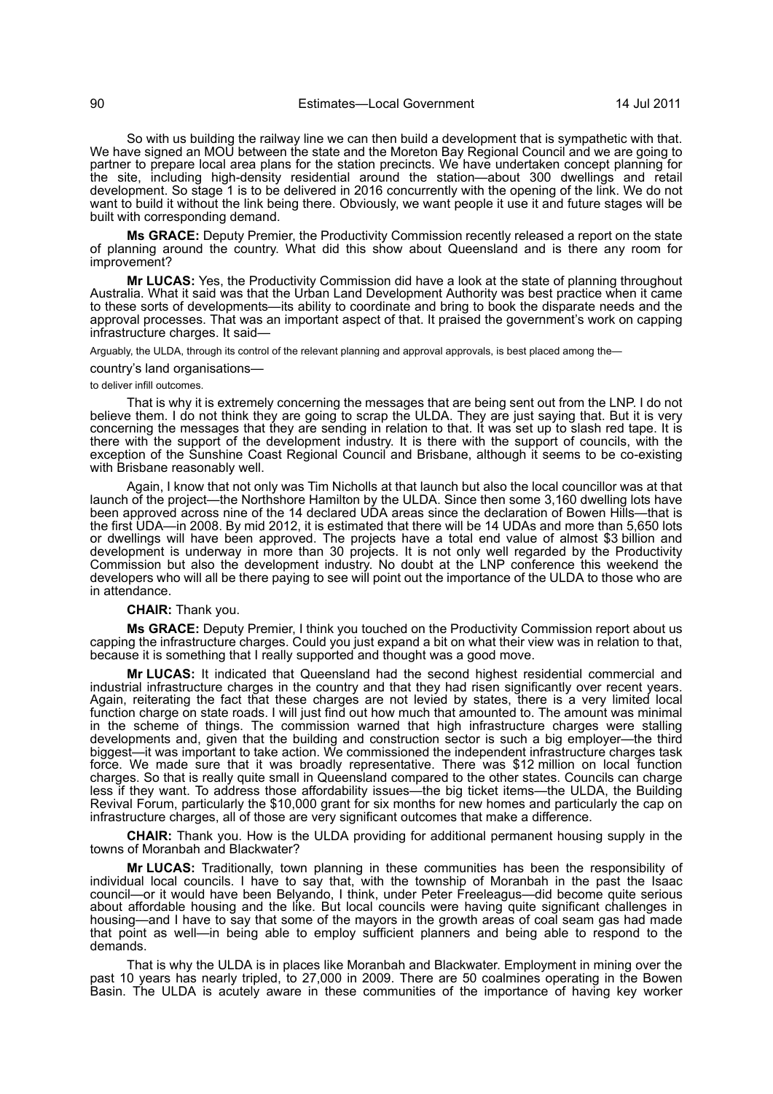So with us building the railway line we can then build a development that is sympathetic with that. We have signed an MOU between the state and the Moreton Bay Regional Council and we are going to partner to prepare local area plans for the station precincts. We have undertaken concept planning for the site, including high-density residential around the station—about 300 dwellings and retail development. So stage 1 is to be delivered in 2016 concurrently with the opening of the link. We do not want to build it without the link being there. Obviously, we want people it use it and future stages will be built with corresponding demand.

**Ms GRACE:** Deputy Premier, the Productivity Commission recently released a report on the state of planning around the country. What did this show about Queensland and is there any room for improvement?

**Mr LUCAS:** Yes, the Productivity Commission did have a look at the state of planning throughout Australia. What it said was that the Urban Land Development Authority was best practice when it came to these sorts of developments—its ability to coordinate and bring to book the disparate needs and the approval processes. That was an important aspect of that. It praised the government's work on capping infrastructure charges. It said-

Arguably, the ULDA, through its control of the relevant planning and approval approvals, is best placed among the—

country's land organisations—

### to deliver infill outcomes.

That is why it is extremely concerning the messages that are being sent out from the LNP. I do not believe them. I do not think they are going to scrap the ULDA. They are just saying that. But it is very concerning the messages that they are sending in relation to that. It was set up to slash red tape. It is there with the support of the development industry. It is there with the support of councils, with the exception of the Sunshine Coast Regional Council and Brisbane, although it seems to be co-existing with Brisbane reasonably well.

Again, I know that not only was Tim Nicholls at that launch but also the local councillor was at that launch of the project—the Northshore Hamilton by the ULDA. Since then some 3,160 dwelling lots have been approved across nine of the 14 declared UDA areas since the declaration of Bowen Hills—that is the first UDA—in 2008. By mid 2012, it is estimated that there will be 14 UDAs and more than 5,650 lots or dwellings will have been approved. The projects have a total end value of almost \$3 billion and development is underway in more than 30 projects. It is not only well regarded by the Productivity Commission but also the development industry. No doubt at the LNP conference this weekend the developers who will all be there paying to see will point out the importance of the ULDA to those who are in attendance.

## **CHAIR:** Thank you.

**Ms GRACE:** Deputy Premier, I think you touched on the Productivity Commission report about us capping the infrastructure charges. Could you just expand a bit on what their view was in relation to that, because it is something that I really supported and thought was a good move.

**Mr LUCAS:** It indicated that Queensland had the second highest residential commercial and industrial infrastructure charges in the country and that they had risen significantly over recent years. Again, reiterating the fact that these charges are not levied by states, there is a very limited local function charge on state roads. I will just find out how much that amounted to. The amount was minimal in the scheme of things. The commission warned that high infrastructure charges were stalling developments and, given that the building and construction sector is such a big employer—the third biggest—it was important to take action. We commissioned the independent infrastructure charges task force. We made sure that it was broadly representative. There was \$12 million on local function charges. So that is really quite small in Queensland compared to the other states. Councils can charge less if they want. To address those affordability issues—the big ticket items—the ULDA, the Building Revival Forum, particularly the \$10,000 grant for six months for new homes and particularly the cap on infrastructure charges, all of those are very significant outcomes that make a difference.

**CHAIR:** Thank you. How is the ULDA providing for additional permanent housing supply in the towns of Moranbah and Blackwater?

**Mr LUCAS:** Traditionally, town planning in these communities has been the responsibility of individual local councils. I have to say that, with the township of Moranbah in the past the Isaac council—or it would have been Belyando, I think, under Peter Freeleagus—did become quite serious about affordable housing and the like. But local councils were having quite significant challenges in housing—and I have to say that some of the mayors in the growth areas of coal seam gas had made that point as well—in being able to employ sufficient planners and being able to respond to the demands.

That is why the ULDA is in places like Moranbah and Blackwater. Employment in mining over the past 10 years has nearly tripled, to 27,000 in 2009. There are 50 coalmines operating in the Bowen Basin. The ULDA is acutely aware in these communities of the importance of having key worker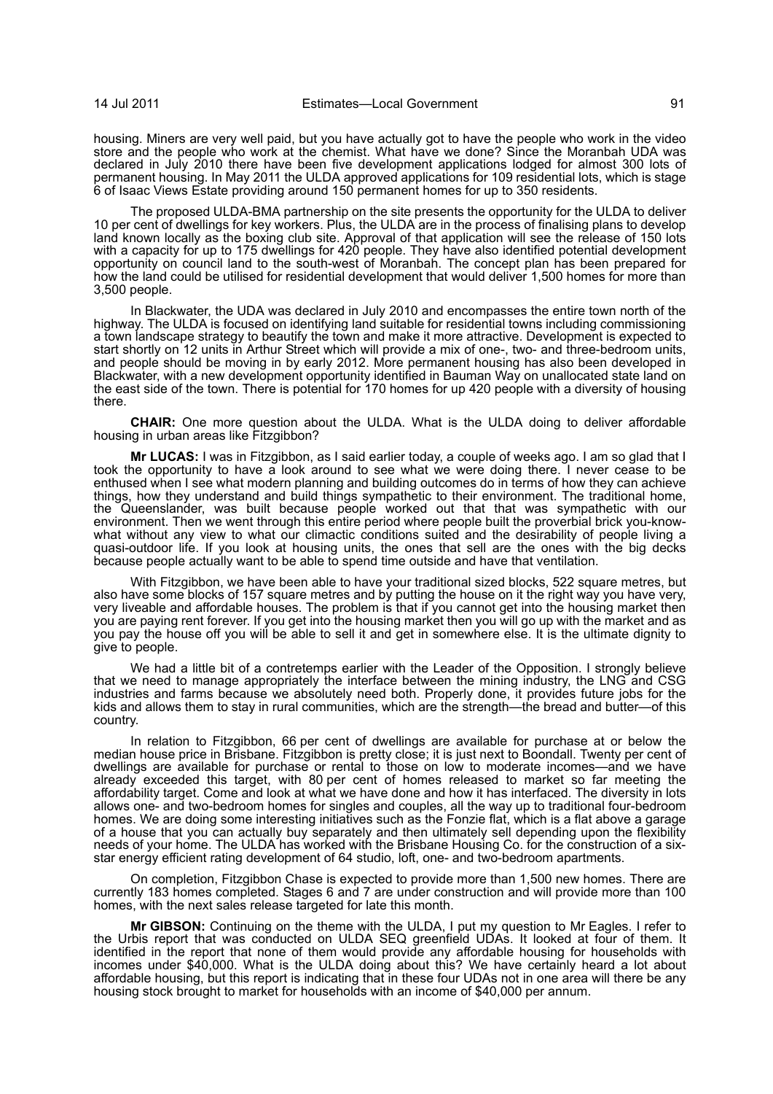housing. Miners are very well paid, but you have actually got to have the people who work in the video store and the people who work at the chemist. What have we done? Since the Moranbah UDA was declared in July 2010 there have been five development applications lodged for almost 300 lots of permanent housing. In May 2011 the ULDA approved applications for 109 residential lots, which is stage 6 of Isaac Views Estate providing around 150 permanent homes for up to 350 residents.

The proposed ULDA-BMA partnership on the site presents the opportunity for the ULDA to deliver 10 per cent of dwellings for key workers. Plus, the ULDA are in the process of finalising plans to develop land known locally as the boxing club site. Approval of that application will see the release of 150 lots with a capacity for up to 175 dwellings for 420 people. They have also identified potential development opportunity on council land to the south-west of Moranbah. The concept plan has been prepared for how the land could be utilised for residential development that would deliver 1,500 homes for more than 3,500 people.

In Blackwater, the UDA was declared in July 2010 and encompasses the entire town north of the highway. The ULDA is focused on identifying land suitable for residential towns including commissioning a town landscape strategy to beautify the town and make it more attractive. Development is expected to start shortly on 12 units in Arthur Street which will provide a mix of one-, two- and three-bedroom units, and people should be moving in by early 2012. More permanent housing has also been developed in Blackwater, with a new development opportunity identified in Bauman Way on unallocated state land on the east side of the town. There is potential for 170 homes for up 420 people with a diversity of housing there.

**CHAIR:** One more question about the ULDA. What is the ULDA doing to deliver affordable housing in urban areas like Fitzgibbon?

**Mr LUCAS:** I was in Fitzgibbon, as I said earlier today, a couple of weeks ago. I am so glad that I took the opportunity to have a look around to see what we were doing there. I never cease to be enthused when I see what modern planning and building outcomes do in terms of how they can achieve things, how they understand and build things sympathetic to their environment. The traditional home, the Queenslander, was built because people worked out that that was sympathetic with our environment. Then we went through this entire period where people built the proverbial brick you-knowwhat without any view to what our climactic conditions suited and the desirability of people living a quasi-outdoor life. If you look at housing units, the ones that sell are the ones with the big decks because people actually want to be able to spend time outside and have that ventilation.

With Fitzgibbon, we have been able to have your traditional sized blocks, 522 square metres, but also have some blocks of 157 square metres and by putting the house on it the right way you have very, very liveable and affordable houses. The problem is that if you cannot get into the housing market then you are paying rent forever. If you get into the housing market then you will go up with the market and as you pay the house off you will be able to sell it and get in somewhere else. It is the ultimate dignity to give to people.

We had a little bit of a contretemps earlier with the Leader of the Opposition. I strongly believe that we need to manage appropriately the interface between the mining industry, the LNG and CSG industries and farms because we absolutely need both. Properly done, it provides future jobs for the kids and allows them to stay in rural communities, which are the strength—the bread and butter—of this country.

In relation to Fitzgibbon, 66 per cent of dwellings are available for purchase at or below the median house price in Brisbane. Fitzgibbon is pretty close; it is just next to Boondall. Twenty per cent of dwellings are available for purchase or rental to those on low to moderate incomes—and we have already exceeded this target, with 80 per cent of homes released to market so far meeting the affordability target. Come and look at what we have done and how it has interfaced. The diversity in lots allows one- and two-bedroom homes for singles and couples, all the way up to traditional four-bedroom homes. We are doing some interesting initiatives such as the Fonzie flat, which is a flat above a garage of a house that you can actually buy separately and then ultimately sell depending upon the flexibility needs of your home. The ULDA has worked with the Brisbane Housing Co. for the construction of a sixstar energy efficient rating development of 64 studio, loft, one- and two-bedroom apartments.

On completion, Fitzgibbon Chase is expected to provide more than 1,500 new homes. There are currently 183 homes completed. Stages 6 and 7 are under construction and will provide more than 100 homes, with the next sales release targeted for late this month.

**Mr GIBSON:** Continuing on the theme with the ULDA, I put my question to Mr Eagles. I refer to the Urbis report that was conducted on ULDA SEQ greenfield UDAs. It looked at four of them. It identified in the report that none of them would provide any affordable housing for households with incomes under \$40,000. What is the ULDA doing about this? We have certainly heard a lot about affordable housing, but this report is indicating that in these four UDAs not in one area will there be any housing stock brought to market for households with an income of \$40,000 per annum.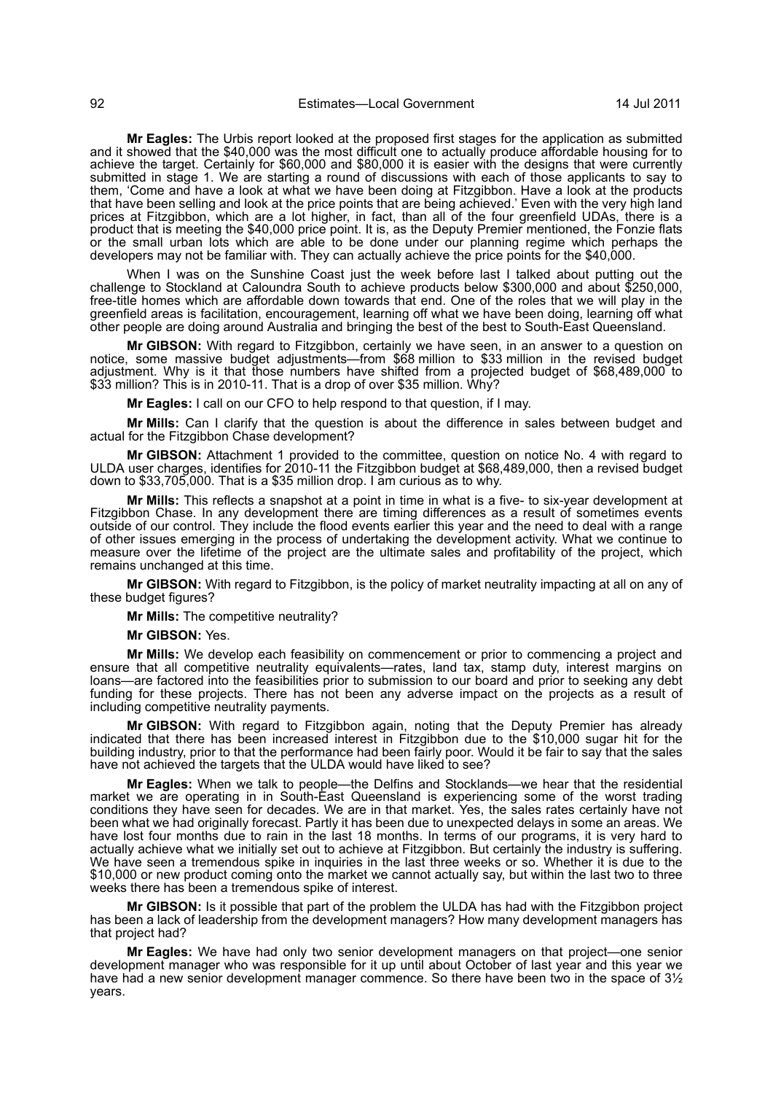**Mr Eagles:** The Urbis report looked at the proposed first stages for the application as submitted and it showed that the \$40,000 was the most difficult one to actually produce affordable housing for to achieve the target. Certainly for \$60,000 and \$80,000 it is easier with the designs that were currently submitted in stage 1. We are starting a round of discussions with each of those applicants to say to them, 'Come and have a look at what we have been doing at Fitzgibbon. Have a look at the products that have been selling and look at the price points that are being achieved.' Even with the very high land prices at Fitzgibbon, which are a lot higher, in fact, than all of the four greenfield UDAs, there is a product that is meeting the \$40,000 price point. It is, as the Deputy Premier mentioned, the Fonzie flats or the small urban lots which are able to be done under our planning regime which perhaps the developers may not be familiar with. They can actually achieve the price points for the \$40,000.

When I was on the Sunshine Coast just the week before last I talked about putting out the challenge to Stockland at Caloundra South to achieve products below \$300,000 and about \$250,000, free-title homes which are affordable down towards that end. One of the roles that we will play in the greenfield areas is facilitation, encouragement, learning off what we have been doing, learning off what other people are doing around Australia and bringing the best of the best to South-East Queensland.

**Mr GIBSON:** With regard to Fitzgibbon, certainly we have seen, in an answer to a question on notice, some massive budget adjustments—from \$68 million to \$33 million in the revised budget adjustment. Why is it that those numbers have shifted from a projected budget of \$68,489,000 to \$33 million? This is in 2010-11. That is a drop of over \$35 million. Why?

**Mr Eagles:** I call on our CFO to help respond to that question, if I may.

**Mr Mills:** Can I clarify that the question is about the difference in sales between budget and actual for the Fitzgibbon Chase development?

**Mr GIBSON:** Attachment 1 provided to the committee, question on notice No. 4 with regard to ULDA user charges, identifies for 2010-11 the Fitzgibbon budget at \$68,489,000, then a revised budget down to \$33,705,000. That is a \$35 million drop. I am curious as to why.

**Mr Mills:** This reflects a snapshot at a point in time in what is a five- to six-year development at Fitzgibbon Chase. In any development there are timing differences as a result of sometimes events outside of our control. They include the flood events earlier this year and the need to deal with a range of other issues emerging in the process of undertaking the development activity. What we continue to measure over the lifetime of the project are the ultimate sales and profitability of the project, which remains unchanged at this time.

**Mr GIBSON:** With regard to Fitzgibbon, is the policy of market neutrality impacting at all on any of these budget figures?

**Mr Mills:** The competitive neutrality?

**Mr GIBSON:** Yes.

**Mr Mills:** We develop each feasibility on commencement or prior to commencing a project and ensure that all competitive neutrality equivalents—rates, land tax, stamp duty, interest margins on loans—are factored into the feasibilities prior to submission to our board and prior to seeking any debt funding for these projects. There has not been any adverse impact on the projects as a result of including competitive neutrality payments.

**Mr GIBSON:** With regard to Fitzgibbon again, noting that the Deputy Premier has already indicated that there has been increased interest in Fitzgibbon due to the \$10,000 sugar hit for the building industry, prior to that the performance had been fairly poor. Would it be fair to say that the sales have not achieved the targets that the ULDA would have liked to see?

**Mr Eagles:** When we talk to people—the Delfins and Stocklands—we hear that the residential market we are operating in in South-East Queensland is experiencing some of the worst trading conditions they have seen for decades. We are in that market. Yes, the sales rates certainly have not been what we had originally forecast. Partly it has been due to unexpected delays in some an areas. We have lost four months due to rain in the last 18 months. In terms of our programs, it is very hard to actually achieve what we initially set out to achieve at Fitzgibbon. But certainly the industry is suffering. We have seen a tremendous spike in inquiries in the last three weeks or so. Whether it is due to the \$10,000 or new product coming onto the market we cannot actually say, but within the last two to three weeks there has been a tremendous spike of interest.

**Mr GIBSON:** Is it possible that part of the problem the ULDA has had with the Fitzgibbon project has been a lack of leadership from the development managers? How many development managers has that project had?

**Mr Eagles:** We have had only two senior development managers on that project—one senior development manager who was responsible for it up until about October of last year and this year we have had a new senior development manager commence. So there have been two in the space of 3<sup>1/2</sup> years.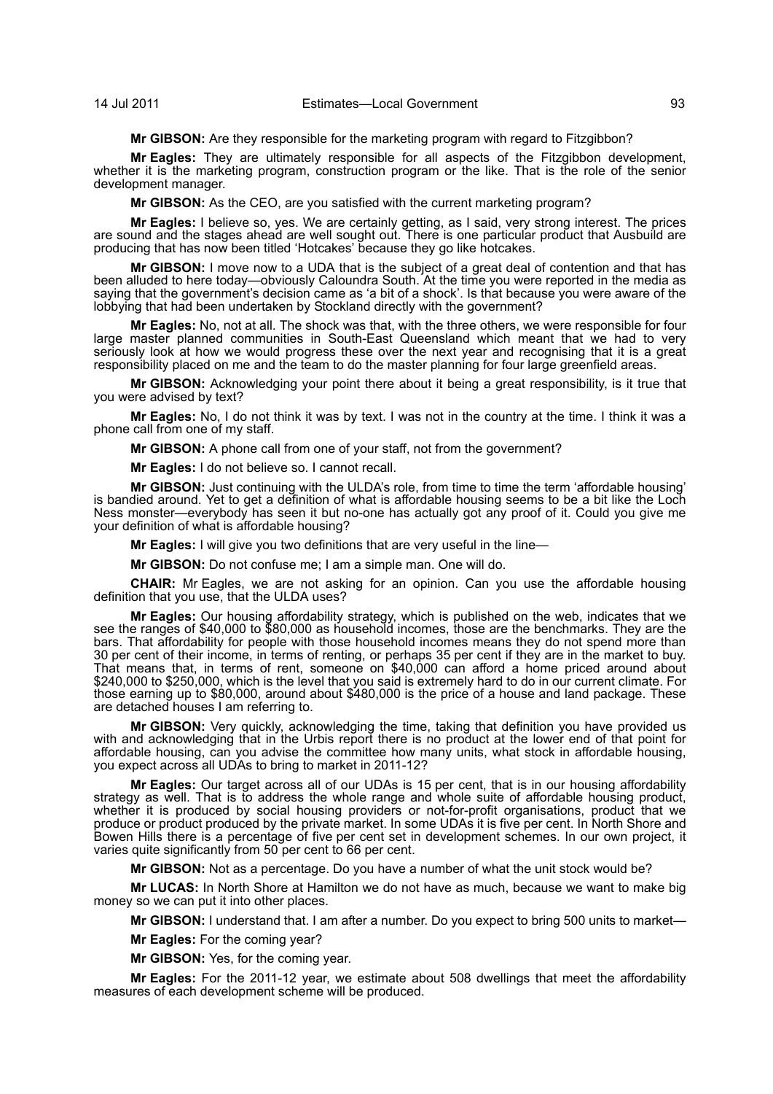**Mr GIBSON:** Are they responsible for the marketing program with regard to Fitzgibbon?

**Mr Eagles:** They are ultimately responsible for all aspects of the Fitzgibbon development, whether it is the marketing program, construction program or the like. That is the role of the senior development manager.

**Mr GIBSON:** As the CEO, are you satisfied with the current marketing program?

**Mr Eagles:** I believe so, yes. We are certainly getting, as I said, very strong interest. The prices are sound and the stages ahead are well sought out. There is one particular product that Ausbuild are producing that has now been titled 'Hotcakes' because they go like hotcakes.

**Mr GIBSON:** I move now to a UDA that is the subject of a great deal of contention and that has been alluded to here today—obviously Caloundra South. At the time you were reported in the media as saying that the government's decision came as 'a bit of a shock'. Is that because you were aware of the lobbying that had been undertaken by Stockland directly with the government?

**Mr Eagles:** No, not at all. The shock was that, with the three others, we were responsible for four large master planned communities in South-East Queensland which meant that we had to very seriously look at how we would progress these over the next year and recognising that it is a great responsibility placed on me and the team to do the master planning for four large greenfield areas.

**Mr GIBSON:** Acknowledging your point there about it being a great responsibility, is it true that you were advised by text?

**Mr Eagles:** No, I do not think it was by text. I was not in the country at the time. I think it was a phone call from one of my staff.

**Mr GIBSON:** A phone call from one of your staff, not from the government?

**Mr Eagles:** I do not believe so. I cannot recall.

**Mr GIBSON:** Just continuing with the ULDA's role, from time to time the term 'affordable housing' is bandied around. Yet to get a definition of what is affordable housing seems to be a bit like the Loch Ness monster—everybody has seen it but no-one has actually got any proof of it. Could you give me your definition of what is affordable housing?

**Mr Eagles:** I will give you two definitions that are very useful in the line—

**Mr GIBSON:** Do not confuse me; I am a simple man. One will do.

**CHAIR:** Mr Eagles, we are not asking for an opinion. Can you use the affordable housing definition that you use, that the ULDA uses?

**Mr Eagles:** Our housing affordability strategy, which is published on the web, indicates that we see the ranges of \$40,000 to \$80,000 as household incomes, those are the benchmarks. They are the bars. That affordability for people with those household incomes means they do not spend more than 30 per cent of their income, in terms of renting, or perhaps 35 per cent if they are in the market to buy. That means that, in terms of rent, someone on \$40,000 can afford a home priced around about \$240,000 to \$250,000, which is the level that you said is extremely hard to do in our current climate. For those earning up to \$80,000, around about \$480,000 is the price of a house and land package. These are detached houses I am referring to.

**Mr GIBSON:** Very quickly, acknowledging the time, taking that definition you have provided us with and acknowledging that in the Urbis report there is no product at the lower end of that point for affordable housing, can you advise the committee how many units, what stock in affordable housing, you expect across all UDAs to bring to market in 2011-12?

**Mr Eagles:** Our target across all of our UDAs is 15 per cent, that is in our housing affordability strategy as well. That is to address the whole range and whole suite of affordable housing product, whether it is produced by social housing providers or not-for-profit organisations, product that we produce or product produced by the private market. In some UDAs it is five per cent. In North Shore and Bowen Hills there is a percentage of five per cent set in development schemes. In our own project, it varies quite significantly from 50 per cent to 66 per cent.

**Mr GIBSON:** Not as a percentage. Do you have a number of what the unit stock would be?

**Mr LUCAS:** In North Shore at Hamilton we do not have as much, because we want to make big money so we can put it into other places.

**Mr GIBSON:** I understand that. I am after a number. Do you expect to bring 500 units to market—

**Mr Eagles:** For the coming year?

**Mr GIBSON:** Yes, for the coming year.

**Mr Eagles:** For the 2011-12 year, we estimate about 508 dwellings that meet the affordability measures of each development scheme will be produced.